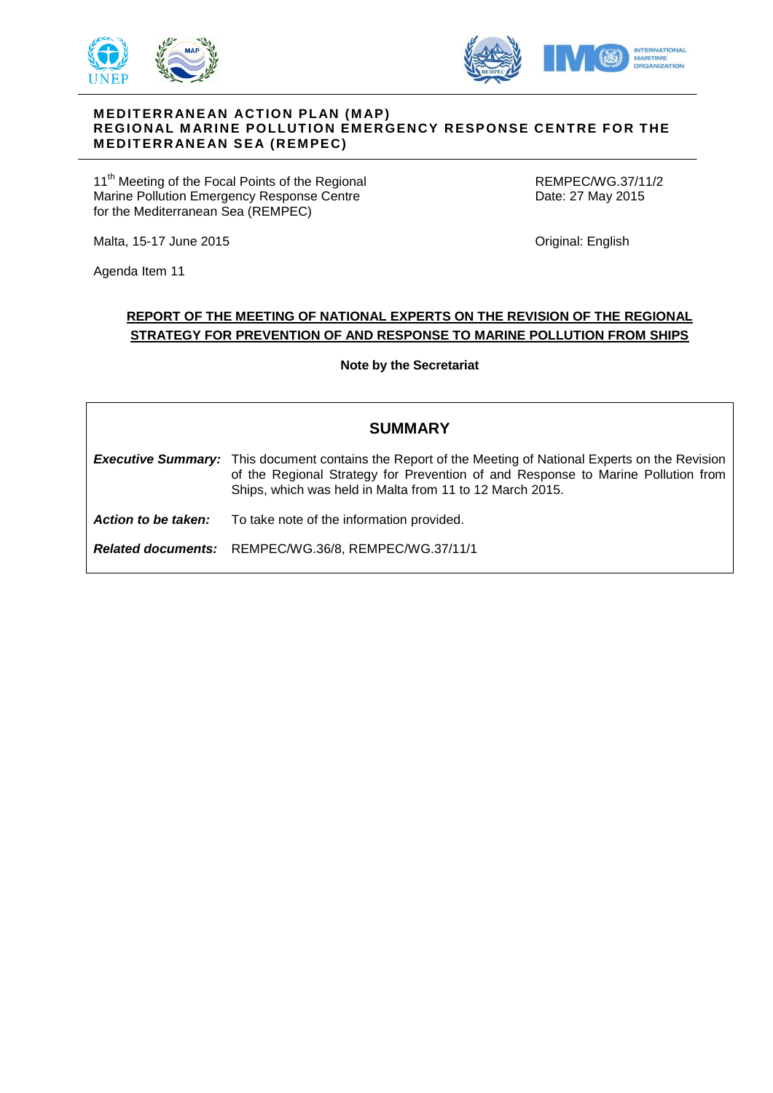



## **M EDIT ERR ANE AN ACT ION PL AN (M AP) REGION AL M ARIN E POLLUT ION EM ERGENCY RESPONSE CE NT RE FOR T HE M EDIT ERR ANE AN SEA (REM PEC)**

11<sup>th</sup> Meeting of the Focal Points of the Regional Marine Pollution Emergency Response Centre for the Mediterranean Sea (REMPEC)

REMPEC/WG.37/11/2 Date: 27 May 2015

Original: English

Agenda Item 11

Malta, 15-17 June 2015

# **REPORT OF THE MEETING OF NATIONAL EXPERTS ON THE REVISION OF THE REGIONAL STRATEGY FOR PREVENTION OF AND RESPONSE TO MARINE POLLUTION FROM SHIPS**

**Note by the Secretariat**

| <b>SUMMARY</b>      |                                                                                                                                                                                                                                                                |
|---------------------|----------------------------------------------------------------------------------------------------------------------------------------------------------------------------------------------------------------------------------------------------------------|
|                     | <b>Executive Summary:</b> This document contains the Report of the Meeting of National Experts on the Revision<br>of the Regional Strategy for Prevention of and Response to Marine Pollution from<br>Ships, which was held in Malta from 11 to 12 March 2015. |
| Action to be taken: | To take note of the information provided.                                                                                                                                                                                                                      |
|                     | Related documents: REMPEC/WG.36/8, REMPEC/WG.37/11/1                                                                                                                                                                                                           |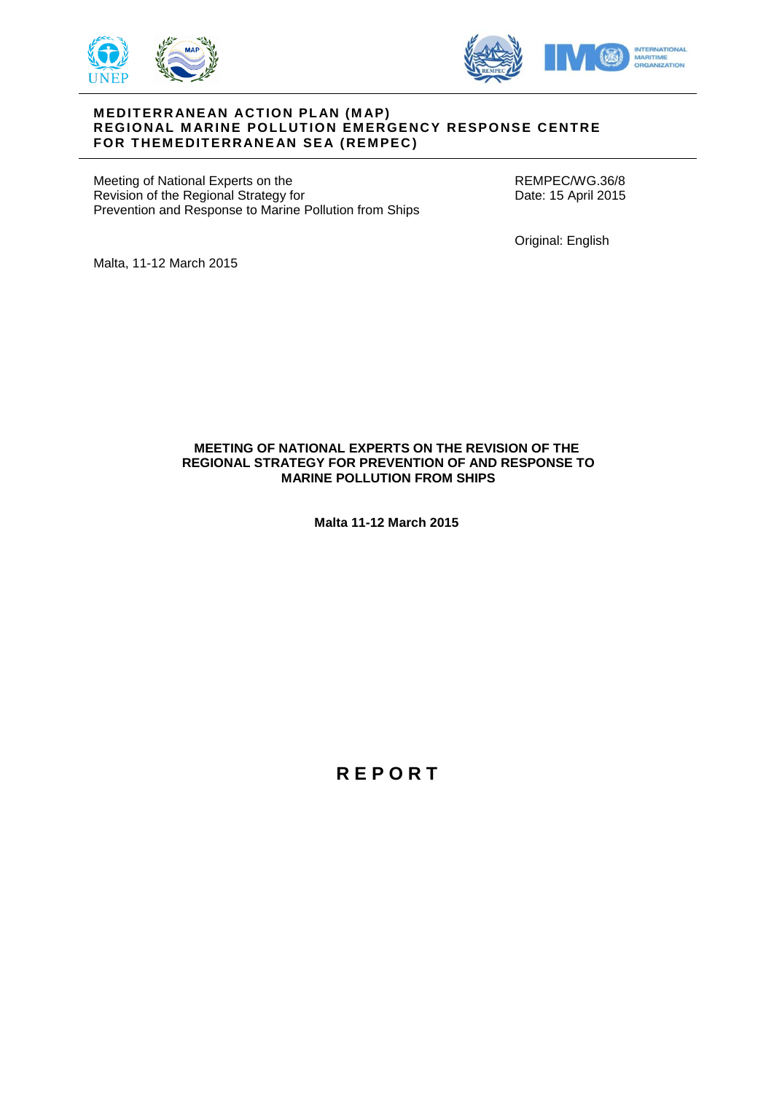



#### **M EDIT ERR ANE AN ACT ION PL AN (M AP) REGIONAL MARINE POLLUTION EMERGENCY RESPONSE CENTRE FOR THEMEDITERRANEAN SEA (REMPEC)**

Meeting of National Experts on the Revision of the Regional Strategy for Prevention and Response to Marine Pollution from Ships REMPEC/WG.36/8 Date: 15 April 2015

Original: English

Malta, 11-12 March 2015

## **MEETING OF NATIONAL EXPERTS ON THE REVISION OF THE REGIONAL STRATEGY FOR PREVENTION OF AND RESPONSE TO MARINE POLLUTION FROM SHIPS**

**Malta 11-12 March 2015**

**R E P O R T**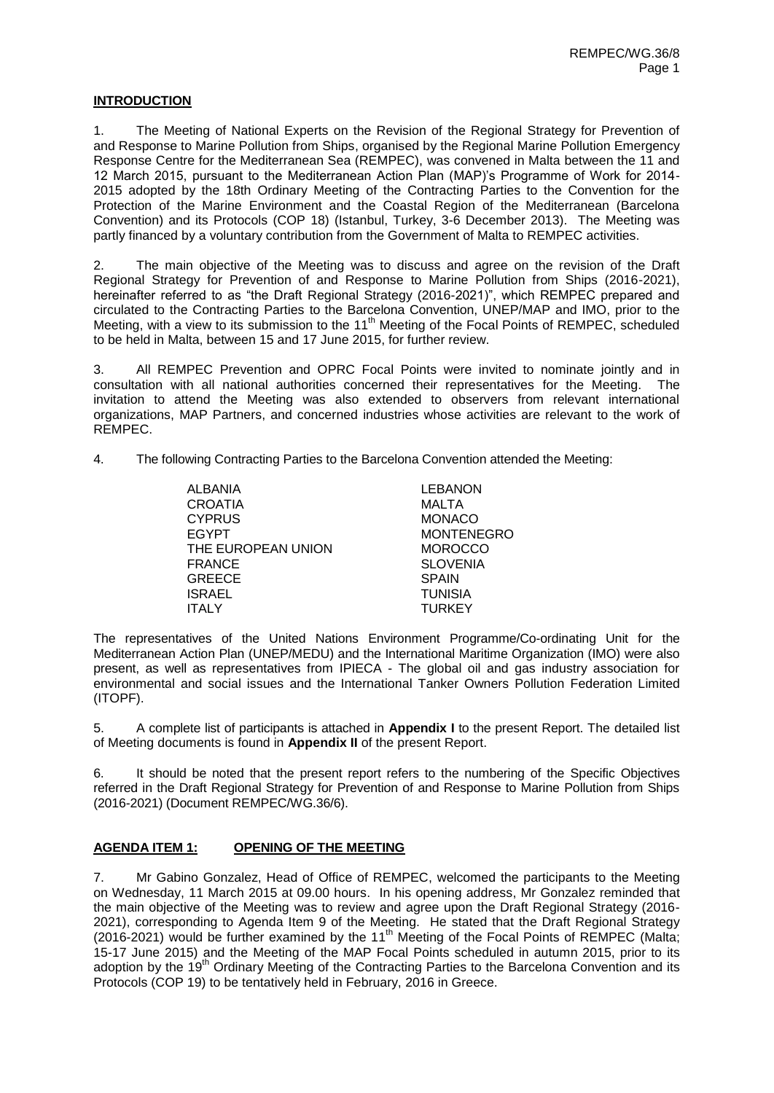# **INTRODUCTION**

1. The Meeting of National Experts on the Revision of the Regional Strategy for Prevention of and Response to Marine Pollution from Ships, organised by the Regional Marine Pollution Emergency Response Centre for the Mediterranean Sea (REMPEC), was convened in Malta between the 11 and 12 March 2015, pursuant to the Mediterranean Action Plan (MAP)'s Programme of Work for 2014- 2015 adopted by the 18th Ordinary Meeting of the Contracting Parties to the Convention for the Protection of the Marine Environment and the Coastal Region of the Mediterranean (Barcelona Convention) and its Protocols (COP 18) (Istanbul, Turkey, 3-6 December 2013). The Meeting was partly financed by a voluntary contribution from the Government of Malta to REMPEC activities.

2. The main objective of the Meeting was to discuss and agree on the revision of the Draft Regional Strategy for Prevention of and Response to Marine Pollution from Ships (2016-2021), hereinafter referred to as "the Draft Regional Strategy (2016-2021)", which REMPEC prepared and circulated to the Contracting Parties to the Barcelona Convention, UNEP/MAP and IMO, prior to the Meeting, with a view to its submission to the 11<sup>th</sup> Meeting of the Focal Points of REMPEC, scheduled to be held in Malta, between 15 and 17 June 2015, for further review.

3. All REMPEC Prevention and OPRC Focal Points were invited to nominate jointly and in consultation with all national authorities concerned their representatives for the Meeting. The invitation to attend the Meeting was also extended to observers from relevant international organizations, MAP Partners, and concerned industries whose activities are relevant to the work of REMPEC.

4. The following Contracting Parties to the Barcelona Convention attended the Meeting:

| ALBANIA            | <b>LEBANON</b>    |
|--------------------|-------------------|
| CROATIA            | MALTA             |
| <b>CYPRUS</b>      | <b>MONACO</b>     |
| <b>EGYPT</b>       | <b>MONTENEGRO</b> |
| THE EUROPEAN UNION | <b>MOROCCO</b>    |
| FRANCE             | <b>SLOVENIA</b>   |
| GREECE             | <b>SPAIN</b>      |
| ISRAEL             | <b>TUNISIA</b>    |
| <b>ITALY</b>       | <b>TURKEY</b>     |

The representatives of the United Nations Environment Programme/Co-ordinating Unit for the Mediterranean Action Plan (UNEP/MEDU) and the International Maritime Organization (IMO) were also present, as well as representatives from IPIECA - The global oil and gas industry association for environmental and social issues and the International Tanker Owners Pollution Federation Limited (ITOPF).

5. A complete list of participants is attached in **Appendix I** to the present Report. The detailed list of Meeting documents is found in **Appendix II** of the present Report.

6. It should be noted that the present report refers to the numbering of the Specific Objectives referred in the Draft Regional Strategy for Prevention of and Response to Marine Pollution from Ships (2016-2021) (Document REMPEC/WG.36/6).

# **AGENDA ITEM 1: OPENING OF THE MEETING**

7. Mr Gabino Gonzalez, Head of Office of REMPEC, welcomed the participants to the Meeting on Wednesday, 11 March 2015 at 09.00 hours. In his opening address, Mr Gonzalez reminded that the main objective of the Meeting was to review and agree upon the Draft Regional Strategy (2016- 2021), corresponding to Agenda Item 9 of the Meeting. He stated that the Draft Regional Strategy (2016-2021) would be further examined by the 11<sup>th</sup> Meeting of the Focal Points of REMPEC (Malta; 15-17 June 2015) and the Meeting of the MAP Focal Points scheduled in autumn 2015, prior to its adoption by the 19<sup>th</sup> Ordinary Meeting of the Contracting Parties to the Barcelona Convention and its Protocols (COP 19) to be tentatively held in February, 2016 in Greece.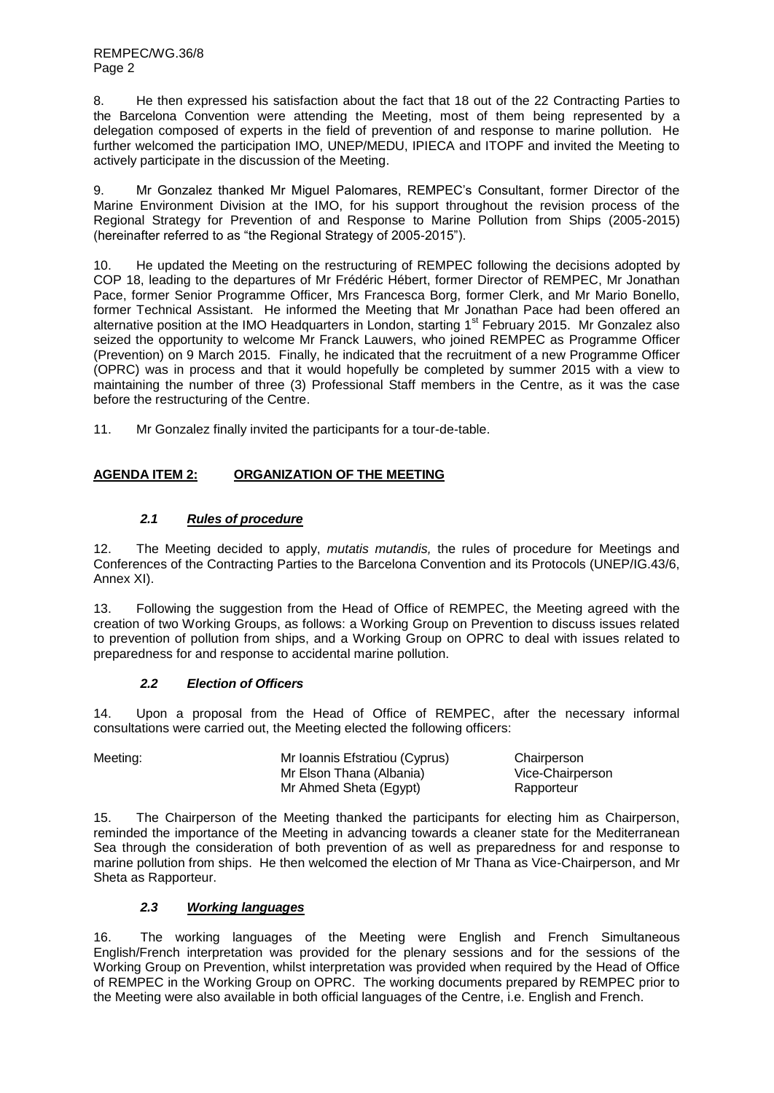8. He then expressed his satisfaction about the fact that 18 out of the 22 Contracting Parties to the Barcelona Convention were attending the Meeting, most of them being represented by a delegation composed of experts in the field of prevention of and response to marine pollution. He further welcomed the participation IMO, UNEP/MEDU, IPIECA and ITOPF and invited the Meeting to actively participate in the discussion of the Meeting.

9. Mr Gonzalez thanked Mr Miguel Palomares, REMPEC's Consultant, former Director of the Marine Environment Division at the IMO, for his support throughout the revision process of the Regional Strategy for Prevention of and Response to Marine Pollution from Ships (2005-2015) (hereinafter referred to as "the Regional Strategy of 2005-2015").

10. He updated the Meeting on the restructuring of REMPEC following the decisions adopted by COP 18, leading to the departures of Mr Frédéric Hébert, former Director of REMPEC, Mr Jonathan Pace, former Senior Programme Officer, Mrs Francesca Borg, former Clerk, and Mr Mario Bonello, former Technical Assistant. He informed the Meeting that Mr Jonathan Pace had been offered an alternative position at the IMO Headquarters in London, starting 1<sup>st</sup> February 2015. Mr Gonzalez also seized the opportunity to welcome Mr Franck Lauwers, who joined REMPEC as Programme Officer (Prevention) on 9 March 2015. Finally, he indicated that the recruitment of a new Programme Officer (OPRC) was in process and that it would hopefully be completed by summer 2015 with a view to maintaining the number of three (3) Professional Staff members in the Centre, as it was the case before the restructuring of the Centre.

11. Mr Gonzalez finally invited the participants for a tour-de-table.

# **AGENDA ITEM 2: ORGANIZATION OF THE MEETING**

# *2.1 Rules of procedure*

12. The Meeting decided to apply, *mutatis mutandis,* the rules of procedure for Meetings and Conferences of the Contracting Parties to the Barcelona Convention and its Protocols (UNEP/IG.43/6, Annex XI).

13. Following the suggestion from the Head of Office of REMPEC, the Meeting agreed with the creation of two Working Groups, as follows: a Working Group on Prevention to discuss issues related to prevention of pollution from ships, and a Working Group on OPRC to deal with issues related to preparedness for and response to accidental marine pollution.

# *2.2 Election of Officers*

14. Upon a proposal from the Head of Office of REMPEC, after the necessary informal consultations were carried out, the Meeting elected the following officers:

| Meeting: | Mr Ioannis Efstratiou (Cyprus) | Chairperson      |
|----------|--------------------------------|------------------|
|          | Mr Elson Thana (Albania)       | Vice-Chairperson |
|          | Mr Ahmed Sheta (Egypt)         | Rapporteur       |

15. The Chairperson of the Meeting thanked the participants for electing him as Chairperson, reminded the importance of the Meeting in advancing towards a cleaner state for the Mediterranean Sea through the consideration of both prevention of as well as preparedness for and response to marine pollution from ships. He then welcomed the election of Mr Thana as Vice-Chairperson, and Mr Sheta as Rapporteur.

# *2.3 Working languages*

16. The working languages of the Meeting were English and French Simultaneous English/French interpretation was provided for the plenary sessions and for the sessions of the Working Group on Prevention, whilst interpretation was provided when required by the Head of Office of REMPEC in the Working Group on OPRC. The working documents prepared by REMPEC prior to the Meeting were also available in both official languages of the Centre, i.e. English and French.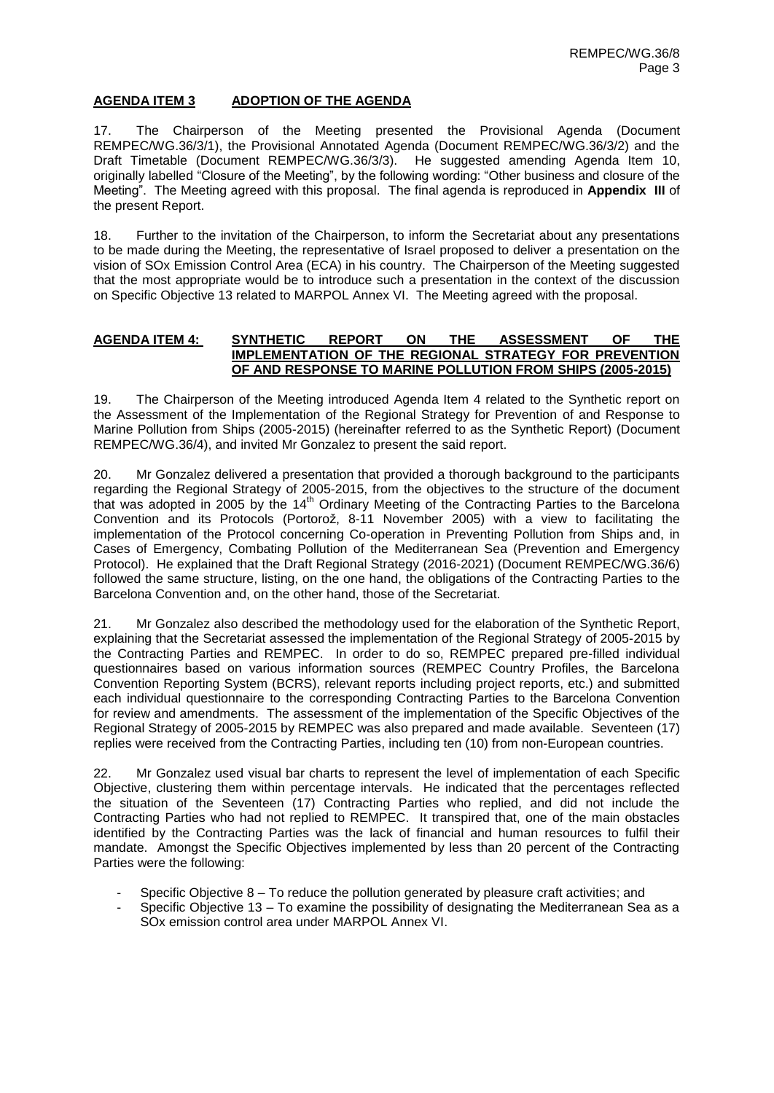# **AGENDA ITEM 3 ADOPTION OF THE AGENDA**

17. The Chairperson of the Meeting presented the Provisional Agenda (Document REMPEC/WG.36/3/1), the Provisional Annotated Agenda (Document REMPEC/WG.36/3/2) and the Draft Timetable (Document REMPEC/WG.36/3/3). He suggested amending Agenda Item 10, originally labelled "Closure of the Meeting", by the following wording: "Other business and closure of the Meeting". The Meeting agreed with this proposal. The final agenda is reproduced in **Appendix III** of the present Report.

18. Further to the invitation of the Chairperson, to inform the Secretariat about any presentations to be made during the Meeting, the representative of Israel proposed to deliver a presentation on the vision of SOx Emission Control Area (ECA) in his country. The Chairperson of the Meeting suggested that the most appropriate would be to introduce such a presentation in the context of the discussion on Specific Objective 13 related to MARPOL Annex VI. The Meeting agreed with the proposal.

## **AGENDA ITEM 4: SYNTHETIC REPORT ON THE ASSESSMENT OF THE IMPLEMENTATION OF THE REGIONAL STRATEGY FOR PREVENTION OF AND RESPONSE TO MARINE POLLUTION FROM SHIPS (2005-2015)**

19. The Chairperson of the Meeting introduced Agenda Item 4 related to the Synthetic report on the Assessment of the Implementation of the Regional Strategy for Prevention of and Response to Marine Pollution from Ships (2005-2015) (hereinafter referred to as the Synthetic Report) (Document REMPEC/WG.36/4), and invited Mr Gonzalez to present the said report.

20. Mr Gonzalez delivered a presentation that provided a thorough background to the participants regarding the Regional Strategy of 2005-2015, from the objectives to the structure of the document that was adopted in 2005 by the 14<sup>th</sup> Ordinary Meeting of the Contracting Parties to the Barcelona Convention and its Protocols (Portorož, 8-11 November 2005) with a view to facilitating the implementation of the Protocol concerning Co-operation in Preventing Pollution from Ships and, in Cases of Emergency, Combating Pollution of the Mediterranean Sea (Prevention and Emergency Protocol). He explained that the Draft Regional Strategy (2016-2021) (Document REMPEC/WG.36/6) followed the same structure, listing, on the one hand, the obligations of the Contracting Parties to the Barcelona Convention and, on the other hand, those of the Secretariat.

21. Mr Gonzalez also described the methodology used for the elaboration of the Synthetic Report, explaining that the Secretariat assessed the implementation of the Regional Strategy of 2005-2015 by the Contracting Parties and REMPEC. In order to do so, REMPEC prepared pre-filled individual questionnaires based on various information sources (REMPEC Country Profiles, the Barcelona Convention Reporting System (BCRS), relevant reports including project reports, etc.) and submitted each individual questionnaire to the corresponding Contracting Parties to the Barcelona Convention for review and amendments. The assessment of the implementation of the Specific Objectives of the Regional Strategy of 2005-2015 by REMPEC was also prepared and made available. Seventeen (17) replies were received from the Contracting Parties, including ten (10) from non-European countries.

22. Mr Gonzalez used visual bar charts to represent the level of implementation of each Specific Objective, clustering them within percentage intervals. He indicated that the percentages reflected the situation of the Seventeen (17) Contracting Parties who replied, and did not include the Contracting Parties who had not replied to REMPEC. It transpired that, one of the main obstacles identified by the Contracting Parties was the lack of financial and human resources to fulfil their mandate. Amongst the Specific Objectives implemented by less than 20 percent of the Contracting Parties were the following:

- Specific Objective  $8 To$  reduce the pollution generated by pleasure craft activities; and
- Specific Objective 13 To examine the possibility of designating the Mediterranean Sea as a SOx emission control area under MARPOL Annex VI.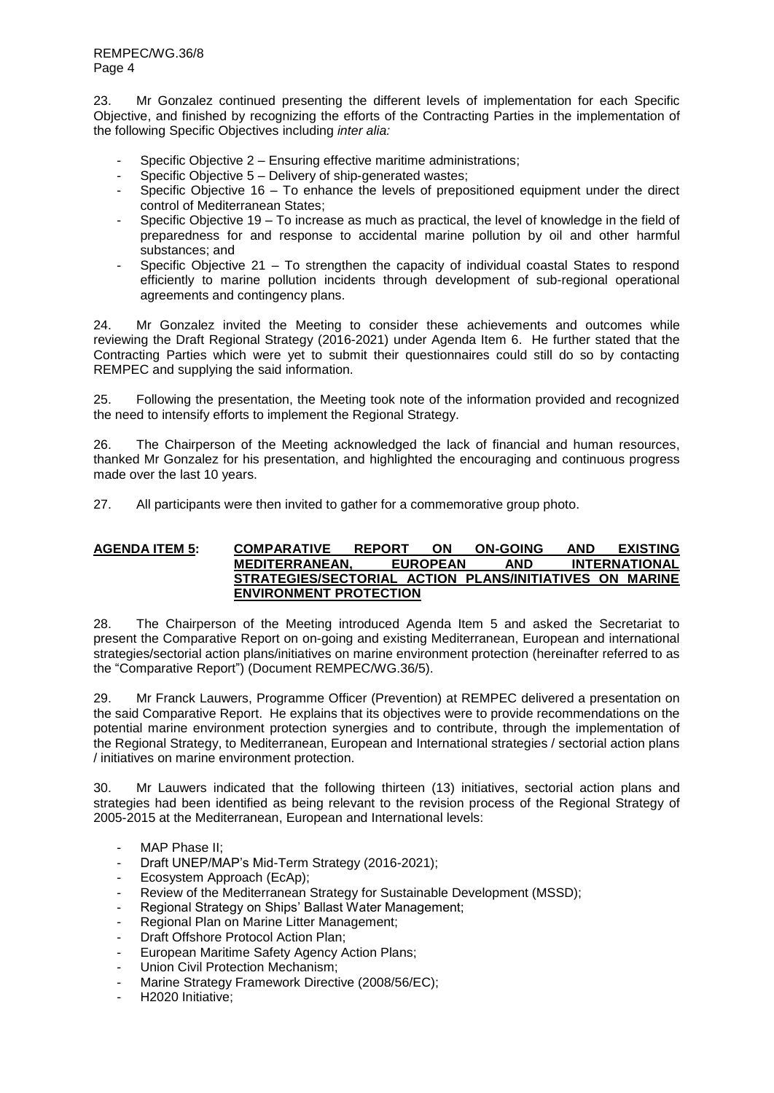23. Mr Gonzalez continued presenting the different levels of implementation for each Specific Objective, and finished by recognizing the efforts of the Contracting Parties in the implementation of the following Specific Objectives including *inter alia:*

- Specific Objective 2 Ensuring effective maritime administrations;
- Specific Objective 5 Delivery of ship-generated wastes;
- Specific Objective 16 To enhance the levels of prepositioned equipment under the direct control of Mediterranean States;
- Specific Objective 19 To increase as much as practical, the level of knowledge in the field of preparedness for and response to accidental marine pollution by oil and other harmful substances; and
- Specific Objective 21 To strengthen the capacity of individual coastal States to respond efficiently to marine pollution incidents through development of sub-regional operational agreements and contingency plans.

24. Mr Gonzalez invited the Meeting to consider these achievements and outcomes while reviewing the Draft Regional Strategy (2016-2021) under Agenda Item 6. He further stated that the Contracting Parties which were yet to submit their questionnaires could still do so by contacting REMPEC and supplying the said information.

25. Following the presentation, the Meeting took note of the information provided and recognized the need to intensify efforts to implement the Regional Strategy.

26. The Chairperson of the Meeting acknowledged the lack of financial and human resources, thanked Mr Gonzalez for his presentation, and highlighted the encouraging and continuous progress made over the last 10 years.

27. All participants were then invited to gather for a commemorative group photo.

## **AGENDA ITEM 5: COMPARATIVE REPORT ON ON-GOING AND EXISTING MEDITERRANEAN, EUROPEAN AND INTERNATIONAL STRATEGIES/SECTORIAL ACTION PLANS/INITIATIVES ON MARINE ENVIRONMENT PROTECTION**

28. The Chairperson of the Meeting introduced Agenda Item 5 and asked the Secretariat to present the Comparative Report on on-going and existing Mediterranean, European and international strategies/sectorial action plans/initiatives on marine environment protection (hereinafter referred to as the "Comparative Report") (Document REMPEC/WG.36/5).

29. Mr Franck Lauwers, Programme Officer (Prevention) at REMPEC delivered a presentation on the said Comparative Report. He explains that its objectives were to provide recommendations on the potential marine environment protection synergies and to contribute, through the implementation of the Regional Strategy, to Mediterranean, European and International strategies / sectorial action plans / initiatives on marine environment protection.

30. Mr Lauwers indicated that the following thirteen (13) initiatives, sectorial action plans and strategies had been identified as being relevant to the revision process of the Regional Strategy of 2005-2015 at the Mediterranean, European and International levels:

- MAP Phase II;
- Draft UNEP/MAP's Mid-Term Strategy (2016-2021);
- Ecosystem Approach (EcAp);
- Review of the Mediterranean Strategy for Sustainable Development (MSSD);
- Regional Strategy on Ships' Ballast Water Management;
- Regional Plan on Marine Litter Management;
- Draft Offshore Protocol Action Plan;
- European Maritime Safety Agency Action Plans;
- Union Civil Protection Mechanism;
- Marine Strategy Framework Directive (2008/56/EC);
- H<sub>2020</sub> Initiative;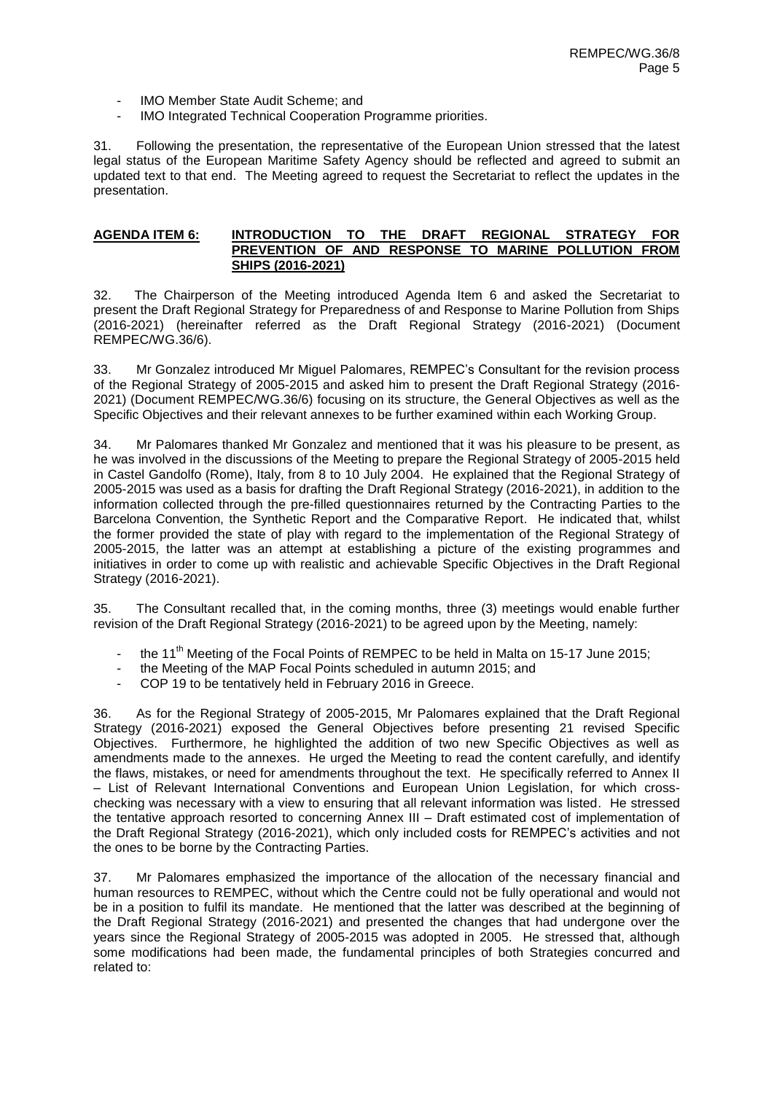- IMO Member State Audit Scheme; and
- IMO Integrated Technical Cooperation Programme priorities.

31. Following the presentation, the representative of the European Union stressed that the latest legal status of the European Maritime Safety Agency should be reflected and agreed to submit an updated text to that end. The Meeting agreed to request the Secretariat to reflect the updates in the presentation.

#### **AGENDA ITEM 6: INTRODUCTION TO THE DRAFT REGIONAL STRATEGY FOR PREVENTION OF AND RESPONSE TO MARINE POLLUTION FROM SHIPS (2016-2021)**

32. The Chairperson of the Meeting introduced Agenda Item 6 and asked the Secretariat to present the Draft Regional Strategy for Preparedness of and Response to Marine Pollution from Ships (2016-2021) (hereinafter referred as the Draft Regional Strategy (2016-2021) (Document REMPEC/WG.36/6).

33. Mr Gonzalez introduced Mr Miguel Palomares, REMPEC's Consultant for the revision process of the Regional Strategy of 2005-2015 and asked him to present the Draft Regional Strategy (2016- 2021) (Document REMPEC/WG.36/6) focusing on its structure, the General Objectives as well as the Specific Objectives and their relevant annexes to be further examined within each Working Group.

34. Mr Palomares thanked Mr Gonzalez and mentioned that it was his pleasure to be present, as he was involved in the discussions of the Meeting to prepare the Regional Strategy of 2005-2015 held in Castel Gandolfo (Rome), Italy, from 8 to 10 July 2004. He explained that the Regional Strategy of 2005-2015 was used as a basis for drafting the Draft Regional Strategy (2016-2021), in addition to the information collected through the pre-filled questionnaires returned by the Contracting Parties to the Barcelona Convention, the Synthetic Report and the Comparative Report. He indicated that, whilst the former provided the state of play with regard to the implementation of the Regional Strategy of 2005-2015, the latter was an attempt at establishing a picture of the existing programmes and initiatives in order to come up with realistic and achievable Specific Objectives in the Draft Regional Strategy (2016-2021).

35. The Consultant recalled that, in the coming months, three (3) meetings would enable further revision of the Draft Regional Strategy (2016-2021) to be agreed upon by the Meeting, namely:

- the 11<sup>th</sup> Meeting of the Focal Points of REMPEC to be held in Malta on 15-17 June 2015;
- the Meeting of the MAP Focal Points scheduled in autumn 2015; and
- COP 19 to be tentatively held in February 2016 in Greece.

36. As for the Regional Strategy of 2005-2015, Mr Palomares explained that the Draft Regional Strategy (2016-2021) exposed the General Objectives before presenting 21 revised Specific Objectives. Furthermore, he highlighted the addition of two new Specific Objectives as well as amendments made to the annexes. He urged the Meeting to read the content carefully, and identify the flaws, mistakes, or need for amendments throughout the text. He specifically referred to Annex II – List of Relevant International Conventions and European Union Legislation, for which crosschecking was necessary with a view to ensuring that all relevant information was listed. He stressed the tentative approach resorted to concerning Annex III – Draft estimated cost of implementation of the Draft Regional Strategy (2016-2021), which only included costs for REMPEC's activities and not the ones to be borne by the Contracting Parties.

37. Mr Palomares emphasized the importance of the allocation of the necessary financial and human resources to REMPEC, without which the Centre could not be fully operational and would not be in a position to fulfil its mandate. He mentioned that the latter was described at the beginning of the Draft Regional Strategy (2016-2021) and presented the changes that had undergone over the years since the Regional Strategy of 2005-2015 was adopted in 2005. He stressed that, although some modifications had been made, the fundamental principles of both Strategies concurred and related to: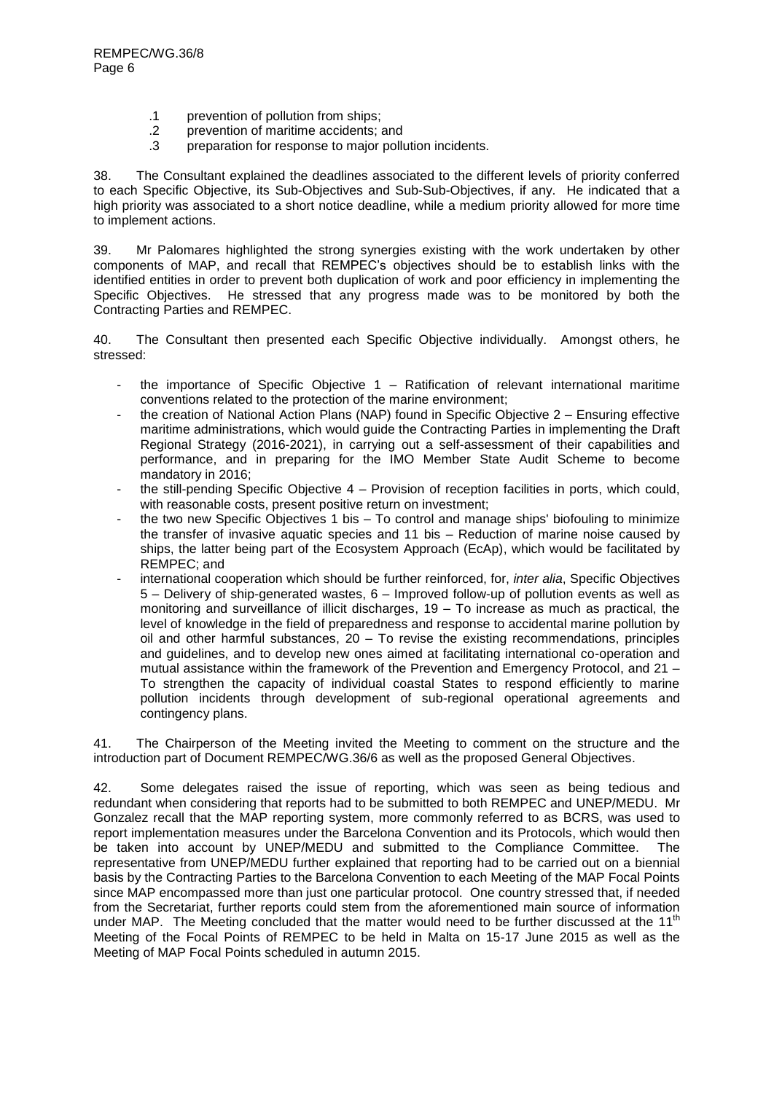- .1 prevention of pollution from ships;
- 
- .2 prevention of maritime accidents; and preparation for response to major pollution incidents.

38. The Consultant explained the deadlines associated to the different levels of priority conferred to each Specific Objective, its Sub-Objectives and Sub-Sub-Objectives, if any. He indicated that a high priority was associated to a short notice deadline, while a medium priority allowed for more time to implement actions.

39. Mr Palomares highlighted the strong synergies existing with the work undertaken by other components of MAP, and recall that REMPEC's objectives should be to establish links with the identified entities in order to prevent both duplication of work and poor efficiency in implementing the Specific Objectives. He stressed that any progress made was to be monitored by both the Contracting Parties and REMPEC.

40. The Consultant then presented each Specific Objective individually. Amongst others, he stressed:

- the importance of Specific Objective  $1 -$  Ratification of relevant international maritime conventions related to the protection of the marine environment;
- the creation of National Action Plans (NAP) found in Specific Objective 2 Ensuring effective maritime administrations, which would guide the Contracting Parties in implementing the Draft Regional Strategy (2016-2021), in carrying out a self-assessment of their capabilities and performance, and in preparing for the IMO Member State Audit Scheme to become mandatory in 2016;
- the still-pending Specific Objective 4 Provision of reception facilities in ports, which could, with reasonable costs, present positive return on investment;
- the two new Specific Objectives 1 bis To control and manage ships' biofouling to minimize the transfer of invasive aquatic species and 11 bis – Reduction of marine noise caused by ships, the latter being part of the Ecosystem Approach (EcAp), which would be facilitated by REMPEC; and
- international cooperation which should be further reinforced, for, *inter alia*, Specific Objectives 5 – Delivery of ship-generated wastes, 6 – Improved follow-up of pollution events as well as monitoring and surveillance of illicit discharges,  $19 - To$  increase as much as practical, the level of knowledge in the field of preparedness and response to accidental marine pollution by oil and other harmful substances, 20 – To revise the existing recommendations, principles and guidelines, and to develop new ones aimed at facilitating international co-operation and mutual assistance within the framework of the Prevention and Emergency Protocol, and 21 – To strengthen the capacity of individual coastal States to respond efficiently to marine pollution incidents through development of sub-regional operational agreements and contingency plans.

41. The Chairperson of the Meeting invited the Meeting to comment on the structure and the introduction part of Document REMPEC/WG.36/6 as well as the proposed General Objectives.

42. Some delegates raised the issue of reporting, which was seen as being tedious and redundant when considering that reports had to be submitted to both REMPEC and UNEP/MEDU. Mr Gonzalez recall that the MAP reporting system, more commonly referred to as BCRS, was used to report implementation measures under the Barcelona Convention and its Protocols, which would then be taken into account by UNEP/MEDU and submitted to the Compliance Committee. The representative from UNEP/MEDU further explained that reporting had to be carried out on a biennial basis by the Contracting Parties to the Barcelona Convention to each Meeting of the MAP Focal Points since MAP encompassed more than just one particular protocol. One country stressed that, if needed from the Secretariat, further reports could stem from the aforementioned main source of information under MAP. The Meeting concluded that the matter would need to be further discussed at the 11<sup>th</sup> Meeting of the Focal Points of REMPEC to be held in Malta on 15-17 June 2015 as well as the Meeting of MAP Focal Points scheduled in autumn 2015.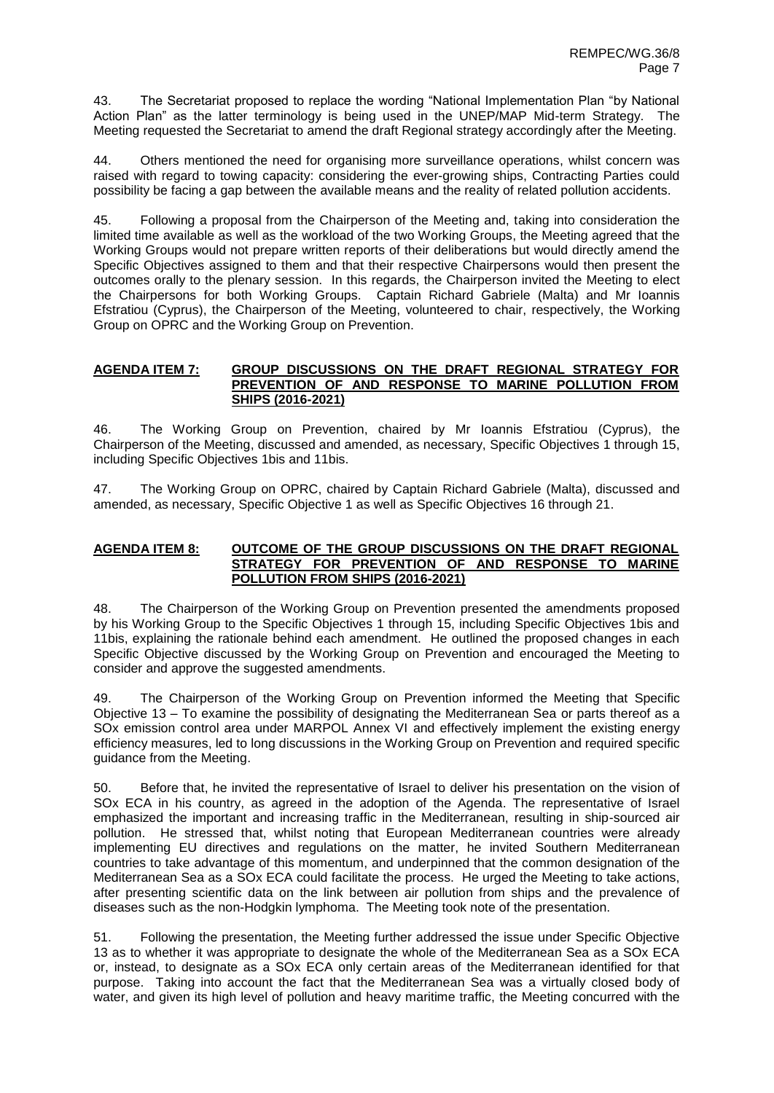43. The Secretariat proposed to replace the wording "National Implementation Plan "by National Action Plan" as the latter terminology is being used in the UNEP/MAP Mid-term Strategy. The Meeting requested the Secretariat to amend the draft Regional strategy accordingly after the Meeting.

44. Others mentioned the need for organising more surveillance operations, whilst concern was raised with regard to towing capacity: considering the ever-growing ships, Contracting Parties could possibility be facing a gap between the available means and the reality of related pollution accidents.

45. Following a proposal from the Chairperson of the Meeting and, taking into consideration the limited time available as well as the workload of the two Working Groups, the Meeting agreed that the Working Groups would not prepare written reports of their deliberations but would directly amend the Specific Objectives assigned to them and that their respective Chairpersons would then present the outcomes orally to the plenary session. In this regards, the Chairperson invited the Meeting to elect the Chairpersons for both Working Groups. Captain Richard Gabriele (Malta) and Mr Ioannis Efstratiou (Cyprus), the Chairperson of the Meeting, volunteered to chair, respectively, the Working Group on OPRC and the Working Group on Prevention.

#### **AGENDA ITEM 7: GROUP DISCUSSIONS ON THE DRAFT REGIONAL STRATEGY FOR PREVENTION OF AND RESPONSE TO MARINE POLLUTION FROM SHIPS (2016-2021)**

46. The Working Group on Prevention, chaired by Mr Ioannis Efstratiou (Cyprus), the Chairperson of the Meeting, discussed and amended, as necessary, Specific Objectives 1 through 15, including Specific Objectives 1bis and 11bis.

47. The Working Group on OPRC, chaired by Captain Richard Gabriele (Malta), discussed and amended, as necessary, Specific Objective 1 as well as Specific Objectives 16 through 21.

#### **AGENDA ITEM 8: OUTCOME OF THE GROUP DISCUSSIONS ON THE DRAFT REGIONAL STRATEGY FOR PREVENTION OF AND RESPONSE TO MARINE POLLUTION FROM SHIPS (2016-2021)**

48. The Chairperson of the Working Group on Prevention presented the amendments proposed by his Working Group to the Specific Objectives 1 through 15, including Specific Objectives 1bis and 11bis, explaining the rationale behind each amendment. He outlined the proposed changes in each Specific Objective discussed by the Working Group on Prevention and encouraged the Meeting to consider and approve the suggested amendments.

49. The Chairperson of the Working Group on Prevention informed the Meeting that Specific Objective 13 – To examine the possibility of designating the Mediterranean Sea or parts thereof as a SOx emission control area under MARPOL Annex VI and effectively implement the existing energy efficiency measures, led to long discussions in the Working Group on Prevention and required specific guidance from the Meeting.

50. Before that, he invited the representative of Israel to deliver his presentation on the vision of SOx ECA in his country, as agreed in the adoption of the Agenda. The representative of Israel emphasized the important and increasing traffic in the Mediterranean, resulting in ship-sourced air pollution. He stressed that, whilst noting that European Mediterranean countries were already implementing EU directives and regulations on the matter, he invited Southern Mediterranean countries to take advantage of this momentum, and underpinned that the common designation of the Mediterranean Sea as a SOx ECA could facilitate the process. He urged the Meeting to take actions, after presenting scientific data on the link between air pollution from ships and the prevalence of diseases such as the non-Hodgkin lymphoma. The Meeting took note of the presentation.

51. Following the presentation, the Meeting further addressed the issue under Specific Objective 13 as to whether it was appropriate to designate the whole of the Mediterranean Sea as a SOx ECA or, instead, to designate as a SOx ECA only certain areas of the Mediterranean identified for that purpose. Taking into account the fact that the Mediterranean Sea was a virtually closed body of water, and given its high level of pollution and heavy maritime traffic, the Meeting concurred with the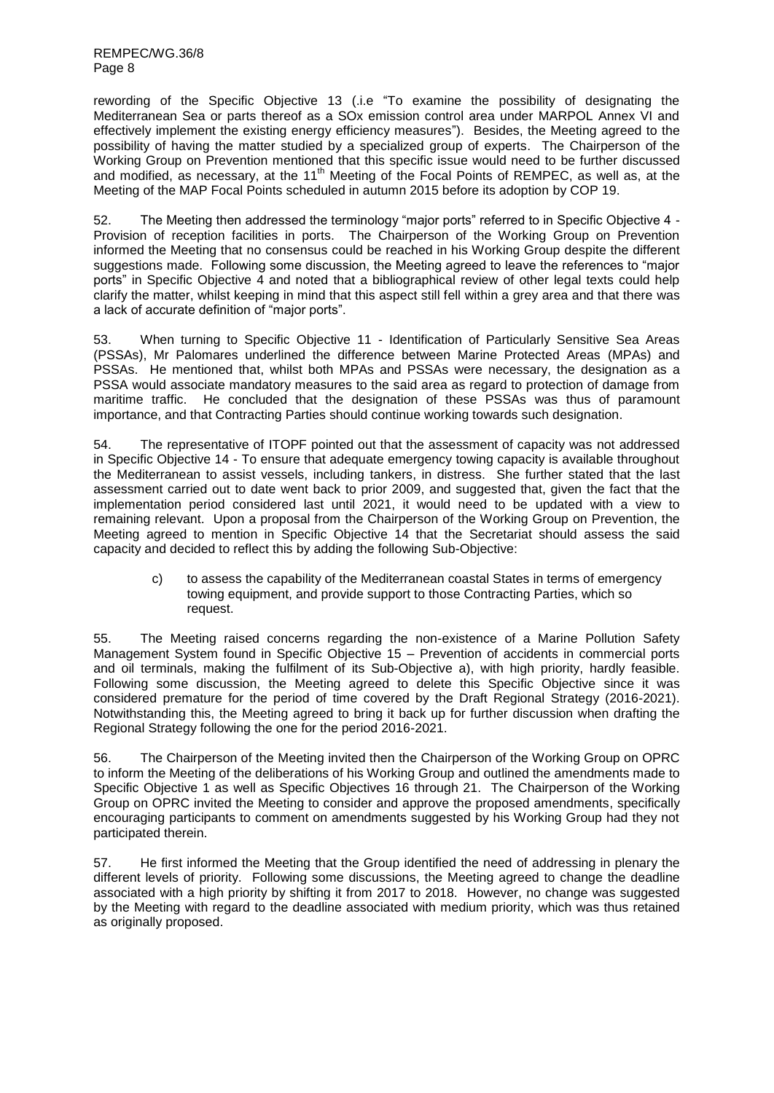REMPEC/WG.36/8 Page 8

rewording of the Specific Objective 13 (.i.e "To examine the possibility of designating the Mediterranean Sea or parts thereof as a SOx emission control area under MARPOL Annex VI and effectively implement the existing energy efficiency measures"). Besides, the Meeting agreed to the possibility of having the matter studied by a specialized group of experts. The Chairperson of the Working Group on Prevention mentioned that this specific issue would need to be further discussed and modified, as necessary, at the 11<sup>th</sup> Meeting of the Focal Points of REMPEC, as well as, at the Meeting of the MAP Focal Points scheduled in autumn 2015 before its adoption by COP 19.

52. The Meeting then addressed the terminology "major ports" referred to in Specific Objective 4 -Provision of reception facilities in ports. The Chairperson of the Working Group on Prevention informed the Meeting that no consensus could be reached in his Working Group despite the different suggestions made. Following some discussion, the Meeting agreed to leave the references to "major ports" in Specific Objective 4 and noted that a bibliographical review of other legal texts could help clarify the matter, whilst keeping in mind that this aspect still fell within a grey area and that there was a lack of accurate definition of "major ports".

53. When turning to Specific Objective 11 - Identification of Particularly Sensitive Sea Areas (PSSAs), Mr Palomares underlined the difference between Marine Protected Areas (MPAs) and PSSAs. He mentioned that, whilst both MPAs and PSSAs were necessary, the designation as a PSSA would associate mandatory measures to the said area as regard to protection of damage from maritime traffic. He concluded that the designation of these PSSAs was thus of paramount importance, and that Contracting Parties should continue working towards such designation.

54. The representative of ITOPF pointed out that the assessment of capacity was not addressed in Specific Objective 14 - To ensure that adequate emergency towing capacity is available throughout the Mediterranean to assist vessels, including tankers, in distress. She further stated that the last assessment carried out to date went back to prior 2009, and suggested that, given the fact that the implementation period considered last until 2021, it would need to be updated with a view to remaining relevant. Upon a proposal from the Chairperson of the Working Group on Prevention, the Meeting agreed to mention in Specific Objective 14 that the Secretariat should assess the said capacity and decided to reflect this by adding the following Sub-Objective:

c) to assess the capability of the Mediterranean coastal States in terms of emergency towing equipment, and provide support to those Contracting Parties, which so request.

55. The Meeting raised concerns regarding the non-existence of a Marine Pollution Safety Management System found in Specific Objective 15 – Prevention of accidents in commercial ports and oil terminals, making the fulfilment of its Sub-Objective a), with high priority, hardly feasible. Following some discussion, the Meeting agreed to delete this Specific Objective since it was considered premature for the period of time covered by the Draft Regional Strategy (2016-2021). Notwithstanding this, the Meeting agreed to bring it back up for further discussion when drafting the Regional Strategy following the one for the period 2016-2021.

56. The Chairperson of the Meeting invited then the Chairperson of the Working Group on OPRC to inform the Meeting of the deliberations of his Working Group and outlined the amendments made to Specific Objective 1 as well as Specific Objectives 16 through 21. The Chairperson of the Working Group on OPRC invited the Meeting to consider and approve the proposed amendments, specifically encouraging participants to comment on amendments suggested by his Working Group had they not participated therein.

57. He first informed the Meeting that the Group identified the need of addressing in plenary the different levels of priority. Following some discussions, the Meeting agreed to change the deadline associated with a high priority by shifting it from 2017 to 2018. However, no change was suggested by the Meeting with regard to the deadline associated with medium priority, which was thus retained as originally proposed.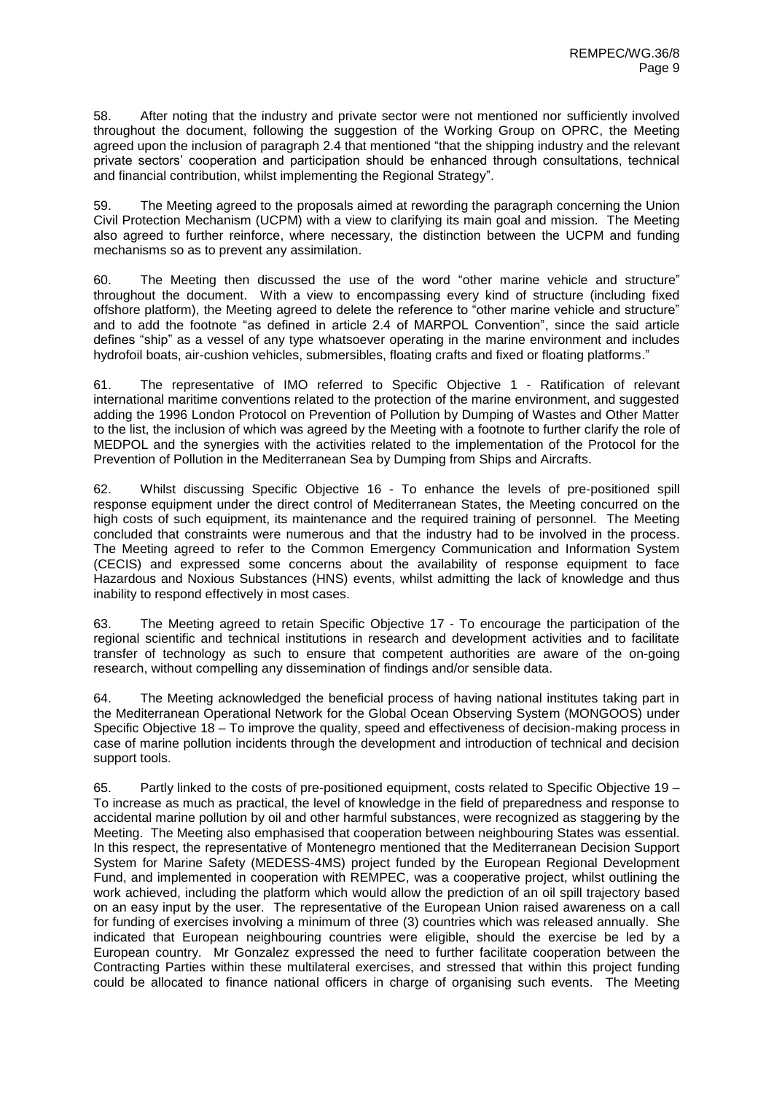58. After noting that the industry and private sector were not mentioned nor sufficiently involved throughout the document, following the suggestion of the Working Group on OPRC, the Meeting agreed upon the inclusion of paragraph 2.4 that mentioned "that the shipping industry and the relevant private sectors' cooperation and participation should be enhanced through consultations, technical and financial contribution, whilst implementing the Regional Strategy".

59. The Meeting agreed to the proposals aimed at rewording the paragraph concerning the Union Civil Protection Mechanism (UCPM) with a view to clarifying its main goal and mission. The Meeting also agreed to further reinforce, where necessary, the distinction between the UCPM and funding mechanisms so as to prevent any assimilation.

60. The Meeting then discussed the use of the word "other marine vehicle and structure" throughout the document. With a view to encompassing every kind of structure (including fixed offshore platform), the Meeting agreed to delete the reference to "other marine vehicle and structure" and to add the footnote "as defined in article 2.4 of MARPOL Convention", since the said article defines "ship" as a vessel of any type whatsoever operating in the marine environment and includes hydrofoil boats, air-cushion vehicles, submersibles, floating crafts and fixed or floating platforms."

61. The representative of IMO referred to Specific Objective 1 - Ratification of relevant international maritime conventions related to the protection of the marine environment, and suggested adding the 1996 London Protocol on Prevention of Pollution by Dumping of Wastes and Other Matter to the list, the inclusion of which was agreed by the Meeting with a footnote to further clarify the role of MEDPOL and the synergies with the activities related to the implementation of the Protocol for the Prevention of Pollution in the Mediterranean Sea by Dumping from Ships and Aircrafts.

62. Whilst discussing Specific Objective 16 - To enhance the levels of pre-positioned spill response equipment under the direct control of Mediterranean States, the Meeting concurred on the high costs of such equipment, its maintenance and the required training of personnel. The Meeting concluded that constraints were numerous and that the industry had to be involved in the process. The Meeting agreed to refer to the Common Emergency Communication and Information System (CECIS) and expressed some concerns about the availability of response equipment to face Hazardous and Noxious Substances (HNS) events, whilst admitting the lack of knowledge and thus inability to respond effectively in most cases.

63. The Meeting agreed to retain Specific Objective 17 - To encourage the participation of the regional scientific and technical institutions in research and development activities and to facilitate transfer of technology as such to ensure that competent authorities are aware of the on-going research, without compelling any dissemination of findings and/or sensible data.

64. The Meeting acknowledged the beneficial process of having national institutes taking part in the Mediterranean Operational Network for the Global Ocean Observing System (MONGOOS) under Specific Objective 18 – To improve the quality, speed and effectiveness of decision-making process in case of marine pollution incidents through the development and introduction of technical and decision support tools.

65. Partly linked to the costs of pre-positioned equipment, costs related to Specific Objective 19 – To increase as much as practical, the level of knowledge in the field of preparedness and response to accidental marine pollution by oil and other harmful substances, were recognized as staggering by the Meeting. The Meeting also emphasised that cooperation between neighbouring States was essential. In this respect, the representative of Montenegro mentioned that the Mediterranean Decision Support System for Marine Safety (MEDESS-4MS) project funded by the European Regional Development Fund, and implemented in cooperation with REMPEC, was a cooperative project, whilst outlining the work achieved, including the platform which would allow the prediction of an oil spill trajectory based on an easy input by the user. The representative of the European Union raised awareness on a call for funding of exercises involving a minimum of three (3) countries which was released annually. She indicated that European neighbouring countries were eligible, should the exercise be led by a European country. Mr Gonzalez expressed the need to further facilitate cooperation between the Contracting Parties within these multilateral exercises, and stressed that within this project funding could be allocated to finance national officers in charge of organising such events. The Meeting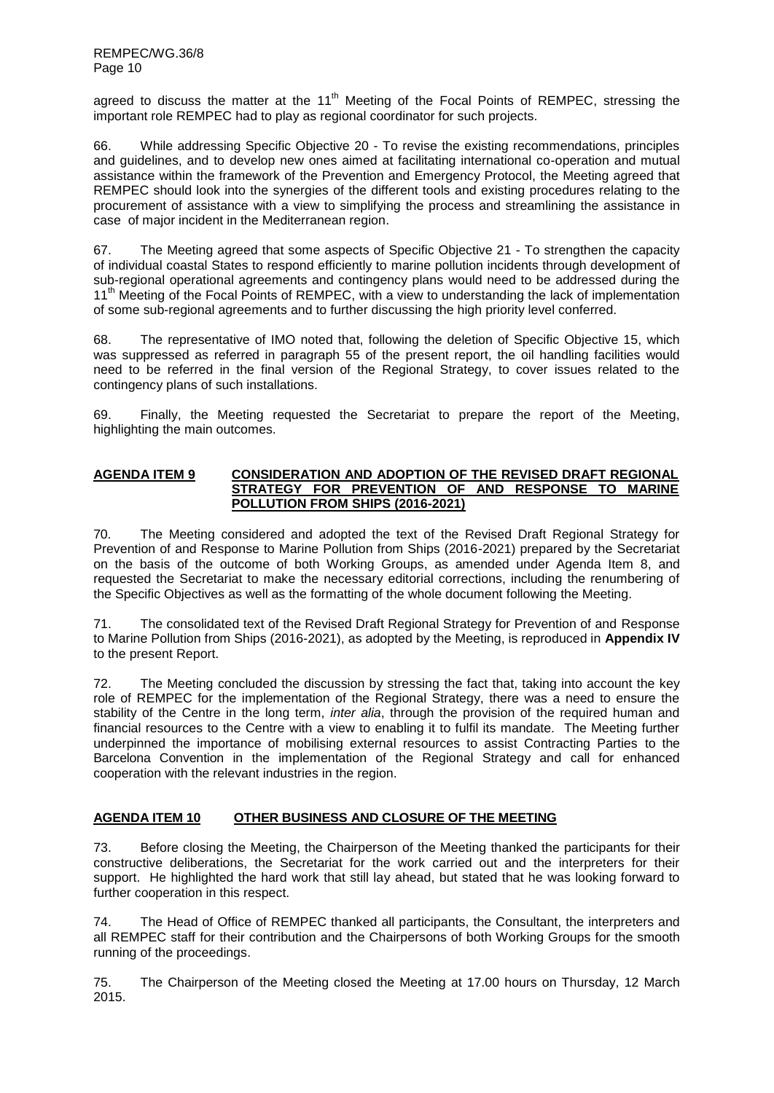agreed to discuss the matter at the  $11<sup>th</sup>$  Meeting of the Focal Points of REMPEC, stressing the important role REMPEC had to play as regional coordinator for such projects.

66. While addressing Specific Objective 20 - To revise the existing recommendations, principles and guidelines, and to develop new ones aimed at facilitating international co-operation and mutual assistance within the framework of the Prevention and Emergency Protocol, the Meeting agreed that REMPEC should look into the synergies of the different tools and existing procedures relating to the procurement of assistance with a view to simplifying the process and streamlining the assistance in case of major incident in the Mediterranean region.

67. The Meeting agreed that some aspects of Specific Objective 21 - To strengthen the capacity of individual coastal States to respond efficiently to marine pollution incidents through development of sub-regional operational agreements and contingency plans would need to be addressed during the 11<sup>th</sup> Meeting of the Focal Points of REMPEC, with a view to understanding the lack of implementation of some sub-regional agreements and to further discussing the high priority level conferred.

68. The representative of IMO noted that, following the deletion of Specific Objective 15, which was suppressed as referred in paragraph 55 of the present report, the oil handling facilities would need to be referred in the final version of the Regional Strategy, to cover issues related to the contingency plans of such installations.

69. Finally, the Meeting requested the Secretariat to prepare the report of the Meeting, highlighting the main outcomes.

#### **AGENDA ITEM 9 CONSIDERATION AND ADOPTION OF THE REVISED DRAFT REGIONAL STRATEGY FOR PREVENTION OF AND RESPONSE TO MARINE POLLUTION FROM SHIPS (2016-2021)**

70. The Meeting considered and adopted the text of the Revised Draft Regional Strategy for Prevention of and Response to Marine Pollution from Ships (2016-2021) prepared by the Secretariat on the basis of the outcome of both Working Groups, as amended under Agenda Item 8, and requested the Secretariat to make the necessary editorial corrections, including the renumbering of the Specific Objectives as well as the formatting of the whole document following the Meeting.

71. The consolidated text of the Revised Draft Regional Strategy for Prevention of and Response to Marine Pollution from Ships (2016-2021), as adopted by the Meeting, is reproduced in **Appendix IV** to the present Report.

72. The Meeting concluded the discussion by stressing the fact that, taking into account the key role of REMPEC for the implementation of the Regional Strategy, there was a need to ensure the stability of the Centre in the long term, *inter alia*, through the provision of the required human and financial resources to the Centre with a view to enabling it to fulfil its mandate. The Meeting further underpinned the importance of mobilising external resources to assist Contracting Parties to the Barcelona Convention in the implementation of the Regional Strategy and call for enhanced cooperation with the relevant industries in the region.

# **AGENDA ITEM 10 OTHER BUSINESS AND CLOSURE OF THE MEETING**

73. Before closing the Meeting, the Chairperson of the Meeting thanked the participants for their constructive deliberations, the Secretariat for the work carried out and the interpreters for their support. He highlighted the hard work that still lay ahead, but stated that he was looking forward to further cooperation in this respect.

74. The Head of Office of REMPEC thanked all participants, the Consultant, the interpreters and all REMPEC staff for their contribution and the Chairpersons of both Working Groups for the smooth running of the proceedings.

75. The Chairperson of the Meeting closed the Meeting at 17.00 hours on Thursday, 12 March 2015.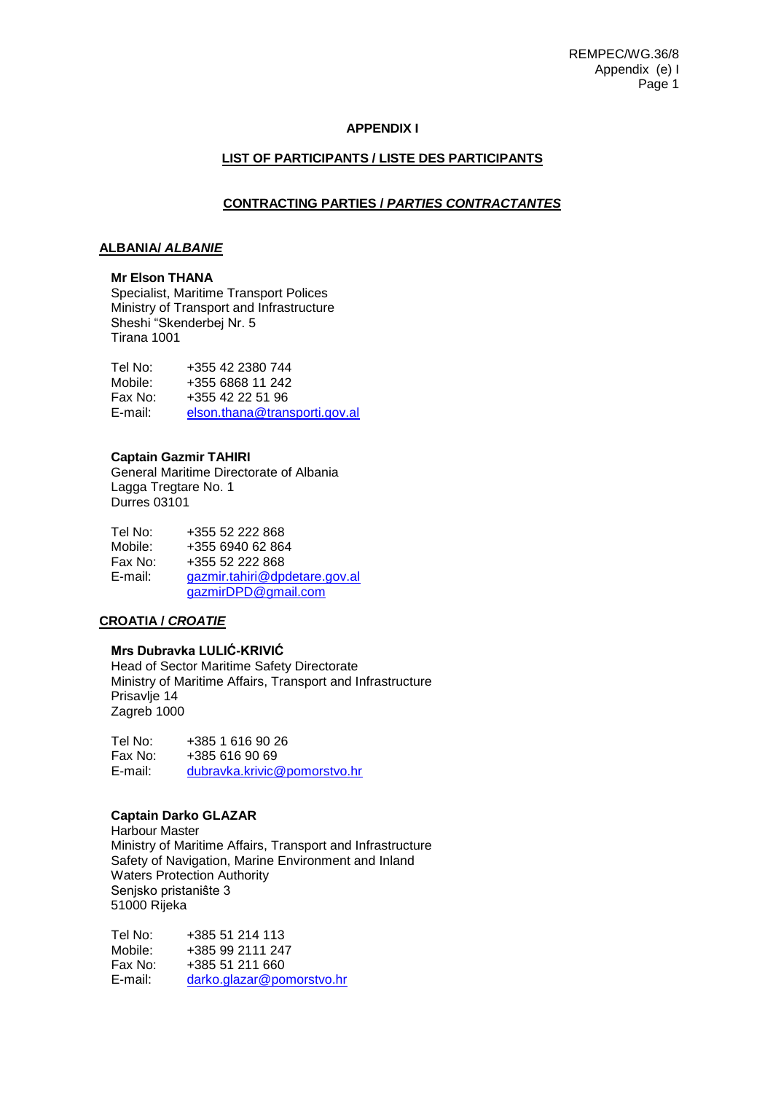# **APPENDIX I**

### **LIST OF PARTICIPANTS / LISTE DES PARTICIPANTS**

#### **CONTRACTING PARTIES /** *PARTIES CONTRACTANTES*

## **ALBANIA/** *ALBANIE*

# **Mr Elson THANA**

Specialist, Maritime Transport Polices Ministry of Transport and Infrastructure Sheshi "Skenderbej Nr. 5 Tirana 1001

| Tel No: | +355 42 2380 744              |
|---------|-------------------------------|
| Mobile: | +355 6868 11 242              |
| Fax No: | +355 42 22 51 96              |
| E-mail: | elson.thana@transporti.gov.al |

#### **Captain Gazmir TAHIRI**

General Maritime Directorate of Albania Lagga Tregtare No. 1 Durres 03101

Tel No: +355 52 222 868 Mobile: +355 6940 62 864<br>Fax No: +355 52 222 868 Fax No: +355 52 222 868 [gazmir.tahiri@dpdetare.gov.al](mailto:gazmir.tahiri@dpdetare.gov.al) [gazmirDPD@gmail.com](mailto:gazmirDPD@gmail.com)

# **CROATIA /** *CROATIE*

# **Mrs Dubravka LULIĆ-KRIVIĆ**

Head of Sector Maritime Safety Directorate Ministry of Maritime Affairs, Transport and Infrastructure Prisavlje 14 Zagreb 1000

Tel No: +385 1 616 90 26<br>Fax No: +385 616 90 69 +385 616 90 69 E-mail: [dubravka.krivic@pomorstvo.hr](mailto:dubravka.krivic@pomorstvo.hr)

#### **Captain Darko GLAZAR**

Harbour Master Ministry of Maritime Affairs, Transport and Infrastructure Safety of Navigation, Marine Environment and Inland Waters Protection Authority Senjsko pristaniŝte 3 51000 Rijeka

Tel No: +385 51 214 113 Mobile: +385 99 2111 247 Fax No: +385 51 211 660 E-mail: [darko.glazar@pomorstvo.hr](mailto:darko.glazar@pomorstvo.hr)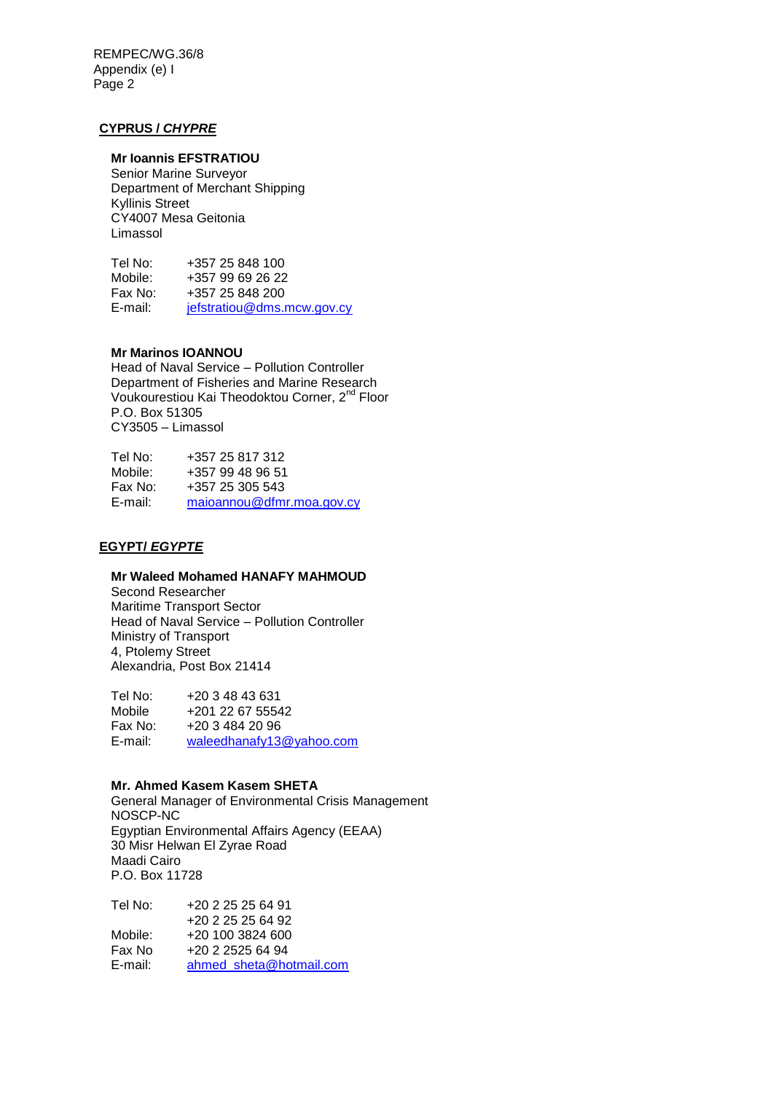# **CYPRUS /** *CHYPRE*

# **Mr Ioannis EFSTRATIOU**

Senior Marine Surveyor Department of Merchant Shipping Kyllinis Street CY4007 Mesa Geitonia Limassol

Tel No: +357 25 848 100<br>Mobile: +357 99 69 26 22 Mobile: +357 99 69 26 22<br>Fax No: +357 25 848 200 Fax No:  $+35725848200$ <br>E-mail:  $\frac{\text{if a fraction } \omega \text{ dms. r}}{\text{if a fraction } \omega \text{ dms. r}}$ [jefstratiou@dms.mcw.gov.cy](mailto:jefstratiou@dms.mcw.gov.cy)

## **Mr Marinos IOANNOU**

Head of Naval Service – Pollution Controller Department of Fisheries and Marine Research Voukourestiou Kai Theodoktou Corner, 2<sup>nd</sup> Floor P.O. Box 51305 CY3505 – Limassol

| Tel No: | +357 25 817 312           |
|---------|---------------------------|
| Mobile: | +357 99 48 96 51          |
| Fax No: | +357 25 305 543           |
| E-mail: | maioannou@dfmr.moa.gov.cy |

# **EGYPT/** *EGYPTE*

#### **Mr Waleed Mohamed HANAFY MAHMOUD**

Second Researcher Maritime Transport Sector Head of Naval Service – Pollution Controller Ministry of Transport 4, Ptolemy Street Alexandria, Post Box 21414

Tel No: +20 3 48 43 631 Mobile +201 22 67 55542 Fax No: +20 3 484 20 96 E-mail: [waleedhanafy13@yahoo.com](mailto:waleedhanafy13@yahoo.com)

## **Mr. Ahmed Kasem Kasem SHETA**

General Manager of Environmental Crisis Management NOSCP-NC Egyptian Environmental Affairs Agency (EEAA) 30 Misr Helwan El Zyrae Road Maadi Cairo P.O. Box 11728

| Tel No: | +20 2 25 25 64 91       |
|---------|-------------------------|
|         | $+20$ 2 25 25 64 92     |
| Mobile: | $+20, 100, 3824, 600$   |
| Fax No  | +20 2 2525 64 94        |
| E-mail: | ahmed sheta@hotmail.com |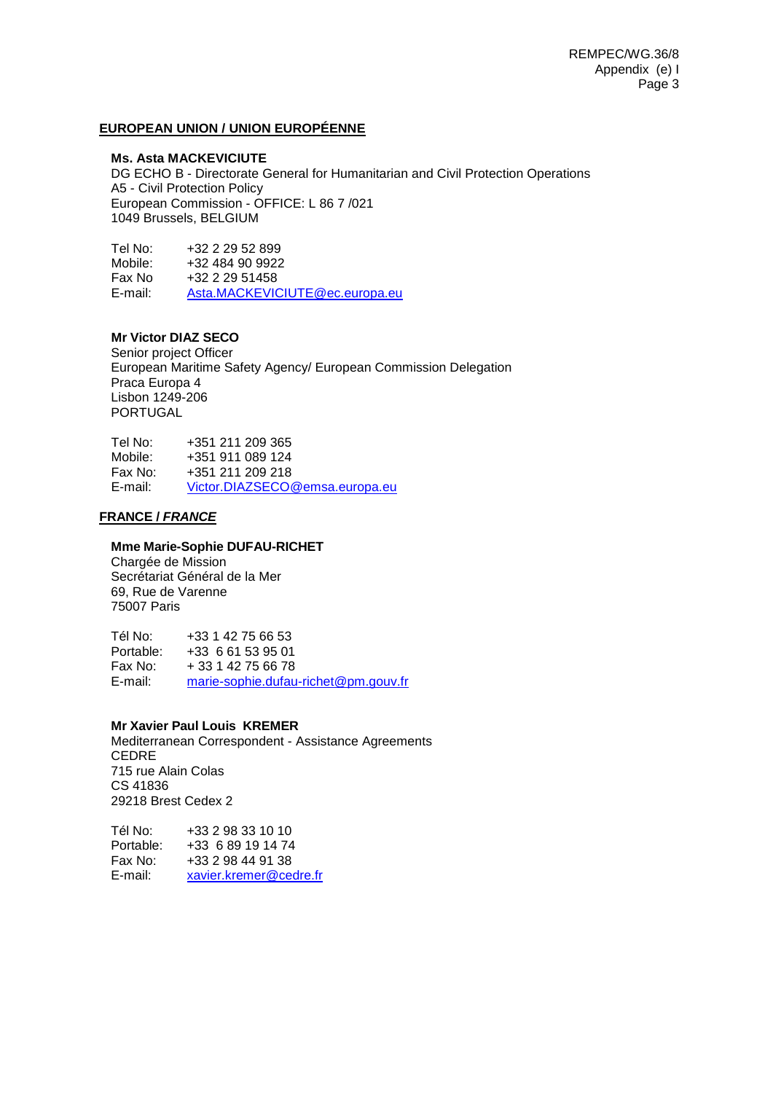# **EUROPEAN UNION / UNION EUROPÉENNE**

#### **Ms. Asta MACKEVICIUTE**

DG ECHO B - Directorate General for Humanitarian and Civil Protection Operations A5 - Civil Protection Policy European Commission - OFFICE: L 86 7 /021 1049 Brussels, BELGIUM

Tel No: +32 2 29 52 899 Mobile: +32 484 90 9922 Fax No +32 2 29 51458<br>E-mail: Asta.MACKEVIC [Asta.MACKEVICIUTE@ec.europa.eu](mailto:Asta.MACKEVICIUTE@ec.europa.eu)

# **Mr Victor DIAZ SECO**

Senior project Officer European Maritime Safety Agency/ European Commission Delegation Praca Europa 4 Lisbon 1249-206 PORTUGAL

Tel No: +351 211 209 365 Mobile: +351 911 089 124 Fax No: +351 211 209 218 E-mail: [Victor.DIAZSECO@emsa.europa.eu](mailto:Victor.DIAZSECO@emsa.europa.eu)

## **FRANCE /** *FRANCE*

# **Mme Marie-Sophie DUFAU-RICHET**

Chargée de Mission Secrétariat Général de la Mer 69, Rue de Varenne 75007 Paris

Tél No: +33 1 42 75 66 53 Portable: +33 6 61 53 95 01 + 33 1 42 75 66 78 E-mail: [marie-sophie.dufau-richet@pm.gouv.fr](mailto:marie-sophie.dufau-richet@pm.gouv.fr)

#### **Mr Xavier Paul Louis KREMER**

Mediterranean Correspondent - Assistance Agreements CEDRE 715 rue Alain Colas CS 41836 29218 Brest Cedex 2

Tél No: +33 2 98 33 10 10 Portable: +33 6 89 19 14 74 Fax No: +33 2 98 44 91 38<br>E-mail: xavier.kremer@ce [xavier.kremer@cedre.fr](mailto:xavier.kremer@cedre.fr)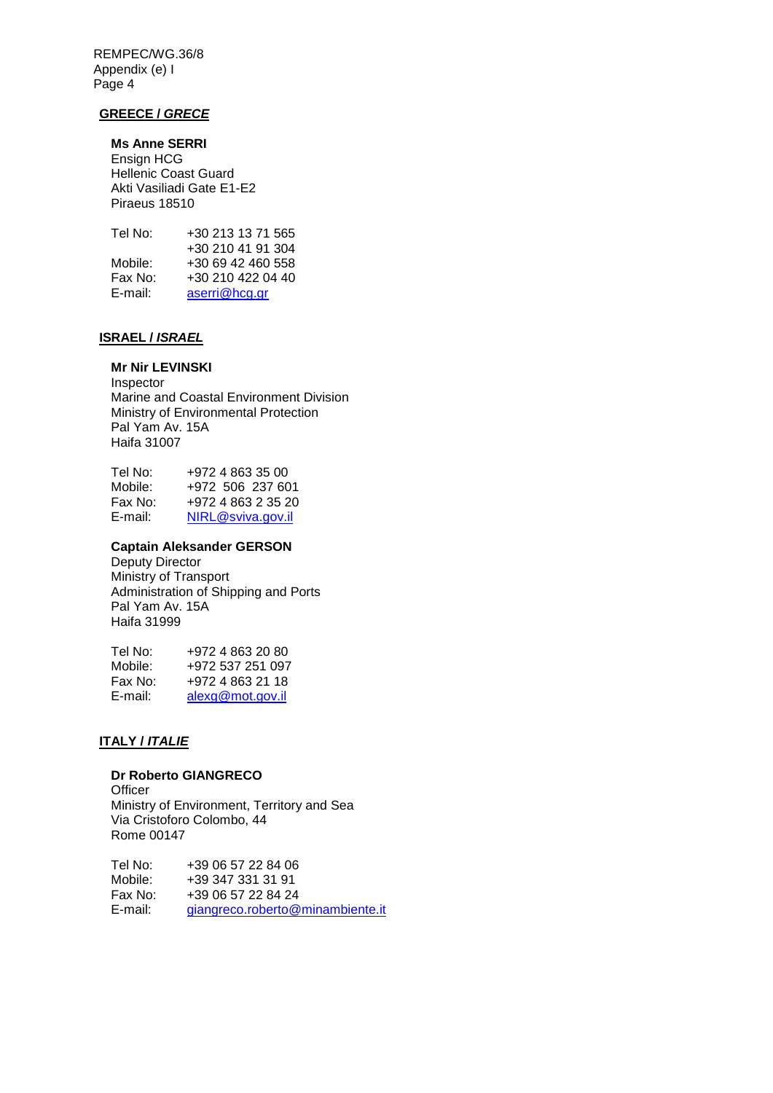# **GREECE /** *GRECE*

# **Ms Anne SERRI**

Ensign HCG Hellenic Coast Guard Akti Vasiliadi Gate E1-E2 Piraeus 18510

| +30 213 13 71 565 |
|-------------------|
| +30 210 41 91 304 |
| +30 69 42 460 558 |
| +30 210 422 04 40 |
| aserri@hcg.gr     |
|                   |

# **ISRAEL /** *ISRAEL*

# **Mr Nir LEVINSKI**

Inspector Marine and Coastal Environment Division Ministry of Environmental Protection Pal Yam Av. 15A Haifa 31007

| Tel No: | +972 4 863 35 00   |
|---------|--------------------|
| Mobile: | +972 506 237 601   |
| Fax No: | +972 4 863 2 35 20 |
| E-mail: | NIRL@sviva.gov.il  |

# **Captain Aleksander GERSON**

Deputy Director Ministry of Transport Administration of Shipping and Ports Pal Yam Av. 15A Haifa 31999

| Tel No: | +972 4 863 20 80 |
|---------|------------------|
| Mobile: | +972 537 251 097 |
| Fax No: | +972 4 863 21 18 |
| E-mail: | alexg@mot.gov.il |

# **ITALY /** *ITALIE*

# **Dr Roberto GIANGRECO**

**Officer** Ministry of Environment, Territory and Sea Via Cristoforo Colombo, 44 Rome 00147

Tel No: +39 06 57 22 84 06 Mobile: +39 347 331 31 91<br>Fax No: +39 06 57 22 84 24 Fax No: +39 06 57 22 84 24<br>E-mail: ajangreco.roberto@ [giangreco.roberto@minambiente.it](mailto:giangreco.roberto@minambiente.it)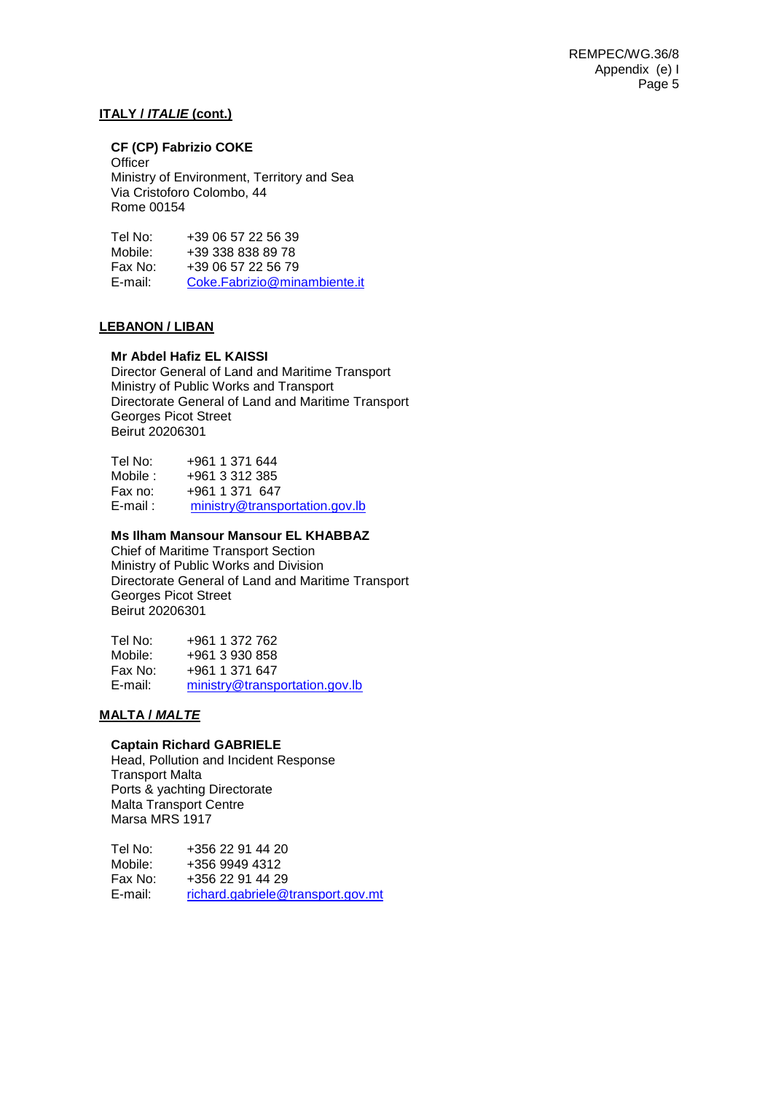# **ITALY /** *ITALIE* **(cont.)**

# **CF (CP) Fabrizio COKE**

**Officer** Ministry of Environment, Territory and Sea Via Cristoforo Colombo, 44 Rome 00154

Tel No: +39 06 57 22 56 39<br>Mobile: +39 338 838 89 78 Mobile: +39 338 838 89 78<br>Fax No: +39 06 57 22 56 79 Fax No: +39 06 57 22 56 79<br>F-mail: Coke Fabrizio@min [Coke.Fabrizio@minambiente.it](mailto:Coke.Fabrizio@minambiente.it)

## **LEBANON / LIBAN**

## **Mr Abdel Hafiz EL KAISSI**

Director General of Land and Maritime Transport Ministry of Public Works and Transport Directorate General of Land and Maritime Transport Georges Picot Street Beirut 20206301

| Tel No:     | +961 1 371 644                 |
|-------------|--------------------------------|
| Mobile :    | +961 3 312 385                 |
| Fax no:     | +961 1 371 647                 |
| $E$ -mail : | ministry@transportation.gov.lb |

# **Ms Ilham Mansour Mansour EL KHABBAZ**

Chief of Maritime Transport Section Ministry of Public Works and Division Directorate General of Land and Maritime Transport Georges Picot Street Beirut 20206301

| Tel No: | +961 1 372 762                 |
|---------|--------------------------------|
| Mobile: | +961 3 930 858                 |
| Fax No: | +961 1 371 647                 |
| E-mail: | ministry@transportation.gov.lb |

#### **MALTA /** *MALTE*

### **Captain Richard GABRIELE**

Head, Pollution and Incident Response Transport Malta Ports & yachting Directorate Malta Transport Centre Marsa MRS 1917

Tel No: +356 22 91 44 20 Mobile: +356 9949 4312<br>Fax No: +356 22 91 44 29 Fax No: +356 22 91 44 29<br>F-mail: richard gabriele@ [richard.gabriele@transport.gov.mt](mailto:richard.gabriele@transport.gov.mt)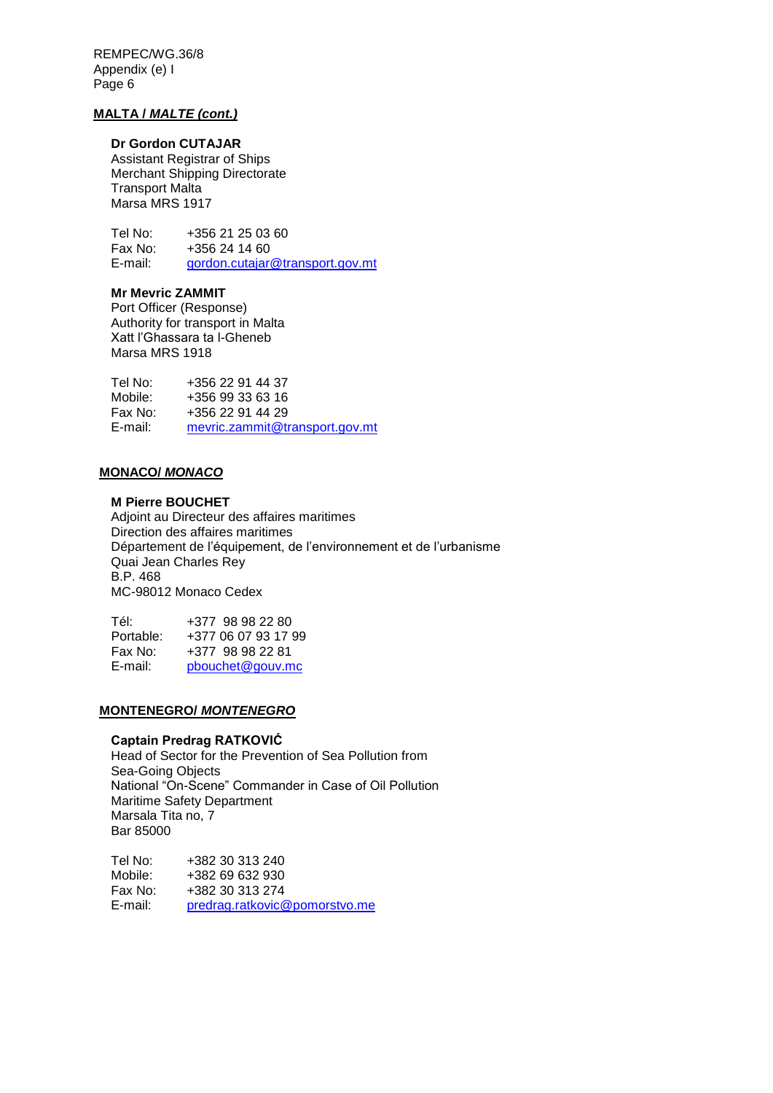## **MALTA /** *MALTE (cont.)*

# **Dr Gordon CUTAJAR**

Assistant Registrar of Ships Merchant Shipping Directorate Transport Malta Marsa MRS 1917

Tel No: +356 21 25 03 60<br>Fax No: +356 24 14 60 Fax No: +356 24 14 60<br>E-mail: endon.cutaiar [gordon.cutajar@transport.gov.mt](mailto:gordon.cutajar@transport.gov.mt)

## **Mr Mevric ZAMMIT**

Port Officer (Response) Authority for transport in Malta Xatt l'Ghassara ta l-Gheneb Marsa MRS 1918

| Tel No: | +356 22 91 44 37               |
|---------|--------------------------------|
| Mobile: | +356 99 33 63 16               |
| Fax No: | +356 22 91 44 29               |
| E-mail: | mevric.zammit@transport.gov.mt |

# **MONACO/** *MONACO*

## **M Pierre BOUCHET**

Adjoint au Directeur des affaires maritimes Direction des affaires maritimes Département de l'équipement, de l'environnement et de l'urbanisme Quai Jean Charles Rey B.P. 468 MC-98012 Monaco Cedex

| Tél:      | +377 98 98 22 80    |
|-----------|---------------------|
| Portable: | +377 06 07 93 17 99 |
| Fax No:   | +377 98 98 22 81    |
| E-mail:   | pbouchet@gouv.mc    |

# **MONTENEGRO/** *MONTENEGRO*

#### **Captain Predrag RATKOVIĆ**

Head of Sector for the Prevention of Sea Pollution from Sea-Going Objects National "On-Scene" Commander in Case of Oil Pollution Maritime Safety Department Marsala Tita no, 7 Bar 85000

Tel No: +382 30 313 240<br>Mobile: +382 69 632 930 Mobile: +382 69 632 930<br>Fax No: +382 30 313 274 +382 30 313 274 E-mail: [predrag.ratkovic@pomorstvo.me](mailto:predrag.ratkovic@pomorstvo.me)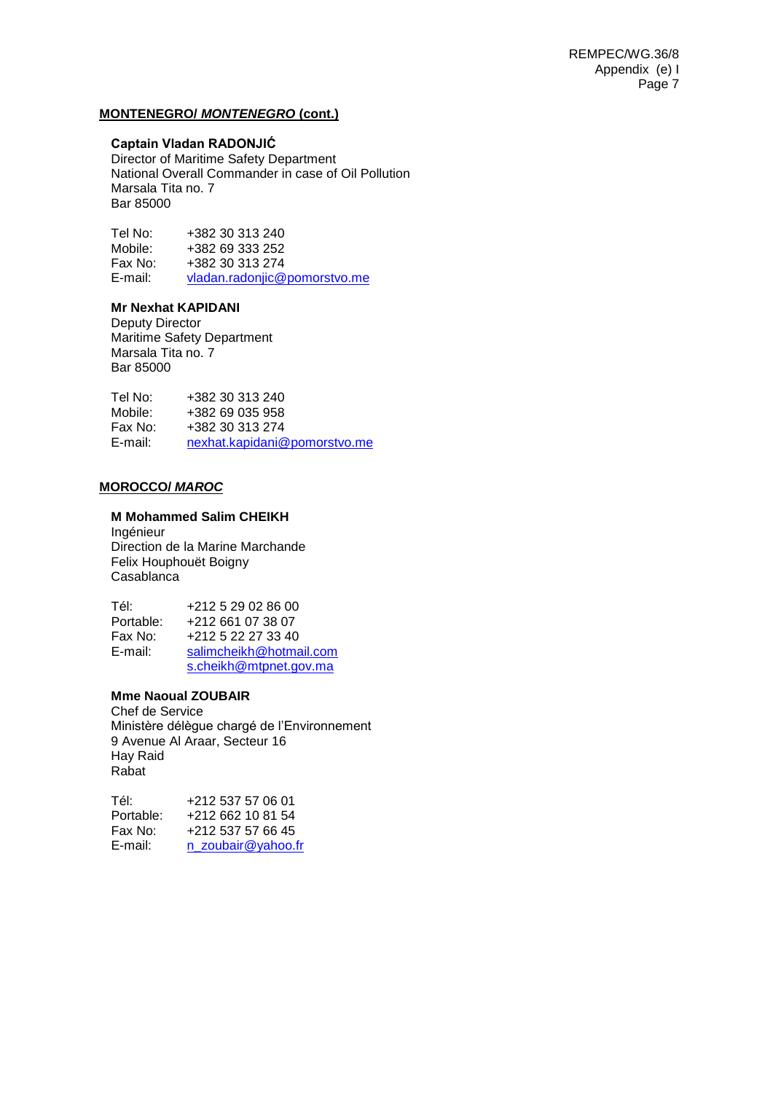#### **MONTENEGRO/** *MONTENEGRO* **(cont.)**

### **Captain Vladan RADONJIĆ**

Director of Maritime Safety Department National Overall Commander in case of Oil Pollution Marsala Tita no. 7 Bar 85000

Tel No: +382 30 313 240<br>Mobile: +382 69 333 252 +382 69 333 252 Fax No: +382 30 313 274<br>E-mail: vladan.radoniic@ [vladan.radonjic@pomorstvo.me](mailto:vladan.radonjic@pomorstvo.me)

## **Mr Nexhat KAPIDANI**

Deputy Director Maritime Safety Department Marsala Tita no. 7 Bar 85000

Tel No: +382 30 313 240 Mobile: +382 69 035 958 Fax No: +382 30 313 274 E-mail: [nexhat.kapidani@pomorstvo.me](mailto:nexhat.kapidani@pomorstvo.me)

#### **MOROCCO/** *MAROC*

#### **M Mohammed Salim CHEIKH**

Ingénieur Direction de la Marine Marchande Felix Houphouët Boigny Casablanca

Tél: +212 5 29 02 86 00<br>Portable: +212 661 07 38 07 +212 661 07 38 07 Fax No: +212 5 22 27 33 40 E-mail: [salimcheikh@hotmail.com](mailto:salimcheikh@hotmail.com) [s.cheikh@mtpnet.gov.ma](mailto:s.cheikh@mtpnet.gov.ma)

#### **Mme Naoual ZOUBAIR**

Chef de Service Ministère délègue chargé de l'Environnement 9 Avenue Al Araar, Secteur 16 Hay Raid Rabat

| Tél:      | +212 537 57 06 01  |
|-----------|--------------------|
| Portable: | +212 662 10 81 54  |
| Fax No:   | +212 537 57 66 45  |
| E-mail:   | n zoubair@yahoo.fr |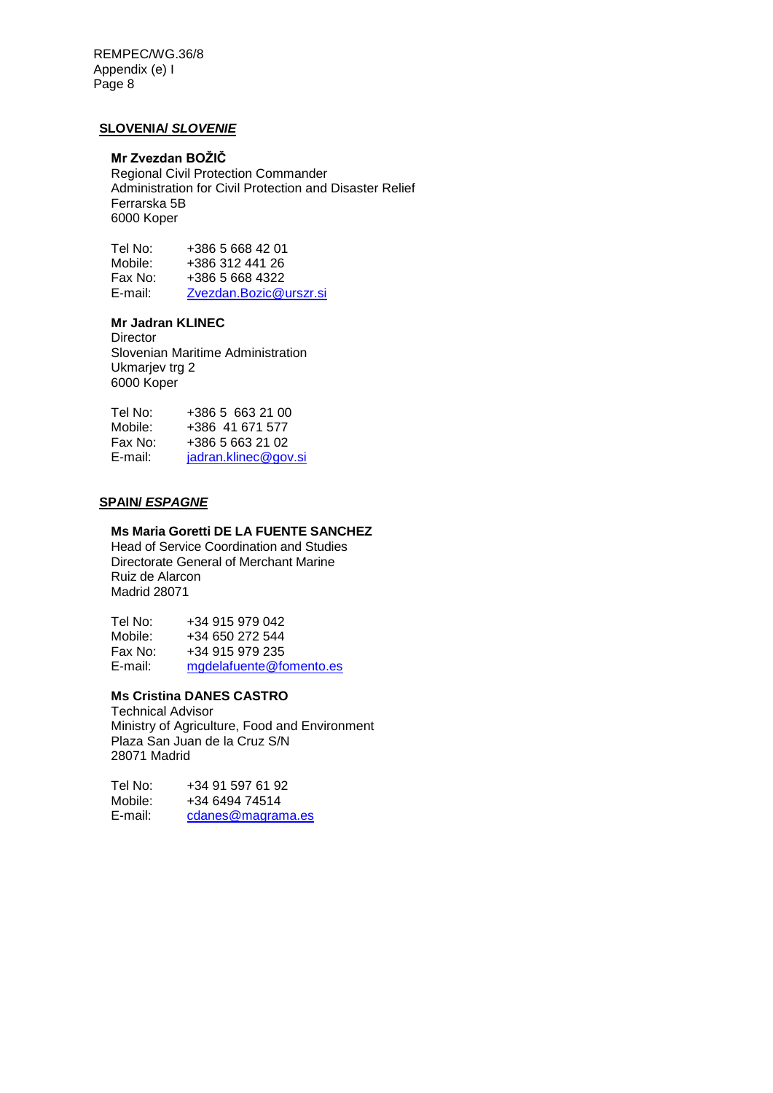## **SLOVENIA/** *SLOVENIE*

# **Mr Zvezdan BOŽIČ**

Regional Civil Protection Commander Administration for Civil Protection and Disaster Relief Ferrarska 5B 6000 Koper

Tel No: +386 5 668 42 01<br>Mobile: +386 312 441 26 Mobile: +386 312 441 26<br>Fax No: +386 5 668 4322 +386 5 668 4322 E-mail: [Zvezdan.Bozic@urszr.si](mailto:Zvezdan.Bozic@urszr.si)

# **Mr Jadran KLINEC**

**Director** Slovenian Maritime Administration Ukmariev trg 2 6000 Koper

| Tel No: | +386 5 663 21 00     |
|---------|----------------------|
| Mobile: | +386 41 671 577      |
| Fax No: | +386 5 663 21 02     |
| E-mail: | jadran.klinec@gov.si |

#### **SPAIN/** *ESPAGNE*

#### **Ms Maria Goretti DE LA FUENTE SANCHEZ**

Head of Service Coordination and Studies Directorate General of Merchant Marine Ruiz de Alarcon Madrid 28071

Tel No: +34 915 979 042 Mobile: +34 650 272 544<br>Fax No: +34 915 979 235 +34 915 979 235 E-mail: [mgdelafuente@fomento.es](mailto:mgdelafuente@fomento.es)

# **Ms Cristina DANES CASTRO**

Technical Advisor Ministry of Agriculture, Food and Environment Plaza San Juan de la Cruz S/N 28071 Madrid

Tel No: +34 91 597 61 92 Mobile: +34 6494 74514 E-mail: [cdanes@magrama.es](mailto:cdanes@magrama.es)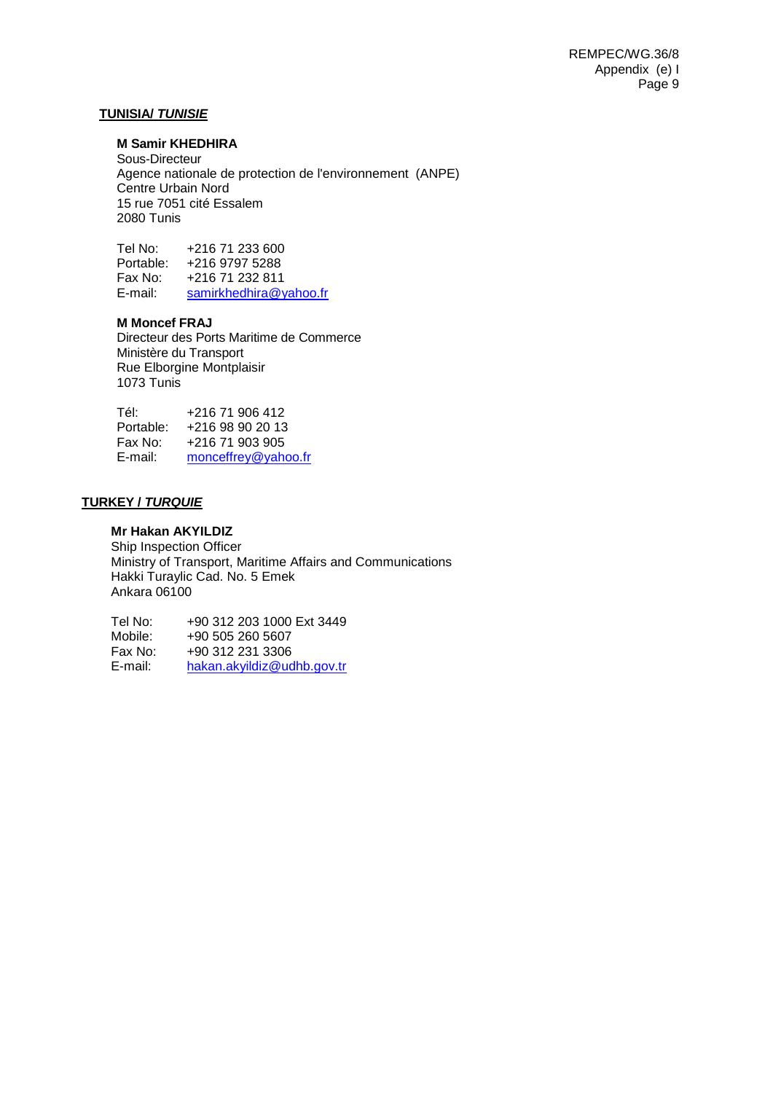#### **TUNISIA/** *TUNISIE*

# **M Samir KHEDHIRA**

Sous-Directeur Agence nationale de protection de l'environnement (ANPE) Centre Urbain Nord 15 rue 7051 cité Essalem 2080 Tunis

Tel No: +216 71 233 600 Portable: +216 9797 5288 +216 71 232 811 E-mail: samirkhedhira@yahoo.fr

# **M Moncef FRAJ**

Directeur des Ports Maritime de Commerce Ministère du Transport Rue Elborgine Montplaisir 1073 Tunis

| Tél:      | +216 71 906 412     |
|-----------|---------------------|
| Portable: | +216 98 90 20 13    |
| Fax No:   | +216 71 903 905     |
| E-mail:   | monceffrey@yahoo.fr |

#### **TURKEY /** *TURQUIE*

# **Mr Hakan AKYILDIZ**

Ship Inspection Officer Ministry of Transport, Maritime Affairs and Communications Hakki Turaylic Cad. No. 5 Emek Ankara 06100

Tel No: +90 312 203 1000 Ext 3449 Mobile: +90 505 260 5607<br>Fax No: +90 312 231 3306 Fax No: +90 312 231 3306<br>E-mail: hakan.akvildiz@uc [hakan.akyildiz@udhb.gov.tr](mailto:hakan.akyildiz@udhb.gov.tr)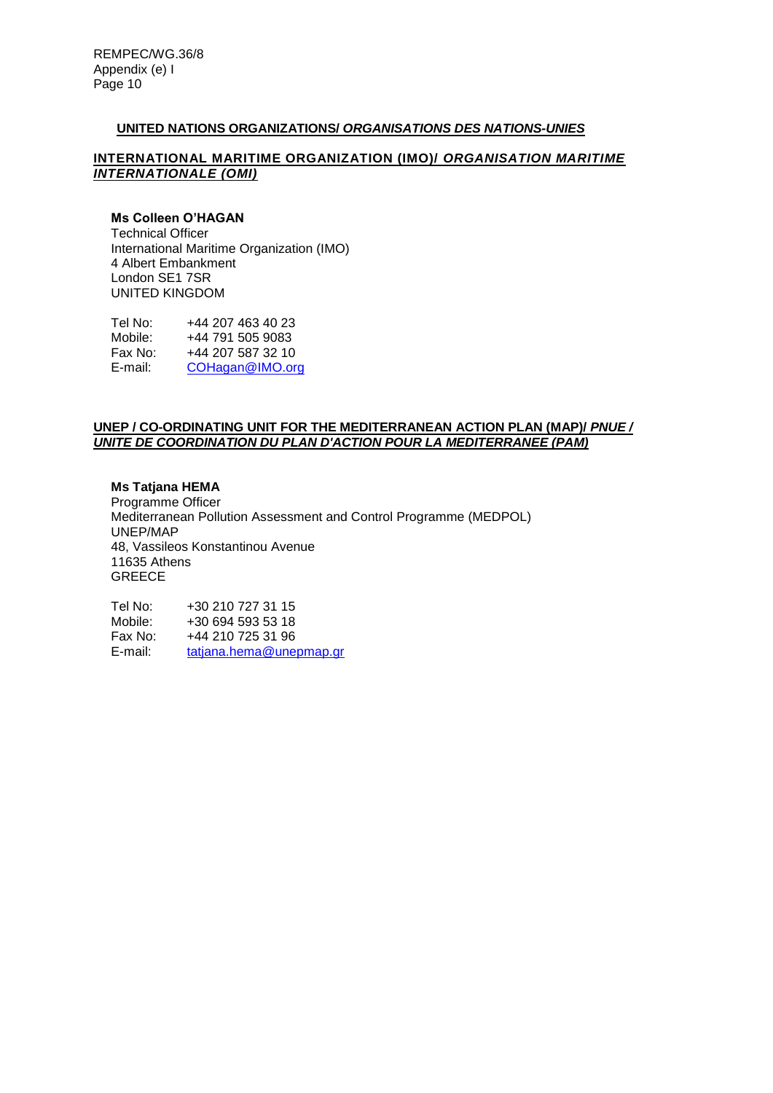## **UNITED NATIONS ORGANIZATIONS/** *ORGANISATIONS DES NATIONS-UNIES*

#### **INTERNATIONAL MARITIME ORGANIZATION (IMO)/** *ORGANISATION MARITIME INTERNATIONALE (OMI)*

# **Ms Colleen O'HAGAN**

Technical Officer International Maritime Organization (IMO) 4 Albert Embankment London SE1 7SR UNITED KINGDOM

Tel No: +44 207 463 40 23<br>Mobile: +44 791 505 9083 Mobile: +44 791 505 9083<br>Fax No: +44 207 587 32 10 Fax No: +44 207 587 32 10<br>E-mail: COHagan@IMO.or [COHagan@IMO.org](mailto:COHagan@IMO.org)

## **UNEP / CO-ORDINATING UNIT FOR THE MEDITERRANEAN ACTION PLAN (MAP)/** *PNUE / UNITE DE COORDINATION DU PLAN D'ACTION POUR LA MEDITERRANEE (PAM)*

#### **Ms Tatjana HEMA**

Programme Officer Mediterranean Pollution Assessment and Control Programme (MEDPOL) UNEP/MAP 48, Vassileos Konstantinou Avenue 11635 Athens GREECE

Tel No: +30 210 727 31 15<br>Mobile: +30 694 593 53 18 +30 694 593 53 18 Fax No: +44 210 725 31 96<br>E-mail: tatiana.hema@une [tatjana.hema@unepmap.gr](mailto:tatjana.hema@unepmap.gr)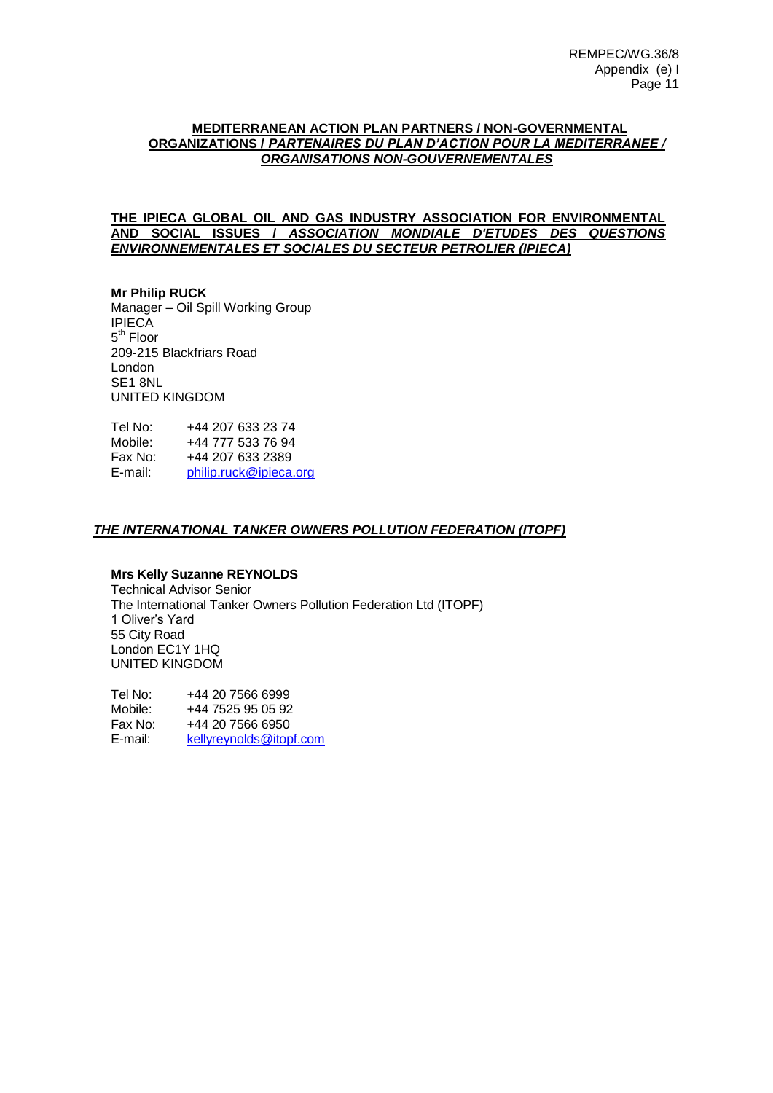## **MEDITERRANEAN ACTION PLAN PARTNERS / NON-GOVERNMENTAL ORGANIZATIONS /** *PARTENAIRES DU PLAN D'ACTION POUR LA MEDITERRANEE / ORGANISATIONS NON-GOUVERNEMENTALES*

**THE IPIECA GLOBAL OIL AND GAS INDUSTRY ASSOCIATION FOR ENVIRONMENTAL AND SOCIAL ISSUES /** *ASSOCIATION MONDIALE D'ETUDES DES QUESTIONS ENVIRONNEMENTALES ET SOCIALES DU SECTEUR PETROLIER (IPIECA)*

#### **Mr Philip RUCK** Manager – Oil Spill Working Group IPIECA 5<sup>th</sup> Floor 209-215 Blackfriars Road London SE1 8NL UNITED KINGDOM

Tel No: +44 207 633 23 74 Mobile: +44 777 533 76 94 Fax No: +44 207 633 2389 E-mail: [philip.ruck@ipieca.org](mailto:philip.ruck@ipieca.org)

# *THE INTERNATIONAL TANKER OWNERS POLLUTION FEDERATION (ITOPF)*

# **Mrs Kelly Suzanne REYNOLDS**

Technical Advisor Senior The International Tanker Owners Pollution Federation Ltd (ITOPF) 1 Oliver's Yard 55 City Road London EC1Y 1HQ UNITED KINGDOM

Tel No: +44 20 7566 6999<br>Mobile: +44 7525 95 05 92 +44 7525 95 05 92 Fax No: +44 20 7566 6950 E-mail: [kellyreynolds@itopf.com](mailto:kellyreynolds@itopf.com)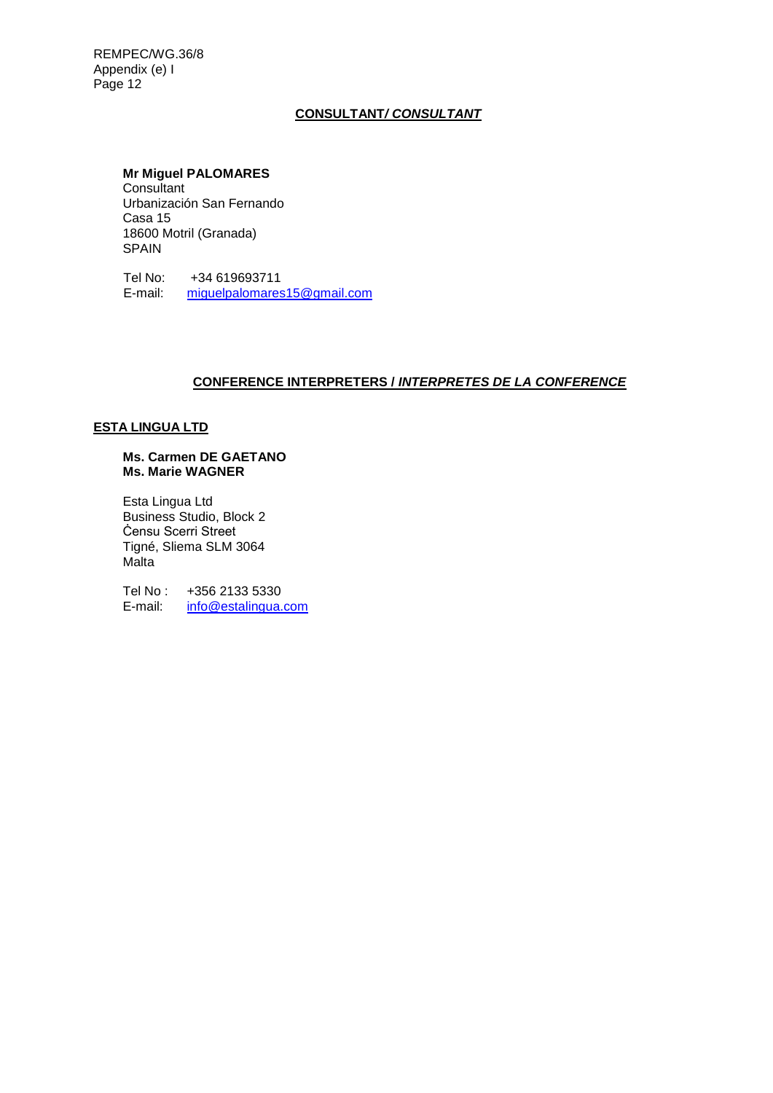# **CONSULTANT***/ CONSULTANT*

### **Mr Miguel PALOMARES**

**Consultant** Urbanización San Fernando Casa 15 18600 Motril (Granada) SPAIN

Tel No: +34 619693711<br>E-mail: miguelpalomares [miguelpalomares15@gmail.com](mailto:miguelpalomares15@gmail.com)

# **CONFERENCE INTERPRETERS /** *INTERPRETES DE LA CONFERENCE*

# **ESTA LINGUA LTD**

#### **Ms. Carmen DE GAETANO Ms. Marie WAGNER**

Esta Lingua Ltd Business Studio, Block 2 Ċensu Scerri Street Tigné, Sliema SLM 3064 Malta

Tel No : +356 2133 5330<br>E-mail: info@estalingua. [info@estalingua.com](mailto:info@estalingua.com)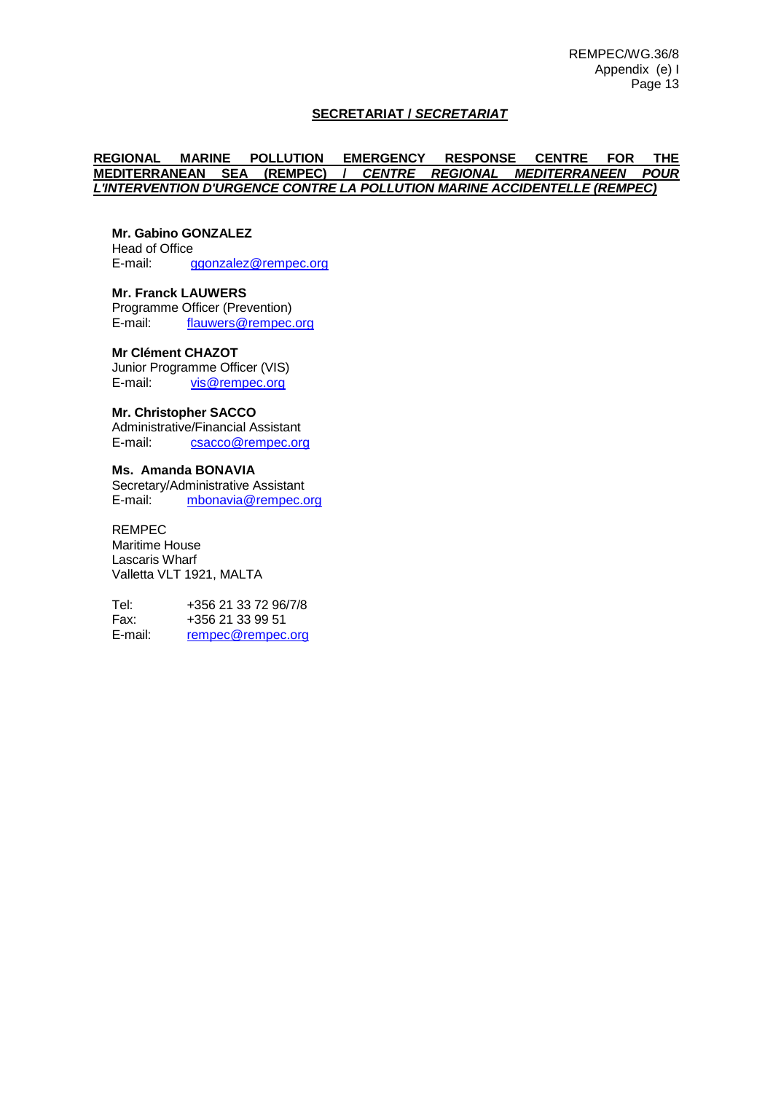## **SECRETARIAT /** *SECRETARIAT*

### **REGIONAL MARINE POLLUTION EMERGENCY RESPONSE CENTRE FOR THE MEDITERRANEAN SEA (REMPEC) /** *CENTRE REGIONAL MEDITERRANEEN POUR L'INTERVENTION D'URGENCE CONTRE LA POLLUTION MARINE ACCIDENTELLE (REMPEC)*

# **Mr. Gabino GONZALEZ**

Head of Office<br>E-mail: c [ggonzalez@rempec.org](mailto:ggonzalez@rempec.org)

**Mr. Franck LAUWERS** Programme Officer (Prevention)<br>E-mail: flauwers@rempec. [flauwers@rempec.org](mailto:flauwers@rempec.org)

#### **Mr Clément CHAZOT**

Junior Programme Officer (VIS) E-mail: [vis@rempec.org](mailto:vis@rempec.org)

## **Mr. Christopher SACCO**

Administrative/Financial Assistant<br>E-mail: csacco@rempec.or [csacco@rempec.org](mailto:csacco@rempec.org)

#### **Ms. Amanda BONAVIA**

Secretary/Administrative Assistant E-mail: [mbonavia@rempec.org](mailto:mbonavia@rempec.org)

#### REMPEC

Maritime House Lascaris Wharf Valletta VLT 1921, MALTA

Tel: +356 21 33 72 96/7/8 Fax: +356 21 33 99 51 E-mail: [rempec@rempec.org](mailto:rempec@rempec.org)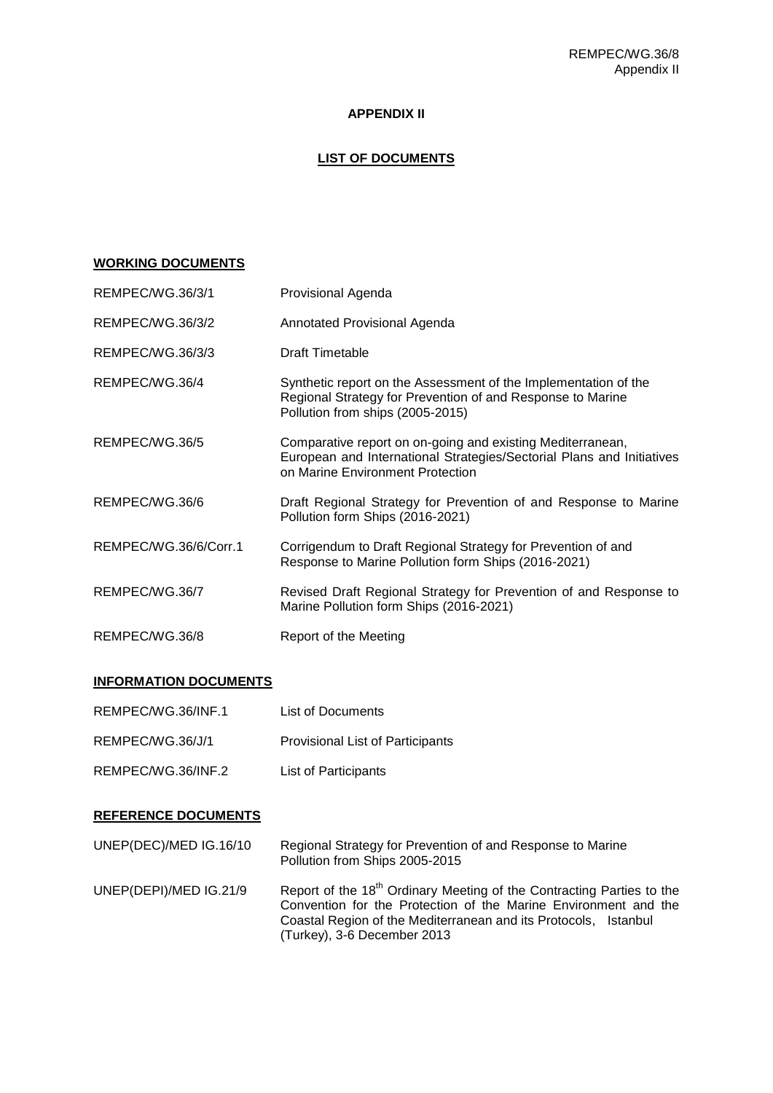# **APPENDIX II**

# **LIST OF DOCUMENTS**

# **WORKING DOCUMENTS**

| REMPEC/WG.36/3/1      | Provisional Agenda                                                                                                                                                      |
|-----------------------|-------------------------------------------------------------------------------------------------------------------------------------------------------------------------|
| REMPEC/WG.36/3/2      | Annotated Provisional Agenda                                                                                                                                            |
| REMPEC/WG.36/3/3      | <b>Draft Timetable</b>                                                                                                                                                  |
| REMPEC/WG.36/4        | Synthetic report on the Assessment of the Implementation of the<br>Regional Strategy for Prevention of and Response to Marine<br>Pollution from ships (2005-2015)       |
| REMPEC/WG.36/5        | Comparative report on on-going and existing Mediterranean,<br>European and International Strategies/Sectorial Plans and Initiatives<br>on Marine Environment Protection |
| REMPEC/WG.36/6        | Draft Regional Strategy for Prevention of and Response to Marine<br>Pollution form Ships (2016-2021)                                                                    |
| REMPEC/WG.36/6/Corr.1 | Corrigendum to Draft Regional Strategy for Prevention of and<br>Response to Marine Pollution form Ships (2016-2021)                                                     |
| REMPEC/WG.36/7        | Revised Draft Regional Strategy for Prevention of and Response to<br>Marine Pollution form Ships (2016-2021)                                                            |
| REMPEC/WG.36/8        | Report of the Meeting                                                                                                                                                   |

## **INFORMATION DOCUMENTS**

| REMPEC/WG.36/INF.1 | List of Documents                       |
|--------------------|-----------------------------------------|
| REMPEC/WG.36/J/1   | <b>Provisional List of Participants</b> |

REMPEC/WG.36/INF.2 List of Participants

## **REFERENCE DOCUMENTS**

| UNEP(DEC)/MED IG.16/10 | Regional Strategy for Prevention of and Response to Marine<br>Pollution from Ships 2005-2015                                                                                                                                                           |
|------------------------|--------------------------------------------------------------------------------------------------------------------------------------------------------------------------------------------------------------------------------------------------------|
| UNEP(DEPI)/MED IG.21/9 | Report of the 18 <sup>th</sup> Ordinary Meeting of the Contracting Parties to the<br>Convention for the Protection of the Marine Environment and the<br>Coastal Region of the Mediterranean and its Protocols, Istanbul<br>(Turkey), 3-6 December 2013 |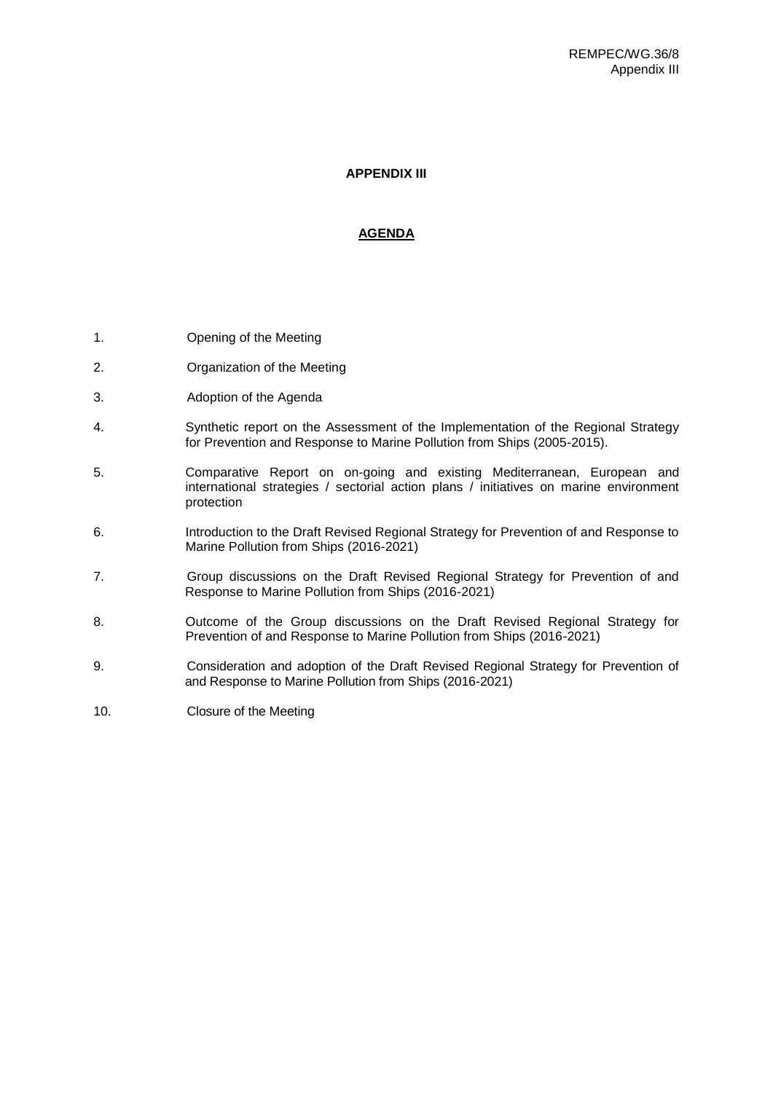### **APPENDIX III**

# **AGENDA**

- 1. Opening of the Meeting
- 2. Organization of the Meeting
- 3. Adoption of the Agenda
- 4. Synthetic report on the Assessment of the Implementation of the Regional Strategy for Prevention and Response to Marine Pollution from Ships (2005-2015).
- 5. Comparative Report on on-going and existing Mediterranean, European and international strategies / sectorial action plans / initiatives on marine environment protection
- 6. Introduction to the Draft Revised Regional Strategy for Prevention of and Response to Marine Pollution from Ships (2016-2021)
- 7. Group discussions on the Draft Revised Regional Strategy for Prevention of and Response to Marine Pollution from Ships (2016-2021)
- 8. Outcome of the Group discussions on the Draft Revised Regional Strategy for Prevention of and Response to Marine Pollution from Ships (2016-2021)
- 9. Consideration and adoption of the Draft Revised Regional Strategy for Prevention of and Response to Marine Pollution from Ships (2016-2021)
- 10. Closure of the Meeting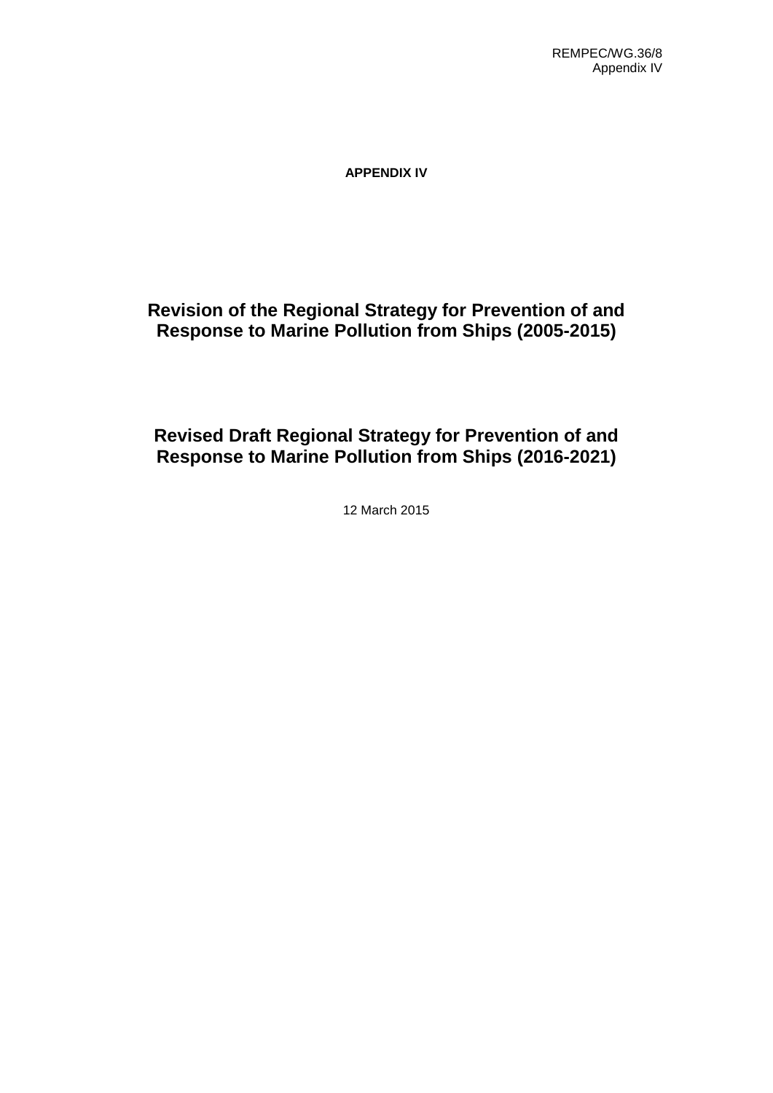**APPENDIX IV**

# **Revision of the Regional Strategy for Prevention of and Response to Marine Pollution from Ships (2005-2015)**

# **Revised Draft Regional Strategy for Prevention of and Response to Marine Pollution from Ships (2016-2021)**

12 March 2015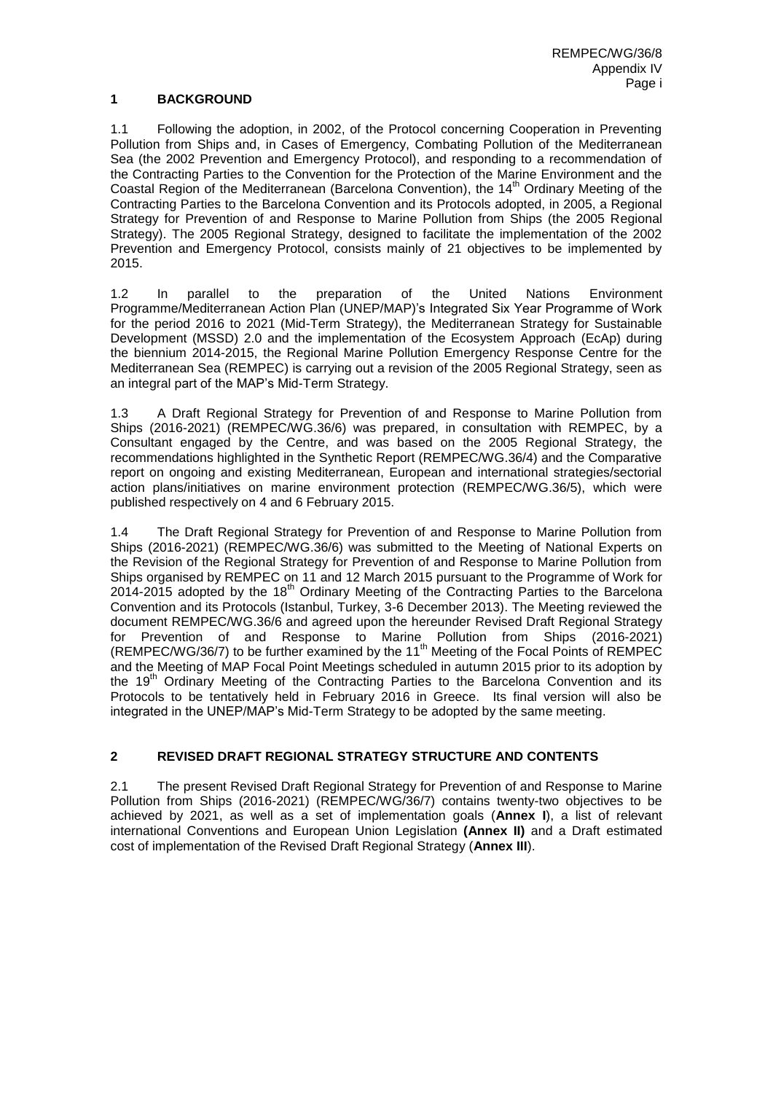# **1 BACKGROUND**

1.1 Following the adoption, in 2002, of the Protocol concerning Cooperation in Preventing Pollution from Ships and, in Cases of Emergency, Combating Pollution of the Mediterranean Sea (the 2002 Prevention and Emergency Protocol), and responding to a recommendation of the Contracting Parties to the Convention for the Protection of the Marine Environment and the Coastal Region of the Mediterranean (Barcelona Convention), the 14<sup>th</sup> Ordinary Meeting of the Contracting Parties to the Barcelona Convention and its Protocols adopted, in 2005, a Regional Strategy for Prevention of and Response to Marine Pollution from Ships (the 2005 Regional Strategy). The 2005 Regional Strategy, designed to facilitate the implementation of the 2002 Prevention and Emergency Protocol, consists mainly of 21 objectives to be implemented by 2015.

1.2 In parallel to the preparation of the United Nations Environment Programme/Mediterranean Action Plan (UNEP/MAP)'s Integrated Six Year Programme of Work for the period 2016 to 2021 (Mid-Term Strategy), the Mediterranean Strategy for Sustainable Development (MSSD) 2.0 and the implementation of the Ecosystem Approach (EcAp) during the biennium 2014-2015, the Regional Marine Pollution Emergency Response Centre for the Mediterranean Sea (REMPEC) is carrying out a revision of the 2005 Regional Strategy, seen as an integral part of the MAP's Mid-Term Strategy.

1.3 A Draft Regional Strategy for Prevention of and Response to Marine Pollution from Ships (2016-2021) (REMPEC/WG.36/6) was prepared, in consultation with REMPEC, by a Consultant engaged by the Centre, and was based on the 2005 Regional Strategy, the recommendations highlighted in the Synthetic Report (REMPEC/WG.36/4) and the Comparative report on ongoing and existing Mediterranean, European and international strategies/sectorial action plans/initiatives on marine environment protection (REMPEC/WG.36/5), which were published respectively on 4 and 6 February 2015.

1.4 The Draft Regional Strategy for Prevention of and Response to Marine Pollution from Ships (2016-2021) (REMPEC/WG.36/6) was submitted to the Meeting of National Experts on the Revision of the Regional Strategy for Prevention of and Response to Marine Pollution from Ships organised by REMPEC on 11 and 12 March 2015 pursuant to the Programme of Work for  $2014$ -2015 adopted by the 18<sup>th</sup> Ordinary Meeting of the Contracting Parties to the Barcelona Convention and its Protocols (Istanbul, Turkey, 3-6 December 2013). The Meeting reviewed the document REMPEC/WG.36/6 and agreed upon the hereunder Revised Draft Regional Strategy for Prevention of and Response to Marine Pollution from Ships (2016-2021) (REMPEC/WG/36/7) to be further examined by the 11th Meeting of the Focal Points of REMPEC and the Meeting of MAP Focal Point Meetings scheduled in autumn 2015 prior to its adoption by the 19<sup>th</sup> Ordinary Meeting of the Contracting Parties to the Barcelona Convention and its Protocols to be tentatively held in February 2016 in Greece. Its final version will also be integrated in the UNEP/MAP's Mid-Term Strategy to be adopted by the same meeting.

# **2 REVISED DRAFT REGIONAL STRATEGY STRUCTURE AND CONTENTS**

2.1 The present Revised Draft Regional Strategy for Prevention of and Response to Marine Pollution from Ships (2016-2021) (REMPEC/WG/36/7) contains twenty-two objectives to be achieved by 2021, as well as a set of implementation goals (**Annex I**), a list of relevant international Conventions and European Union Legislation **(Annex II)** and a Draft estimated cost of implementation of the Revised Draft Regional Strategy (**Annex III**).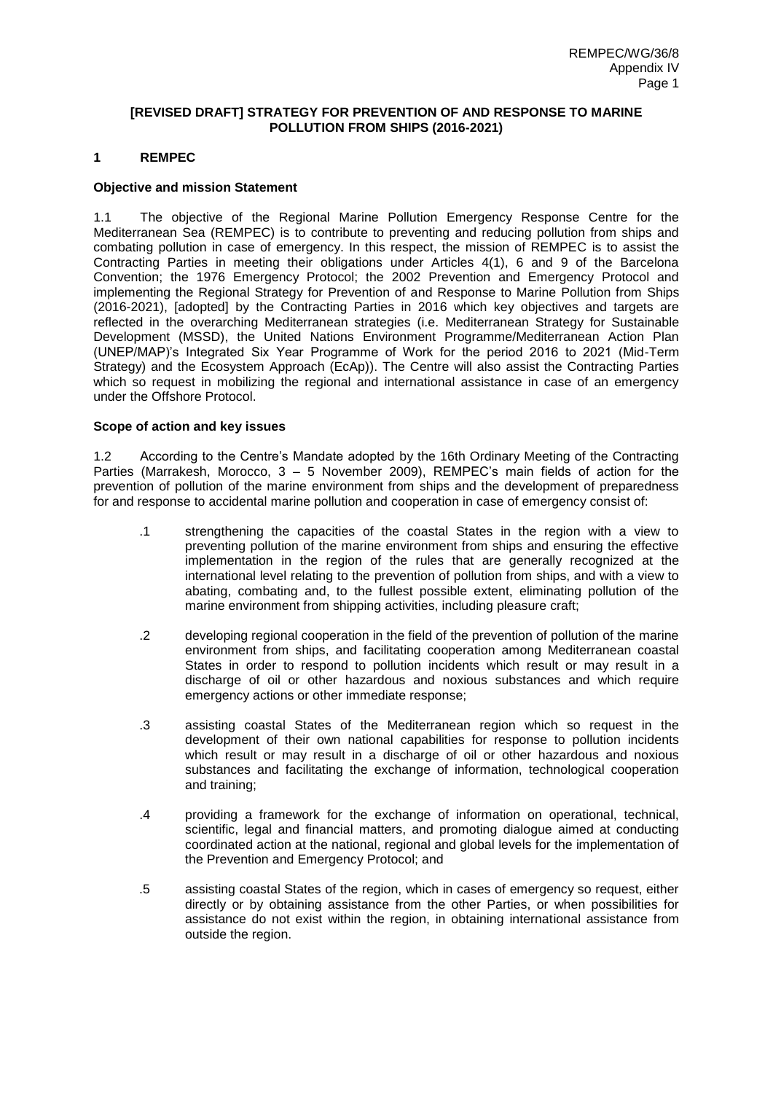## **[REVISED DRAFT] STRATEGY FOR PREVENTION OF AND RESPONSE TO MARINE POLLUTION FROM SHIPS (2016-2021)**

# **1 REMPEC**

## **Objective and mission Statement**

1.1 The objective of the Regional Marine Pollution Emergency Response Centre for the Mediterranean Sea (REMPEC) is to contribute to preventing and reducing pollution from ships and combating pollution in case of emergency. In this respect, the mission of REMPEC is to assist the Contracting Parties in meeting their obligations under Articles 4(1), 6 and 9 of the Barcelona Convention; the 1976 Emergency Protocol; the 2002 Prevention and Emergency Protocol and implementing the Regional Strategy for Prevention of and Response to Marine Pollution from Ships (2016-2021), [adopted] by the Contracting Parties in 2016 which key objectives and targets are reflected in the overarching Mediterranean strategies (i.e. Mediterranean Strategy for Sustainable Development (MSSD), the United Nations Environment Programme/Mediterranean Action Plan (UNEP/MAP)'s Integrated Six Year Programme of Work for the period 2016 to 2021 (Mid-Term Strategy) and the Ecosystem Approach (EcAp)). The Centre will also assist the Contracting Parties which so request in mobilizing the regional and international assistance in case of an emergency under the Offshore Protocol.

## **Scope of action and key issues**

1.2 According to the Centre's Mandate adopted by the 16th Ordinary Meeting of the Contracting Parties (Marrakesh, Morocco, 3 – 5 November 2009), REMPEC's main fields of action for the prevention of pollution of the marine environment from ships and the development of preparedness for and response to accidental marine pollution and cooperation in case of emergency consist of:

- .1 strengthening the capacities of the coastal States in the region with a view to preventing pollution of the marine environment from ships and ensuring the effective implementation in the region of the rules that are generally recognized at the international level relating to the prevention of pollution from ships, and with a view to abating, combating and, to the fullest possible extent, eliminating pollution of the marine environment from shipping activities, including pleasure craft;
- .2 developing regional cooperation in the field of the prevention of pollution of the marine environment from ships, and facilitating cooperation among Mediterranean coastal States in order to respond to pollution incidents which result or may result in a discharge of oil or other hazardous and noxious substances and which require emergency actions or other immediate response;
- .3 assisting coastal States of the Mediterranean region which so request in the development of their own national capabilities for response to pollution incidents which result or may result in a discharge of oil or other hazardous and noxious substances and facilitating the exchange of information, technological cooperation and training;
- .4 providing a framework for the exchange of information on operational, technical, scientific, legal and financial matters, and promoting dialogue aimed at conducting coordinated action at the national, regional and global levels for the implementation of the Prevention and Emergency Protocol; and
- .5 assisting coastal States of the region, which in cases of emergency so request, either directly or by obtaining assistance from the other Parties, or when possibilities for assistance do not exist within the region, in obtaining international assistance from outside the region.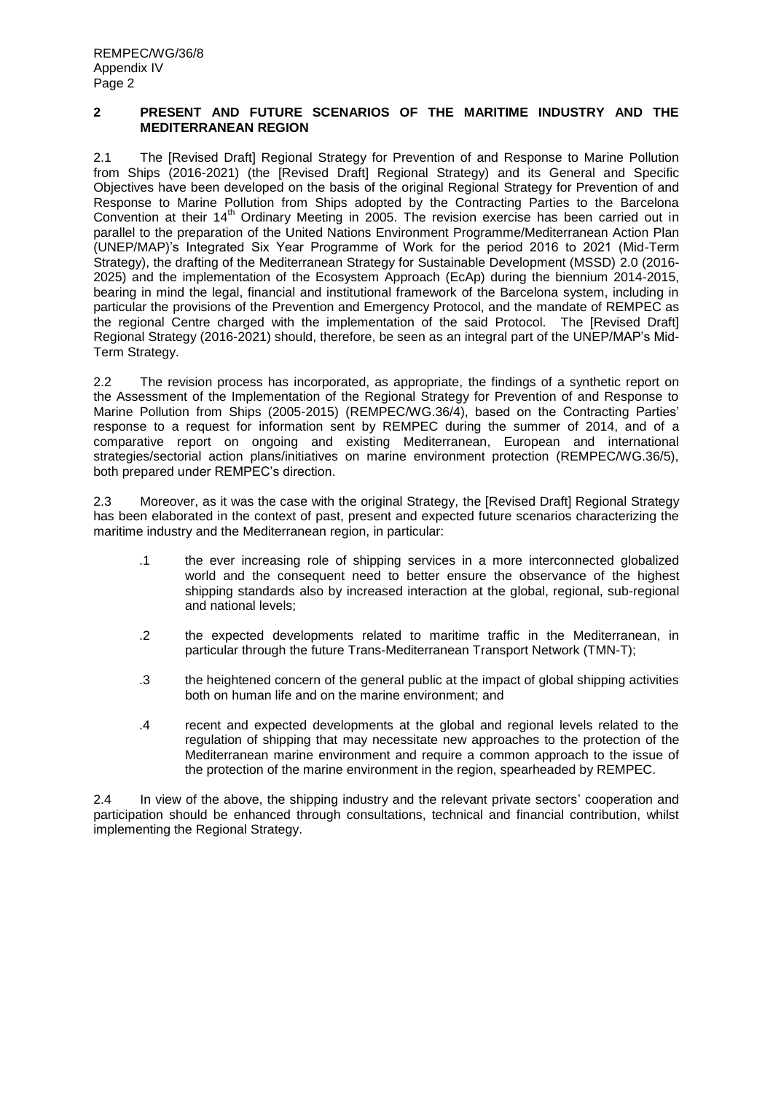## **2 PRESENT AND FUTURE SCENARIOS OF THE MARITIME INDUSTRY AND THE MEDITERRANEAN REGION**

2.1 The [Revised Draft] Regional Strategy for Prevention of and Response to Marine Pollution from Ships (2016-2021) (the [Revised Draft] Regional Strategy) and its General and Specific Objectives have been developed on the basis of the original Regional Strategy for Prevention of and Response to Marine Pollution from Ships adopted by the Contracting Parties to the Barcelona Convention at their 14<sup>th</sup> Ordinary Meeting in 2005. The revision exercise has been carried out in parallel to the preparation of the United Nations Environment Programme/Mediterranean Action Plan (UNEP/MAP)'s Integrated Six Year Programme of Work for the period 2016 to 2021 (Mid-Term Strategy), the drafting of the Mediterranean Strategy for Sustainable Development (MSSD) 2.0 (2016- 2025) and the implementation of the Ecosystem Approach (EcAp) during the biennium 2014-2015, bearing in mind the legal, financial and institutional framework of the Barcelona system, including in particular the provisions of the Prevention and Emergency Protocol, and the mandate of REMPEC as the regional Centre charged with the implementation of the said Protocol. The [Revised Draft] Regional Strategy (2016-2021) should, therefore, be seen as an integral part of the UNEP/MAP's Mid-Term Strategy.

2.2 The revision process has incorporated, as appropriate, the findings of a synthetic report on the Assessment of the Implementation of the Regional Strategy for Prevention of and Response to Marine Pollution from Ships (2005-2015) (REMPEC/WG.36/4), based on the Contracting Parties' response to a request for information sent by REMPEC during the summer of 2014, and of a comparative report on ongoing and existing Mediterranean, European and international strategies/sectorial action plans/initiatives on marine environment protection (REMPEC/WG.36/5), both prepared under REMPEC's direction.

2.3 Moreover, as it was the case with the original Strategy, the [Revised Draft] Regional Strategy has been elaborated in the context of past, present and expected future scenarios characterizing the maritime industry and the Mediterranean region, in particular:

- .1 the ever increasing role of shipping services in a more interconnected globalized world and the consequent need to better ensure the observance of the highest shipping standards also by increased interaction at the global, regional, sub-regional and national levels;
- .2 the expected developments related to maritime traffic in the Mediterranean, in particular through the future Trans-Mediterranean Transport Network (TMN-T);
- .3 the heightened concern of the general public at the impact of global shipping activities both on human life and on the marine environment; and
- .4 recent and expected developments at the global and regional levels related to the regulation of shipping that may necessitate new approaches to the protection of the Mediterranean marine environment and require a common approach to the issue of the protection of the marine environment in the region, spearheaded by REMPEC.

2.4 In view of the above, the shipping industry and the relevant private sectors' cooperation and participation should be enhanced through consultations, technical and financial contribution, whilst implementing the Regional Strategy.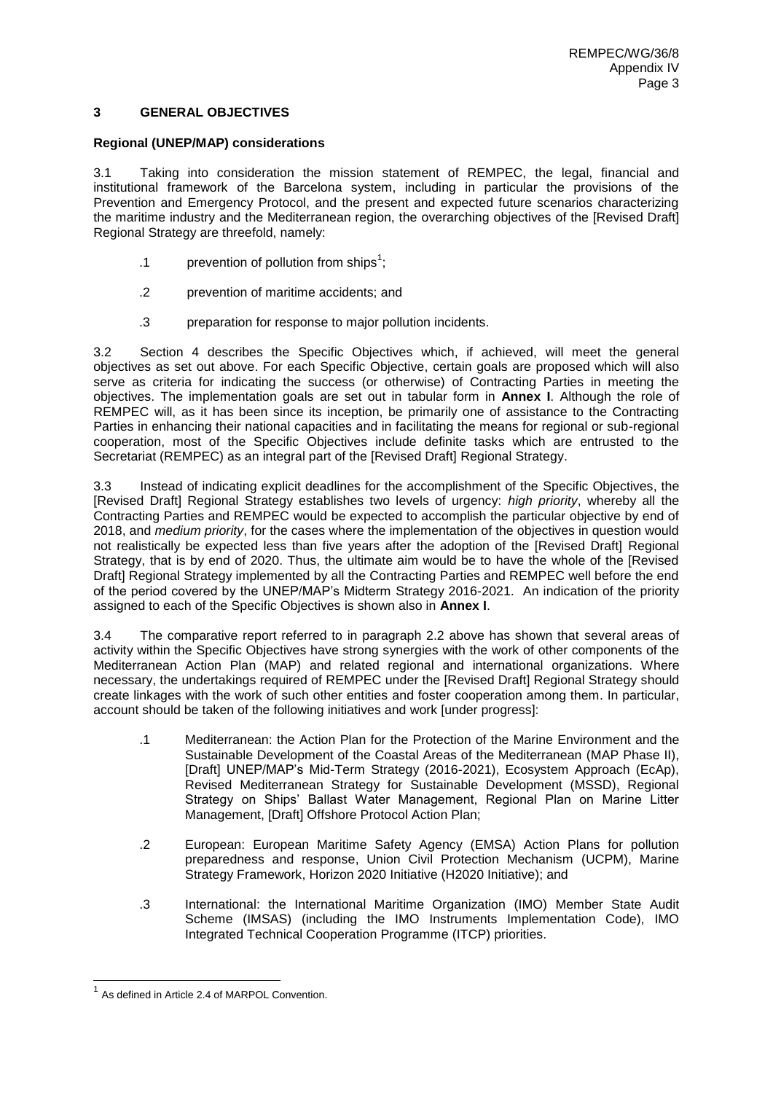## **3 GENERAL OBJECTIVES**

## **Regional (UNEP/MAP) considerations**

3.1 Taking into consideration the mission statement of REMPEC, the legal, financial and institutional framework of the Barcelona system, including in particular the provisions of the Prevention and Emergency Protocol, and the present and expected future scenarios characterizing the maritime industry and the Mediterranean region, the overarching objectives of the [Revised Draft] Regional Strategy are threefold, namely:

- .1 **prevention of pollution from ships**<sup>1</sup>;
- .2 prevention of maritime accidents; and
- .3 preparation for response to major pollution incidents.

3.2 Section 4 describes the Specific Objectives which, if achieved, will meet the general objectives as set out above. For each Specific Objective, certain goals are proposed which will also serve as criteria for indicating the success (or otherwise) of Contracting Parties in meeting the objectives. The implementation goals are set out in tabular form in **Annex I**. Although the role of REMPEC will, as it has been since its inception, be primarily one of assistance to the Contracting Parties in enhancing their national capacities and in facilitating the means for regional or sub-regional cooperation, most of the Specific Objectives include definite tasks which are entrusted to the Secretariat (REMPEC) as an integral part of the [Revised Draft] Regional Strategy.

3.3 Instead of indicating explicit deadlines for the accomplishment of the Specific Objectives, the [Revised Draft] Regional Strategy establishes two levels of urgency: *high priority*, whereby all the Contracting Parties and REMPEC would be expected to accomplish the particular objective by end of 2018, and *medium priority*, for the cases where the implementation of the objectives in question would not realistically be expected less than five years after the adoption of the [Revised Draft] Regional Strategy, that is by end of 2020. Thus, the ultimate aim would be to have the whole of the [Revised Draft] Regional Strategy implemented by all the Contracting Parties and REMPEC well before the end of the period covered by the UNEP/MAP's Midterm Strategy 2016-2021. An indication of the priority assigned to each of the Specific Objectives is shown also in **Annex I**.

3.4 The comparative report referred to in paragraph 2.2 above has shown that several areas of activity within the Specific Objectives have strong synergies with the work of other components of the Mediterranean Action Plan (MAP) and related regional and international organizations. Where necessary, the undertakings required of REMPEC under the [Revised Draft] Regional Strategy should create linkages with the work of such other entities and foster cooperation among them. In particular, account should be taken of the following initiatives and work [under progress]:

- .1 Mediterranean: the Action Plan for the Protection of the Marine Environment and the Sustainable Development of the Coastal Areas of the Mediterranean (MAP Phase II), [Draft] UNEP/MAP's Mid-Term Strategy (2016-2021), Ecosystem Approach (EcAp), Revised Mediterranean Strategy for Sustainable Development (MSSD), Regional Strategy on Ships' Ballast Water Management, Regional Plan on Marine Litter Management, [Draft] Offshore Protocol Action Plan;
- .2 European: European Maritime Safety Agency (EMSA) Action Plans for pollution preparedness and response, Union Civil Protection Mechanism (UCPM), Marine Strategy Framework, Horizon 2020 Initiative (H2020 Initiative); and
- .3 International: the International Maritime Organization (IMO) Member State Audit Scheme (IMSAS) (including the IMO Instruments Implementation Code), IMO Integrated Technical Cooperation Programme (ITCP) priorities.

 $\overline{\phantom{a}}$ 

<sup>1</sup> As defined in Article 2.4 of MARPOL Convention.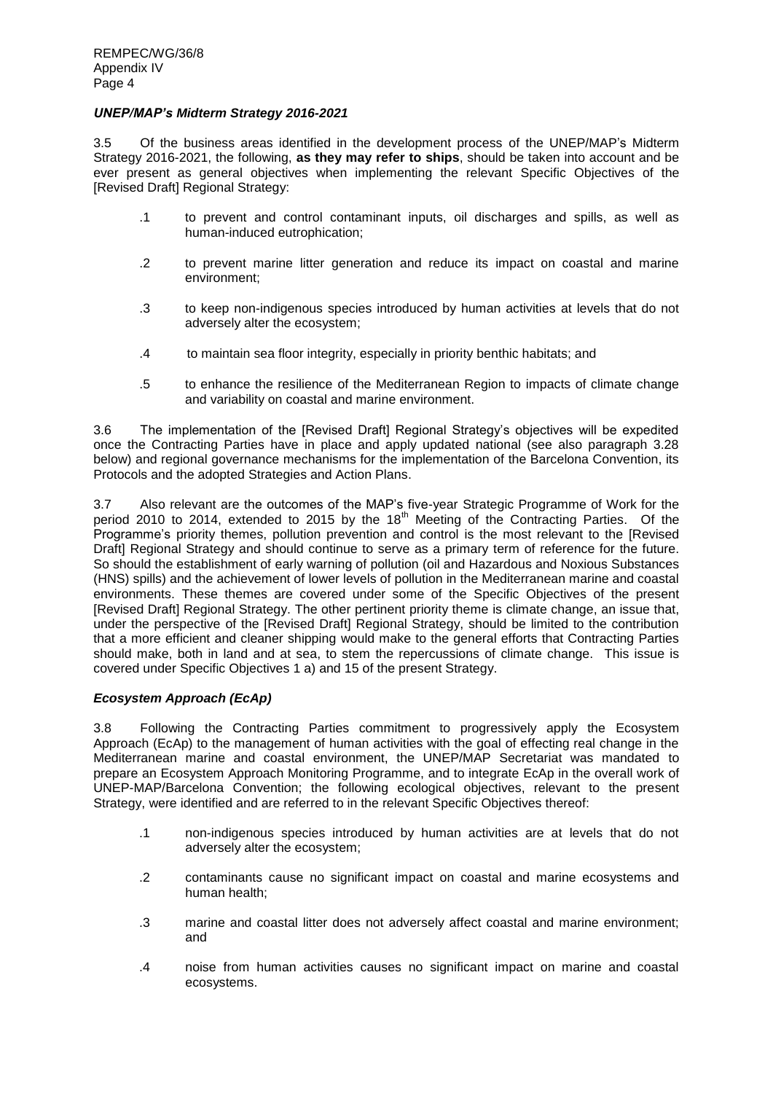## *UNEP/MAP's Midterm Strategy 2016-2021*

3.5 Of the business areas identified in the development process of the UNEP/MAP's Midterm Strategy 2016-2021, the following, **as they may refer to ships**, should be taken into account and be ever present as general objectives when implementing the relevant Specific Objectives of the [Revised Draft] Regional Strategy:

- .1 to prevent and control contaminant inputs, oil discharges and spills, as well as human-induced eutrophication;
- .2 to prevent marine litter generation and reduce its impact on coastal and marine environment;
- .3 to keep non-indigenous species introduced by human activities at levels that do not adversely alter the ecosystem;
- .4 to maintain sea floor integrity, especially in priority benthic habitats; and
- .5 to enhance the resilience of the Mediterranean Region to impacts of climate change and variability on coastal and marine environment.

3.6 The implementation of the [Revised Draft] Regional Strategy's objectives will be expedited once the Contracting Parties have in place and apply updated national (see also paragraph 3.28 below) and regional governance mechanisms for the implementation of the Barcelona Convention, its Protocols and the adopted Strategies and Action Plans.

3.7 Also relevant are the outcomes of the MAP's five-year Strategic Programme of Work for the period 2010 to 2014, extended to 2015 by the 18<sup>th</sup> Meeting of the Contracting Parties. Of the Programme's priority themes, pollution prevention and control is the most relevant to the [Revised Draft] Regional Strategy and should continue to serve as a primary term of reference for the future. So should the establishment of early warning of pollution (oil and Hazardous and Noxious Substances (HNS) spills) and the achievement of lower levels of pollution in the Mediterranean marine and coastal environments. These themes are covered under some of the Specific Objectives of the present [Revised Draft] Regional Strategy. The other pertinent priority theme is climate change, an issue that, under the perspective of the [Revised Draft] Regional Strategy, should be limited to the contribution that a more efficient and cleaner shipping would make to the general efforts that Contracting Parties should make, both in land and at sea, to stem the repercussions of climate change. This issue is covered under Specific Objectives 1 a) and 15 of the present Strategy.

# *Ecosystem Approach (EcAp)*

3.8 Following the Contracting Parties commitment to progressively apply the Ecosystem Approach (EcAp) to the management of human activities with the goal of effecting real change in the Mediterranean marine and coastal environment, the UNEP/MAP Secretariat was mandated to prepare an Ecosystem Approach Monitoring Programme, and to integrate EcAp in the overall work of UNEP-MAP/Barcelona Convention; the following ecological objectives, relevant to the present Strategy, were identified and are referred to in the relevant Specific Objectives thereof:

- .1 non-indigenous species introduced by human activities are at levels that do not adversely alter the ecosystem;
- .2 contaminants cause no significant impact on coastal and marine ecosystems and human health;
- .3 marine and coastal litter does not adversely affect coastal and marine environment; and
- .4 noise from human activities causes no significant impact on marine and coastal ecosystems.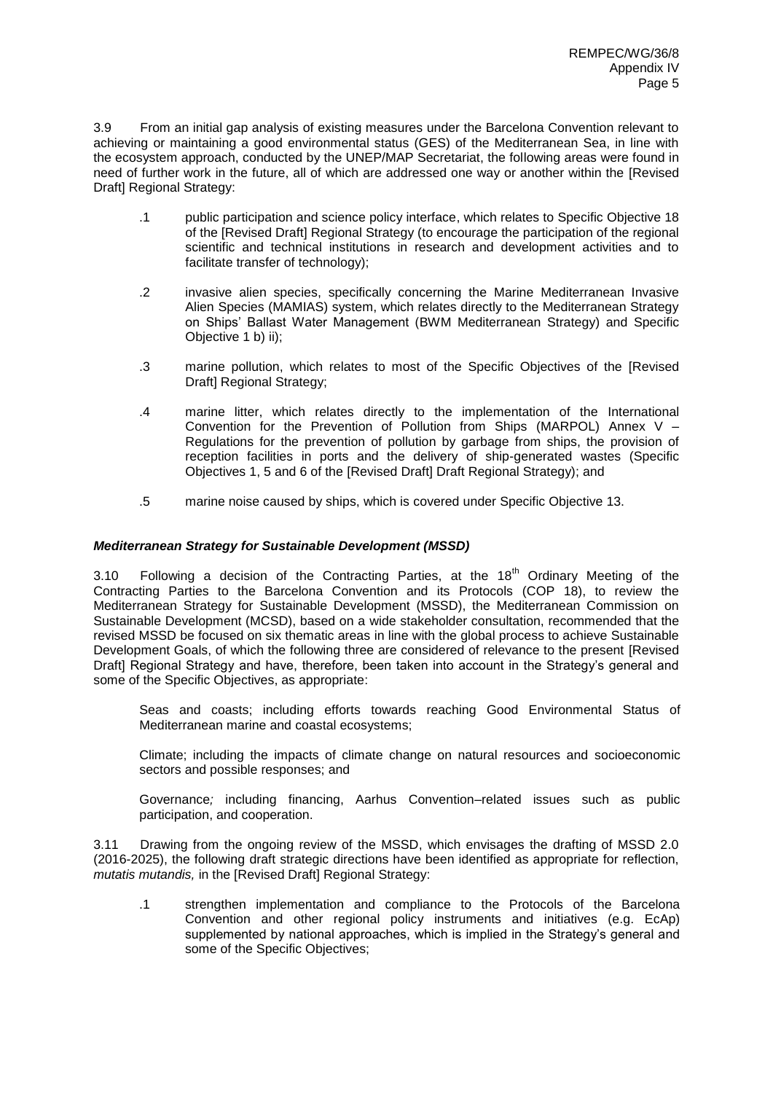3.9 From an initial gap analysis of existing measures under the Barcelona Convention relevant to achieving or maintaining a good environmental status (GES) of the Mediterranean Sea, in line with the ecosystem approach, conducted by the UNEP/MAP Secretariat, the following areas were found in need of further work in the future, all of which are addressed one way or another within the [Revised Draft] Regional Strategy:

- .1 public participation and science policy interface, which relates to Specific Objective 18 of the [Revised Draft] Regional Strategy (to encourage the participation of the regional scientific and technical institutions in research and development activities and to facilitate transfer of technology);
- .2 invasive alien species, specifically concerning the Marine Mediterranean Invasive Alien Species (MAMIAS) system, which relates directly to the Mediterranean Strategy on Ships' Ballast Water Management (BWM Mediterranean Strategy) and Specific Objective 1 b) ii);
- .3 marine pollution, which relates to most of the Specific Objectives of the [Revised Draft] Regional Strategy;
- .4 marine litter, which relates directly to the implementation of the International Convention for the Prevention of Pollution from Ships (MARPOL) Annex V – Regulations for the prevention of pollution by garbage from ships, the provision of reception facilities in ports and the delivery of ship-generated wastes (Specific Objectives 1, 5 and 6 of the [Revised Draft] Draft Regional Strategy); and
- .5 marine noise caused by ships, which is covered under Specific Objective 13.

# *Mediterranean Strategy for Sustainable Development (MSSD)*

3.10 Following a decision of the Contracting Parties, at the  $18<sup>th</sup>$  Ordinary Meeting of the Contracting Parties to the Barcelona Convention and its Protocols (COP 18), to review the Mediterranean Strategy for Sustainable Development (MSSD), the Mediterranean Commission on Sustainable Development (MCSD), based on a wide stakeholder consultation, recommended that the revised MSSD be focused on six thematic areas in line with the global process to achieve Sustainable Development Goals, of which the following three are considered of relevance to the present [Revised Draft] Regional Strategy and have, therefore, been taken into account in the Strategy's general and some of the Specific Objectives, as appropriate:

Seas and coasts; including efforts towards reaching Good Environmental Status of Mediterranean marine and coastal ecosystems;

Climate; including the impacts of climate change on natural resources and socioeconomic sectors and possible responses; and

Governance*;* including financing, Aarhus Convention–related issues such as public participation, and cooperation.

3.11 Drawing from the ongoing review of the MSSD, which envisages the drafting of MSSD 2.0 (2016-2025), the following draft strategic directions have been identified as appropriate for reflection, *mutatis mutandis,* in the [Revised Draft] Regional Strategy:

.1 strengthen implementation and compliance to the Protocols of the Barcelona Convention and other regional policy instruments and initiatives (e.g. EcAp) supplemented by national approaches, which is implied in the Strategy's general and some of the Specific Objectives;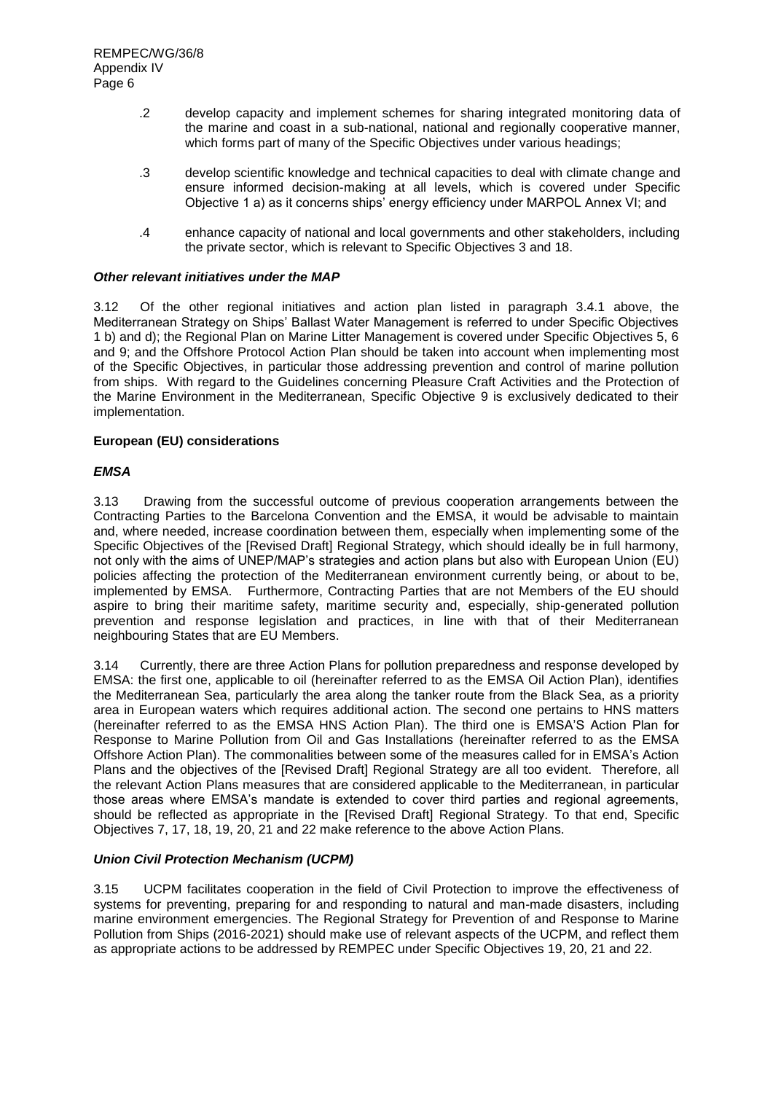- .2 develop capacity and implement schemes for sharing integrated monitoring data of the marine and coast in a sub-national, national and regionally cooperative manner, which forms part of many of the Specific Objectives under various headings;
- .3 develop scientific knowledge and technical capacities to deal with climate change and ensure informed decision-making at all levels, which is covered under Specific Objective 1 a) as it concerns ships' energy efficiency under MARPOL Annex VI; and
- .4 enhance capacity of national and local governments and other stakeholders, including the private sector, which is relevant to Specific Objectives 3 and 18.

# *Other relevant initiatives under the MAP*

3.12 Of the other regional initiatives and action plan listed in paragraph 3.4.1 above, the Mediterranean Strategy on Ships' Ballast Water Management is referred to under Specific Objectives 1 b) and d); the Regional Plan on Marine Litter Management is covered under Specific Objectives 5, 6 and 9; and the Offshore Protocol Action Plan should be taken into account when implementing most of the Specific Objectives, in particular those addressing prevention and control of marine pollution from ships. With regard to the Guidelines concerning Pleasure Craft Activities and the Protection of the Marine Environment in the Mediterranean, Specific Objective 9 is exclusively dedicated to their implementation.

## **European (EU) considerations**

## *EMSA*

3.13 Drawing from the successful outcome of previous cooperation arrangements between the Contracting Parties to the Barcelona Convention and the EMSA, it would be advisable to maintain and, where needed, increase coordination between them, especially when implementing some of the Specific Objectives of the [Revised Draft] Regional Strategy, which should ideally be in full harmony, not only with the aims of UNEP/MAP's strategies and action plans but also with European Union (EU) policies affecting the protection of the Mediterranean environment currently being, or about to be, implemented by EMSA. Furthermore, Contracting Parties that are not Members of the EU should aspire to bring their maritime safety, maritime security and, especially, ship-generated pollution prevention and response legislation and practices, in line with that of their Mediterranean neighbouring States that are EU Members.

3.14 Currently, there are three Action Plans for pollution preparedness and response developed by EMSA: the first one, applicable to oil (hereinafter referred to as the EMSA Oil Action Plan), identifies the Mediterranean Sea, particularly the area along the tanker route from the Black Sea, as a priority area in European waters which requires additional action. The second one pertains to HNS matters (hereinafter referred to as the EMSA HNS Action Plan). The third one is EMSA'S Action Plan for Response to Marine Pollution from Oil and Gas Installations (hereinafter referred to as the EMSA Offshore Action Plan). The commonalities between some of the measures called for in EMSA's Action Plans and the objectives of the [Revised Draft] Regional Strategy are all too evident. Therefore, all the relevant Action Plans measures that are considered applicable to the Mediterranean, in particular those areas where EMSA's mandate is extended to cover third parties and regional agreements, should be reflected as appropriate in the [Revised Draft] Regional Strategy. To that end, Specific Objectives 7, 17, 18, 19, 20, 21 and 22 make reference to the above Action Plans.

# *Union Civil Protection Mechanism (UCPM)*

3.15 UCPM facilitates cooperation in the field of Civil Protection to improve the effectiveness of systems for preventing, preparing for and responding to natural and man-made disasters, including marine environment emergencies. The Regional Strategy for Prevention of and Response to Marine Pollution from Ships (2016-2021) should make use of relevant aspects of the UCPM, and reflect them as appropriate actions to be addressed by REMPEC under Specific Objectives 19, 20, 21 and 22.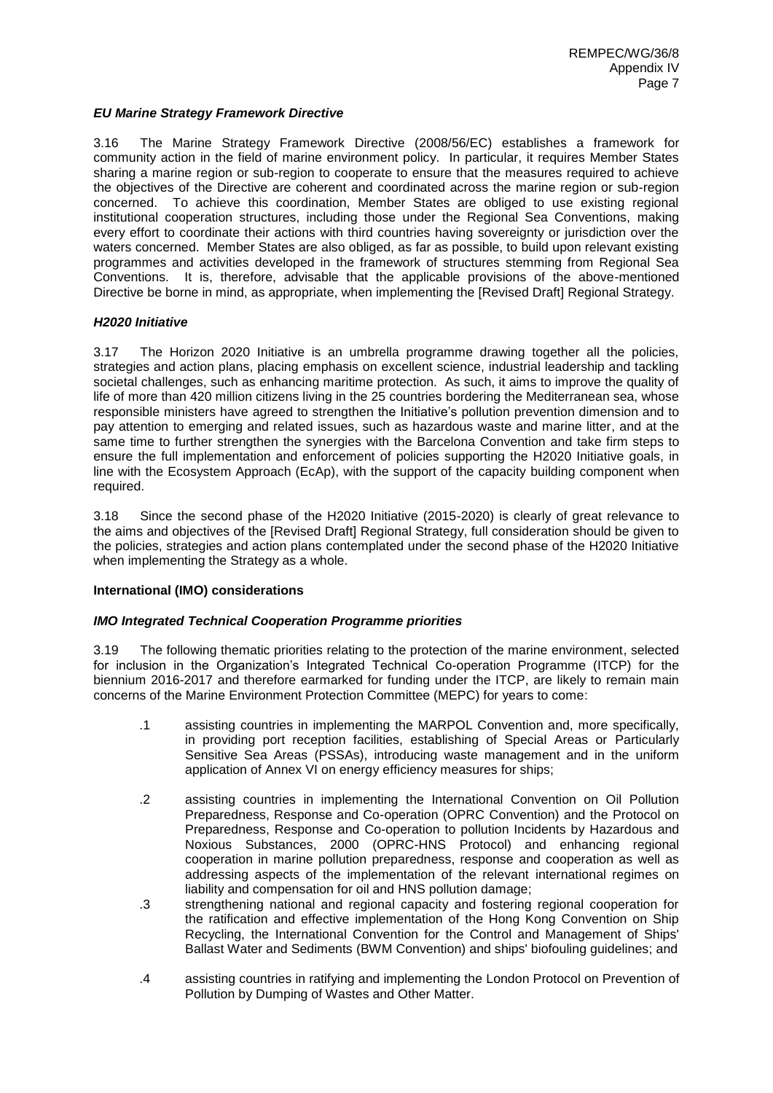# *EU Marine Strategy Framework Directive*

3.16 The Marine Strategy Framework Directive (2008/56/EC) establishes a framework for community action in the field of marine environment policy. In particular, it requires Member States sharing a marine region or sub-region to cooperate to ensure that the measures required to achieve the objectives of the Directive are coherent and coordinated across the marine region or sub-region concerned. To achieve this coordination, Member States are obliged to use existing regional institutional cooperation structures, including those under the Regional Sea Conventions, making every effort to coordinate their actions with third countries having sovereignty or jurisdiction over the waters concerned. Member States are also obliged, as far as possible, to build upon relevant existing programmes and activities developed in the framework of structures stemming from Regional Sea Conventions. It is, therefore, advisable that the applicable provisions of the above-mentioned Directive be borne in mind, as appropriate, when implementing the [Revised Draft] Regional Strategy.

## *H2020 Initiative*

3.17 The Horizon 2020 Initiative is an umbrella programme drawing together all the policies, strategies and action plans, placing emphasis on excellent science, industrial leadership and tackling societal challenges, such as enhancing maritime protection. As such, it aims to improve the quality of life of more than 420 million citizens living in the 25 countries bordering the Mediterranean sea, whose responsible ministers have agreed to strengthen the Initiative's pollution prevention dimension and to pay attention to emerging and related issues, such as hazardous waste and marine litter, and at the same time to further strengthen the synergies with the Barcelona Convention and take firm steps to ensure the full implementation and enforcement of policies supporting the H2020 Initiative goals, in line with the Ecosystem Approach (EcAp), with the support of the capacity building component when required.

3.18 Since the second phase of the H2020 Initiative (2015-2020) is clearly of great relevance to the aims and objectives of the [Revised Draft] Regional Strategy, full consideration should be given to the policies, strategies and action plans contemplated under the second phase of the H2020 Initiative when implementing the Strategy as a whole.

# **International (IMO) considerations**

# *IMO Integrated Technical Cooperation Programme priorities*

3.19 The following thematic priorities relating to the protection of the marine environment, selected for inclusion in the Organization's Integrated Technical Co-operation Programme (ITCP) for the biennium 2016-2017 and therefore earmarked for funding under the ITCP, are likely to remain main concerns of the Marine Environment Protection Committee (MEPC) for years to come:

- .1 assisting countries in implementing the MARPOL Convention and, more specifically, in providing port reception facilities, establishing of Special Areas or Particularly Sensitive Sea Areas (PSSAs), introducing waste management and in the uniform application of Annex VI on energy efficiency measures for ships;
- .2 assisting countries in implementing the International Convention on Oil Pollution Preparedness, Response and Co-operation (OPRC Convention) and the Protocol on Preparedness, Response and Co-operation to pollution Incidents by Hazardous and Noxious Substances, 2000 (OPRC-HNS Protocol) and enhancing regional cooperation in marine pollution preparedness, response and cooperation as well as addressing aspects of the implementation of the relevant international regimes on liability and compensation for oil and HNS pollution damage;
- .3 strengthening national and regional capacity and fostering regional cooperation for the ratification and effective implementation of the Hong Kong Convention on Ship Recycling, the International Convention for the Control and Management of Ships' Ballast Water and Sediments (BWM Convention) and ships' biofouling guidelines; and
- .4 assisting countries in ratifying and implementing the London Protocol on Prevention of Pollution by Dumping of Wastes and Other Matter.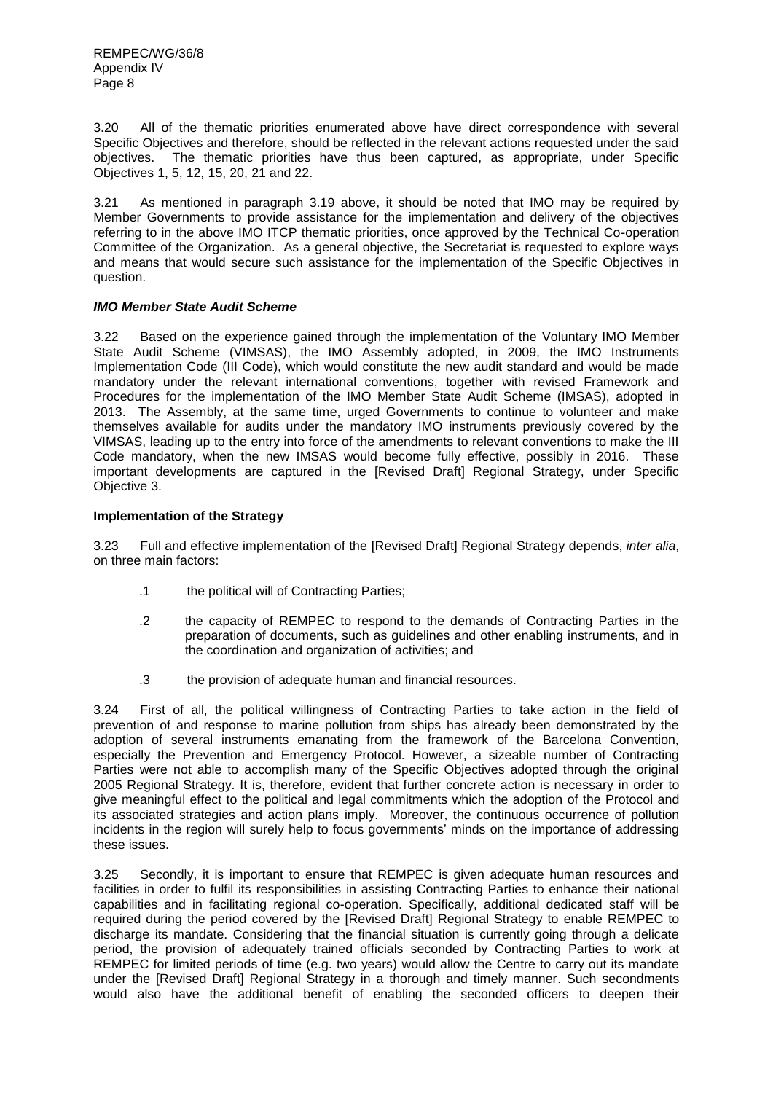3.20 All of the thematic priorities enumerated above have direct correspondence with several Specific Objectives and therefore, should be reflected in the relevant actions requested under the said objectives. The thematic priorities have thus been captured, as appropriate, under Specific Objectives 1, 5, 12, 15, 20, 21 and 22.

3.21 As mentioned in paragraph 3.19 above, it should be noted that IMO may be required by Member Governments to provide assistance for the implementation and delivery of the objectives referring to in the above IMO ITCP thematic priorities, once approved by the Technical Co-operation Committee of the Organization. As a general objective, the Secretariat is requested to explore ways and means that would secure such assistance for the implementation of the Specific Objectives in question.

# *IMO Member State Audit Scheme*

3.22 Based on the experience gained through the implementation of the Voluntary IMO Member State Audit Scheme (VIMSAS), the IMO Assembly adopted, in 2009, the IMO Instruments Implementation Code (III Code), which would constitute the new audit standard and would be made mandatory under the relevant international conventions, together with revised Framework and Procedures for the implementation of the IMO Member State Audit Scheme (IMSAS), adopted in 2013. The Assembly, at the same time, urged Governments to continue to volunteer and make themselves available for audits under the mandatory IMO instruments previously covered by the VIMSAS, leading up to the entry into force of the amendments to relevant conventions to make the III Code mandatory, when the new IMSAS would become fully effective, possibly in 2016. These important developments are captured in the [Revised Draft] Regional Strategy, under Specific Objective 3.

## **Implementation of the Strategy**

3.23 Full and effective implementation of the [Revised Draft] Regional Strategy depends, *inter alia*, on three main factors:

- .1 the political will of Contracting Parties;
- .2 the capacity of REMPEC to respond to the demands of Contracting Parties in the preparation of documents, such as guidelines and other enabling instruments, and in the coordination and organization of activities; and
- .3 the provision of adequate human and financial resources.

3.24 First of all, the political willingness of Contracting Parties to take action in the field of prevention of and response to marine pollution from ships has already been demonstrated by the adoption of several instruments emanating from the framework of the Barcelona Convention, especially the Prevention and Emergency Protocol. However, a sizeable number of Contracting Parties were not able to accomplish many of the Specific Objectives adopted through the original 2005 Regional Strategy. It is, therefore, evident that further concrete action is necessary in order to give meaningful effect to the political and legal commitments which the adoption of the Protocol and its associated strategies and action plans imply. Moreover, the continuous occurrence of pollution incidents in the region will surely help to focus governments' minds on the importance of addressing these issues.

3.25 Secondly, it is important to ensure that REMPEC is given adequate human resources and facilities in order to fulfil its responsibilities in assisting Contracting Parties to enhance their national capabilities and in facilitating regional co-operation. Specifically, additional dedicated staff will be required during the period covered by the [Revised Draft] Regional Strategy to enable REMPEC to discharge its mandate. Considering that the financial situation is currently going through a delicate period, the provision of adequately trained officials seconded by Contracting Parties to work at REMPEC for limited periods of time (e.g. two years) would allow the Centre to carry out its mandate under the [Revised Draft] Regional Strategy in a thorough and timely manner. Such secondments would also have the additional benefit of enabling the seconded officers to deepen their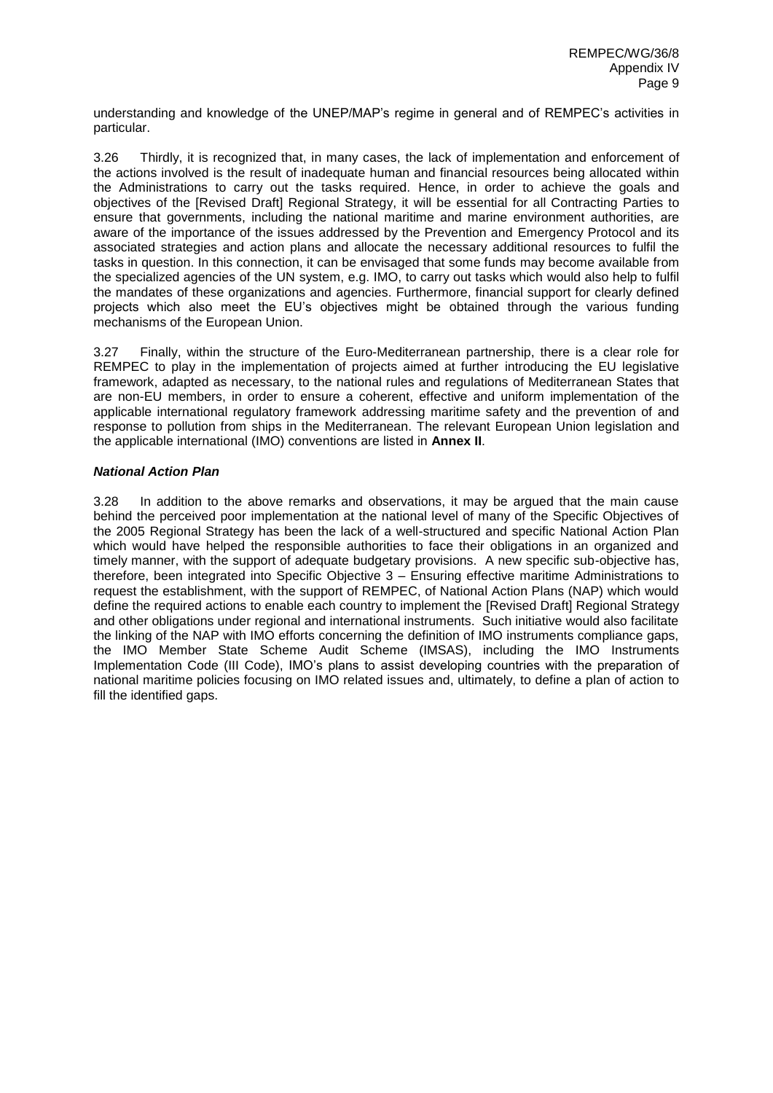understanding and knowledge of the UNEP/MAP's regime in general and of REMPEC's activities in particular.

3.26 Thirdly, it is recognized that, in many cases, the lack of implementation and enforcement of the actions involved is the result of inadequate human and financial resources being allocated within the Administrations to carry out the tasks required. Hence, in order to achieve the goals and objectives of the [Revised Draft] Regional Strategy, it will be essential for all Contracting Parties to ensure that governments, including the national maritime and marine environment authorities, are aware of the importance of the issues addressed by the Prevention and Emergency Protocol and its associated strategies and action plans and allocate the necessary additional resources to fulfil the tasks in question. In this connection, it can be envisaged that some funds may become available from the specialized agencies of the UN system, e.g. IMO, to carry out tasks which would also help to fulfil the mandates of these organizations and agencies. Furthermore, financial support for clearly defined projects which also meet the EU's objectives might be obtained through the various funding mechanisms of the European Union.

3.27 Finally, within the structure of the Euro-Mediterranean partnership, there is a clear role for REMPEC to play in the implementation of projects aimed at further introducing the EU legislative framework, adapted as necessary, to the national rules and regulations of Mediterranean States that are non-EU members, in order to ensure a coherent, effective and uniform implementation of the applicable international regulatory framework addressing maritime safety and the prevention of and response to pollution from ships in the Mediterranean. The relevant European Union legislation and the applicable international (IMO) conventions are listed in **Annex II**.

## *National Action Plan*

3.28 In addition to the above remarks and observations, it may be argued that the main cause behind the perceived poor implementation at the national level of many of the Specific Objectives of the 2005 Regional Strategy has been the lack of a well-structured and specific National Action Plan which would have helped the responsible authorities to face their obligations in an organized and timely manner, with the support of adequate budgetary provisions. A new specific sub-objective has, therefore, been integrated into Specific Objective 3 – Ensuring effective maritime Administrations to request the establishment, with the support of REMPEC, of National Action Plans (NAP) which would define the required actions to enable each country to implement the [Revised Draft] Regional Strategy and other obligations under regional and international instruments. Such initiative would also facilitate the linking of the NAP with IMO efforts concerning the definition of IMO instruments compliance gaps, the IMO Member State Scheme Audit Scheme (IMSAS), including the IMO Instruments Implementation Code (III Code), IMO's plans to assist developing countries with the preparation of national maritime policies focusing on IMO related issues and, ultimately, to define a plan of action to fill the identified gaps.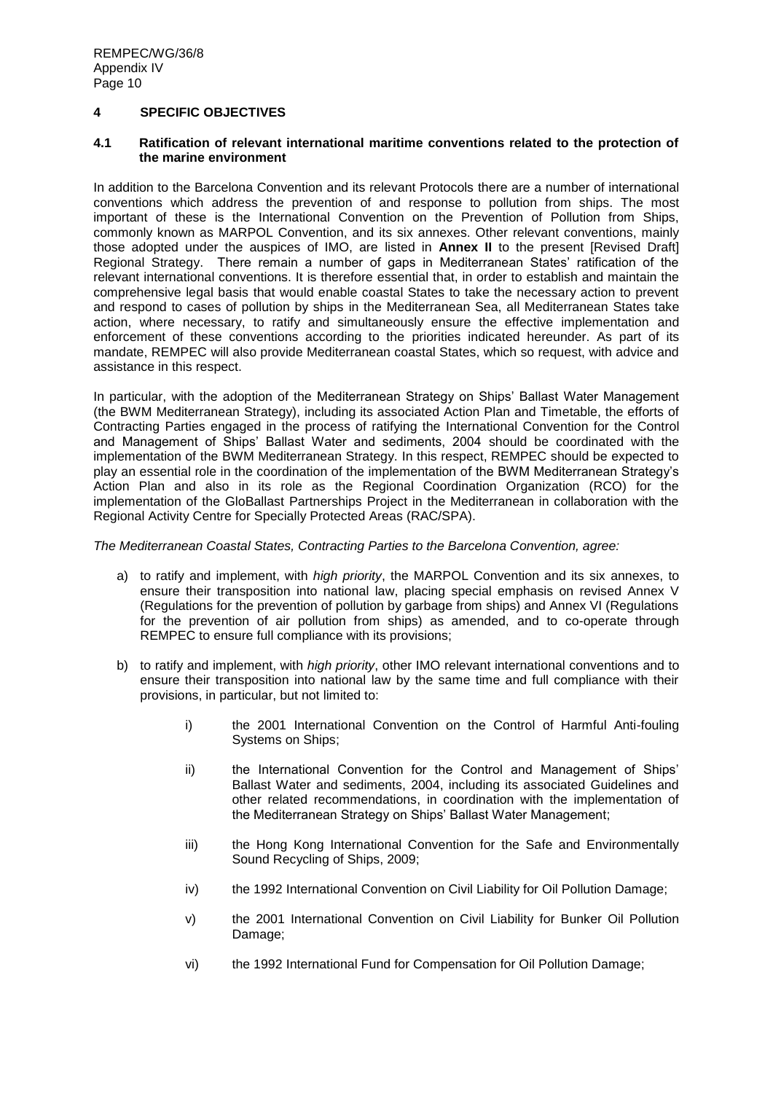# **4 SPECIFIC OBJECTIVES**

# **4.1 Ratification of relevant international maritime conventions related to the protection of the marine environment**

In addition to the Barcelona Convention and its relevant Protocols there are a number of international conventions which address the prevention of and response to pollution from ships. The most important of these is the International Convention on the Prevention of Pollution from Ships, commonly known as MARPOL Convention, and its six annexes. Other relevant conventions, mainly those adopted under the auspices of IMO, are listed in **Annex II** to the present [Revised Draft] Regional Strategy. There remain a number of gaps in Mediterranean States' ratification of the relevant international conventions. It is therefore essential that, in order to establish and maintain the comprehensive legal basis that would enable coastal States to take the necessary action to prevent and respond to cases of pollution by ships in the Mediterranean Sea, all Mediterranean States take action, where necessary, to ratify and simultaneously ensure the effective implementation and enforcement of these conventions according to the priorities indicated hereunder. As part of its mandate, REMPEC will also provide Mediterranean coastal States, which so request, with advice and assistance in this respect.

In particular, with the adoption of the Mediterranean Strategy on Ships' Ballast Water Management (the BWM Mediterranean Strategy), including its associated Action Plan and Timetable, the efforts of Contracting Parties engaged in the process of ratifying the International Convention for the Control and Management of Ships' Ballast Water and sediments, 2004 should be coordinated with the implementation of the BWM Mediterranean Strategy. In this respect, REMPEC should be expected to play an essential role in the coordination of the implementation of the BWM Mediterranean Strategy's Action Plan and also in its role as the Regional Coordination Organization (RCO) for the implementation of the GloBallast Partnerships Project in the Mediterranean in collaboration with the Regional Activity Centre for Specially Protected Areas (RAC/SPA).

*The Mediterranean Coastal States, Contracting Parties to the Barcelona Convention, agree:*

- a) to ratify and implement, with *high priority*, the MARPOL Convention and its six annexes, to ensure their transposition into national law, placing special emphasis on revised Annex V (Regulations for the prevention of pollution by garbage from ships) and Annex VI (Regulations for the prevention of air pollution from ships) as amended, and to co-operate through REMPEC to ensure full compliance with its provisions;
- b) to ratify and implement, with *high priority*, other IMO relevant international conventions and to ensure their transposition into national law by the same time and full compliance with their provisions, in particular, but not limited to:
	- i) the 2001 International Convention on the Control of Harmful Anti-fouling Systems on Ships;
	- ii) the International Convention for the Control and Management of Ships' Ballast Water and sediments, 2004, including its associated Guidelines and other related recommendations, in coordination with the implementation of the Mediterranean Strategy on Ships' Ballast Water Management;
	- iii) the Hong Kong International Convention for the Safe and Environmentally Sound Recycling of Ships, 2009;
	- iv) the 1992 International Convention on Civil Liability for Oil Pollution Damage;
	- v) the 2001 International Convention on Civil Liability for Bunker Oil Pollution Damage;
	- vi) the 1992 International Fund for Compensation for Oil Pollution Damage;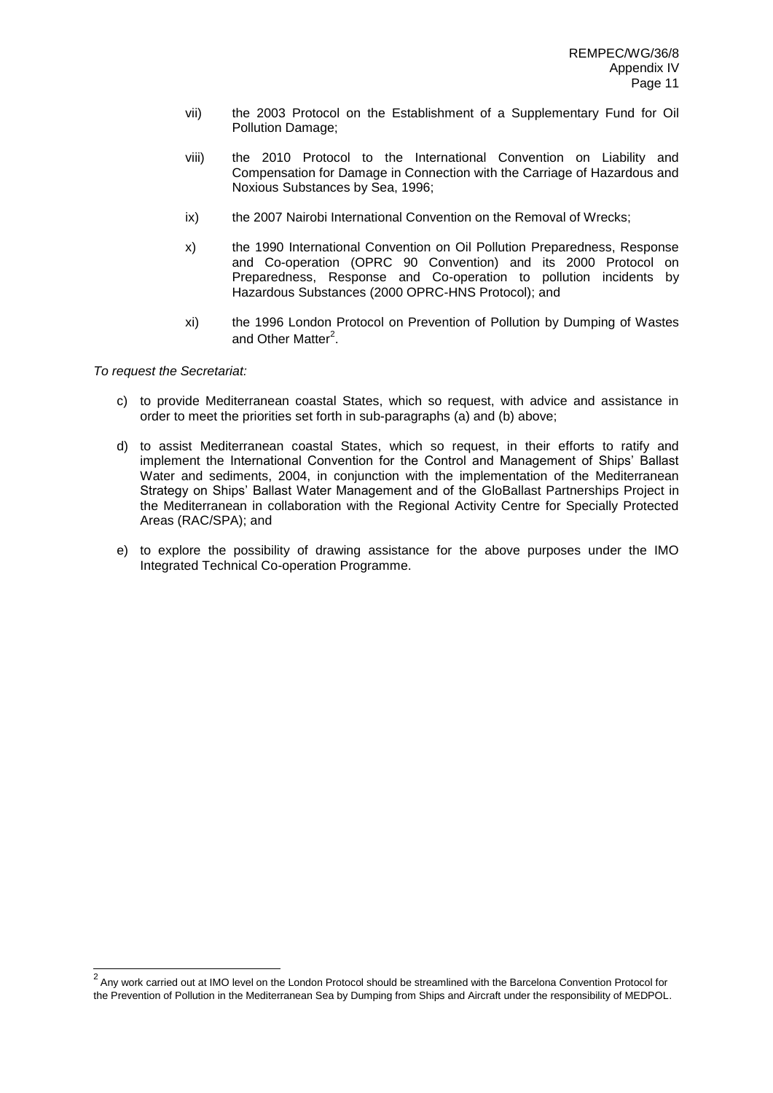- vii) the 2003 Protocol on the Establishment of a Supplementary Fund for Oil Pollution Damage;
- viii) the 2010 Protocol to the International Convention on Liability and Compensation for Damage in Connection with the Carriage of Hazardous and Noxious Substances by Sea, 1996;
- ix) the 2007 Nairobi International Convention on the Removal of Wrecks;
- x) the 1990 International Convention on Oil Pollution Preparedness, Response and Co-operation (OPRC 90 Convention) and its 2000 Protocol on Preparedness, Response and Co-operation to pollution incidents by Hazardous Substances (2000 OPRC-HNS Protocol); and
- xi) the 1996 London Protocol on Prevention of Pollution by Dumping of Wastes and Other Matter<sup>2</sup>.

- c) to provide Mediterranean coastal States, which so request, with advice and assistance in order to meet the priorities set forth in sub-paragraphs (a) and (b) above;
- d) to assist Mediterranean coastal States, which so request, in their efforts to ratify and implement the International Convention for the Control and Management of Ships' Ballast Water and sediments, 2004, in conjunction with the implementation of the Mediterranean Strategy on Ships' Ballast Water Management and of the GloBallast Partnerships Project in the Mediterranean in collaboration with the Regional Activity Centre for Specially Protected Areas (RAC/SPA); and
- e) to explore the possibility of drawing assistance for the above purposes under the IMO Integrated Technical Co-operation Programme.

 2 Any work carried out at IMO level on the London Protocol should be streamlined with the Barcelona Convention Protocol for the Prevention of Pollution in the Mediterranean Sea by Dumping from Ships and Aircraft under the responsibility of MEDPOL.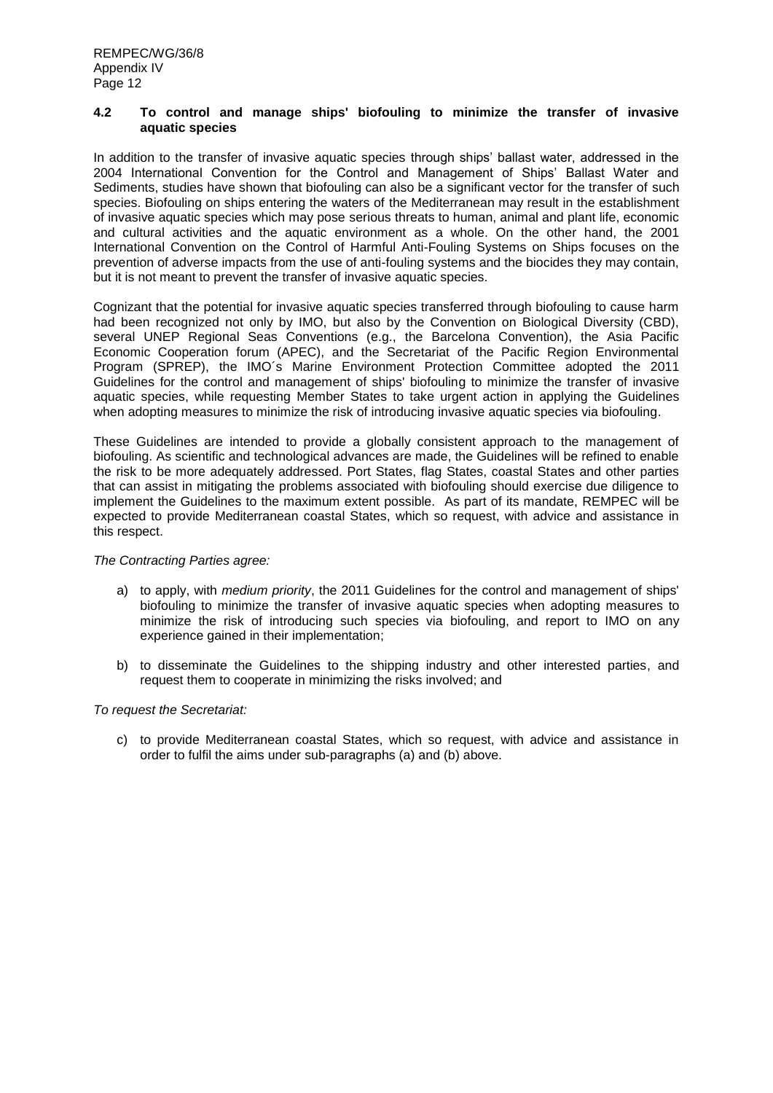## **4.2 To control and manage ships' biofouling to minimize the transfer of invasive aquatic species**

In addition to the transfer of invasive aquatic species through ships' ballast water, addressed in the 2004 International Convention for the Control and Management of Ships' Ballast Water and Sediments, studies have shown that biofouling can also be a significant vector for the transfer of such species. Biofouling on ships entering the waters of the Mediterranean may result in the establishment of invasive aquatic species which may pose serious threats to human, animal and plant life, economic and cultural activities and the aquatic environment as a whole. On the other hand, the 2001 International Convention on the Control of Harmful Anti-Fouling Systems on Ships focuses on the prevention of adverse impacts from the use of anti-fouling systems and the biocides they may contain, but it is not meant to prevent the transfer of invasive aquatic species.

Cognizant that the potential for invasive aquatic species transferred through biofouling to cause harm had been recognized not only by IMO, but also by the Convention on Biological Diversity (CBD), several UNEP Regional Seas Conventions (e.g., the Barcelona Convention), the Asia Pacific Economic Cooperation forum (APEC), and the Secretariat of the Pacific Region Environmental Program (SPREP), the IMO´s Marine Environment Protection Committee adopted the 2011 Guidelines for the control and management of ships' biofouling to minimize the transfer of invasive aquatic species, while requesting Member States to take urgent action in applying the Guidelines when adopting measures to minimize the risk of introducing invasive aquatic species via biofouling.

These Guidelines are intended to provide a globally consistent approach to the management of biofouling. As scientific and technological advances are made, the Guidelines will be refined to enable the risk to be more adequately addressed. Port States, flag States, coastal States and other parties that can assist in mitigating the problems associated with biofouling should exercise due diligence to implement the Guidelines to the maximum extent possible. As part of its mandate, REMPEC will be expected to provide Mediterranean coastal States, which so request, with advice and assistance in this respect.

## *The Contracting Parties agree:*

- a) to apply, with *medium priority*, the 2011 Guidelines for the control and management of ships' biofouling to minimize the transfer of invasive aquatic species when adopting measures to minimize the risk of introducing such species via biofouling, and report to IMO on any experience gained in their implementation;
- b) to disseminate the Guidelines to the shipping industry and other interested parties, and request them to cooperate in minimizing the risks involved; and

# *To request the Secretariat:*

c) to provide Mediterranean coastal States, which so request, with advice and assistance in order to fulfil the aims under sub-paragraphs (a) and (b) above.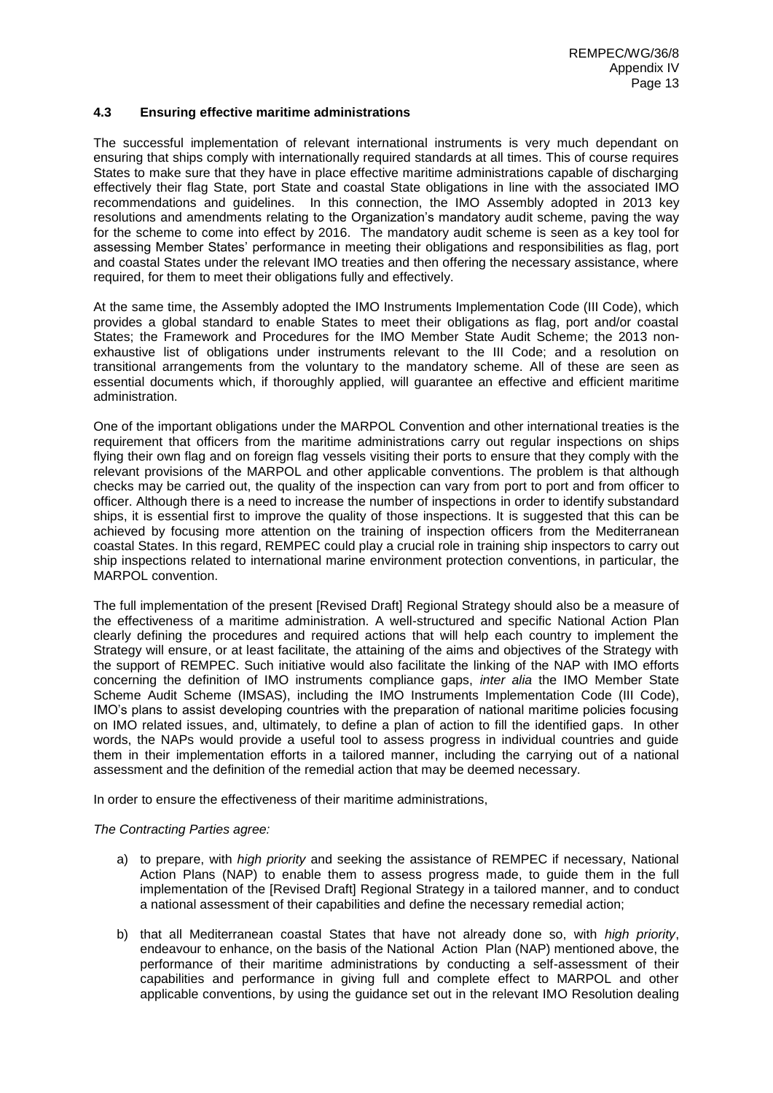## **4.3 Ensuring effective maritime administrations**

The successful implementation of relevant international instruments is very much dependant on ensuring that ships comply with internationally required standards at all times. This of course requires States to make sure that they have in place effective maritime administrations capable of discharging effectively their flag State, port State and coastal State obligations in line with the associated IMO recommendations and guidelines. In this connection, the IMO Assembly adopted in 2013 key resolutions and amendments relating to the Organization's mandatory audit scheme, paving the way for the scheme to come into effect by 2016. The mandatory audit scheme is seen as a key tool for assessing Member States' performance in meeting their obligations and responsibilities as flag, port and coastal States under the relevant IMO treaties and then offering the necessary assistance, where required, for them to meet their obligations fully and effectively.

At the same time, the Assembly adopted the IMO Instruments Implementation Code (III Code), which provides a global standard to enable States to meet their obligations as flag, port and/or coastal States; the Framework and Procedures for the IMO Member State Audit Scheme; the 2013 nonexhaustive list of obligations under instruments relevant to the III Code; and a resolution on transitional arrangements from the voluntary to the mandatory scheme. All of these are seen as essential documents which, if thoroughly applied, will guarantee an effective and efficient maritime administration.

One of the important obligations under the MARPOL Convention and other international treaties is the requirement that officers from the maritime administrations carry out regular inspections on ships flying their own flag and on foreign flag vessels visiting their ports to ensure that they comply with the relevant provisions of the MARPOL and other applicable conventions. The problem is that although checks may be carried out, the quality of the inspection can vary from port to port and from officer to officer. Although there is a need to increase the number of inspections in order to identify substandard ships, it is essential first to improve the quality of those inspections. It is suggested that this can be achieved by focusing more attention on the training of inspection officers from the Mediterranean coastal States. In this regard, REMPEC could play a crucial role in training ship inspectors to carry out ship inspections related to international marine environment protection conventions, in particular, the MARPOL convention.

The full implementation of the present [Revised Draft] Regional Strategy should also be a measure of the effectiveness of a maritime administration. A well-structured and specific National Action Plan clearly defining the procedures and required actions that will help each country to implement the Strategy will ensure, or at least facilitate, the attaining of the aims and objectives of the Strategy with the support of REMPEC. Such initiative would also facilitate the linking of the NAP with IMO efforts concerning the definition of IMO instruments compliance gaps, *inter alia* the IMO Member State Scheme Audit Scheme (IMSAS), including the IMO Instruments Implementation Code (III Code), IMO's plans to assist developing countries with the preparation of national maritime policies focusing on IMO related issues, and, ultimately, to define a plan of action to fill the identified gaps. In other words, the NAPs would provide a useful tool to assess progress in individual countries and guide them in their implementation efforts in a tailored manner, including the carrying out of a national assessment and the definition of the remedial action that may be deemed necessary.

In order to ensure the effectiveness of their maritime administrations,

*The Contracting Parties agree:*

- a) to prepare, with *high priority* and seeking the assistance of REMPEC if necessary, National Action Plans (NAP) to enable them to assess progress made, to guide them in the full implementation of the [Revised Draft] Regional Strategy in a tailored manner, and to conduct a national assessment of their capabilities and define the necessary remedial action;
- b) that all Mediterranean coastal States that have not already done so, with *high priority*, endeavour to enhance, on the basis of the National Action Plan (NAP) mentioned above, the performance of their maritime administrations by conducting a self-assessment of their capabilities and performance in giving full and complete effect to MARPOL and other applicable conventions, by using the guidance set out in the relevant IMO Resolution dealing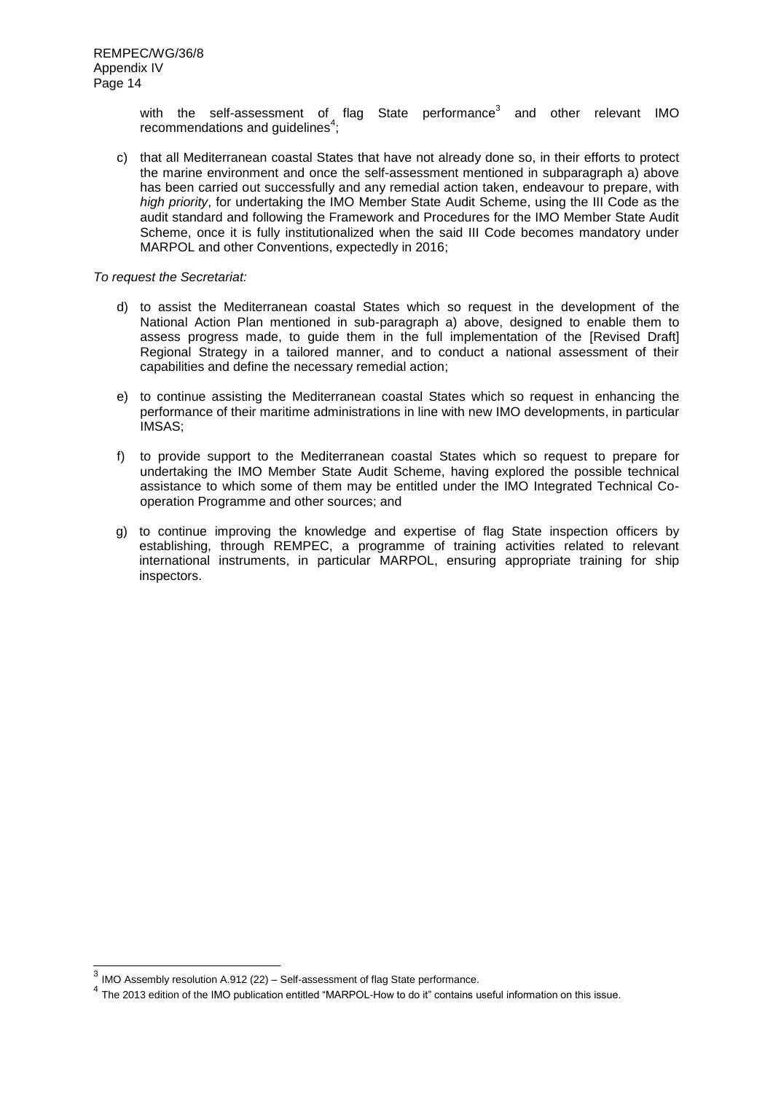with the self-assessment of flag State performance<sup>3</sup> and other relevant IMO recommendations and guidelines $4$ ;

c) that all Mediterranean coastal States that have not already done so, in their efforts to protect the marine environment and once the self-assessment mentioned in subparagraph a) above has been carried out successfully and any remedial action taken, endeavour to prepare, with *high priority*, for undertaking the IMO Member State Audit Scheme, using the III Code as the audit standard and following the Framework and Procedures for the IMO Member State Audit Scheme, once it is fully institutionalized when the said III Code becomes mandatory under MARPOL and other Conventions, expectedly in 2016;

- d) to assist the Mediterranean coastal States which so request in the development of the National Action Plan mentioned in sub-paragraph a) above, designed to enable them to assess progress made, to guide them in the full implementation of the [Revised Draft] Regional Strategy in a tailored manner, and to conduct a national assessment of their capabilities and define the necessary remedial action;
- e) to continue assisting the Mediterranean coastal States which so request in enhancing the performance of their maritime administrations in line with new IMO developments, in particular IMSAS;
- f) to provide support to the Mediterranean coastal States which so request to prepare for undertaking the IMO Member State Audit Scheme, having explored the possible technical assistance to which some of them may be entitled under the IMO Integrated Technical Cooperation Programme and other sources; and
- g) to continue improving the knowledge and expertise of flag State inspection officers by establishing, through REMPEC, a programme of training activities related to relevant international instruments, in particular MARPOL, ensuring appropriate training for ship inspectors.

 3 IMO Assembly resolution A.912 (22) – Self-assessment of flag State performance.

<sup>&</sup>lt;sup>4</sup> The 2013 edition of the IMO publication entitled "MARPOL-How to do it" contains useful information on this issue.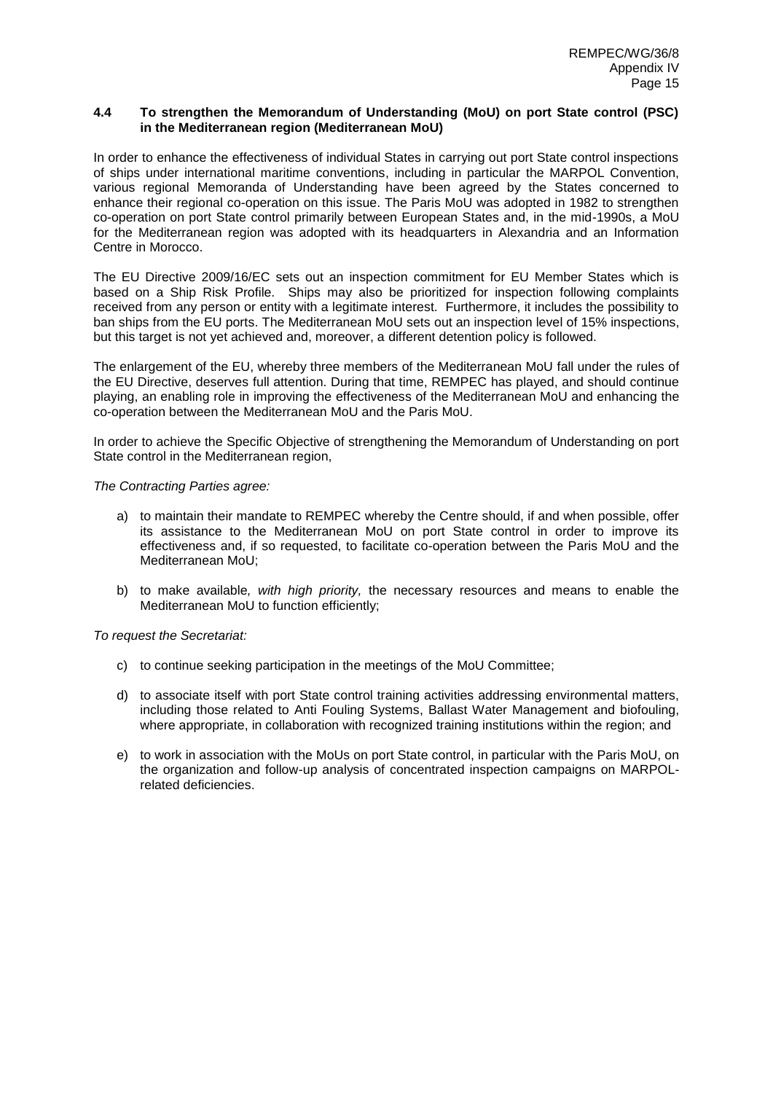## **4.4 To strengthen the Memorandum of Understanding (MoU) on port State control (PSC) in the Mediterranean region (Mediterranean MoU)**

In order to enhance the effectiveness of individual States in carrying out port State control inspections of ships under international maritime conventions, including in particular the MARPOL Convention, various regional Memoranda of Understanding have been agreed by the States concerned to enhance their regional co-operation on this issue. The Paris MoU was adopted in 1982 to strengthen co-operation on port State control primarily between European States and, in the mid-1990s, a MoU for the Mediterranean region was adopted with its headquarters in Alexandria and an Information Centre in Morocco.

The EU Directive 2009/16/EC sets out an inspection commitment for EU Member States which is based on a Ship Risk Profile. Ships may also be prioritized for inspection following complaints received from any person or entity with a legitimate interest. Furthermore, it includes the possibility to ban ships from the EU ports. The Mediterranean MoU sets out an inspection level of 15% inspections, but this target is not yet achieved and, moreover, a different detention policy is followed.

The enlargement of the EU, whereby three members of the Mediterranean MoU fall under the rules of the EU Directive, deserves full attention. During that time, REMPEC has played, and should continue playing, an enabling role in improving the effectiveness of the Mediterranean MoU and enhancing the co-operation between the Mediterranean MoU and the Paris MoU.

In order to achieve the Specific Objective of strengthening the Memorandum of Understanding on port State control in the Mediterranean region,

*The Contracting Parties agree:*

- a) to maintain their mandate to REMPEC whereby the Centre should, if and when possible, offer its assistance to the Mediterranean MoU on port State control in order to improve its effectiveness and, if so requested, to facilitate co-operation between the Paris MoU and the Mediterranean MoU;
- b) to make available*, with high priority,* the necessary resources and means to enable the Mediterranean MoU to function efficiently;

- c) to continue seeking participation in the meetings of the MoU Committee;
- d) to associate itself with port State control training activities addressing environmental matters, including those related to Anti Fouling Systems, Ballast Water Management and biofouling, where appropriate, in collaboration with recognized training institutions within the region; and
- e) to work in association with the MoUs on port State control, in particular with the Paris MoU, on the organization and follow-up analysis of concentrated inspection campaigns on MARPOLrelated deficiencies.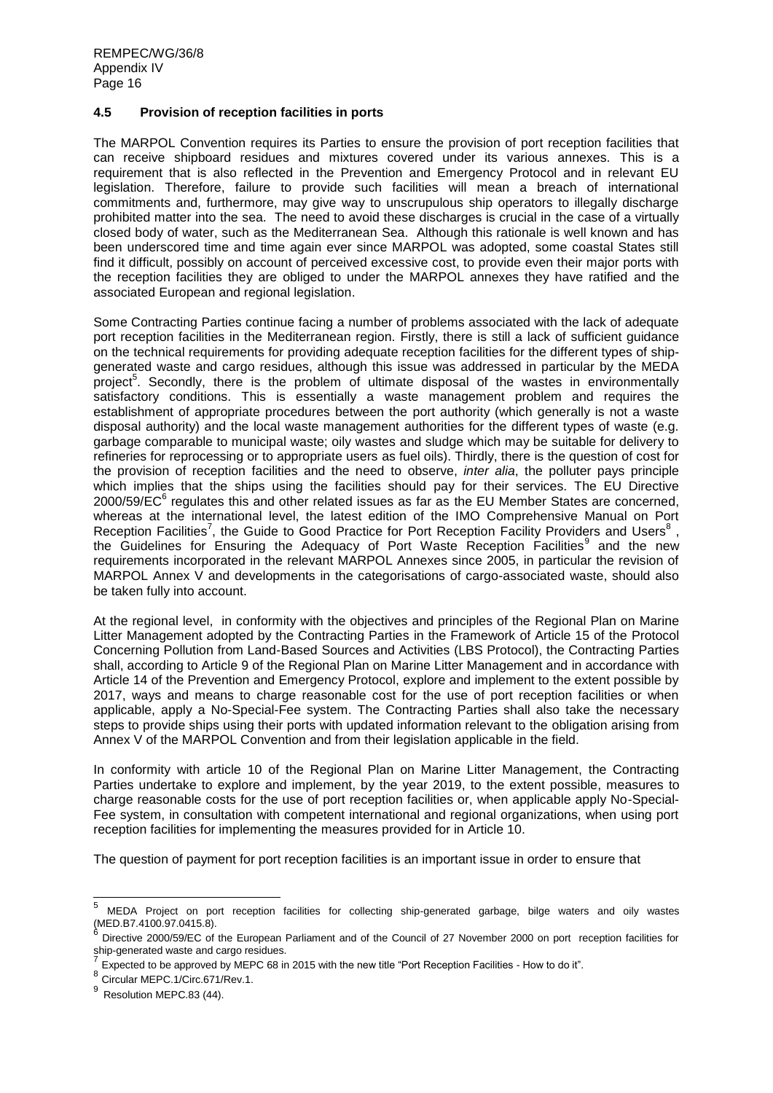## **4.5 Provision of reception facilities in ports**

The MARPOL Convention requires its Parties to ensure the provision of port reception facilities that can receive shipboard residues and mixtures covered under its various annexes. This is a requirement that is also reflected in the Prevention and Emergency Protocol and in relevant EU legislation. Therefore, failure to provide such facilities will mean a breach of international commitments and, furthermore, may give way to unscrupulous ship operators to illegally discharge prohibited matter into the sea. The need to avoid these discharges is crucial in the case of a virtually closed body of water, such as the Mediterranean Sea. Although this rationale is well known and has been underscored time and time again ever since MARPOL was adopted, some coastal States still find it difficult, possibly on account of perceived excessive cost, to provide even their major ports with the reception facilities they are obliged to under the MARPOL annexes they have ratified and the associated European and regional legislation.

Some Contracting Parties continue facing a number of problems associated with the lack of adequate port reception facilities in the Mediterranean region. Firstly, there is still a lack of sufficient guidance on the technical requirements for providing adequate reception facilities for the different types of shipgenerated waste and cargo residues, although this issue was addressed in particular by the MEDA project<sup>5</sup>. Secondly, there is the problem of ultimate disposal of the wastes in environmentally satisfactory conditions. This is essentially a waste management problem and requires the establishment of appropriate procedures between the port authority (which generally is not a waste disposal authority) and the local waste management authorities for the different types of waste (e.g. garbage comparable to municipal waste; oily wastes and sludge which may be suitable for delivery to refineries for reprocessing or to appropriate users as fuel oils). Thirdly, there is the question of cost for the provision of reception facilities and the need to observe, *inter alia*, the polluter pays principle which implies that the ships using the facilities should pay for their services. The EU Directive 2000/59/EC<sup>6</sup> regulates this and other related issues as far as the EU Member States are concerned, whereas at the international level, the latest edition of the IMO Comprehensive Manual on Port Reception Facilities<sup>7</sup>, the Guide to Good Practice for Port Reception Facility Providers and Users<sup>8</sup>, the Guidelines for Ensuring the Adequacy of Port Waste Reception Facilities<sup>9</sup> and the new requirements incorporated in the relevant MARPOL Annexes since 2005, in particular the revision of MARPOL Annex V and developments in the categorisations of cargo-associated waste, should also be taken fully into account.

At the regional level, in conformity with the objectives and principles of the Regional Plan on Marine Litter Management adopted by the Contracting Parties in the Framework of Article 15 of the Protocol Concerning Pollution from Land-Based Sources and Activities (LBS Protocol), the Contracting Parties shall, according to Article 9 of the Regional Plan on Marine Litter Management and in accordance with Article 14 of the Prevention and Emergency Protocol, explore and implement to the extent possible by 2017, ways and means to charge reasonable cost for the use of port reception facilities or when applicable, apply a No-Special-Fee system. The Contracting Parties shall also take the necessary steps to provide ships using their ports with updated information relevant to the obligation arising from Annex V of the MARPOL Convention and from their legislation applicable in the field.

In conformity with article 10 of the Regional Plan on Marine Litter Management, the Contracting Parties undertake to explore and implement, by the year 2019, to the extent possible, measures to charge reasonable costs for the use of port reception facilities or, when applicable apply No-Special-Fee system, in consultation with competent international and regional organizations, when using port reception facilities for implementing the measures provided for in Article 10.

The question of payment for port reception facilities is an important issue in order to ensure that

 $\frac{1}{5}$ MEDA Project on port reception facilities for collecting ship-generated garbage, bilge waters and oily wastes (MED.B7.4100.97.0415.8).

Directive 2000/59/EC of the European Parliament and of the Council of 27 November 2000 on port reception facilities for ship-generated waste and cargo residues.<br>7 Euroeted te he cannouad bu MEDC 69 in

Expected to be approved by MEPC 68 in 2015 with the new title "Port Reception Facilities - How to do it".

 $8 \cdot 10^{-8}$  Circular MEPC. 1/Circ.671/Rev.1.

Resolution MEPC.83 (44).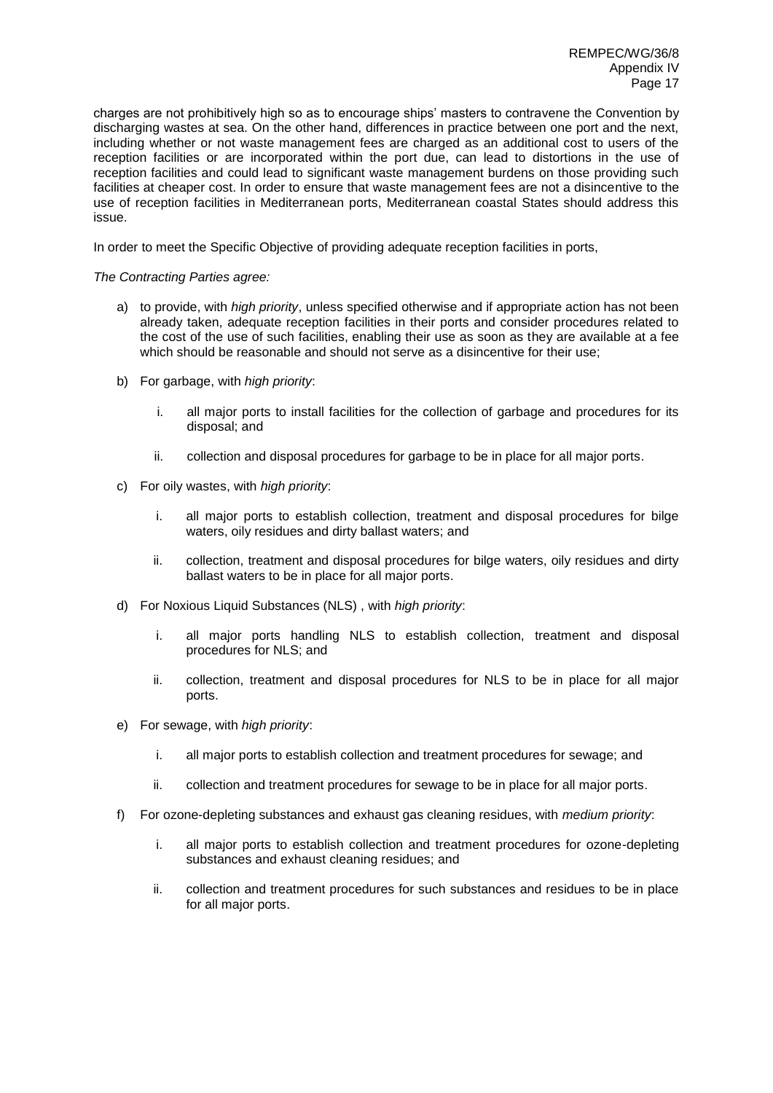charges are not prohibitively high so as to encourage ships' masters to contravene the Convention by discharging wastes at sea. On the other hand, differences in practice between one port and the next, including whether or not waste management fees are charged as an additional cost to users of the reception facilities or are incorporated within the port due, can lead to distortions in the use of reception facilities and could lead to significant waste management burdens on those providing such facilities at cheaper cost. In order to ensure that waste management fees are not a disincentive to the use of reception facilities in Mediterranean ports, Mediterranean coastal States should address this issue.

In order to meet the Specific Objective of providing adequate reception facilities in ports,

# *The Contracting Parties agree:*

- a) to provide, with *high priority*, unless specified otherwise and if appropriate action has not been already taken, adequate reception facilities in their ports and consider procedures related to the cost of the use of such facilities, enabling their use as soon as they are available at a fee which should be reasonable and should not serve as a disincentive for their use;
- b) For garbage, with *high priority*:
	- i. all major ports to install facilities for the collection of garbage and procedures for its disposal; and
	- ii. collection and disposal procedures for garbage to be in place for all major ports.
- c) For oily wastes, with *high priority*:
	- i. all major ports to establish collection, treatment and disposal procedures for bilge waters, oily residues and dirty ballast waters; and
	- ii. collection, treatment and disposal procedures for bilge waters, oily residues and dirty ballast waters to be in place for all major ports.
- d) For Noxious Liquid Substances (NLS) , with *high priority*:
	- i. all major ports handling NLS to establish collection, treatment and disposal procedures for NLS; and
	- ii. collection, treatment and disposal procedures for NLS to be in place for all major ports.
- e) For sewage, with *high priority*:
	- i. all major ports to establish collection and treatment procedures for sewage; and
	- ii. collection and treatment procedures for sewage to be in place for all major ports.
- f) For ozone-depleting substances and exhaust gas cleaning residues, with *medium priority*:
	- i. all major ports to establish collection and treatment procedures for ozone-depleting substances and exhaust cleaning residues; and
	- ii. collection and treatment procedures for such substances and residues to be in place for all major ports.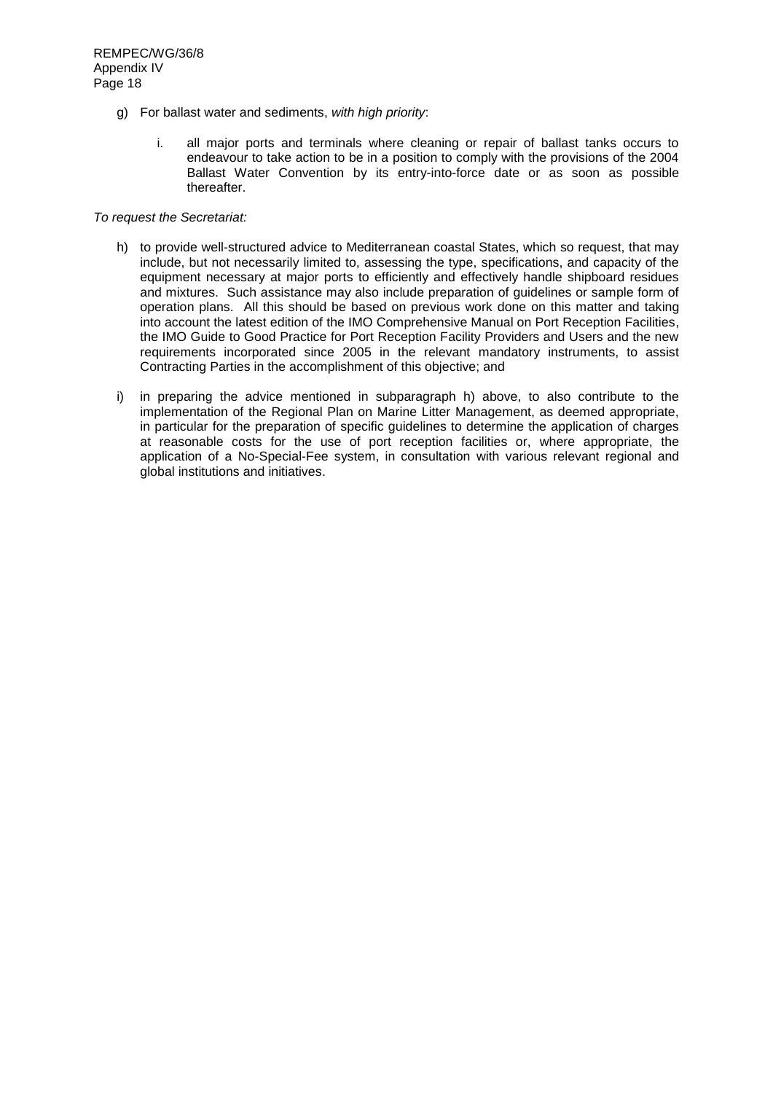- g) For ballast water and sediments, *with high priority*:
	- i. all major ports and terminals where cleaning or repair of ballast tanks occurs to endeavour to take action to be in a position to comply with the provisions of the 2004 Ballast Water Convention by its entry-into-force date or as soon as possible thereafter.

- h) to provide well-structured advice to Mediterranean coastal States, which so request, that may include, but not necessarily limited to, assessing the type, specifications, and capacity of the equipment necessary at major ports to efficiently and effectively handle shipboard residues and mixtures. Such assistance may also include preparation of guidelines or sample form of operation plans. All this should be based on previous work done on this matter and taking into account the latest edition of the IMO Comprehensive Manual on Port Reception Facilities, the IMO Guide to Good Practice for Port Reception Facility Providers and Users and the new requirements incorporated since 2005 in the relevant mandatory instruments, to assist Contracting Parties in the accomplishment of this objective; and
- i) in preparing the advice mentioned in subparagraph h) above, to also contribute to the implementation of the Regional Plan on Marine Litter Management, as deemed appropriate, in particular for the preparation of specific guidelines to determine the application of charges at reasonable costs for the use of port reception facilities or, where appropriate, the application of a No-Special-Fee system, in consultation with various relevant regional and global institutions and initiatives.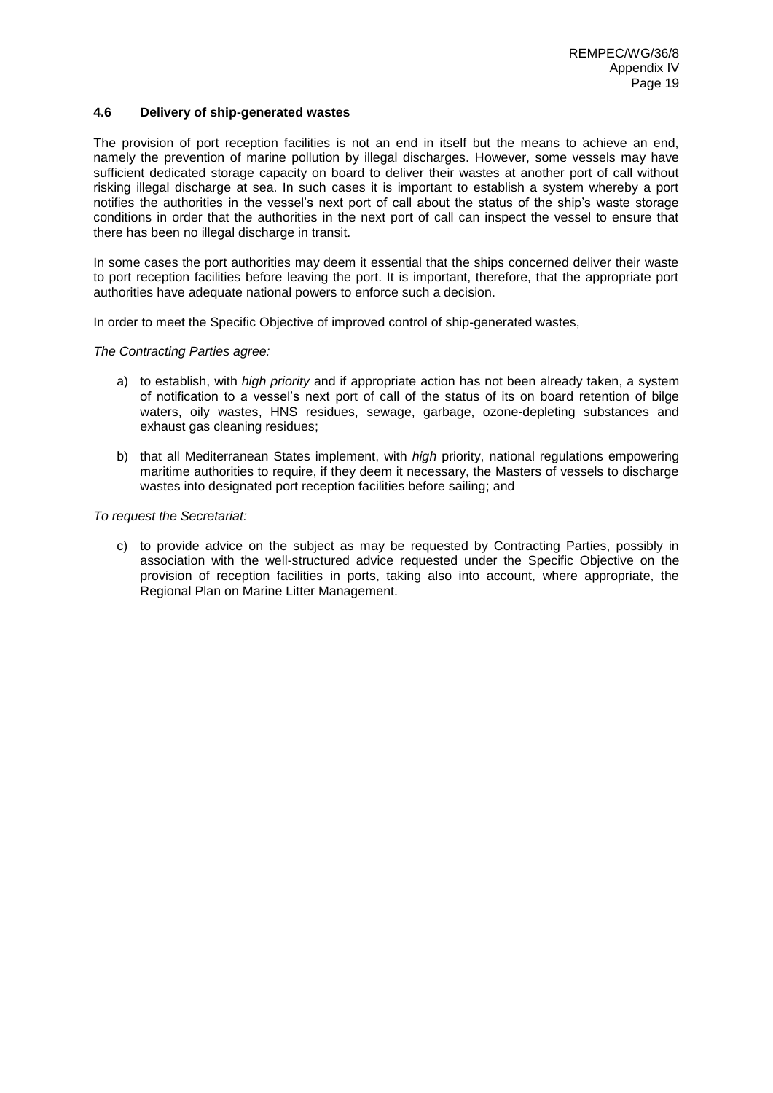## **4.6 Delivery of ship-generated wastes**

The provision of port reception facilities is not an end in itself but the means to achieve an end, namely the prevention of marine pollution by illegal discharges. However, some vessels may have sufficient dedicated storage capacity on board to deliver their wastes at another port of call without risking illegal discharge at sea. In such cases it is important to establish a system whereby a port notifies the authorities in the vessel's next port of call about the status of the ship's waste storage conditions in order that the authorities in the next port of call can inspect the vessel to ensure that there has been no illegal discharge in transit.

In some cases the port authorities may deem it essential that the ships concerned deliver their waste to port reception facilities before leaving the port. It is important, therefore, that the appropriate port authorities have adequate national powers to enforce such a decision.

In order to meet the Specific Objective of improved control of ship-generated wastes,

*The Contracting Parties agree:*

- a) to establish, with *high priority* and if appropriate action has not been already taken, a system of notification to a vessel's next port of call of the status of its on board retention of bilge waters, oily wastes, HNS residues, sewage, garbage, ozone-depleting substances and exhaust gas cleaning residues;
- b) that all Mediterranean States implement, with *high* priority, national regulations empowering maritime authorities to require, if they deem it necessary, the Masters of vessels to discharge wastes into designated port reception facilities before sailing; and

*To request the Secretariat:*

c) to provide advice on the subject as may be requested by Contracting Parties, possibly in association with the well-structured advice requested under the Specific Objective on the provision of reception facilities in ports, taking also into account, where appropriate, the Regional Plan on Marine Litter Management.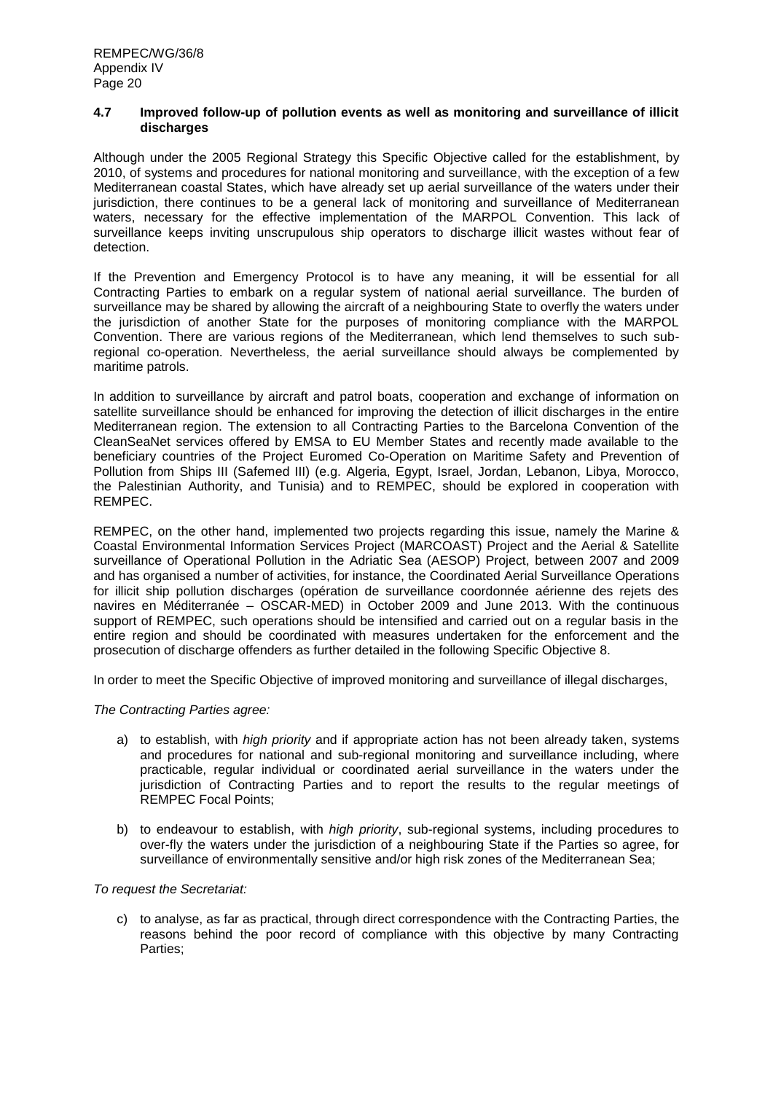## **4.7 Improved follow-up of pollution events as well as monitoring and surveillance of illicit discharges**

Although under the 2005 Regional Strategy this Specific Objective called for the establishment, by 2010, of systems and procedures for national monitoring and surveillance, with the exception of a few Mediterranean coastal States, which have already set up aerial surveillance of the waters under their jurisdiction, there continues to be a general lack of monitoring and surveillance of Mediterranean waters, necessary for the effective implementation of the MARPOL Convention. This lack of surveillance keeps inviting unscrupulous ship operators to discharge illicit wastes without fear of detection.

If the Prevention and Emergency Protocol is to have any meaning, it will be essential for all Contracting Parties to embark on a regular system of national aerial surveillance. The burden of surveillance may be shared by allowing the aircraft of a neighbouring State to overfly the waters under the jurisdiction of another State for the purposes of monitoring compliance with the MARPOL Convention. There are various regions of the Mediterranean, which lend themselves to such subregional co-operation. Nevertheless, the aerial surveillance should always be complemented by maritime patrols.

In addition to surveillance by aircraft and patrol boats, cooperation and exchange of information on satellite surveillance should be enhanced for improving the detection of illicit discharges in the entire Mediterranean region. The extension to all Contracting Parties to the Barcelona Convention of the CleanSeaNet services offered by EMSA to EU Member States and recently made available to the beneficiary countries of the Project Euromed Co-Operation on Maritime Safety and Prevention of Pollution from Ships III (Safemed III) (e.g. Algeria, Egypt, Israel, Jordan, Lebanon, Libya, Morocco, the Palestinian Authority, and Tunisia) and to REMPEC, should be explored in cooperation with REMPEC.

REMPEC, on the other hand, implemented two projects regarding this issue, namely the Marine & Coastal Environmental Information Services Project (MARCOAST) Project and the Aerial & Satellite surveillance of Operational Pollution in the Adriatic Sea (AESOP) Project, between 2007 and 2009 and has organised a number of activities, for instance, the Coordinated Aerial Surveillance Operations for illicit ship pollution discharges (opération de surveillance coordonnée aérienne des rejets des navires en Méditerranée – OSCAR-MED) in October 2009 and June 2013. With the continuous support of REMPEC, such operations should be intensified and carried out on a regular basis in the entire region and should be coordinated with measures undertaken for the enforcement and the prosecution of discharge offenders as further detailed in the following Specific Objective 8.

In order to meet the Specific Objective of improved monitoring and surveillance of illegal discharges,

# *The Contracting Parties agree:*

- a) to establish, with *high priority* and if appropriate action has not been already taken, systems and procedures for national and sub-regional monitoring and surveillance including, where practicable, regular individual or coordinated aerial surveillance in the waters under the jurisdiction of Contracting Parties and to report the results to the regular meetings of REMPEC Focal Points;
- b) to endeavour to establish, with *high priority*, sub-regional systems, including procedures to over-fly the waters under the jurisdiction of a neighbouring State if the Parties so agree, for surveillance of environmentally sensitive and/or high risk zones of the Mediterranean Sea;

*To request the Secretariat:*

c) to analyse, as far as practical, through direct correspondence with the Contracting Parties, the reasons behind the poor record of compliance with this objective by many Contracting Parties;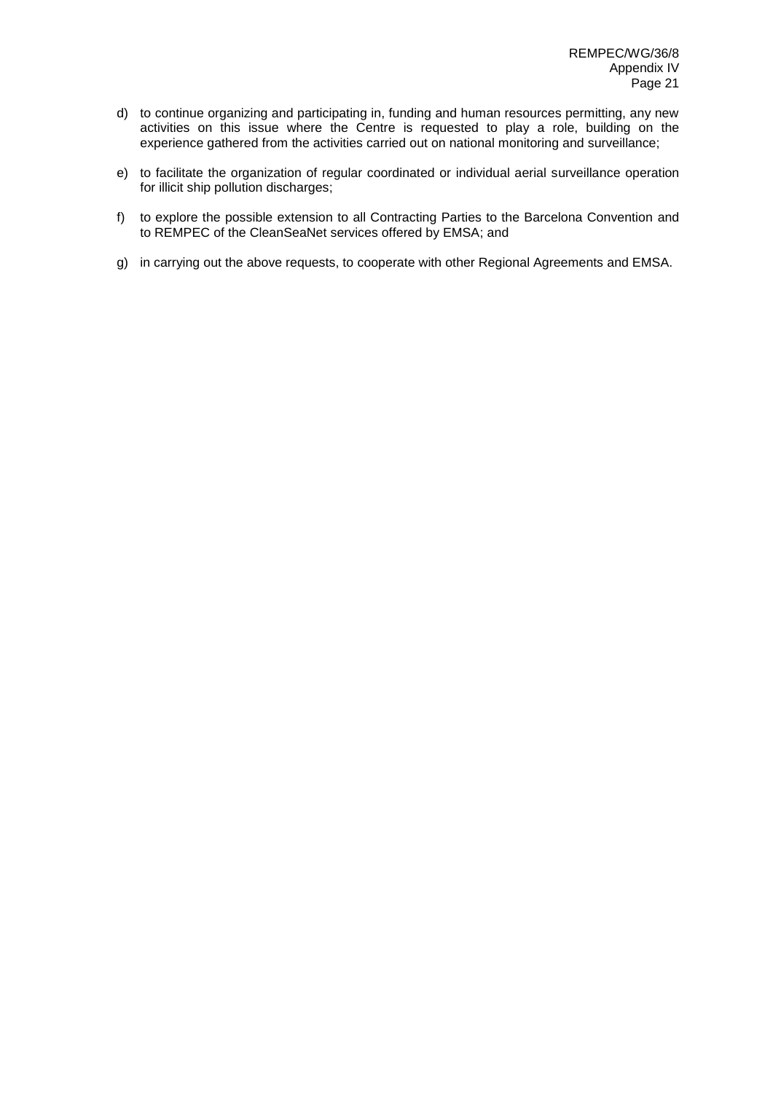- d) to continue organizing and participating in, funding and human resources permitting, any new activities on this issue where the Centre is requested to play a role, building on the experience gathered from the activities carried out on national monitoring and surveillance;
- e) to facilitate the organization of regular coordinated or individual aerial surveillance operation for illicit ship pollution discharges;
- f) to explore the possible extension to all Contracting Parties to the Barcelona Convention and to REMPEC of the CleanSeaNet services offered by EMSA; and
- g) in carrying out the above requests, to cooperate with other Regional Agreements and EMSA.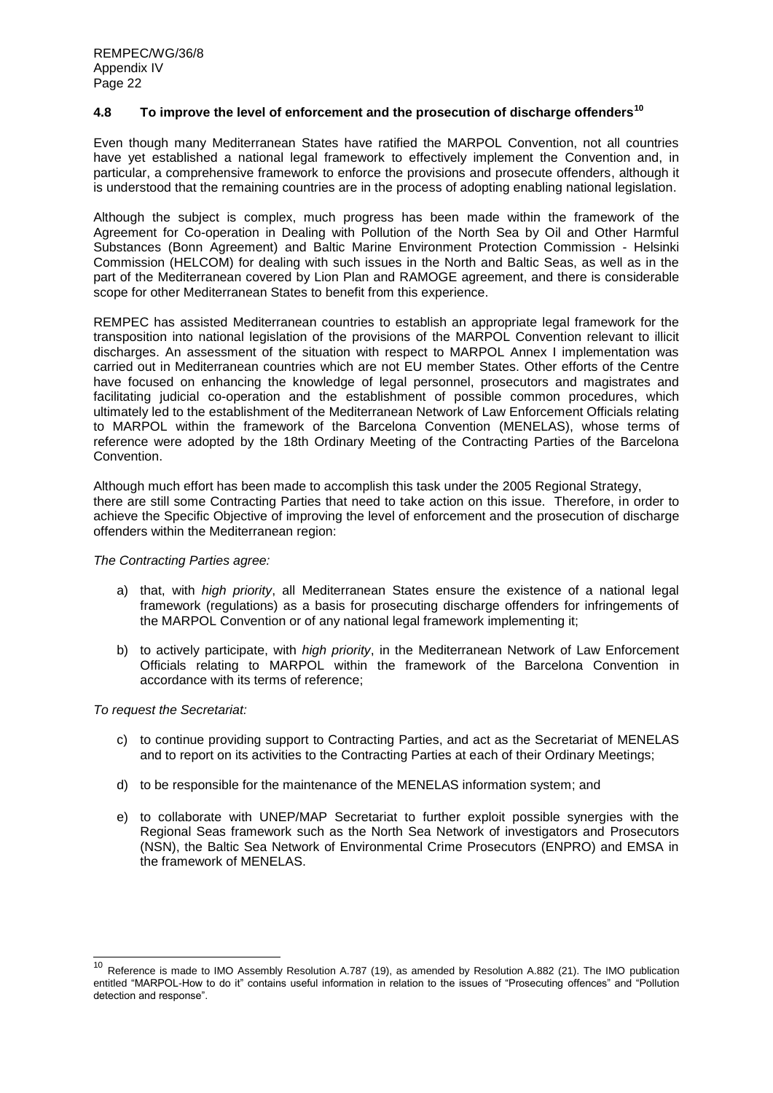# **4.8 To improve the level of enforcement and the prosecution of discharge offenders<sup>10</sup>**

Even though many Mediterranean States have ratified the MARPOL Convention, not all countries have yet established a national legal framework to effectively implement the Convention and, in particular, a comprehensive framework to enforce the provisions and prosecute offenders, although it is understood that the remaining countries are in the process of adopting enabling national legislation.

Although the subject is complex, much progress has been made within the framework of the Agreement for Co-operation in Dealing with Pollution of the North Sea by Oil and Other Harmful Substances (Bonn Agreement) and Baltic Marine Environment Protection Commission - Helsinki Commission (HELCOM) for dealing with such issues in the North and Baltic Seas, as well as in the part of the Mediterranean covered by Lion Plan and RAMOGE agreement, and there is considerable scope for other Mediterranean States to benefit from this experience.

REMPEC has assisted Mediterranean countries to establish an appropriate legal framework for the transposition into national legislation of the provisions of the MARPOL Convention relevant to illicit discharges. An assessment of the situation with respect to MARPOL Annex I implementation was carried out in Mediterranean countries which are not EU member States. Other efforts of the Centre have focused on enhancing the knowledge of legal personnel, prosecutors and magistrates and facilitating judicial co-operation and the establishment of possible common procedures, which ultimately led to the establishment of the Mediterranean Network of Law Enforcement Officials relating to MARPOL within the framework of the Barcelona Convention (MENELAS), whose terms of reference were adopted by the 18th Ordinary Meeting of the Contracting Parties of the Barcelona Convention.

Although much effort has been made to accomplish this task under the 2005 Regional Strategy, there are still some Contracting Parties that need to take action on this issue. Therefore, in order to achieve the Specific Objective of improving the level of enforcement and the prosecution of discharge offenders within the Mediterranean region:

## *The Contracting Parties agree:*

- a) that, with *high priority*, all Mediterranean States ensure the existence of a national legal framework (regulations) as a basis for prosecuting discharge offenders for infringements of the MARPOL Convention or of any national legal framework implementing it;
- b) to actively participate, with *high priority*, in the Mediterranean Network of Law Enforcement Officials relating to MARPOL within the framework of the Barcelona Convention in accordance with its terms of reference;

# *To request the Secretariat:*

1

- c) to continue providing support to Contracting Parties, and act as the Secretariat of MENELAS and to report on its activities to the Contracting Parties at each of their Ordinary Meetings;
- d) to be responsible for the maintenance of the MENELAS information system; and
- e) to collaborate with UNEP/MAP Secretariat to further exploit possible synergies with the Regional Seas framework such as the North Sea Network of investigators and Prosecutors (NSN), the Baltic Sea Network of Environmental Crime Prosecutors (ENPRO) and EMSA in the framework of MENELAS.

<sup>&</sup>lt;sup>10</sup> Reference is made to IMO Assembly Resolution A.787 (19), as amended by Resolution A.882 (21). The IMO publication entitled "MARPOL-How to do it" contains useful information in relation to the issues of "Prosecuting offences" and "Pollution detection and response".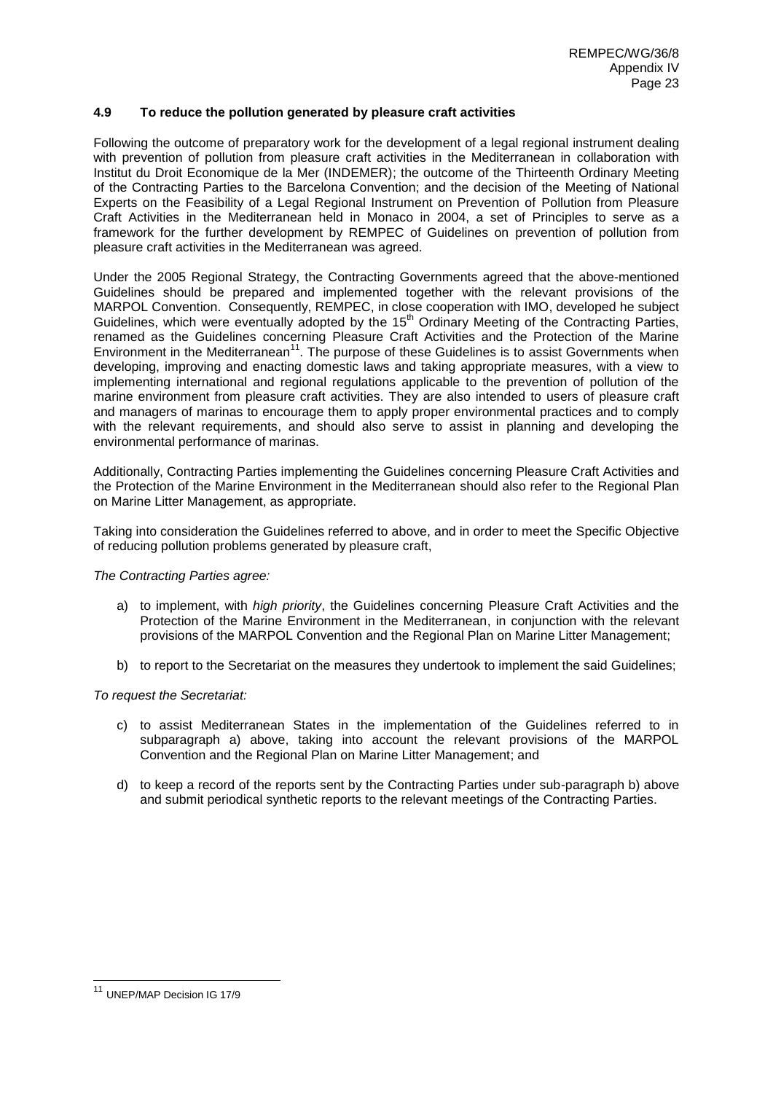# **4.9 To reduce the pollution generated by pleasure craft activities**

Following the outcome of preparatory work for the development of a legal regional instrument dealing with prevention of pollution from pleasure craft activities in the Mediterranean in collaboration with Institut du Droit Economique de la Mer (INDEMER); the outcome of the Thirteenth Ordinary Meeting of the Contracting Parties to the Barcelona Convention; and the decision of the Meeting of National Experts on the Feasibility of a Legal Regional Instrument on Prevention of Pollution from Pleasure Craft Activities in the Mediterranean held in Monaco in 2004, a set of Principles to serve as a framework for the further development by REMPEC of Guidelines on prevention of pollution from pleasure craft activities in the Mediterranean was agreed.

Under the 2005 Regional Strategy, the Contracting Governments agreed that the above-mentioned Guidelines should be prepared and implemented together with the relevant provisions of the MARPOL Convention. Consequently, REMPEC, in close cooperation with IMO, developed he subject Guidelines, which were eventually adopted by the 15<sup>th</sup> Ordinary Meeting of the Contracting Parties, renamed as the Guidelines concerning Pleasure Craft Activities and the Protection of the Marine Environment in the Mediterranean<sup>11</sup>. The purpose of these Guidelines is to assist Governments when developing, improving and enacting domestic laws and taking appropriate measures, with a view to implementing international and regional regulations applicable to the prevention of pollution of the marine environment from pleasure craft activities. They are also intended to users of pleasure craft and managers of marinas to encourage them to apply proper environmental practices and to comply with the relevant requirements, and should also serve to assist in planning and developing the environmental performance of marinas.

Additionally, Contracting Parties implementing the Guidelines concerning Pleasure Craft Activities and the Protection of the Marine Environment in the Mediterranean should also refer to the Regional Plan on Marine Litter Management, as appropriate.

Taking into consideration the Guidelines referred to above, and in order to meet the Specific Objective of reducing pollution problems generated by pleasure craft,

## *The Contracting Parties agree:*

- a) to implement, with *high priority*, the Guidelines concerning Pleasure Craft Activities and the Protection of the Marine Environment in the Mediterranean, in conjunction with the relevant provisions of the MARPOL Convention and the Regional Plan on Marine Litter Management;
- b) to report to the Secretariat on the measures they undertook to implement the said Guidelines;

## *To request the Secretariat:*

- c) to assist Mediterranean States in the implementation of the Guidelines referred to in subparagraph a) above, taking into account the relevant provisions of the MARPOL Convention and the Regional Plan on Marine Litter Management; and
- d) to keep a record of the reports sent by the Contracting Parties under sub-paragraph b) above and submit periodical synthetic reports to the relevant meetings of the Contracting Parties.

 $\overline{\phantom{a}}$ 

<sup>11</sup> UNEP/MAP Decision IG 17/9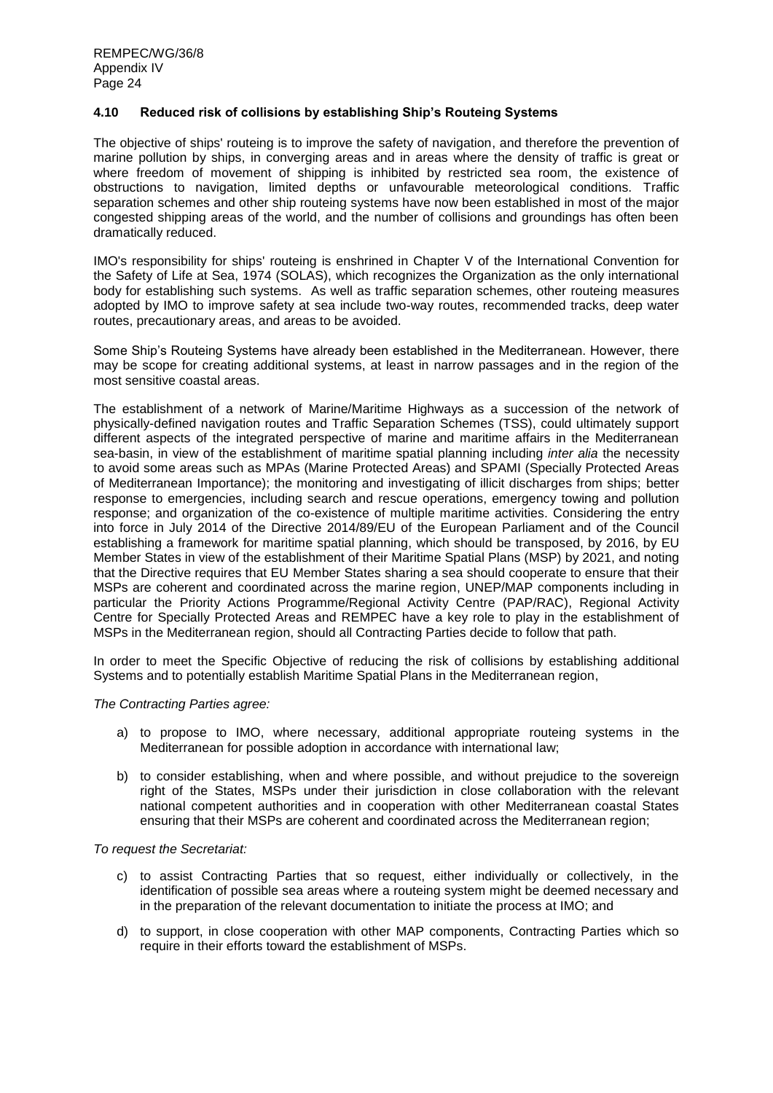## **4.10 Reduced risk of collisions by establishing Ship's Routeing Systems**

The objective of ships' routeing is to improve the safety of navigation, and therefore the prevention of marine pollution by ships, in converging areas and in areas where the density of traffic is great or where freedom of movement of shipping is inhibited by restricted sea room, the existence of obstructions to navigation, limited depths or unfavourable meteorological conditions. Traffic separation schemes and other ship routeing systems have now been established in most of the major congested shipping areas of the world, and the number of collisions and groundings has often been dramatically reduced.

IMO's responsibility for ships' routeing is enshrined in Chapter V of the International Convention for the Safety of Life at Sea, 1974 (SOLAS), which recognizes the Organization as the only international body for establishing such systems. As well as traffic separation schemes, other routeing measures adopted by IMO to improve safety at sea include two-way routes, recommended tracks, deep water routes, precautionary areas, and areas to be avoided.

Some Ship's Routeing Systems have already been established in the Mediterranean. However, there may be scope for creating additional systems, at least in narrow passages and in the region of the most sensitive coastal areas.

The establishment of a network of Marine/Maritime Highways as a succession of the network of physically-defined navigation routes and Traffic Separation Schemes (TSS), could ultimately support different aspects of the integrated perspective of marine and maritime affairs in the Mediterranean sea-basin, in view of the establishment of maritime spatial planning including *inter alia* the necessity to avoid some areas such as MPAs (Marine Protected Areas) and SPAMI (Specially Protected Areas of Mediterranean Importance); the monitoring and investigating of illicit discharges from ships; better response to emergencies, including search and rescue operations, emergency towing and pollution response; and organization of the co-existence of multiple maritime activities. Considering the entry into force in July 2014 of the Directive 2014/89/EU of the European Parliament and of the Council establishing a framework for maritime spatial planning, which should be transposed, by 2016, by EU Member States in view of the establishment of their Maritime Spatial Plans (MSP) by 2021, and noting that the Directive requires that EU Member States sharing a sea should cooperate to ensure that their MSPs are coherent and coordinated across the marine region, UNEP/MAP components including in particular the Priority Actions Programme/Regional Activity Centre (PAP/RAC), Regional Activity Centre for Specially Protected Areas and REMPEC have a key role to play in the establishment of MSPs in the Mediterranean region, should all Contracting Parties decide to follow that path.

In order to meet the Specific Objective of reducing the risk of collisions by establishing additional Systems and to potentially establish Maritime Spatial Plans in the Mediterranean region,

## *The Contracting Parties agree:*

- a) to propose to IMO, where necessary, additional appropriate routeing systems in the Mediterranean for possible adoption in accordance with international law;
- b) to consider establishing, when and where possible, and without prejudice to the sovereign right of the States, MSPs under their jurisdiction in close collaboration with the relevant national competent authorities and in cooperation with other Mediterranean coastal States ensuring that their MSPs are coherent and coordinated across the Mediterranean region;

- c) to assist Contracting Parties that so request, either individually or collectively, in the identification of possible sea areas where a routeing system might be deemed necessary and in the preparation of the relevant documentation to initiate the process at IMO; and
- d) to support, in close cooperation with other MAP components, Contracting Parties which so require in their efforts toward the establishment of MSPs.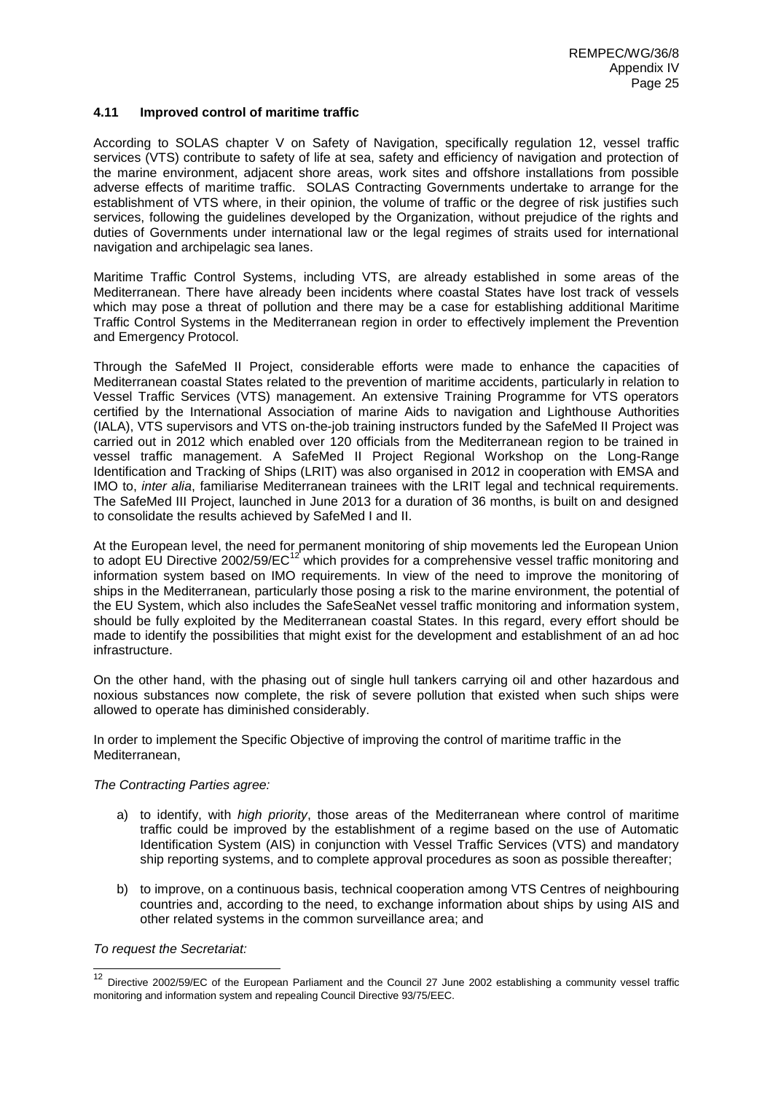## **4.11 Improved control of maritime traffic**

According to SOLAS chapter V on Safety of Navigation, specifically regulation 12, vessel traffic services (VTS) contribute to safety of life at sea, safety and efficiency of navigation and protection of the marine environment, adjacent shore areas, work sites and offshore installations from possible adverse effects of maritime traffic. SOLAS Contracting Governments undertake to arrange for the establishment of VTS where, in their opinion, the volume of traffic or the degree of risk justifies such services, following the guidelines developed by the Organization, without prejudice of the rights and duties of Governments under international law or the legal regimes of straits used for international navigation and archipelagic sea lanes.

Maritime Traffic Control Systems, including VTS, are already established in some areas of the Mediterranean. There have already been incidents where coastal States have lost track of vessels which may pose a threat of pollution and there may be a case for establishing additional Maritime Traffic Control Systems in the Mediterranean region in order to effectively implement the Prevention and Emergency Protocol.

Through the SafeMed II Project, considerable efforts were made to enhance the capacities of Mediterranean coastal States related to the prevention of maritime accidents, particularly in relation to Vessel Traffic Services (VTS) management. An extensive Training Programme for VTS operators certified by the International Association of marine Aids to navigation and Lighthouse Authorities (IALA), VTS supervisors and VTS on-the-job training instructors funded by the SafeMed II Project was carried out in 2012 which enabled over 120 officials from the Mediterranean region to be trained in vessel traffic management. A SafeMed II Project Regional Workshop on the Long-Range Identification and Tracking of Ships (LRIT) was also organised in 2012 in cooperation with EMSA and IMO to, *inter alia*, familiarise Mediterranean trainees with the LRIT legal and technical requirements. The SafeMed III Project, launched in June 2013 for a duration of 36 months, is built on and designed to consolidate the results achieved by SafeMed I and II.

At the European level, the need for permanent monitoring of ship movements led the European Union to adopt EU Directive 2002/59/EC<sup>12</sup> which provides for a comprehensive vessel traffic monitoring and information system based on IMO requirements. In view of the need to improve the monitoring of ships in the Mediterranean, particularly those posing a risk to the marine environment, the potential of the EU System, which also includes the SafeSeaNet vessel traffic monitoring and information system, should be fully exploited by the Mediterranean coastal States. In this regard, every effort should be made to identify the possibilities that might exist for the development and establishment of an ad hoc infrastructure.

On the other hand, with the phasing out of single hull tankers carrying oil and other hazardous and noxious substances now complete, the risk of severe pollution that existed when such ships were allowed to operate has diminished considerably.

In order to implement the Specific Objective of improving the control of maritime traffic in the Mediterranean,

## *The Contracting Parties agree:*

- a) to identify, with *high priority*, those areas of the Mediterranean where control of maritime traffic could be improved by the establishment of a regime based on the use of Automatic Identification System (AIS) in conjunction with Vessel Traffic Services (VTS) and mandatory ship reporting systems, and to complete approval procedures as soon as possible thereafter;
- b) to improve, on a continuous basis, technical cooperation among VTS Centres of neighbouring countries and, according to the need, to exchange information about ships by using AIS and other related systems in the common surveillance area; and

*To request the Secretariat:*

-

<sup>&</sup>lt;sup>12</sup> Directive 2002/59/EC of the European Parliament and the Council 27 June 2002 establishing a community vessel traffic monitoring and information system and repealing Council Directive 93/75/EEC.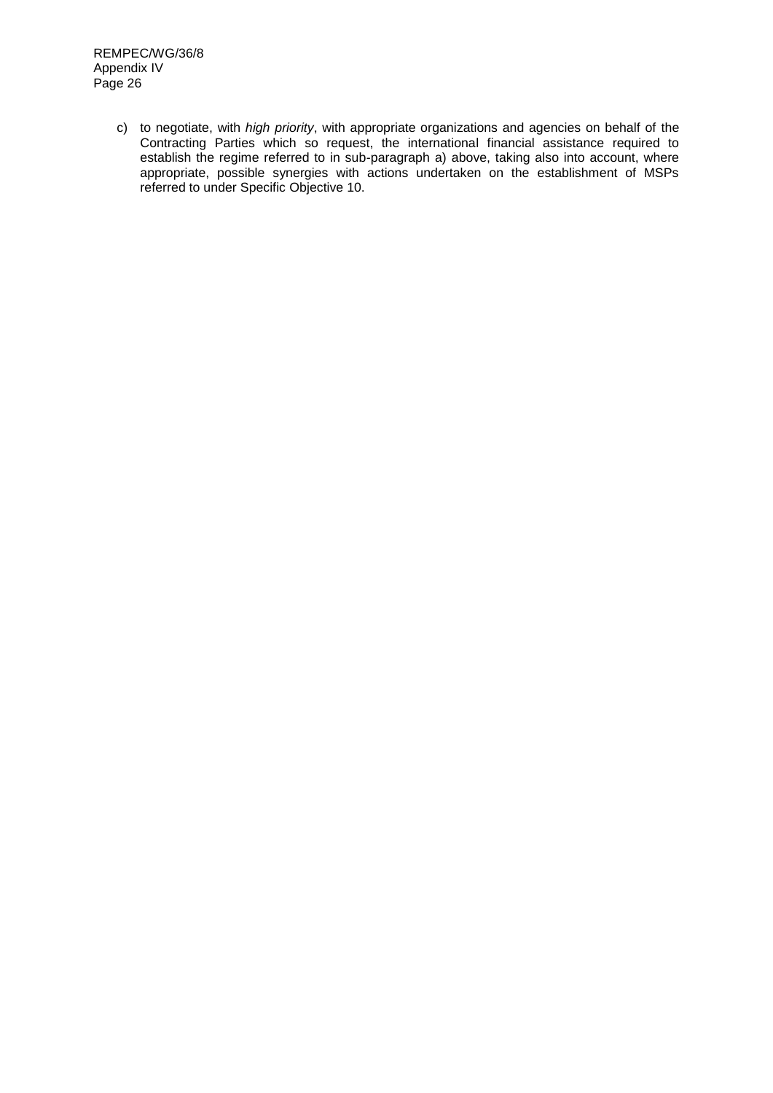c) to negotiate, with *high priority*, with appropriate organizations and agencies on behalf of the Contracting Parties which so request, the international financial assistance required to establish the regime referred to in sub-paragraph a) above, taking also into account, where appropriate, possible synergies with actions undertaken on the establishment of MSPs referred to under Specific Objective 10.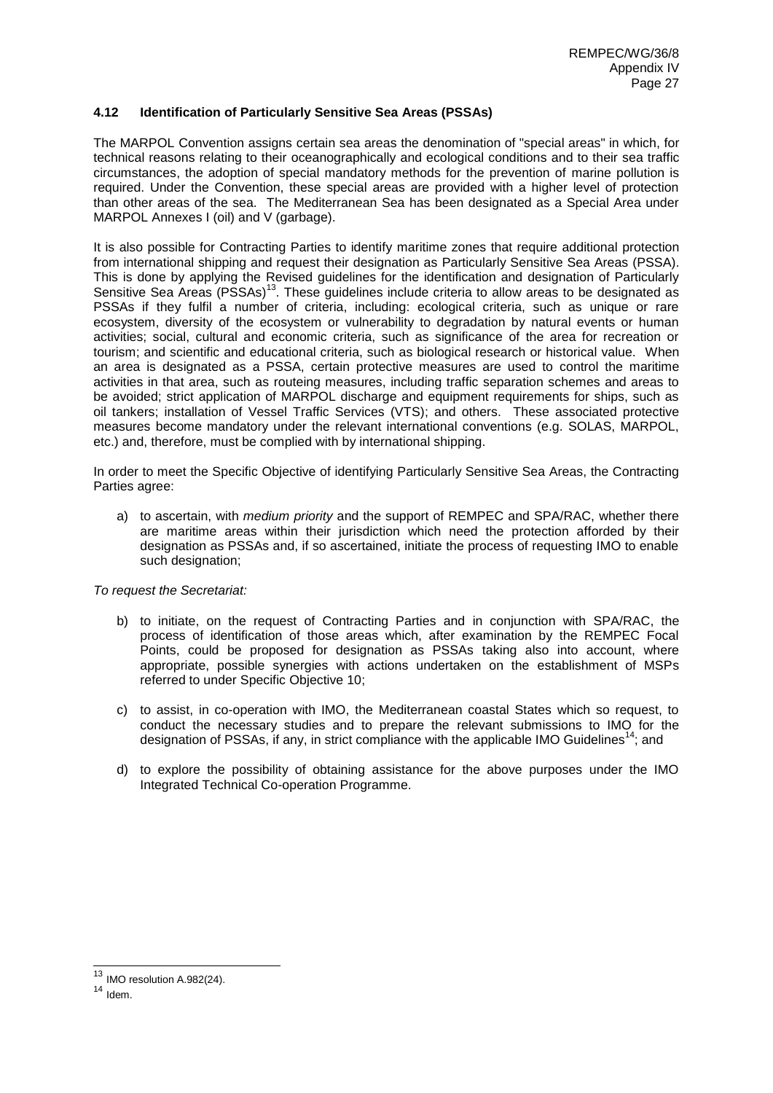## **4.12 Identification of Particularly Sensitive Sea Areas (PSSAs)**

The MARPOL Convention assigns certain sea areas the denomination of "special areas" in which, for technical reasons relating to their oceanographically and ecological conditions and to their sea traffic circumstances, the adoption of special mandatory methods for the prevention of marine pollution is required. Under the Convention, these special areas are provided with a higher level of protection than other areas of the sea. The Mediterranean Sea has been designated as a Special Area under MARPOL Annexes I (oil) and V (garbage).

It is also possible for Contracting Parties to identify maritime zones that require additional protection from international shipping and request their designation as Particularly Sensitive Sea Areas (PSSA). This is done by applying the Revised guidelines for the identification and designation of Particularly Sensitive Sea Areas (PSSAs)<sup>13</sup>. These guidelines include criteria to allow areas to be designated as PSSAs if they fulfil a number of criteria, including: ecological criteria, such as unique or rare ecosystem, diversity of the ecosystem or vulnerability to degradation by natural events or human activities; social, cultural and economic criteria, such as significance of the area for recreation or tourism; and scientific and educational criteria, such as biological research or historical value. When an area is designated as a PSSA, certain protective measures are used to control the maritime activities in that area, such as routeing measures, including traffic separation schemes and areas to be avoided; strict application of MARPOL discharge and equipment requirements for ships, such as oil tankers; installation of Vessel Traffic Services (VTS); and others. These associated protective measures become mandatory under the relevant international conventions (e.g. SOLAS, MARPOL, etc.) and, therefore, must be complied with by international shipping.

In order to meet the Specific Objective of identifying Particularly Sensitive Sea Areas, the Contracting Parties agree:

a) to ascertain, with *medium priority* and the support of REMPEC and SPA/RAC, whether there are maritime areas within their jurisdiction which need the protection afforded by their designation as PSSAs and, if so ascertained, initiate the process of requesting IMO to enable such designation;

*To request the Secretariat:*

- b) to initiate, on the request of Contracting Parties and in conjunction with SPA/RAC, the process of identification of those areas which, after examination by the REMPEC Focal Points, could be proposed for designation as PSSAs taking also into account, where appropriate, possible synergies with actions undertaken on the establishment of MSPs referred to under Specific Objective 10;
- c) to assist, in co-operation with IMO, the Mediterranean coastal States which so request, to conduct the necessary studies and to prepare the relevant submissions to IMO for the designation of PSSAs, if any, in strict compliance with the applicable IMO Guidelines<sup>14</sup>; and
- d) to explore the possibility of obtaining assistance for the above purposes under the IMO Integrated Technical Co-operation Programme.

1

 $13$  IMO resolution A.982(24).

 $14$  Idem.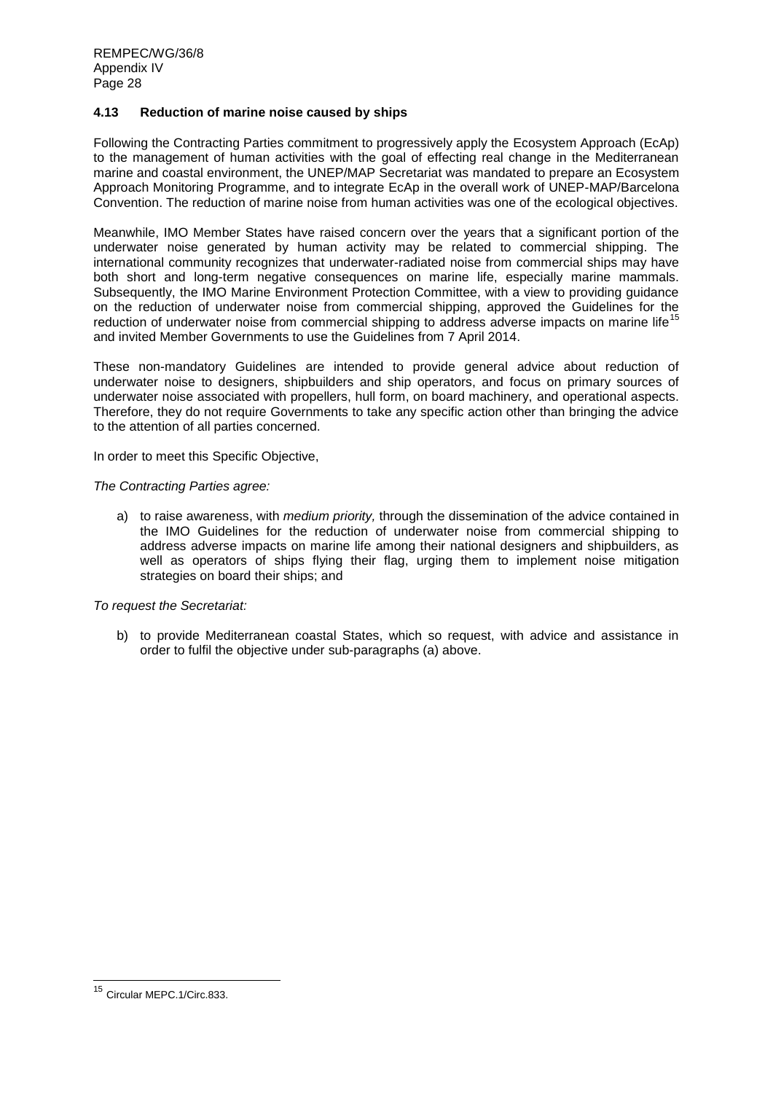## **4.13 Reduction of marine noise caused by ships**

Following the Contracting Parties commitment to progressively apply the Ecosystem Approach (EcAp) to the management of human activities with the goal of effecting real change in the Mediterranean marine and coastal environment, the UNEP/MAP Secretariat was mandated to prepare an Ecosystem Approach Monitoring Programme, and to integrate EcAp in the overall work of UNEP-MAP/Barcelona Convention. The reduction of marine noise from human activities was one of the ecological objectives.

Meanwhile, IMO Member States have raised concern over the years that a significant portion of the underwater noise generated by human activity may be related to commercial shipping. The international community recognizes that underwater-radiated noise from commercial ships may have both short and long-term negative consequences on marine life, especially marine mammals. Subsequently, the IMO Marine Environment Protection Committee, with a view to providing guidance on the reduction of underwater noise from commercial shipping, approved the Guidelines for the reduction of underwater noise from commercial shipping to address adverse impacts on marine life<sup>15</sup> and invited Member Governments to use the Guidelines from 7 April 2014.

These non-mandatory Guidelines are intended to provide general advice about reduction of underwater noise to designers, shipbuilders and ship operators, and focus on primary sources of underwater noise associated with propellers, hull form, on board machinery, and operational aspects. Therefore, they do not require Governments to take any specific action other than bringing the advice to the attention of all parties concerned.

In order to meet this Specific Objective,

*The Contracting Parties agree:*

a) to raise awareness, with *medium priority,* through the dissemination of the advice contained in the IMO Guidelines for the reduction of underwater noise from commercial shipping to address adverse impacts on marine life among their national designers and shipbuilders, as well as operators of ships flying their flag, urging them to implement noise mitigation strategies on board their ships; and

*To request the Secretariat:*

b) to provide Mediterranean coastal States, which so request, with advice and assistance in order to fulfil the objective under sub-paragraphs (a) above.

 $\overline{\phantom{a}}$ 

Circular MEPC.1/Circ.833.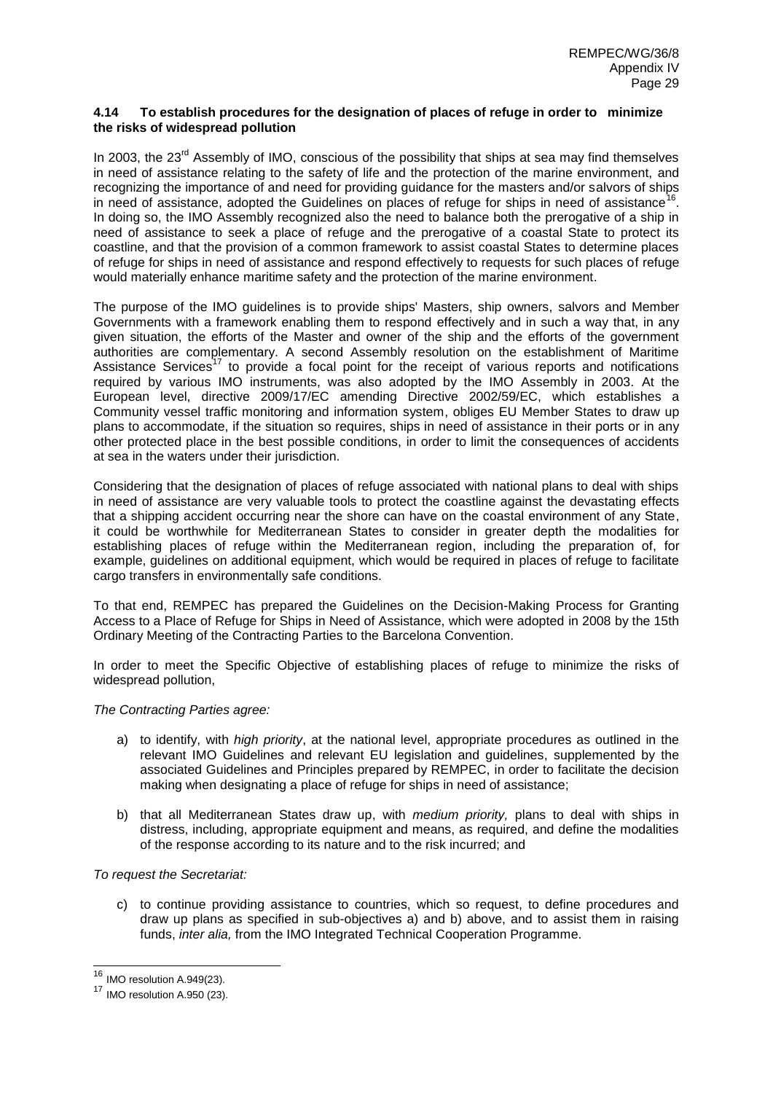## **4.14 To establish procedures for the designation of places of refuge in order to minimize the risks of widespread pollution**

In 2003, the 23<sup>rd</sup> Assembly of IMO, conscious of the possibility that ships at sea may find themselves in need of assistance relating to the safety of life and the protection of the marine environment, and recognizing the importance of and need for providing guidance for the masters and/or salvors of ships in need of assistance, adopted the Guidelines on places of refuge for ships in need of assistance<sup>1</sup> . In doing so, the IMO Assembly recognized also the need to balance both the prerogative of a ship in need of assistance to seek a place of refuge and the prerogative of a coastal State to protect its coastline, and that the provision of a common framework to assist coastal States to determine places of refuge for ships in need of assistance and respond effectively to requests for such places of refuge would materially enhance maritime safety and the protection of the marine environment.

The purpose of the IMO guidelines is to provide ships' Masters, ship owners, salvors and Member Governments with a framework enabling them to respond effectively and in such a way that, in any given situation, the efforts of the Master and owner of the ship and the efforts of the government authorities are complementary. A second Assembly resolution on the establishment of Maritime Assistance Services<sup>17</sup> to provide a focal point for the receipt of various reports and notifications required by various IMO instruments, was also adopted by the IMO Assembly in 2003. At the European level, directive 2009/17/EC amending Directive 2002/59/EC, which establishes a Community vessel traffic monitoring and information system, obliges EU Member States to draw up plans to accommodate, if the situation so requires, ships in need of assistance in their ports or in any other protected place in the best possible conditions, in order to limit the consequences of accidents at sea in the waters under their jurisdiction.

Considering that the designation of places of refuge associated with national plans to deal with ships in need of assistance are very valuable tools to protect the coastline against the devastating effects that a shipping accident occurring near the shore can have on the coastal environment of any State, it could be worthwhile for Mediterranean States to consider in greater depth the modalities for establishing places of refuge within the Mediterranean region, including the preparation of, for example, guidelines on additional equipment, which would be required in places of refuge to facilitate cargo transfers in environmentally safe conditions.

To that end, REMPEC has prepared the Guidelines on the Decision-Making Process for Granting Access to a Place of Refuge for Ships in Need of Assistance, which were adopted in 2008 by the 15th Ordinary Meeting of the Contracting Parties to the Barcelona Convention.

In order to meet the Specific Objective of establishing places of refuge to minimize the risks of widespread pollution,

# *The Contracting Parties agree:*

- a) to identify, with *high priority*, at the national level, appropriate procedures as outlined in the relevant IMO Guidelines and relevant EU legislation and guidelines, supplemented by the associated Guidelines and Principles prepared by REMPEC, in order to facilitate the decision making when designating a place of refuge for ships in need of assistance;
- b) that all Mediterranean States draw up, with *medium priority,* plans to deal with ships in distress, including, appropriate equipment and means, as required, and define the modalities of the response according to its nature and to the risk incurred; and

*To request the Secretariat:* 

c) to continue providing assistance to countries, which so request, to define procedures and draw up plans as specified in sub-objectives a) and b) above, and to assist them in raising funds, *inter alia,* from the IMO Integrated Technical Cooperation Programme.

1

<sup>&</sup>lt;sup>16</sup> IMO resolution A.949(23).

<sup>&</sup>lt;sup>17</sup> IMO resolution A.950 (23).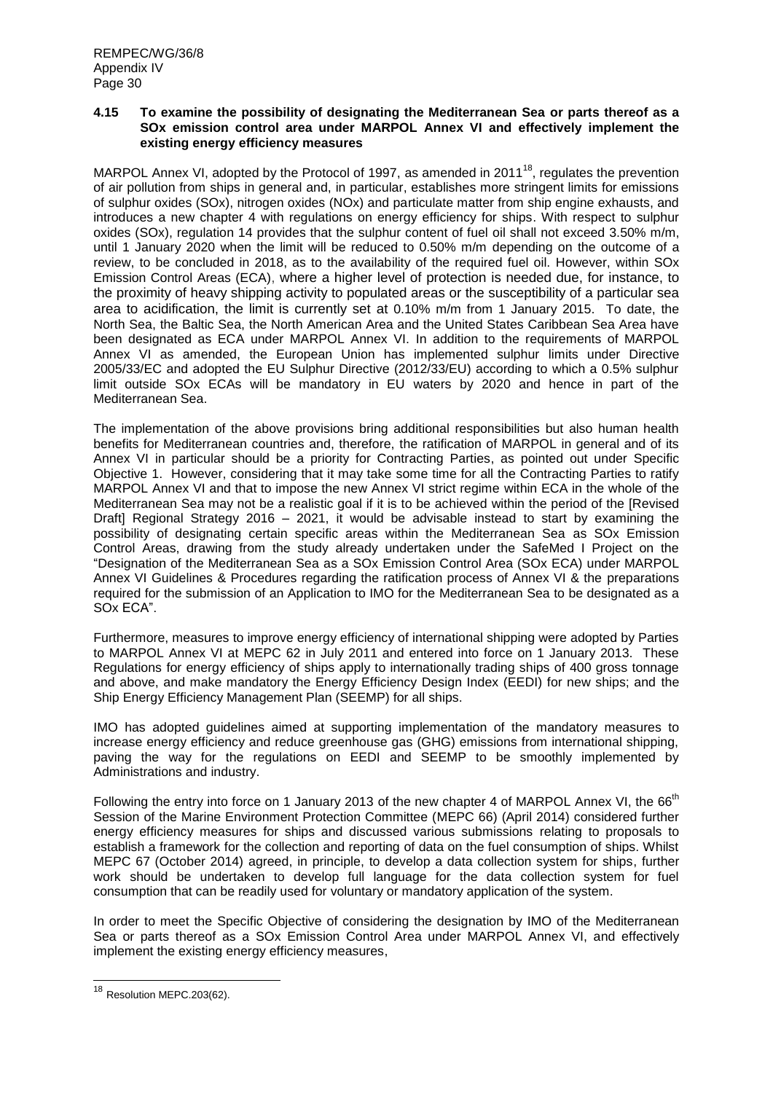## **4.15 To examine the possibility of designating the Mediterranean Sea or parts thereof as a SOx emission control area under MARPOL Annex VI and effectively implement the existing energy efficiency measures**

MARPOL Annex VI, adopted by the Protocol of 1997, as amended in 2011<sup>18</sup>, regulates the prevention of air pollution from ships in general and, in particular, establishes more stringent limits for emissions of sulphur oxides (SOx), nitrogen oxides (NOx) and particulate matter from ship engine exhausts, and introduces a new chapter 4 with regulations on energy efficiency for ships. With respect to sulphur oxides (SOx), regulation 14 provides that the sulphur content of fuel oil shall not exceed 3.50% m/m, until 1 January 2020 when the limit will be reduced to 0.50% m/m depending on the outcome of a review, to be concluded in 2018, as to the availability of the required fuel oil. However, within SOx Emission Control Areas (ECA), where a higher level of protection is needed due, for instance, to the proximity of heavy shipping activity to populated areas or the susceptibility of a particular sea area to acidification, the limit is currently set at 0.10% m/m from 1 January 2015. To date, the North Sea, the Baltic Sea, the North American Area and the United States Caribbean Sea Area have been designated as ECA under MARPOL Annex VI. In addition to the requirements of MARPOL Annex VI as amended, the European Union has implemented sulphur limits under Directive 2005/33/EC and adopted the EU Sulphur Directive (2012/33/EU) according to which a 0.5% sulphur limit outside SOx ECAs will be mandatory in EU waters by 2020 and hence in part of the Mediterranean Sea.

The implementation of the above provisions bring additional responsibilities but also human health benefits for Mediterranean countries and, therefore, the ratification of MARPOL in general and of its Annex VI in particular should be a priority for Contracting Parties, as pointed out under Specific Objective 1. However, considering that it may take some time for all the Contracting Parties to ratify MARPOL Annex VI and that to impose the new Annex VI strict regime within ECA in the whole of the Mediterranean Sea may not be a realistic goal if it is to be achieved within the period of the [Revised Draft] Regional Strategy 2016 – 2021, it would be advisable instead to start by examining the possibility of designating certain specific areas within the Mediterranean Sea as SOx Emission Control Areas, drawing from the study already undertaken under the SafeMed I Project on the "Designation of the Mediterranean Sea as a SOx Emission Control Area (SOx ECA) under MARPOL Annex VI Guidelines & Procedures regarding the ratification process of Annex VI & the preparations required for the submission of an Application to IMO for the Mediterranean Sea to be designated as a SOx ECA".

Furthermore, measures to improve energy efficiency of international shipping were adopted by Parties to MARPOL Annex VI at MEPC 62 in July 2011 and entered into force on 1 January 2013. These Regulations for energy efficiency of ships apply to internationally trading ships of 400 gross tonnage and above, and make mandatory the Energy Efficiency Design Index (EEDI) for new ships; and the Ship Energy Efficiency Management Plan (SEEMP) for all ships.

IMO has adopted guidelines aimed at supporting implementation of the mandatory measures to increase energy efficiency and reduce greenhouse gas (GHG) emissions from international shipping, paving the way for the regulations on EEDI and SEEMP to be smoothly implemented by Administrations and industry.

Following the entry into force on 1 January 2013 of the new chapter 4 of MARPOL Annex VI, the 66<sup>th</sup> Session of the Marine Environment Protection Committee (MEPC 66) (April 2014) considered further energy efficiency measures for ships and discussed various submissions relating to proposals to establish a framework for the collection and reporting of data on the fuel consumption of ships. Whilst MEPC 67 (October 2014) agreed, in principle, to develop a data collection system for ships, further work should be undertaken to develop full language for the data collection system for fuel consumption that can be readily used for voluntary or mandatory application of the system.

In order to meet the Specific Objective of considering the designation by IMO of the Mediterranean Sea or parts thereof as a SOx Emission Control Area under MARPOL Annex VI, and effectively implement the existing energy efficiency measures,

 $\overline{\phantom{a}}$ 

<sup>&</sup>lt;sup>18</sup> Resolution MEPC.203(62).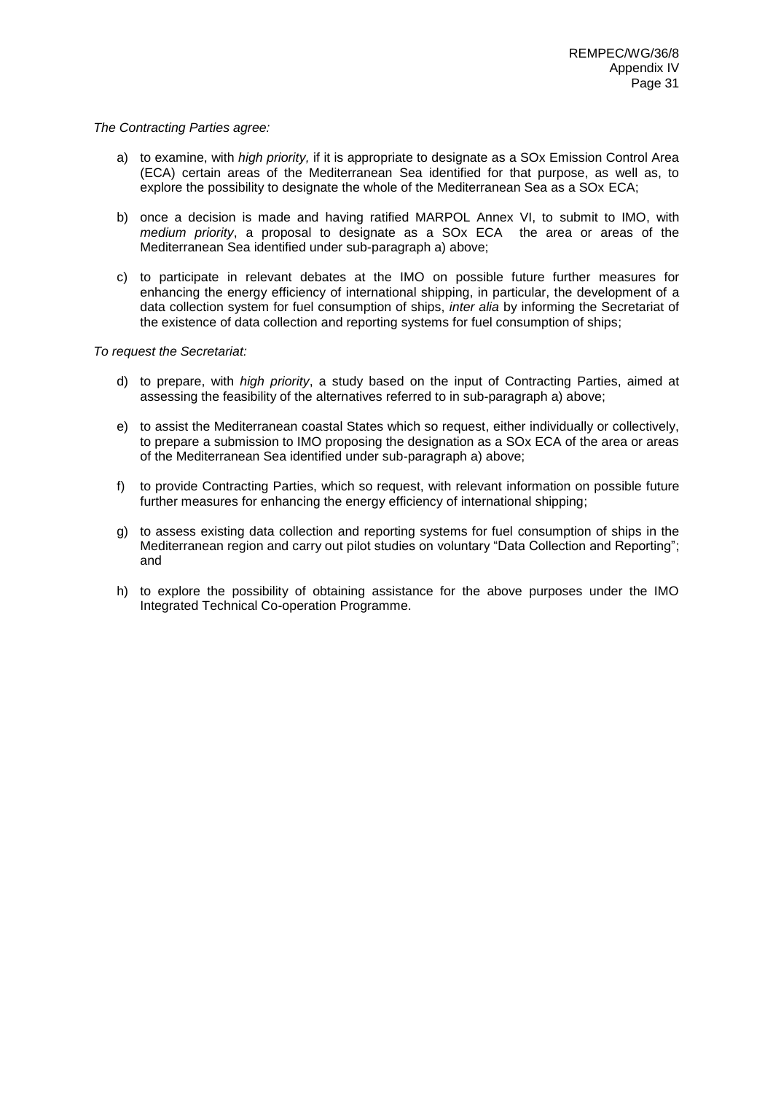#### *The Contracting Parties agree:*

- a) to examine, with *high priority,* if it is appropriate to designate as a SOx Emission Control Area (ECA) certain areas of the Mediterranean Sea identified for that purpose, as well as, to explore the possibility to designate the whole of the Mediterranean Sea as a SOx ECA;
- b) once a decision is made and having ratified MARPOL Annex VI, to submit to IMO, with *medium priority*, a proposal to designate as a SOx ECA the area or areas of the Mediterranean Sea identified under sub-paragraph a) above;
- c) to participate in relevant debates at the IMO on possible future further measures for enhancing the energy efficiency of international shipping, in particular, the development of a data collection system for fuel consumption of ships, *inter alia* by informing the Secretariat of the existence of data collection and reporting systems for fuel consumption of ships;

- d) to prepare, with *high priority*, a study based on the input of Contracting Parties, aimed at assessing the feasibility of the alternatives referred to in sub-paragraph a) above;
- e) to assist the Mediterranean coastal States which so request, either individually or collectively, to prepare a submission to IMO proposing the designation as a SOx ECA of the area or areas of the Mediterranean Sea identified under sub-paragraph a) above;
- f) to provide Contracting Parties, which so request, with relevant information on possible future further measures for enhancing the energy efficiency of international shipping;
- g) to assess existing data collection and reporting systems for fuel consumption of ships in the Mediterranean region and carry out pilot studies on voluntary "Data Collection and Reporting"; and
- h) to explore the possibility of obtaining assistance for the above purposes under the IMO Integrated Technical Co-operation Programme.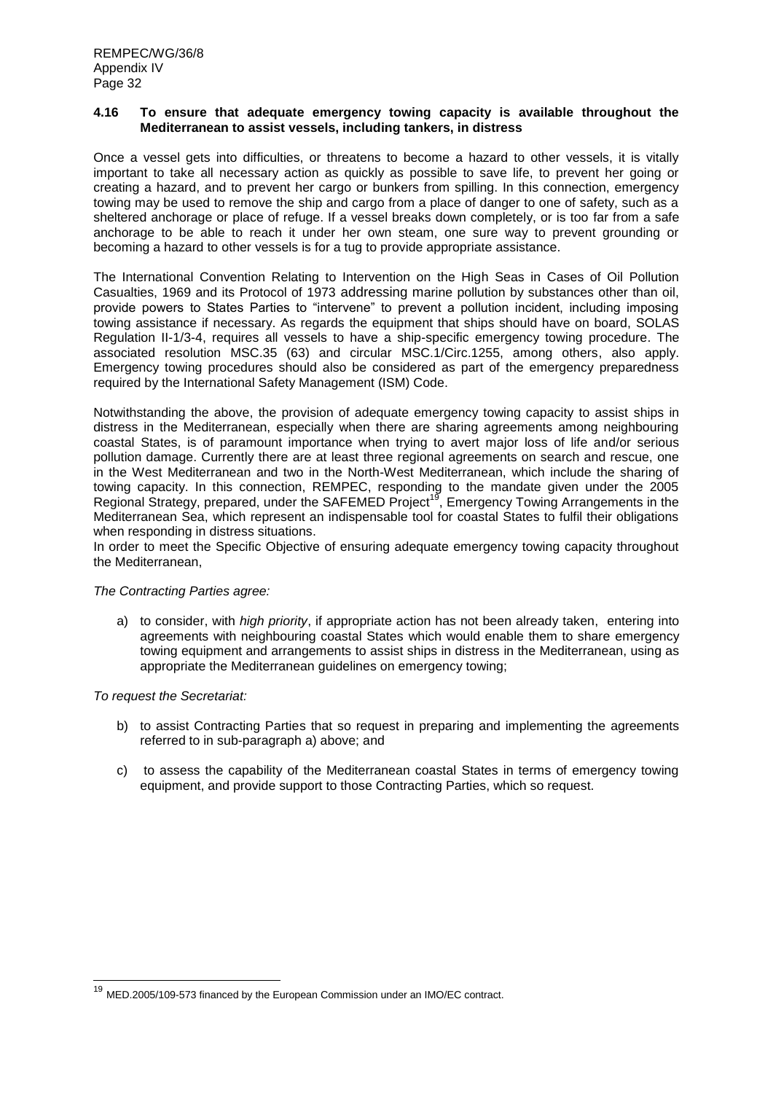#### **4.16 To ensure that adequate emergency towing capacity is available throughout the Mediterranean to assist vessels, including tankers, in distress**

Once a vessel gets into difficulties, or threatens to become a hazard to other vessels, it is vitally important to take all necessary action as quickly as possible to save life, to prevent her going or creating a hazard, and to prevent her cargo or bunkers from spilling. In this connection, emergency towing may be used to remove the ship and cargo from a place of danger to one of safety, such as a sheltered anchorage or place of refuge. If a vessel breaks down completely, or is too far from a safe anchorage to be able to reach it under her own steam, one sure way to prevent grounding or becoming a hazard to other vessels is for a tug to provide appropriate assistance.

The International Convention Relating to Intervention on the High Seas in Cases of Oil Pollution Casualties, 1969 and its Protocol of 1973 addressing marine pollution by substances other than oil, provide powers to States Parties to "intervene" to prevent a pollution incident, including imposing towing assistance if necessary. As regards the equipment that ships should have on board, SOLAS Regulation II-1/3-4, requires all vessels to have a ship-specific emergency towing procedure. The associated resolution MSC.35 (63) and circular MSC.1/Circ.1255, among others, also apply. Emergency towing procedures should also be considered as part of the emergency preparedness required by the International Safety Management (ISM) Code.

Notwithstanding the above, the provision of adequate emergency towing capacity to assist ships in distress in the Mediterranean, especially when there are sharing agreements among neighbouring coastal States, is of paramount importance when trying to avert major loss of life and/or serious pollution damage. Currently there are at least three regional agreements on search and rescue, one in the West Mediterranean and two in the North-West Mediterranean, which include the sharing of towing capacity. In this connection, REMPEC, responding to the mandate given under the 2005 Regional Strategy, prepared, under the SAFEMED Project<sup>19</sup>, Emergency Towing Arrangements in the Mediterranean Sea, which represent an indispensable tool for coastal States to fulfil their obligations when responding in distress situations.

In order to meet the Specific Objective of ensuring adequate emergency towing capacity throughout the Mediterranean,

## *The Contracting Parties agree:*

a) to consider, with *high priority*, if appropriate action has not been already taken, entering into agreements with neighbouring coastal States which would enable them to share emergency towing equipment and arrangements to assist ships in distress in the Mediterranean, using as appropriate the Mediterranean guidelines on emergency towing;

## *To request the Secretariat:*

 $\overline{\phantom{a}}$ 

- b) to assist Contracting Parties that so request in preparing and implementing the agreements referred to in sub-paragraph a) above; and
- c) to assess the capability of the Mediterranean coastal States in terms of emergency towing equipment, and provide support to those Contracting Parties, which so request.

<sup>&</sup>lt;sup>19</sup> MED.2005/109-573 financed by the European Commission under an IMO/EC contract.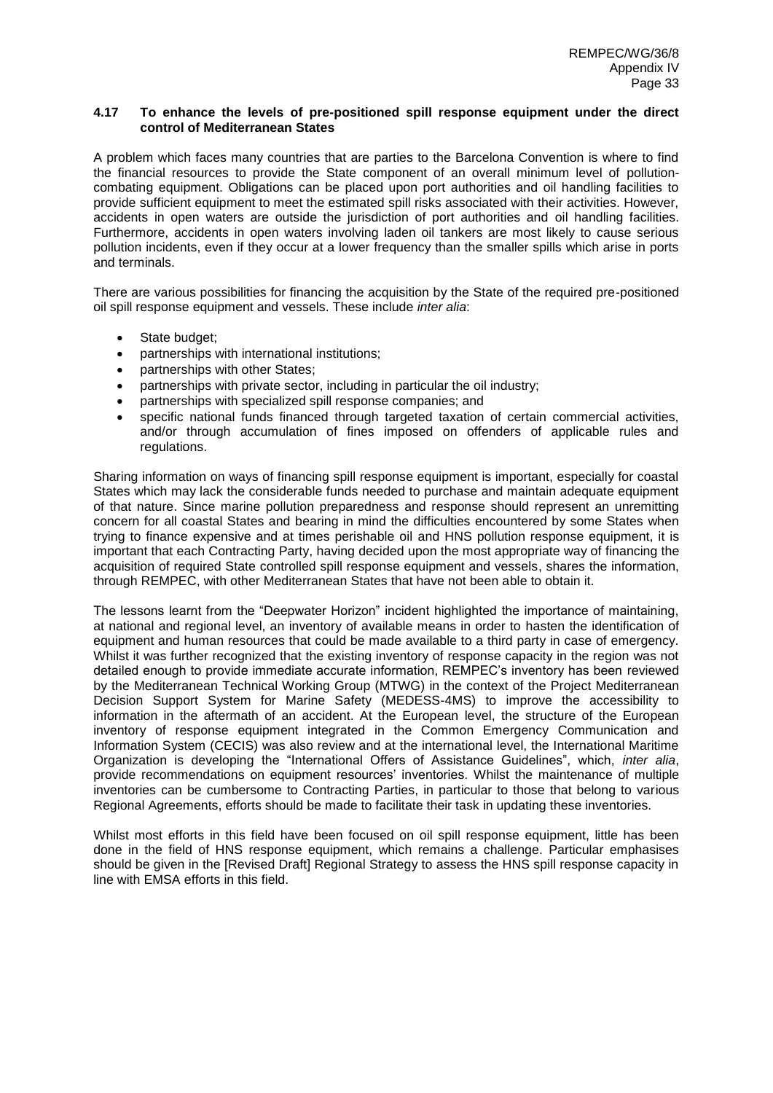## **4.17 To enhance the levels of pre-positioned spill response equipment under the direct control of Mediterranean States**

A problem which faces many countries that are parties to the Barcelona Convention is where to find the financial resources to provide the State component of an overall minimum level of pollutioncombating equipment. Obligations can be placed upon port authorities and oil handling facilities to provide sufficient equipment to meet the estimated spill risks associated with their activities. However, accidents in open waters are outside the jurisdiction of port authorities and oil handling facilities. Furthermore, accidents in open waters involving laden oil tankers are most likely to cause serious pollution incidents, even if they occur at a lower frequency than the smaller spills which arise in ports and terminals.

There are various possibilities for financing the acquisition by the State of the required pre-positioned oil spill response equipment and vessels. These include *inter alia*:

- State budget;
- partnerships with international institutions;
- partnerships with other States:
- partnerships with private sector, including in particular the oil industry;
- partnerships with specialized spill response companies; and
- specific national funds financed through targeted taxation of certain commercial activities, and/or through accumulation of fines imposed on offenders of applicable rules and regulations.

Sharing information on ways of financing spill response equipment is important, especially for coastal States which may lack the considerable funds needed to purchase and maintain adequate equipment of that nature. Since marine pollution preparedness and response should represent an unremitting concern for all coastal States and bearing in mind the difficulties encountered by some States when trying to finance expensive and at times perishable oil and HNS pollution response equipment, it is important that each Contracting Party, having decided upon the most appropriate way of financing the acquisition of required State controlled spill response equipment and vessels, shares the information, through REMPEC, with other Mediterranean States that have not been able to obtain it.

The lessons learnt from the "Deepwater Horizon" incident highlighted the importance of maintaining, at national and regional level, an inventory of available means in order to hasten the identification of equipment and human resources that could be made available to a third party in case of emergency. Whilst it was further recognized that the existing inventory of response capacity in the region was not detailed enough to provide immediate accurate information, REMPEC's inventory has been reviewed by the Mediterranean Technical Working Group (MTWG) in the context of the Project Mediterranean Decision Support System for Marine Safety (MEDESS-4MS) to improve the accessibility to information in the aftermath of an accident. At the European level, the structure of the European inventory of response equipment integrated in the Common Emergency Communication and Information System (CECIS) was also review and at the international level, the International Maritime Organization is developing the "International Offers of Assistance Guidelines", which, *inter alia*, provide recommendations on equipment resources' inventories. Whilst the maintenance of multiple inventories can be cumbersome to Contracting Parties, in particular to those that belong to various Regional Agreements, efforts should be made to facilitate their task in updating these inventories.

Whilst most efforts in this field have been focused on oil spill response equipment, little has been done in the field of HNS response equipment, which remains a challenge. Particular emphasises should be given in the [Revised Draft] Regional Strategy to assess the HNS spill response capacity in line with EMSA efforts in this field.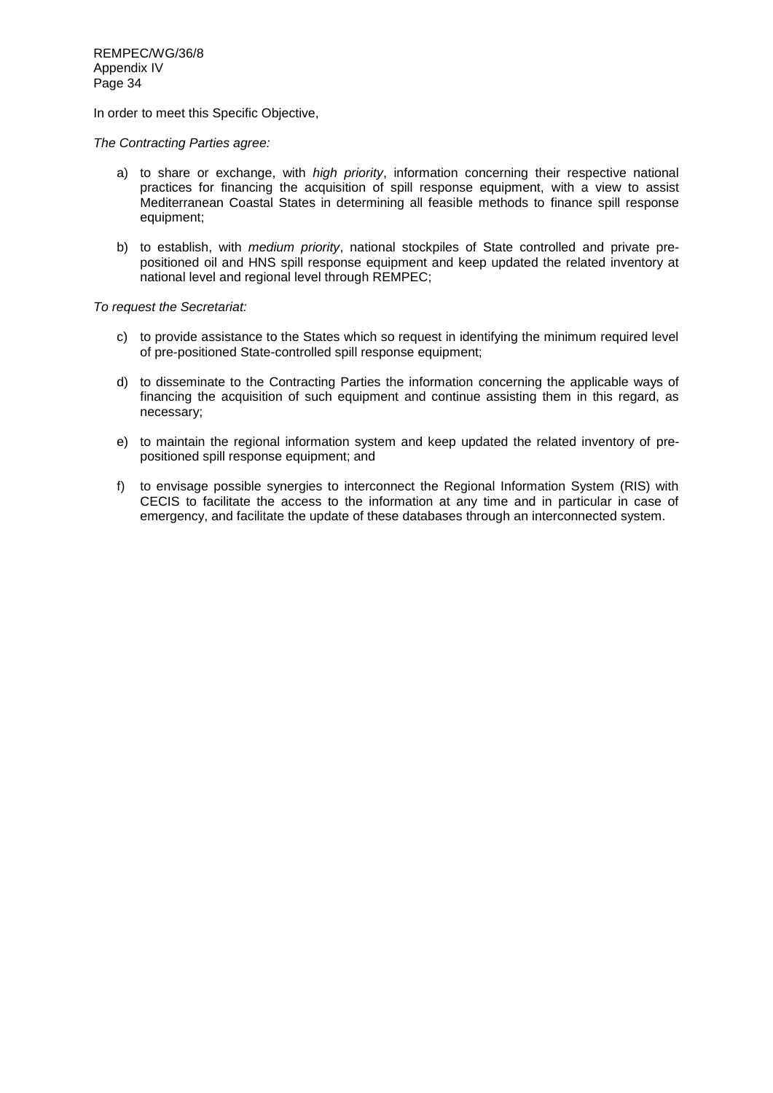In order to meet this Specific Objective,

*The Contracting Parties agree:*

- a) to share or exchange, with *high priority*, information concerning their respective national practices for financing the acquisition of spill response equipment, with a view to assist Mediterranean Coastal States in determining all feasible methods to finance spill response equipment;
- b) to establish, with *medium priority*, national stockpiles of State controlled and private prepositioned oil and HNS spill response equipment and keep updated the related inventory at national level and regional level through REMPEC;

- c) to provide assistance to the States which so request in identifying the minimum required level of pre-positioned State-controlled spill response equipment;
- d) to disseminate to the Contracting Parties the information concerning the applicable ways of financing the acquisition of such equipment and continue assisting them in this regard, as necessary;
- e) to maintain the regional information system and keep updated the related inventory of prepositioned spill response equipment; and
- f) to envisage possible synergies to interconnect the Regional Information System (RIS) with CECIS to facilitate the access to the information at any time and in particular in case of emergency, and facilitate the update of these databases through an interconnected system.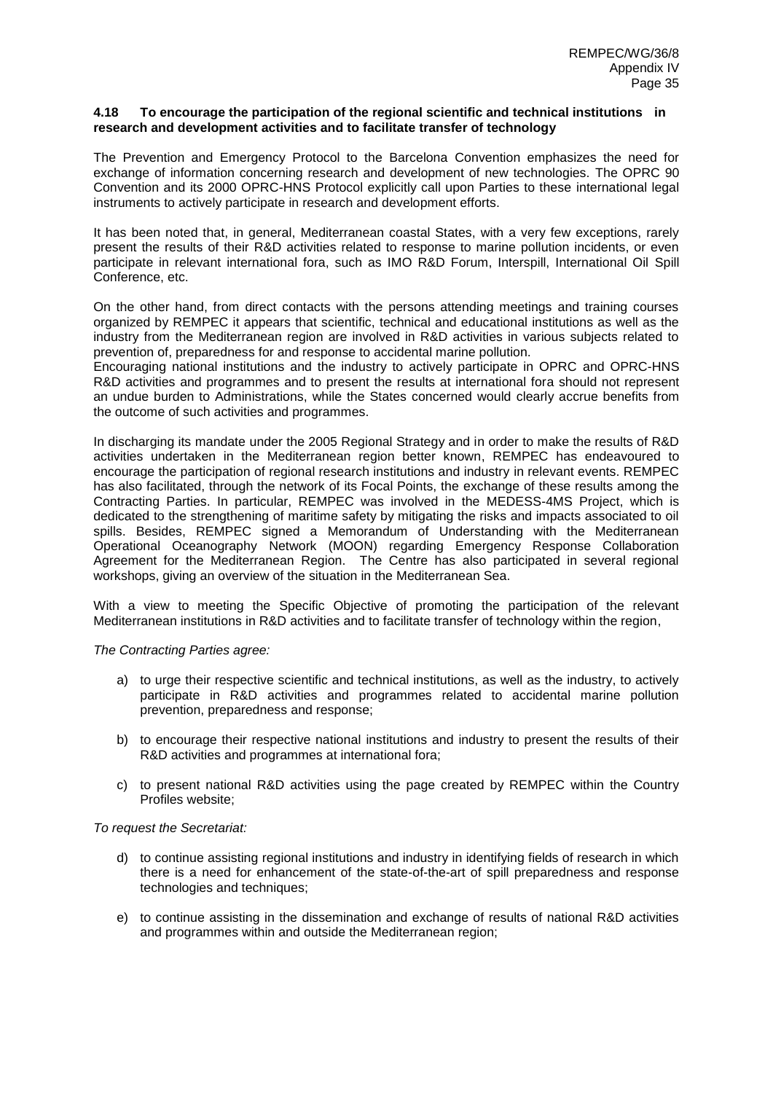#### **4.18 To encourage the participation of the regional scientific and technical institutions in research and development activities and to facilitate transfer of technology**

The Prevention and Emergency Protocol to the Barcelona Convention emphasizes the need for exchange of information concerning research and development of new technologies. The OPRC 90 Convention and its 2000 OPRC-HNS Protocol explicitly call upon Parties to these international legal instruments to actively participate in research and development efforts.

It has been noted that, in general, Mediterranean coastal States, with a very few exceptions, rarely present the results of their R&D activities related to response to marine pollution incidents, or even participate in relevant international fora, such as IMO R&D Forum, Interspill, International Oil Spill Conference, etc.

On the other hand, from direct contacts with the persons attending meetings and training courses organized by REMPEC it appears that scientific, technical and educational institutions as well as the industry from the Mediterranean region are involved in R&D activities in various subjects related to prevention of, preparedness for and response to accidental marine pollution.

Encouraging national institutions and the industry to actively participate in OPRC and OPRC-HNS R&D activities and programmes and to present the results at international fora should not represent an undue burden to Administrations, while the States concerned would clearly accrue benefits from the outcome of such activities and programmes.

In discharging its mandate under the 2005 Regional Strategy and in order to make the results of R&D activities undertaken in the Mediterranean region better known, REMPEC has endeavoured to encourage the participation of regional research institutions and industry in relevant events. REMPEC has also facilitated, through the network of its Focal Points, the exchange of these results among the Contracting Parties. In particular, REMPEC was involved in the MEDESS-4MS Project, which is dedicated to the strengthening of maritime safety by mitigating the risks and impacts associated to oil spills. Besides, REMPEC signed a Memorandum of Understanding with the Mediterranean Operational Oceanography Network (MOON) regarding Emergency Response Collaboration Agreement for the Mediterranean Region. The Centre has also participated in several regional workshops, giving an overview of the situation in the Mediterranean Sea.

With a view to meeting the Specific Objective of promoting the participation of the relevant Mediterranean institutions in R&D activities and to facilitate transfer of technology within the region,

## *The Contracting Parties agree:*

- a) to urge their respective scientific and technical institutions, as well as the industry, to actively participate in R&D activities and programmes related to accidental marine pollution prevention, preparedness and response;
- b) to encourage their respective national institutions and industry to present the results of their R&D activities and programmes at international fora;
- c) to present national R&D activities using the page created by REMPEC within the Country Profiles website;

- d) to continue assisting regional institutions and industry in identifying fields of research in which there is a need for enhancement of the state-of-the-art of spill preparedness and response technologies and techniques;
- e) to continue assisting in the dissemination and exchange of results of national R&D activities and programmes within and outside the Mediterranean region;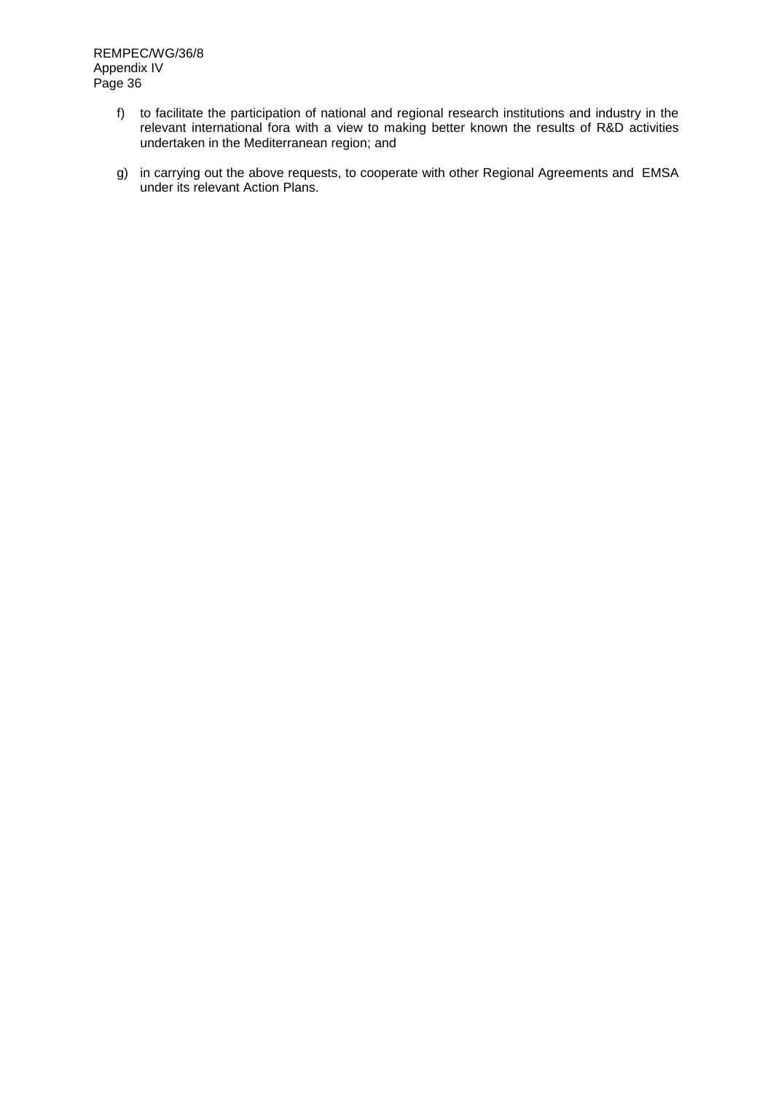- f) to facilitate the participation of national and regional research institutions and industry in the relevant international fora with a view to making better known the results of R&D activities undertaken in the Mediterranean region; and
- g) in carrying out the above requests, to cooperate with other Regional Agreements and EMSA under its relevant Action Plans.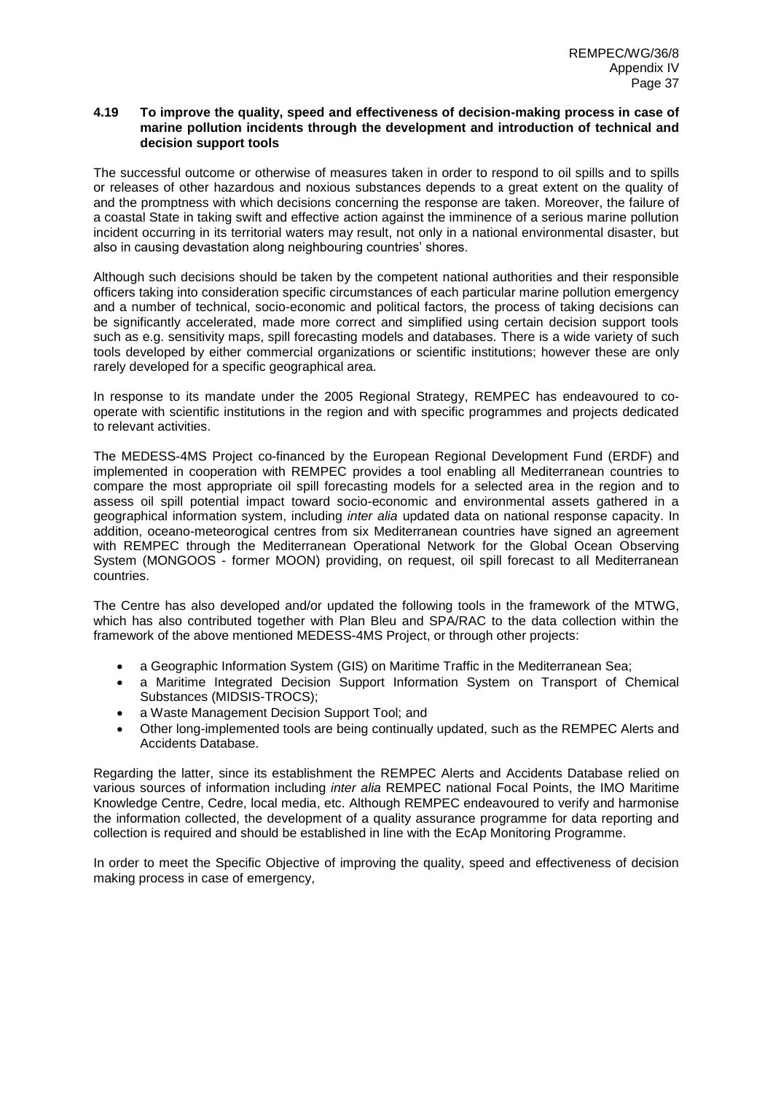### **4.19 To improve the quality, speed and effectiveness of decision-making process in case of marine pollution incidents through the development and introduction of technical and decision support tools**

The successful outcome or otherwise of measures taken in order to respond to oil spills and to spills or releases of other hazardous and noxious substances depends to a great extent on the quality of and the promptness with which decisions concerning the response are taken. Moreover, the failure of a coastal State in taking swift and effective action against the imminence of a serious marine pollution incident occurring in its territorial waters may result, not only in a national environmental disaster, but also in causing devastation along neighbouring countries' shores.

Although such decisions should be taken by the competent national authorities and their responsible officers taking into consideration specific circumstances of each particular marine pollution emergency and a number of technical, socio-economic and political factors, the process of taking decisions can be significantly accelerated, made more correct and simplified using certain decision support tools such as e.g. sensitivity maps, spill forecasting models and databases. There is a wide variety of such tools developed by either commercial organizations or scientific institutions; however these are only rarely developed for a specific geographical area.

In response to its mandate under the 2005 Regional Strategy, REMPEC has endeavoured to cooperate with scientific institutions in the region and with specific programmes and projects dedicated to relevant activities.

The MEDESS-4MS Project co-financed by the European Regional Development Fund (ERDF) and implemented in cooperation with REMPEC provides a tool enabling all Mediterranean countries to compare the most appropriate oil spill forecasting models for a selected area in the region and to assess oil spill potential impact toward socio-economic and environmental assets gathered in a geographical information system, including *inter alia* updated data on national response capacity. In addition, oceano-meteorogical centres from six Mediterranean countries have signed an agreement with REMPEC through the Mediterranean Operational Network for the Global Ocean Observing System (MONGOOS - former MOON) providing, on request, oil spill forecast to all Mediterranean countries.

The Centre has also developed and/or updated the following tools in the framework of the MTWG, which has also contributed together with Plan Bleu and SPA/RAC to the data collection within the framework of the above mentioned MEDESS-4MS Project, or through other projects:

- a Geographic Information System (GIS) on Maritime Traffic in the Mediterranean Sea;
- a Maritime Integrated Decision Support Information System on Transport of Chemical Substances (MIDSIS-TROCS);
- a Waste Management Decision Support Tool; and
- Other long-implemented tools are being continually updated, such as the REMPEC Alerts and Accidents Database.

Regarding the latter, since its establishment the REMPEC Alerts and Accidents Database relied on various sources of information including *inter alia* REMPEC national Focal Points, the IMO Maritime Knowledge Centre, Cedre, local media, etc. Although REMPEC endeavoured to verify and harmonise the information collected, the development of a quality assurance programme for data reporting and collection is required and should be established in line with the EcAp Monitoring Programme.

In order to meet the Specific Objective of improving the quality, speed and effectiveness of decision making process in case of emergency,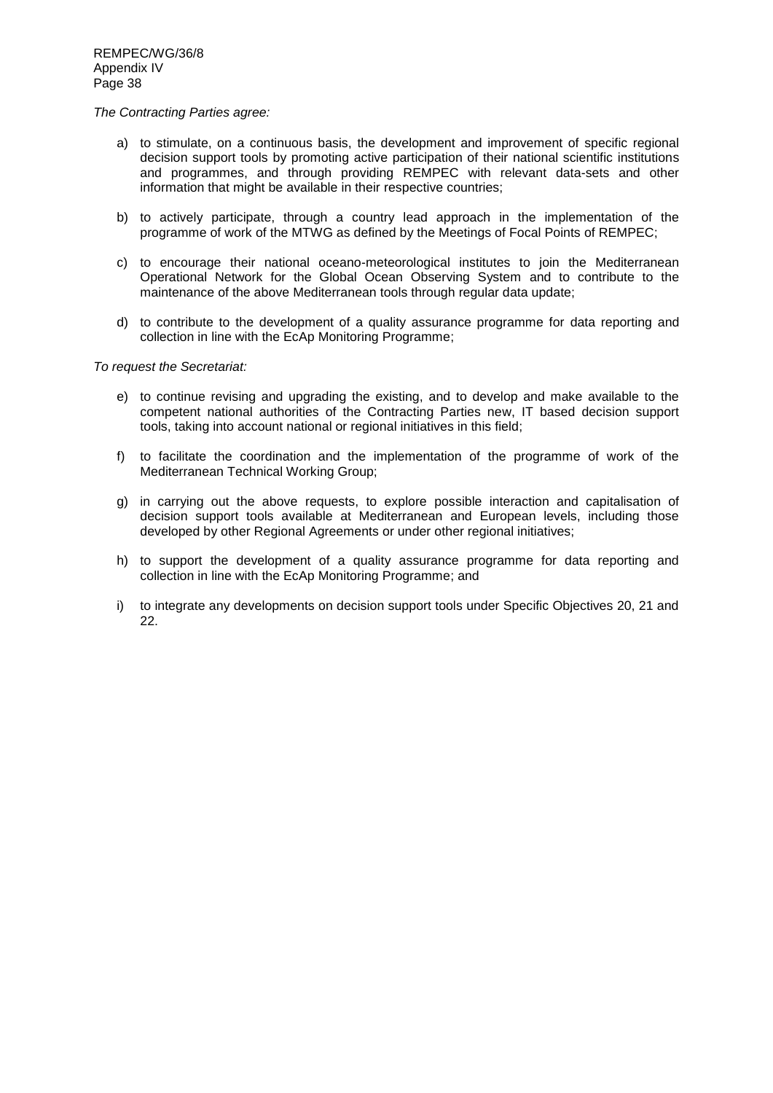#### *The Contracting Parties agree:*

- a) to stimulate, on a continuous basis, the development and improvement of specific regional decision support tools by promoting active participation of their national scientific institutions and programmes, and through providing REMPEC with relevant data-sets and other information that might be available in their respective countries;
- b) to actively participate, through a country lead approach in the implementation of the programme of work of the MTWG as defined by the Meetings of Focal Points of REMPEC;
- c) to encourage their national oceano-meteorological institutes to join the Mediterranean Operational Network for the Global Ocean Observing System and to contribute to the maintenance of the above Mediterranean tools through regular data update;
- d) to contribute to the development of a quality assurance programme for data reporting and collection in line with the EcAp Monitoring Programme;

*To request the Secretariat:*

- e) to continue revising and upgrading the existing, and to develop and make available to the competent national authorities of the Contracting Parties new, IT based decision support tools, taking into account national or regional initiatives in this field;
- f) to facilitate the coordination and the implementation of the programme of work of the Mediterranean Technical Working Group;
- g) in carrying out the above requests, to explore possible interaction and capitalisation of decision support tools available at Mediterranean and European levels, including those developed by other Regional Agreements or under other regional initiatives;
- h) to support the development of a quality assurance programme for data reporting and collection in line with the EcAp Monitoring Programme; and
- i) to integrate any developments on decision support tools under Specific Objectives 20, 21 and 22.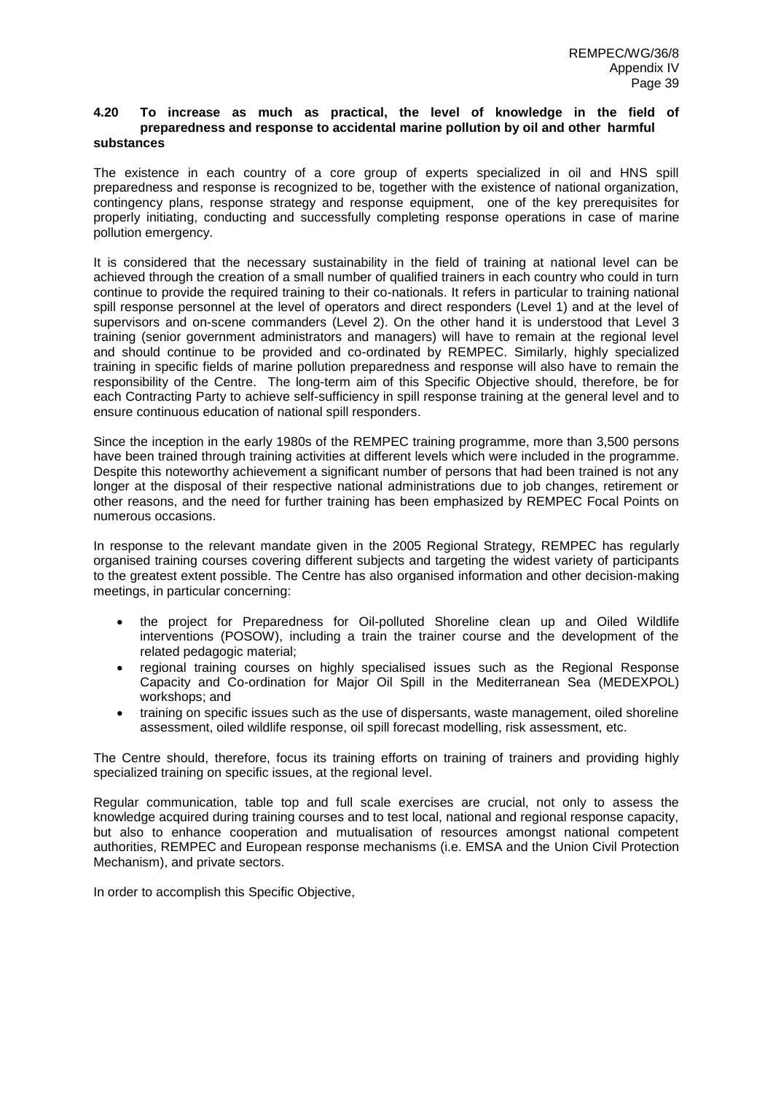#### **4.20 To increase as much as practical, the level of knowledge in the field of preparedness and response to accidental marine pollution by oil and other harmful substances**

The existence in each country of a core group of experts specialized in oil and HNS spill preparedness and response is recognized to be, together with the existence of national organization, contingency plans, response strategy and response equipment, one of the key prerequisites for properly initiating, conducting and successfully completing response operations in case of marine pollution emergency.

It is considered that the necessary sustainability in the field of training at national level can be achieved through the creation of a small number of qualified trainers in each country who could in turn continue to provide the required training to their co-nationals. It refers in particular to training national spill response personnel at the level of operators and direct responders (Level 1) and at the level of supervisors and on-scene commanders (Level 2). On the other hand it is understood that Level 3 training (senior government administrators and managers) will have to remain at the regional level and should continue to be provided and co-ordinated by REMPEC. Similarly, highly specialized training in specific fields of marine pollution preparedness and response will also have to remain the responsibility of the Centre. The long-term aim of this Specific Objective should, therefore, be for each Contracting Party to achieve self-sufficiency in spill response training at the general level and to ensure continuous education of national spill responders.

Since the inception in the early 1980s of the REMPEC training programme, more than 3,500 persons have been trained through training activities at different levels which were included in the programme. Despite this noteworthy achievement a significant number of persons that had been trained is not any longer at the disposal of their respective national administrations due to job changes, retirement or other reasons, and the need for further training has been emphasized by REMPEC Focal Points on numerous occasions.

In response to the relevant mandate given in the 2005 Regional Strategy, REMPEC has regularly organised training courses covering different subjects and targeting the widest variety of participants to the greatest extent possible. The Centre has also organised information and other decision-making meetings, in particular concerning:

- the project for Preparedness for Oil-polluted Shoreline clean up and Oiled Wildlife interventions (POSOW), including a train the trainer course and the development of the related pedagogic material;
- regional training courses on highly specialised issues such as the Regional Response Capacity and Co-ordination for Major Oil Spill in the Mediterranean Sea (MEDEXPOL) workshops; and
- training on specific issues such as the use of dispersants, waste management, oiled shoreline assessment, oiled wildlife response, oil spill forecast modelling, risk assessment, etc.

The Centre should, therefore, focus its training efforts on training of trainers and providing highly specialized training on specific issues, at the regional level.

Regular communication, table top and full scale exercises are crucial, not only to assess the knowledge acquired during training courses and to test local, national and regional response capacity, but also to enhance cooperation and mutualisation of resources amongst national competent authorities, REMPEC and European response mechanisms (i.e. EMSA and the Union Civil Protection Mechanism), and private sectors.

In order to accomplish this Specific Objective,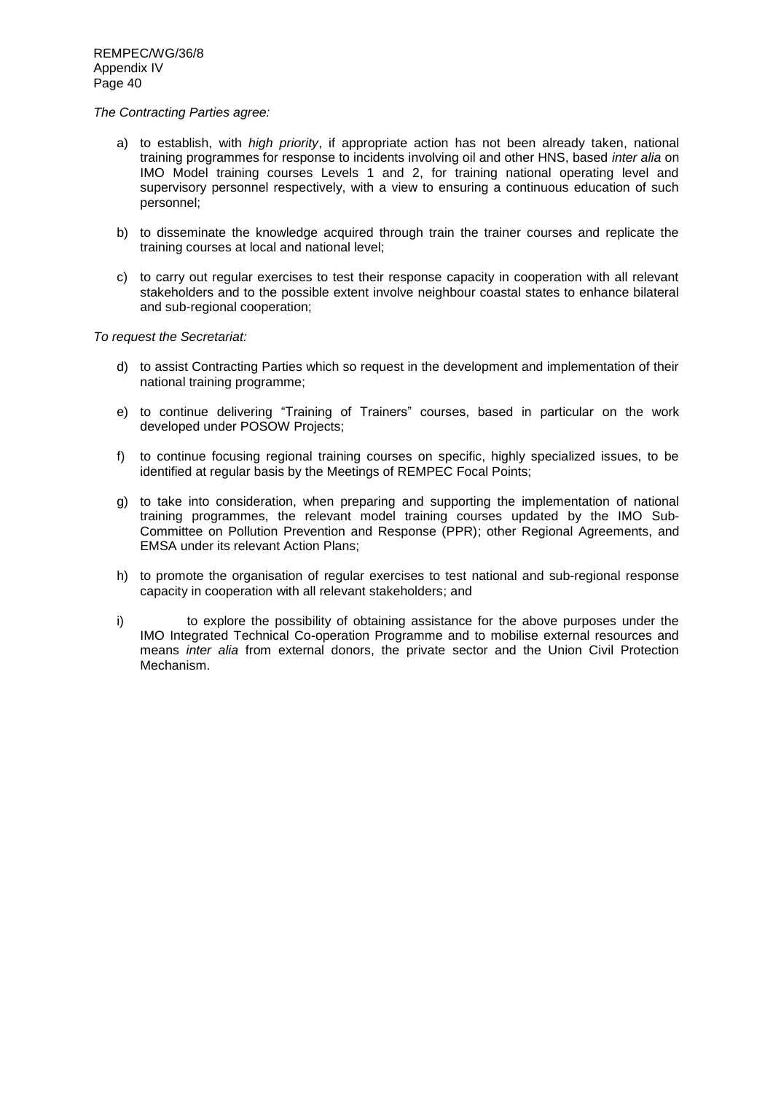#### *The Contracting Parties agree:*

- a) to establish, with *high priority*, if appropriate action has not been already taken, national training programmes for response to incidents involving oil and other HNS, based *inter alia* on IMO Model training courses Levels 1 and 2, for training national operating level and supervisory personnel respectively, with a view to ensuring a continuous education of such personnel;
- b) to disseminate the knowledge acquired through train the trainer courses and replicate the training courses at local and national level;
- c) to carry out regular exercises to test their response capacity in cooperation with all relevant stakeholders and to the possible extent involve neighbour coastal states to enhance bilateral and sub-regional cooperation;

### *To request the Secretariat:*

- d) to assist Contracting Parties which so request in the development and implementation of their national training programme;
- e) to continue delivering "Training of Trainers" courses, based in particular on the work developed under POSOW Projects;
- f) to continue focusing regional training courses on specific, highly specialized issues, to be identified at regular basis by the Meetings of REMPEC Focal Points;
- g) to take into consideration, when preparing and supporting the implementation of national training programmes, the relevant model training courses updated by the IMO Sub-Committee on Pollution Prevention and Response (PPR); other Regional Agreements, and EMSA under its relevant Action Plans;
- h) to promote the organisation of regular exercises to test national and sub-regional response capacity in cooperation with all relevant stakeholders; and
- i) to explore the possibility of obtaining assistance for the above purposes under the IMO Integrated Technical Co-operation Programme and to mobilise external resources and means *inter alia* from external donors, the private sector and the Union Civil Protection Mechanism.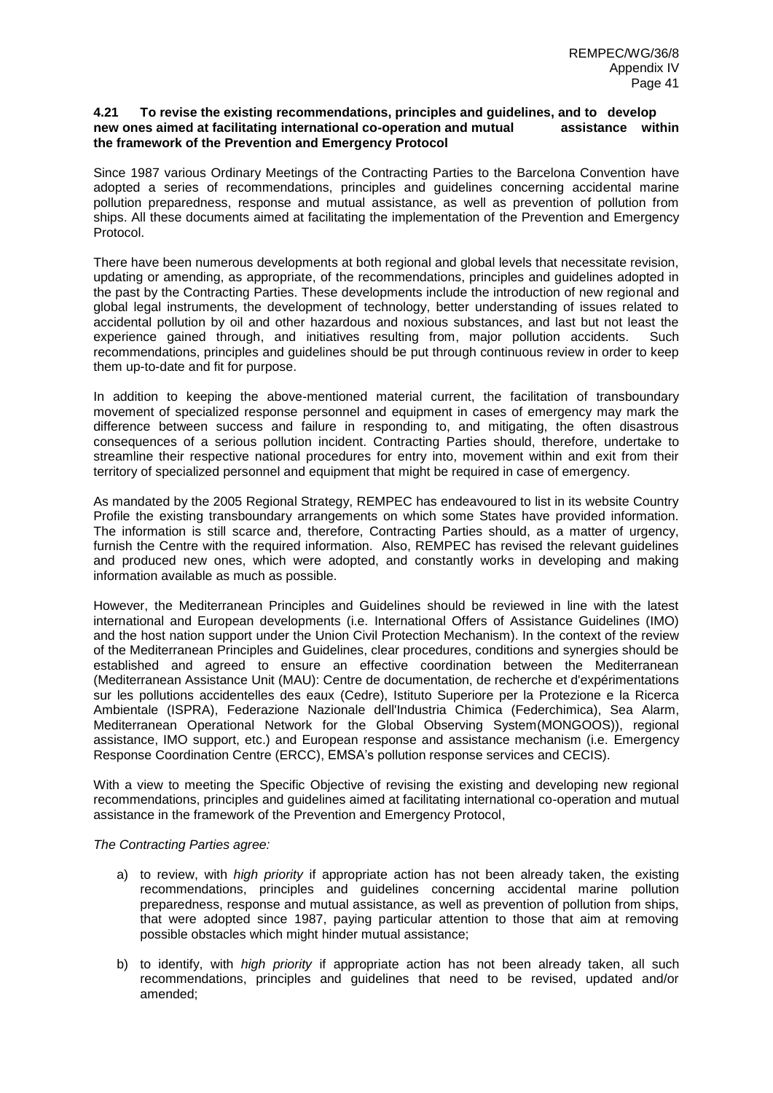#### **4.21 To revise the existing recommendations, principles and guidelines, and to develop new ones aimed at facilitating international co-operation and mutual assistance within the framework of the Prevention and Emergency Protocol**

Since 1987 various Ordinary Meetings of the Contracting Parties to the Barcelona Convention have adopted a series of recommendations, principles and guidelines concerning accidental marine pollution preparedness, response and mutual assistance, as well as prevention of pollution from ships. All these documents aimed at facilitating the implementation of the Prevention and Emergency Protocol.

There have been numerous developments at both regional and global levels that necessitate revision, updating or amending, as appropriate, of the recommendations, principles and guidelines adopted in the past by the Contracting Parties. These developments include the introduction of new regional and global legal instruments, the development of technology, better understanding of issues related to accidental pollution by oil and other hazardous and noxious substances, and last but not least the experience gained through, and initiatives resulting from, major pollution accidents. Such recommendations, principles and guidelines should be put through continuous review in order to keep them up-to-date and fit for purpose.

In addition to keeping the above-mentioned material current, the facilitation of transboundary movement of specialized response personnel and equipment in cases of emergency may mark the difference between success and failure in responding to, and mitigating, the often disastrous consequences of a serious pollution incident. Contracting Parties should, therefore, undertake to streamline their respective national procedures for entry into, movement within and exit from their territory of specialized personnel and equipment that might be required in case of emergency.

As mandated by the 2005 Regional Strategy, REMPEC has endeavoured to list in its website Country Profile the existing transboundary arrangements on which some States have provided information. The information is still scarce and, therefore, Contracting Parties should, as a matter of urgency, furnish the Centre with the required information. Also, REMPEC has revised the relevant guidelines and produced new ones, which were adopted, and constantly works in developing and making information available as much as possible.

However, the Mediterranean Principles and Guidelines should be reviewed in line with the latest international and European developments (i.e. International Offers of Assistance Guidelines (IMO) and the host nation support under the Union Civil Protection Mechanism). In the context of the review of the Mediterranean Principles and Guidelines, clear procedures, conditions and synergies should be established and agreed to ensure an effective coordination between the Mediterranean (Mediterranean Assistance Unit (MAU): Centre de documentation, de recherche et d'expérimentations sur les pollutions accidentelles des eaux (Cedre), Istituto Superiore per la Protezione e la Ricerca Ambientale (ISPRA), Federazione Nazionale dell'Industria Chimica (Federchimica), Sea Alarm, Mediterranean Operational Network for the Global Observing System(MONGOOS)), regional assistance, IMO support, etc.) and European response and assistance mechanism (i.e. Emergency Response Coordination Centre (ERCC), EMSA's pollution response services and CECIS).

With a view to meeting the Specific Objective of revising the existing and developing new regional recommendations, principles and guidelines aimed at facilitating international co-operation and mutual assistance in the framework of the Prevention and Emergency Protocol,

### *The Contracting Parties agree:*

- a) to review, with *high priority* if appropriate action has not been already taken, the existing recommendations, principles and guidelines concerning accidental marine pollution preparedness, response and mutual assistance, as well as prevention of pollution from ships, that were adopted since 1987, paying particular attention to those that aim at removing possible obstacles which might hinder mutual assistance;
- b) to identify, with *high priority* if appropriate action has not been already taken, all such recommendations, principles and guidelines that need to be revised, updated and/or amended;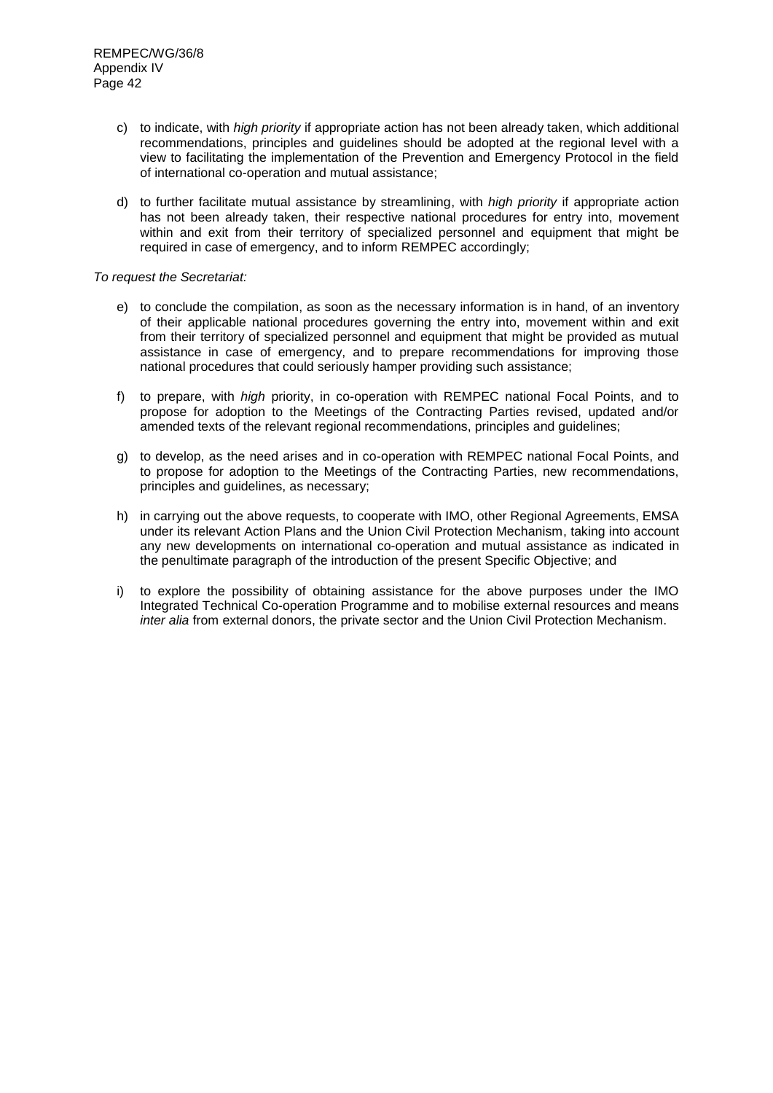- c) to indicate, with *high priority* if appropriate action has not been already taken, which additional recommendations, principles and guidelines should be adopted at the regional level with a view to facilitating the implementation of the Prevention and Emergency Protocol in the field of international co-operation and mutual assistance;
- d) to further facilitate mutual assistance by streamlining, with *high priority* if appropriate action has not been already taken, their respective national procedures for entry into, movement within and exit from their territory of specialized personnel and equipment that might be required in case of emergency, and to inform REMPEC accordingly;

## *To request the Secretariat:*

- e) to conclude the compilation, as soon as the necessary information is in hand, of an inventory of their applicable national procedures governing the entry into, movement within and exit from their territory of specialized personnel and equipment that might be provided as mutual assistance in case of emergency, and to prepare recommendations for improving those national procedures that could seriously hamper providing such assistance;
- f) to prepare, with *high* priority, in co-operation with REMPEC national Focal Points, and to propose for adoption to the Meetings of the Contracting Parties revised, updated and/or amended texts of the relevant regional recommendations, principles and guidelines;
- g) to develop, as the need arises and in co-operation with REMPEC national Focal Points, and to propose for adoption to the Meetings of the Contracting Parties, new recommendations, principles and guidelines, as necessary;
- h) in carrying out the above requests, to cooperate with IMO, other Regional Agreements, EMSA under its relevant Action Plans and the Union Civil Protection Mechanism, taking into account any new developments on international co-operation and mutual assistance as indicated in the penultimate paragraph of the introduction of the present Specific Objective; and
- i) to explore the possibility of obtaining assistance for the above purposes under the IMO Integrated Technical Co-operation Programme and to mobilise external resources and means *inter alia* from external donors, the private sector and the Union Civil Protection Mechanism.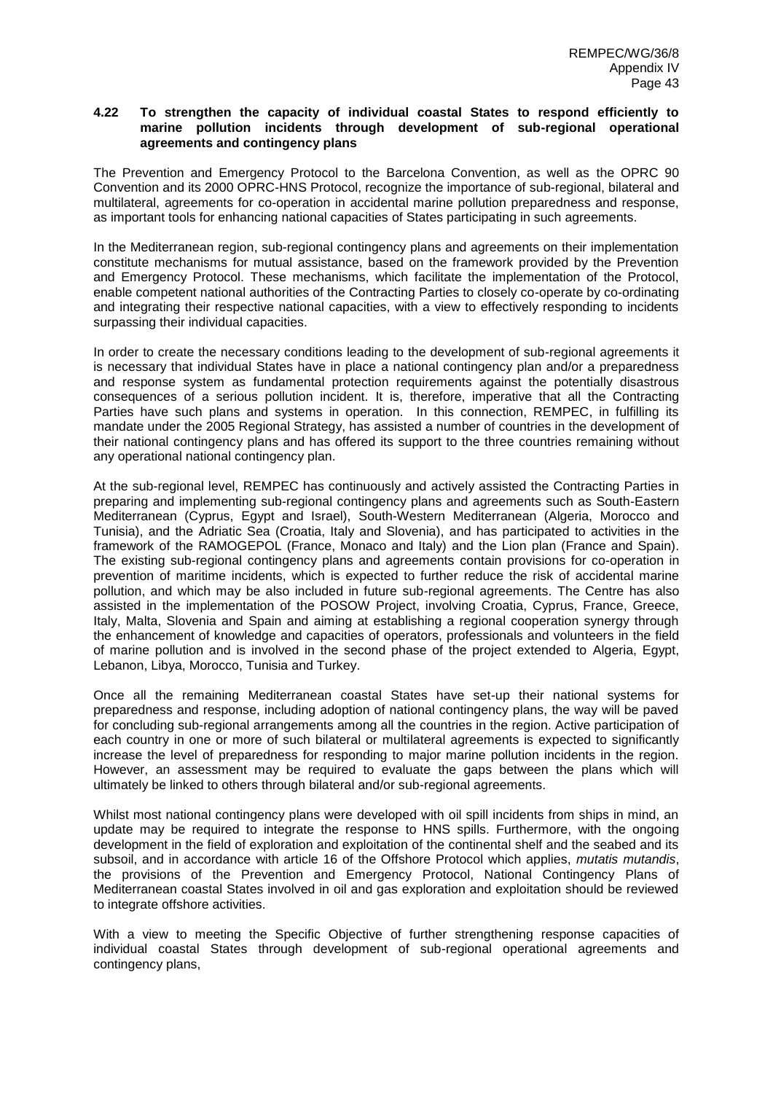### **4.22 To strengthen the capacity of individual coastal States to respond efficiently to marine pollution incidents through development of sub-regional operational agreements and contingency plans**

The Prevention and Emergency Protocol to the Barcelona Convention, as well as the OPRC 90 Convention and its 2000 OPRC-HNS Protocol, recognize the importance of sub-regional, bilateral and multilateral, agreements for co-operation in accidental marine pollution preparedness and response, as important tools for enhancing national capacities of States participating in such agreements.

In the Mediterranean region, sub-regional contingency plans and agreements on their implementation constitute mechanisms for mutual assistance, based on the framework provided by the Prevention and Emergency Protocol. These mechanisms, which facilitate the implementation of the Protocol, enable competent national authorities of the Contracting Parties to closely co-operate by co-ordinating and integrating their respective national capacities, with a view to effectively responding to incidents surpassing their individual capacities.

In order to create the necessary conditions leading to the development of sub-regional agreements it is necessary that individual States have in place a national contingency plan and/or a preparedness and response system as fundamental protection requirements against the potentially disastrous consequences of a serious pollution incident. It is, therefore, imperative that all the Contracting Parties have such plans and systems in operation. In this connection, REMPEC, in fulfilling its mandate under the 2005 Regional Strategy, has assisted a number of countries in the development of their national contingency plans and has offered its support to the three countries remaining without any operational national contingency plan.

At the sub-regional level, REMPEC has continuously and actively assisted the Contracting Parties in preparing and implementing sub-regional contingency plans and agreements such as South-Eastern Mediterranean (Cyprus, Egypt and Israel), South-Western Mediterranean (Algeria, Morocco and Tunisia), and the Adriatic Sea (Croatia, Italy and Slovenia), and has participated to activities in the framework of the RAMOGEPOL (France, Monaco and Italy) and the Lion plan (France and Spain). The existing sub-regional contingency plans and agreements contain provisions for co-operation in prevention of maritime incidents, which is expected to further reduce the risk of accidental marine pollution, and which may be also included in future sub-regional agreements. The Centre has also assisted in the implementation of the POSOW Project, involving Croatia, Cyprus, France, Greece, Italy, Malta, Slovenia and Spain and aiming at establishing a regional cooperation synergy through the enhancement of knowledge and capacities of operators, professionals and volunteers in the field of marine pollution and is involved in the second phase of the project extended to Algeria, Egypt, Lebanon, Libya, Morocco, Tunisia and Turkey.

Once all the remaining Mediterranean coastal States have set-up their national systems for preparedness and response, including adoption of national contingency plans, the way will be paved for concluding sub-regional arrangements among all the countries in the region. Active participation of each country in one or more of such bilateral or multilateral agreements is expected to significantly increase the level of preparedness for responding to major marine pollution incidents in the region. However, an assessment may be required to evaluate the gaps between the plans which will ultimately be linked to others through bilateral and/or sub-regional agreements.

Whilst most national contingency plans were developed with oil spill incidents from ships in mind, an update may be required to integrate the response to HNS spills. Furthermore, with the ongoing development in the field of exploration and exploitation of the continental shelf and the seabed and its subsoil, and in accordance with article 16 of the Offshore Protocol which applies, *mutatis mutandis*, the provisions of the Prevention and Emergency Protocol, National Contingency Plans of Mediterranean coastal States involved in oil and gas exploration and exploitation should be reviewed to integrate offshore activities.

With a view to meeting the Specific Objective of further strengthening response capacities of individual coastal States through development of sub-regional operational agreements and contingency plans,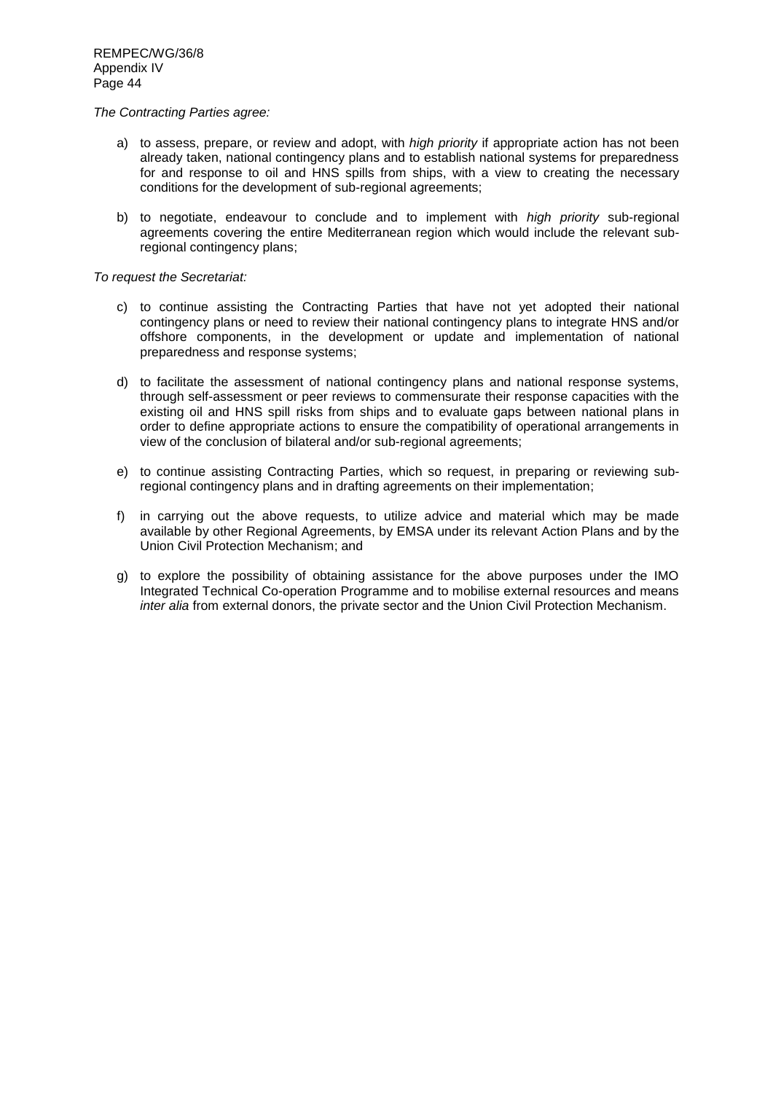### *The Contracting Parties agree:*

- a) to assess, prepare, or review and adopt, with *high priority* if appropriate action has not been already taken, national contingency plans and to establish national systems for preparedness for and response to oil and HNS spills from ships, with a view to creating the necessary conditions for the development of sub-regional agreements;
- b) to negotiate, endeavour to conclude and to implement with *high priority* sub-regional agreements covering the entire Mediterranean region which would include the relevant subregional contingency plans;

*To request the Secretariat:*

- c) to continue assisting the Contracting Parties that have not yet adopted their national contingency plans or need to review their national contingency plans to integrate HNS and/or offshore components, in the development or update and implementation of national preparedness and response systems;
- d) to facilitate the assessment of national contingency plans and national response systems, through self-assessment or peer reviews to commensurate their response capacities with the existing oil and HNS spill risks from ships and to evaluate gaps between national plans in order to define appropriate actions to ensure the compatibility of operational arrangements in view of the conclusion of bilateral and/or sub-regional agreements;
- e) to continue assisting Contracting Parties, which so request, in preparing or reviewing subregional contingency plans and in drafting agreements on their implementation;
- f) in carrying out the above requests, to utilize advice and material which may be made available by other Regional Agreements, by EMSA under its relevant Action Plans and by the Union Civil Protection Mechanism; and
- g) to explore the possibility of obtaining assistance for the above purposes under the IMO Integrated Technical Co-operation Programme and to mobilise external resources and means *inter alia* from external donors, the private sector and the Union Civil Protection Mechanism.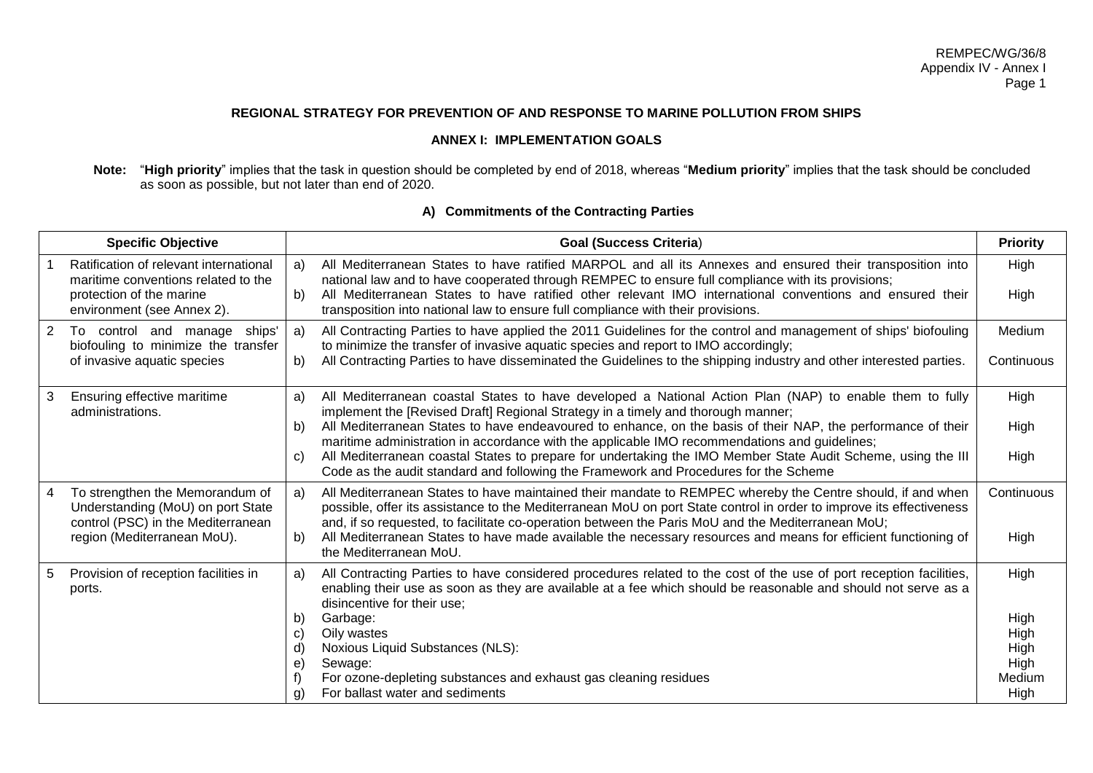## **REGIONAL STRATEGY FOR PREVENTION OF AND RESPONSE TO MARINE POLLUTION FROM SHIPS**

# **ANNEX I: IMPLEMENTATION GOALS**

**Note:** "**High priority**" implies that the task in question should be completed by end of 2018, whereas "**Medium priority**" implies that the task should be concluded as soon as possible, but not later than end of 2020.

| <b>Specific Objective</b> |                                                                                                                                           |                                  | <b>Goal (Success Criteria)</b>                                                                                                                                                                                                                                                                                                                                                                                                                                                                                                                                                                                       | <b>Priority</b>                                        |
|---------------------------|-------------------------------------------------------------------------------------------------------------------------------------------|----------------------------------|----------------------------------------------------------------------------------------------------------------------------------------------------------------------------------------------------------------------------------------------------------------------------------------------------------------------------------------------------------------------------------------------------------------------------------------------------------------------------------------------------------------------------------------------------------------------------------------------------------------------|--------------------------------------------------------|
|                           | Ratification of relevant international<br>maritime conventions related to the<br>protection of the marine<br>environment (see Annex 2).   | a)<br>b)                         | All Mediterranean States to have ratified MARPOL and all its Annexes and ensured their transposition into<br>national law and to have cooperated through REMPEC to ensure full compliance with its provisions;<br>All Mediterranean States to have ratified other relevant IMO international conventions and ensured their<br>transposition into national law to ensure full compliance with their provisions.                                                                                                                                                                                                       | High<br>High                                           |
| 2                         | To control and manage<br>ships'<br>biofouling to minimize the transfer<br>of invasive aquatic species                                     | a)<br>b)                         | All Contracting Parties to have applied the 2011 Guidelines for the control and management of ships' biofouling<br>to minimize the transfer of invasive aquatic species and report to IMO accordingly;<br>All Contracting Parties to have disseminated the Guidelines to the shipping industry and other interested parties.                                                                                                                                                                                                                                                                                         | Medium<br>Continuous                                   |
|                           | Ensuring effective maritime<br>administrations.                                                                                           | a)<br>b)<br>C)                   | All Mediterranean coastal States to have developed a National Action Plan (NAP) to enable them to fully<br>implement the [Revised Draft] Regional Strategy in a timely and thorough manner;<br>All Mediterranean States to have endeavoured to enhance, on the basis of their NAP, the performance of their<br>maritime administration in accordance with the applicable IMO recommendations and guidelines;<br>All Mediterranean coastal States to prepare for undertaking the IMO Member State Audit Scheme, using the III<br>Code as the audit standard and following the Framework and Procedures for the Scheme | High<br>High<br>High                                   |
| 4                         | To strengthen the Memorandum of<br>Understanding (MoU) on port State<br>control (PSC) in the Mediterranean<br>region (Mediterranean MoU). | a)<br>b)                         | All Mediterranean States to have maintained their mandate to REMPEC whereby the Centre should, if and when<br>possible, offer its assistance to the Mediterranean MoU on port State control in order to improve its effectiveness<br>and, if so requested, to facilitate co-operation between the Paris MoU and the Mediterranean MoU;<br>All Mediterranean States to have made available the necessary resources and means for efficient functioning of<br>the Mediterranean MoU.                                                                                                                                   | Continuous<br>High                                     |
| 5                         | Provision of reception facilities in<br>ports.                                                                                            | a)<br>b)<br>C)<br>d)<br>e)<br>g) | All Contracting Parties to have considered procedures related to the cost of the use of port reception facilities,<br>enabling their use as soon as they are available at a fee which should be reasonable and should not serve as a<br>disincentive for their use;<br>Garbage:<br>Oily wastes<br>Noxious Liquid Substances (NLS):<br>Sewage:<br>For ozone-depleting substances and exhaust gas cleaning residues<br>For ballast water and sediments                                                                                                                                                                 | High<br>High<br>High<br>High<br>High<br>Medium<br>High |

# **A) Commitments of the Contracting Parties**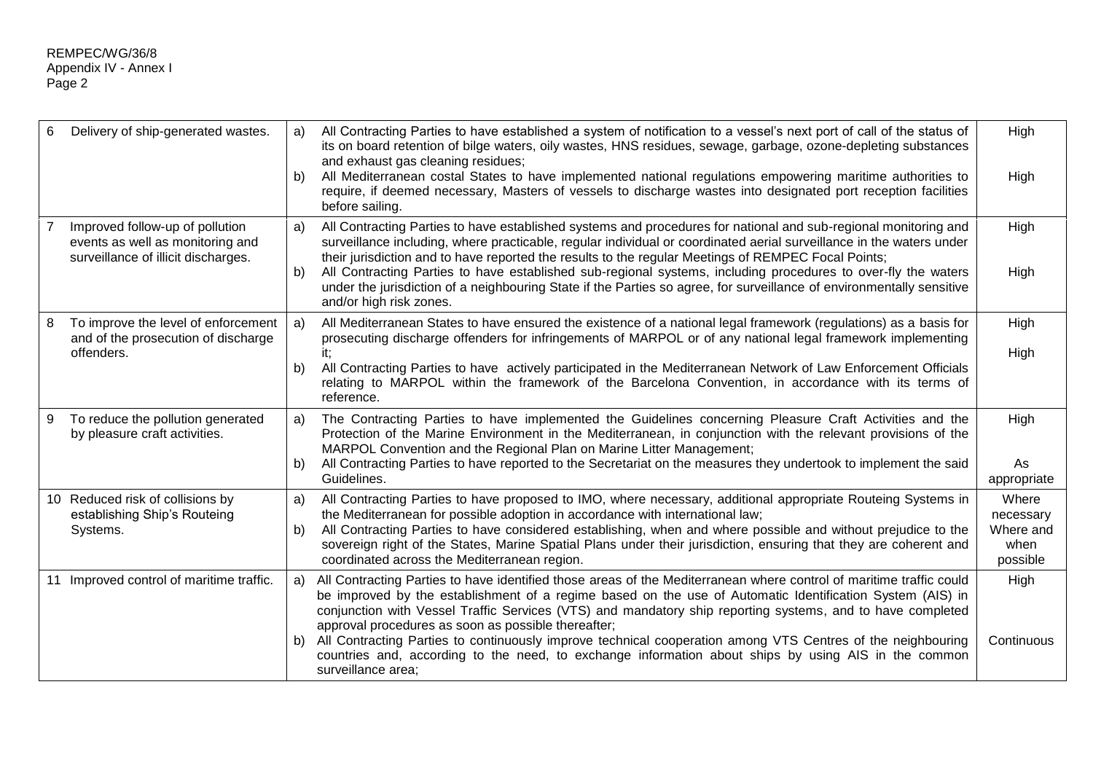| 6 | Delivery of ship-generated wastes.                                                                         | a)<br>b)  | All Contracting Parties to have established a system of notification to a vessel's next port of call of the status of<br>its on board retention of bilge waters, oily wastes, HNS residues, sewage, garbage, ozone-depleting substances<br>and exhaust gas cleaning residues;<br>All Mediterranean costal States to have implemented national regulations empowering maritime authorities to<br>require, if deemed necessary, Masters of vessels to discharge wastes into designated port reception facilities<br>before sailing.                                                                                                                  |                                                     |
|---|------------------------------------------------------------------------------------------------------------|-----------|----------------------------------------------------------------------------------------------------------------------------------------------------------------------------------------------------------------------------------------------------------------------------------------------------------------------------------------------------------------------------------------------------------------------------------------------------------------------------------------------------------------------------------------------------------------------------------------------------------------------------------------------------|-----------------------------------------------------|
|   | Improved follow-up of pollution<br>events as well as monitoring and<br>surveillance of illicit discharges. | a)<br>b)  | All Contracting Parties to have established systems and procedures for national and sub-regional monitoring and<br>surveillance including, where practicable, regular individual or coordinated aerial surveillance in the waters under<br>their jurisdiction and to have reported the results to the regular Meetings of REMPEC Focal Points;<br>All Contracting Parties to have established sub-regional systems, including procedures to over-fly the waters<br>under the jurisdiction of a neighbouring State if the Parties so agree, for surveillance of environmentally sensitive<br>and/or high risk zones.                                |                                                     |
| 8 | To improve the level of enforcement<br>and of the prosecution of discharge<br>offenders.                   | a)<br>b)  | All Mediterranean States to have ensured the existence of a national legal framework (regulations) as a basis for<br>prosecuting discharge offenders for infringements of MARPOL or of any national legal framework implementing<br>All Contracting Parties to have actively participated in the Mediterranean Network of Law Enforcement Officials<br>relating to MARPOL within the framework of the Barcelona Convention, in accordance with its terms of<br>reference.                                                                                                                                                                          | High<br>High                                        |
| 9 | To reduce the pollution generated<br>by pleasure craft activities.                                         | a)<br>b). | The Contracting Parties to have implemented the Guidelines concerning Pleasure Craft Activities and the<br>Protection of the Marine Environment in the Mediterranean, in conjunction with the relevant provisions of the<br>MARPOL Convention and the Regional Plan on Marine Litter Management;<br>All Contracting Parties to have reported to the Secretariat on the measures they undertook to implement the said<br>Guidelines.                                                                                                                                                                                                                | High<br>As<br>appropriate                           |
|   | 10 Reduced risk of collisions by<br>establishing Ship's Routeing<br>Systems.                               | a)<br>b)  | All Contracting Parties to have proposed to IMO, where necessary, additional appropriate Routeing Systems in<br>the Mediterranean for possible adoption in accordance with international law;<br>All Contracting Parties to have considered establishing, when and where possible and without prejudice to the<br>sovereign right of the States, Marine Spatial Plans under their jurisdiction, ensuring that they are coherent and<br>coordinated across the Mediterranean region.                                                                                                                                                                | Where<br>necessary<br>Where and<br>when<br>possible |
|   | 11 Improved control of maritime traffic.                                                                   | a)<br>b)  | All Contracting Parties to have identified those areas of the Mediterranean where control of maritime traffic could<br>be improved by the establishment of a regime based on the use of Automatic Identification System (AIS) in<br>conjunction with Vessel Traffic Services (VTS) and mandatory ship reporting systems, and to have completed<br>approval procedures as soon as possible thereafter;<br>All Contracting Parties to continuously improve technical cooperation among VTS Centres of the neighbouring<br>countries and, according to the need, to exchange information about ships by using AIS in the common<br>surveillance area; | High<br>Continuous                                  |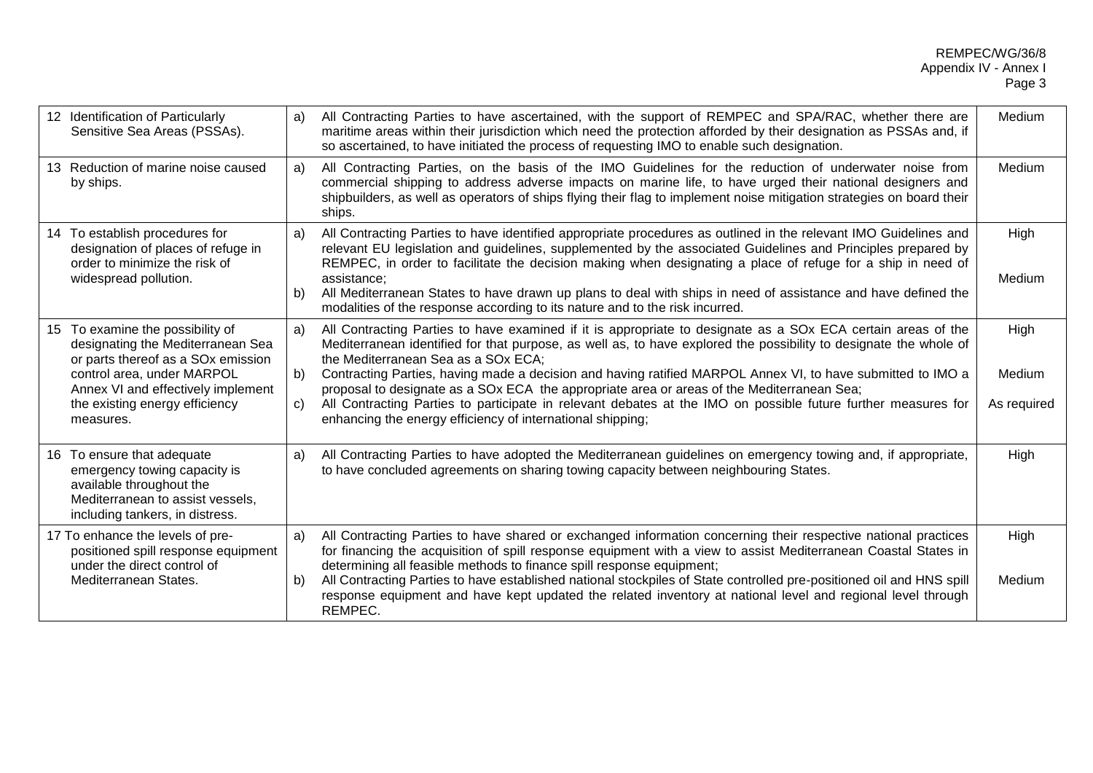| 12 Identification of Particularly<br>Sensitive Sea Areas (PSSAs).                                                                                                                                                              | a)             | All Contracting Parties to have ascertained, with the support of REMPEC and SPA/RAC, whether there are<br>maritime areas within their jurisdiction which need the protection afforded by their designation as PSSAs and, if<br>so ascertained, to have initiated the process of requesting IMO to enable such designation.                                                                                                                                                                                                                                                                                                                                           |                               |
|--------------------------------------------------------------------------------------------------------------------------------------------------------------------------------------------------------------------------------|----------------|----------------------------------------------------------------------------------------------------------------------------------------------------------------------------------------------------------------------------------------------------------------------------------------------------------------------------------------------------------------------------------------------------------------------------------------------------------------------------------------------------------------------------------------------------------------------------------------------------------------------------------------------------------------------|-------------------------------|
| 13 Reduction of marine noise caused<br>by ships.                                                                                                                                                                               | a)             | All Contracting Parties, on the basis of the IMO Guidelines for the reduction of underwater noise from<br>commercial shipping to address adverse impacts on marine life, to have urged their national designers and<br>shipbuilders, as well as operators of ships flying their flag to implement noise mitigation strategies on board their<br>ships.                                                                                                                                                                                                                                                                                                               |                               |
| 14 To establish procedures for<br>designation of places of refuge in<br>order to minimize the risk of<br>widespread pollution.                                                                                                 | a)<br>b)       | All Contracting Parties to have identified appropriate procedures as outlined in the relevant IMO Guidelines and<br>relevant EU legislation and guidelines, supplemented by the associated Guidelines and Principles prepared by<br>REMPEC, in order to facilitate the decision making when designating a place of refuge for a ship in need of<br>assistance:<br>All Mediterranean States to have drawn up plans to deal with ships in need of assistance and have defined the<br>modalities of the response according to its nature and to the risk incurred.                                                                                                      |                               |
| 15 To examine the possibility of<br>designating the Mediterranean Sea<br>or parts thereof as a SOx emission<br>control area, under MARPOL<br>Annex VI and effectively implement<br>the existing energy efficiency<br>measures. | a)<br>b)<br>C) | All Contracting Parties to have examined if it is appropriate to designate as a SOx ECA certain areas of the<br>Mediterranean identified for that purpose, as well as, to have explored the possibility to designate the whole of<br>the Mediterranean Sea as a SOx ECA;<br>Contracting Parties, having made a decision and having ratified MARPOL Annex VI, to have submitted to IMO a<br>proposal to designate as a SOx ECA the appropriate area or areas of the Mediterranean Sea;<br>All Contracting Parties to participate in relevant debates at the IMO on possible future further measures for<br>enhancing the energy efficiency of international shipping; | High<br>Medium<br>As required |
| 16 To ensure that adequate<br>a)<br>emergency towing capacity is<br>available throughout the<br>Mediterranean to assist vessels,<br>including tankers, in distress.                                                            |                | All Contracting Parties to have adopted the Mediterranean guidelines on emergency towing and, if appropriate,<br>to have concluded agreements on sharing towing capacity between neighbouring States.                                                                                                                                                                                                                                                                                                                                                                                                                                                                | High                          |
| 17 To enhance the levels of pre-<br>positioned spill response equipment<br>under the direct control of<br>Mediterranean States.                                                                                                | a)<br>b)       | All Contracting Parties to have shared or exchanged information concerning their respective national practices<br>for financing the acquisition of spill response equipment with a view to assist Mediterranean Coastal States in<br>determining all feasible methods to finance spill response equipment;<br>All Contracting Parties to have established national stockpiles of State controlled pre-positioned oil and HNS spill<br>response equipment and have kept updated the related inventory at national level and regional level through<br>REMPEC.                                                                                                         | High<br>Medium                |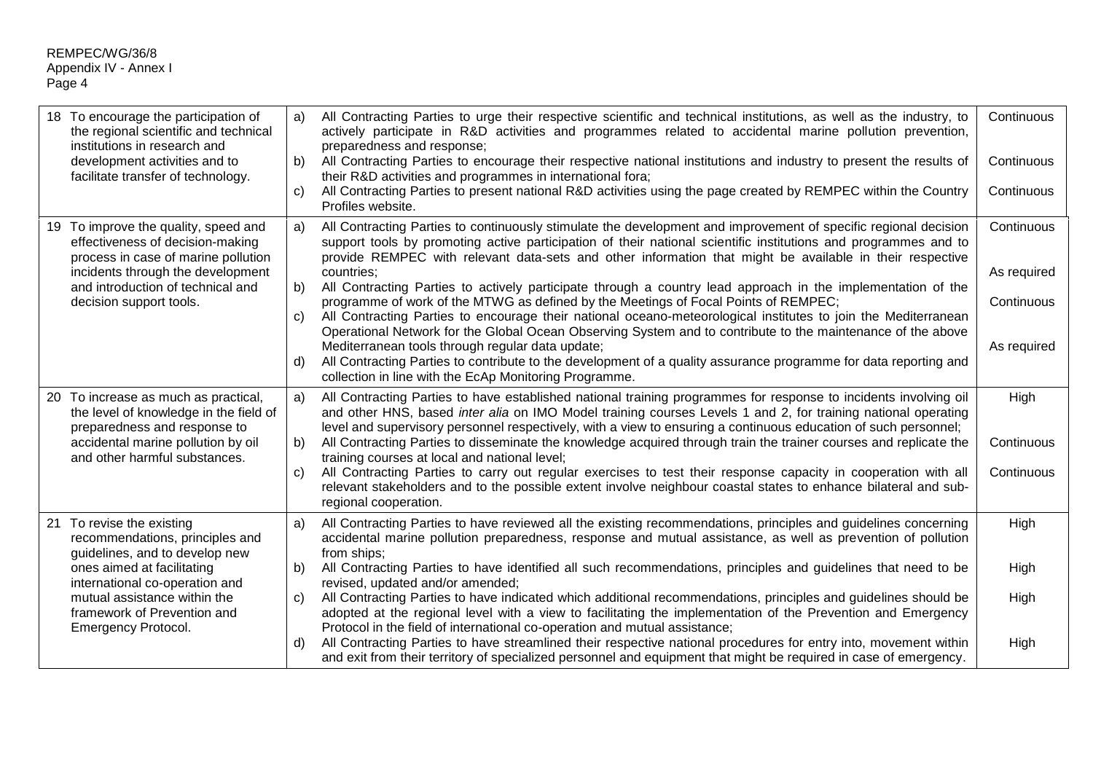| 18 To encourage the participation of<br>the regional scientific and technical<br>institutions in research and<br>development activities and to<br>facilitate transfer of technology.                                                                        | All Contracting Parties to urge their respective scientific and technical institutions, as well as the industry, to<br>a)<br>actively participate in R&D activities and programmes related to accidental marine pollution prevention,<br>preparedness and response;<br>All Contracting Parties to encourage their respective national institutions and industry to present the results of<br>b)<br>their R&D activities and programmes in international fora;<br>All Contracting Parties to present national R&D activities using the page created by REMPEC within the Country<br>C)<br>Profiles website.                                                                                                                                                                                                                                                                                                                                                                                                                                                     | Continuous<br>Continuous<br>Continuous                 |
|-------------------------------------------------------------------------------------------------------------------------------------------------------------------------------------------------------------------------------------------------------------|----------------------------------------------------------------------------------------------------------------------------------------------------------------------------------------------------------------------------------------------------------------------------------------------------------------------------------------------------------------------------------------------------------------------------------------------------------------------------------------------------------------------------------------------------------------------------------------------------------------------------------------------------------------------------------------------------------------------------------------------------------------------------------------------------------------------------------------------------------------------------------------------------------------------------------------------------------------------------------------------------------------------------------------------------------------|--------------------------------------------------------|
| 19 To improve the quality, speed and<br>effectiveness of decision-making<br>process in case of marine pollution<br>incidents through the development<br>and introduction of technical and<br>decision support tools.                                        | All Contracting Parties to continuously stimulate the development and improvement of specific regional decision<br>a)<br>support tools by promoting active participation of their national scientific institutions and programmes and to<br>provide REMPEC with relevant data-sets and other information that might be available in their respective<br>countries;<br>All Contracting Parties to actively participate through a country lead approach in the implementation of the<br>b)<br>programme of work of the MTWG as defined by the Meetings of Focal Points of REMPEC;<br>All Contracting Parties to encourage their national oceano-meteorological institutes to join the Mediterranean<br>C)<br>Operational Network for the Global Ocean Observing System and to contribute to the maintenance of the above<br>Mediterranean tools through regular data update;<br>All Contracting Parties to contribute to the development of a quality assurance programme for data reporting and<br>d)<br>collection in line with the EcAp Monitoring Programme. | Continuous<br>As required<br>Continuous<br>As required |
| 20 To increase as much as practical,<br>the level of knowledge in the field of<br>preparedness and response to<br>accidental marine pollution by oil<br>and other harmful substances.                                                                       | All Contracting Parties to have established national training programmes for response to incidents involving oil<br>a)<br>and other HNS, based inter alia on IMO Model training courses Levels 1 and 2, for training national operating<br>level and supervisory personnel respectively, with a view to ensuring a continuous education of such personnel;<br>All Contracting Parties to disseminate the knowledge acquired through train the trainer courses and replicate the<br>b)<br>training courses at local and national level;<br>All Contracting Parties to carry out regular exercises to test their response capacity in cooperation with all<br>C)<br>relevant stakeholders and to the possible extent involve neighbour coastal states to enhance bilateral and sub-<br>regional cooperation.                                                                                                                                                                                                                                                     | High<br>Continuous<br>Continuous                       |
| 21 To revise the existing<br>recommendations, principles and<br>guidelines, and to develop new<br>ones aimed at facilitating<br>international co-operation and<br>mutual assistance within the<br>framework of Prevention and<br><b>Emergency Protocol.</b> | All Contracting Parties to have reviewed all the existing recommendations, principles and guidelines concerning<br>a)<br>accidental marine pollution preparedness, response and mutual assistance, as well as prevention of pollution<br>from ships;<br>All Contracting Parties to have identified all such recommendations, principles and guidelines that need to be<br>b)<br>revised, updated and/or amended;<br>All Contracting Parties to have indicated which additional recommendations, principles and guidelines should be<br>C)<br>adopted at the regional level with a view to facilitating the implementation of the Prevention and Emergency<br>Protocol in the field of international co-operation and mutual assistance;<br>All Contracting Parties to have streamlined their respective national procedures for entry into, movement within<br>d)<br>and exit from their territory of specialized personnel and equipment that might be required in case of emergency.                                                                         | High<br>High<br>High<br>High                           |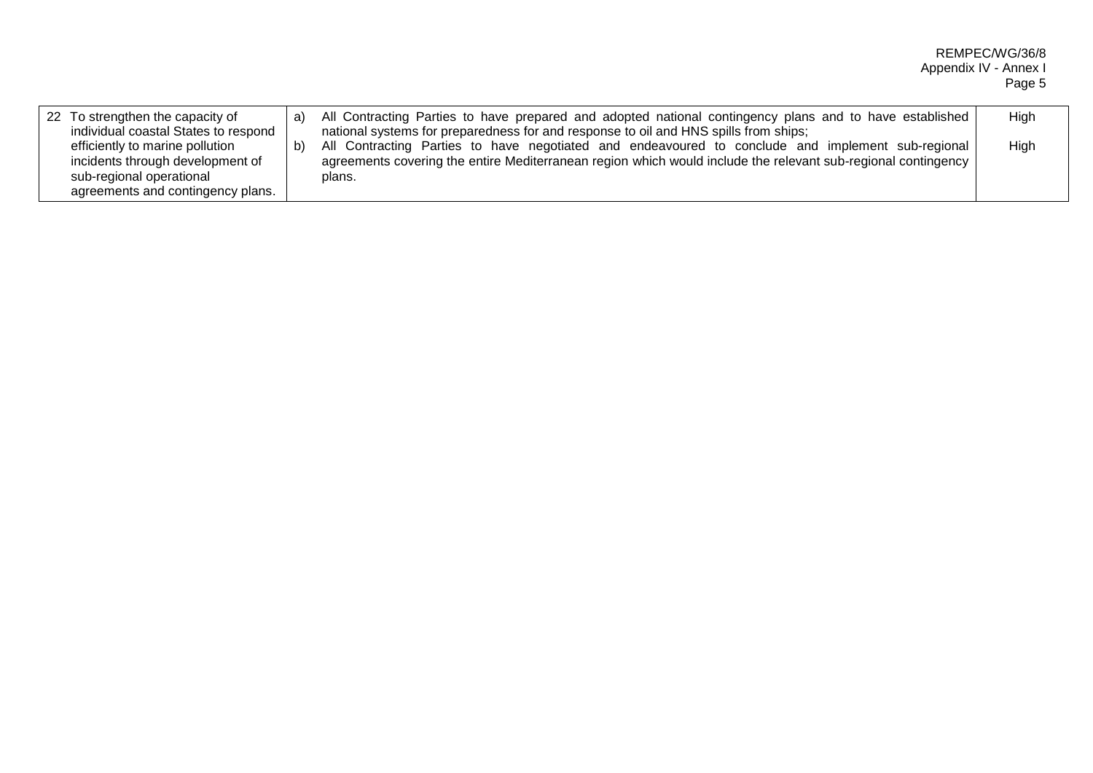| 22 To strengthen the capacity of<br>individual coastal States to respond                                                             | a) | All Contracting Parties to have prepared and adopted national contingency plans and to have established<br>national systems for preparedness for and response to oil and HNS spills from ships;                              | High |
|--------------------------------------------------------------------------------------------------------------------------------------|----|------------------------------------------------------------------------------------------------------------------------------------------------------------------------------------------------------------------------------|------|
| efficiently to marine pollution<br>incidents through development of<br>sub-regional operational<br>agreements and contingency plans. | D) | All Contracting Parties to have negotiated and endeavoured to conclude and implement sub-regional<br>agreements covering the entire Mediterranean region which would include the relevant sub-regional contingency<br>plans. | High |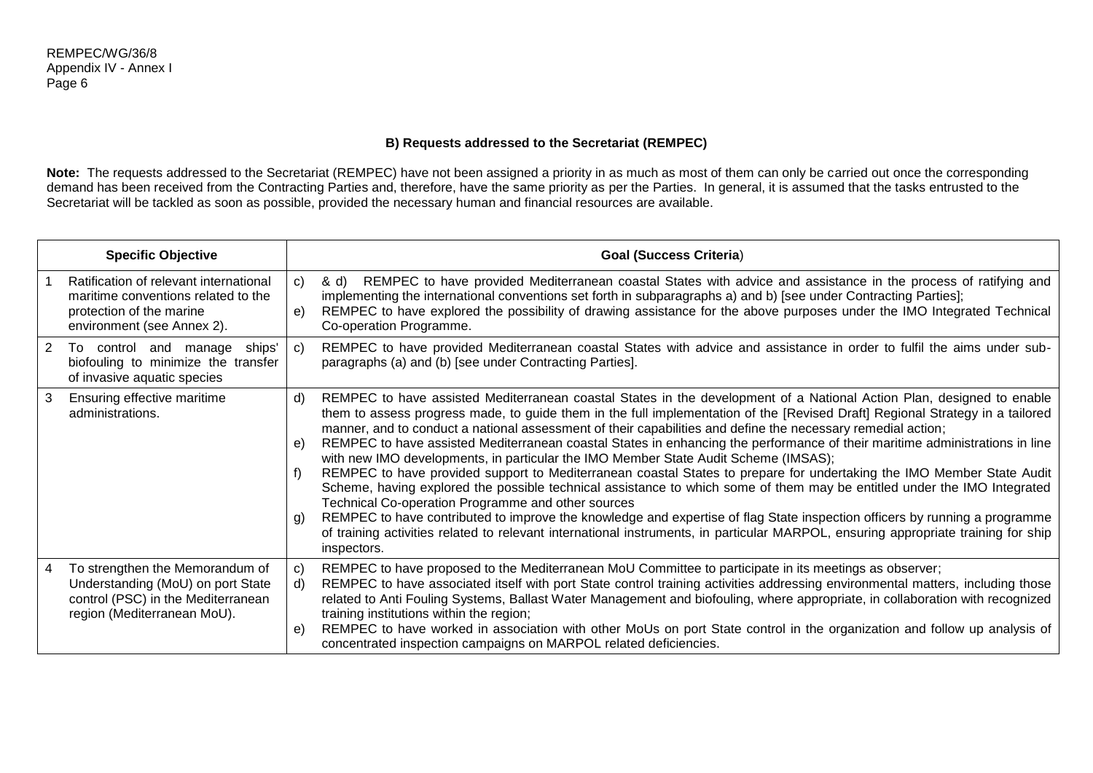# **B) Requests addressed to the Secretariat (REMPEC)**

**Note:** The requests addressed to the Secretariat (REMPEC) have not been assigned a priority in as much as most of them can only be carried out once the corresponding demand has been received from the Contracting Parties and, therefore, have the same priority as per the Parties. In general, it is assumed that the tasks entrusted to the Secretariat will be tackled as soon as possible, provided the necessary human and financial resources are available.

|                | <b>Specific Objective</b>                                                                                                                 |                | <b>Goal (Success Criteria)</b>                                                                                                                                                                                                                                                                                                                                                                                                                                                                                                                                                                                                                                                                                                                                                                                                                                                                                                                                                                                                                                                                                                                                                             |
|----------------|-------------------------------------------------------------------------------------------------------------------------------------------|----------------|--------------------------------------------------------------------------------------------------------------------------------------------------------------------------------------------------------------------------------------------------------------------------------------------------------------------------------------------------------------------------------------------------------------------------------------------------------------------------------------------------------------------------------------------------------------------------------------------------------------------------------------------------------------------------------------------------------------------------------------------------------------------------------------------------------------------------------------------------------------------------------------------------------------------------------------------------------------------------------------------------------------------------------------------------------------------------------------------------------------------------------------------------------------------------------------------|
|                | Ratification of relevant international<br>maritime conventions related to the<br>protection of the marine<br>environment (see Annex 2).   | C)<br>e)       | REMPEC to have provided Mediterranean coastal States with advice and assistance in the process of ratifying and<br>& d)<br>implementing the international conventions set forth in subparagraphs a) and b) [see under Contracting Parties];<br>REMPEC to have explored the possibility of drawing assistance for the above purposes under the IMO Integrated Technical<br>Co-operation Programme.                                                                                                                                                                                                                                                                                                                                                                                                                                                                                                                                                                                                                                                                                                                                                                                          |
| $\overline{2}$ | ships'<br>To control and manage<br>biofouling to minimize the transfer<br>of invasive aquatic species                                     | C)             | REMPEC to have provided Mediterranean coastal States with advice and assistance in order to fulfil the aims under sub-<br>paragraphs (a) and (b) [see under Contracting Parties].                                                                                                                                                                                                                                                                                                                                                                                                                                                                                                                                                                                                                                                                                                                                                                                                                                                                                                                                                                                                          |
| 3 <sup>1</sup> | Ensuring effective maritime<br>administrations.                                                                                           | d)<br>e)<br>g) | REMPEC to have assisted Mediterranean coastal States in the development of a National Action Plan, designed to enable<br>them to assess progress made, to guide them in the full implementation of the [Revised Draft] Regional Strategy in a tailored<br>manner, and to conduct a national assessment of their capabilities and define the necessary remedial action;<br>REMPEC to have assisted Mediterranean coastal States in enhancing the performance of their maritime administrations in line<br>with new IMO developments, in particular the IMO Member State Audit Scheme (IMSAS);<br>REMPEC to have provided support to Mediterranean coastal States to prepare for undertaking the IMO Member State Audit<br>Scheme, having explored the possible technical assistance to which some of them may be entitled under the IMO Integrated<br>Technical Co-operation Programme and other sources<br>REMPEC to have contributed to improve the knowledge and expertise of flag State inspection officers by running a programme<br>of training activities related to relevant international instruments, in particular MARPOL, ensuring appropriate training for ship<br>inspectors. |
| 4              | To strengthen the Memorandum of<br>Understanding (MoU) on port State<br>control (PSC) in the Mediterranean<br>region (Mediterranean MoU). | C)<br>d)<br>e) | REMPEC to have proposed to the Mediterranean MoU Committee to participate in its meetings as observer;<br>REMPEC to have associated itself with port State control training activities addressing environmental matters, including those<br>related to Anti Fouling Systems, Ballast Water Management and biofouling, where appropriate, in collaboration with recognized<br>training institutions within the region;<br>REMPEC to have worked in association with other MoUs on port State control in the organization and follow up analysis of<br>concentrated inspection campaigns on MARPOL related deficiencies.                                                                                                                                                                                                                                                                                                                                                                                                                                                                                                                                                                     |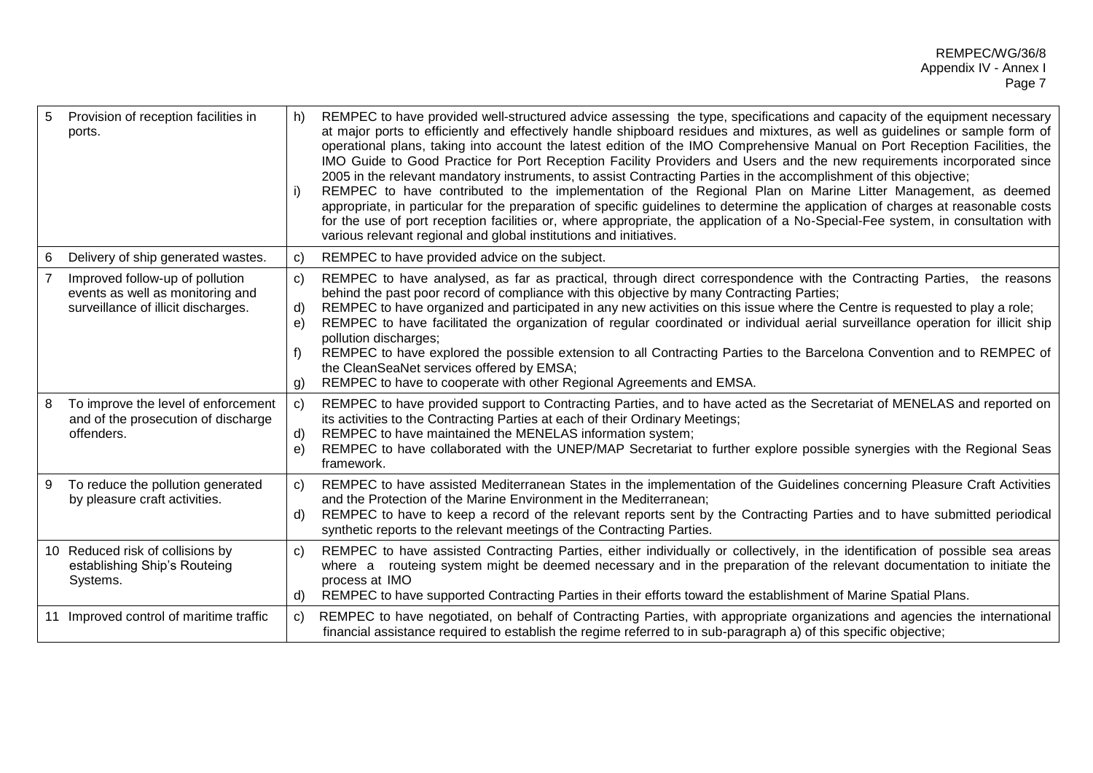| 5              | Provision of reception facilities in<br>ports.                                                             | h)                       | REMPEC to have provided well-structured advice assessing the type, specifications and capacity of the equipment necessary<br>at major ports to efficiently and effectively handle shipboard residues and mixtures, as well as guidelines or sample form of<br>operational plans, taking into account the latest edition of the IMO Comprehensive Manual on Port Reception Facilities, the<br>IMO Guide to Good Practice for Port Reception Facility Providers and Users and the new requirements incorporated since<br>2005 in the relevant mandatory instruments, to assist Contracting Parties in the accomplishment of this objective;<br>REMPEC to have contributed to the implementation of the Regional Plan on Marine Litter Management, as deemed<br>appropriate, in particular for the preparation of specific guidelines to determine the application of charges at reasonable costs<br>for the use of port reception facilities or, where appropriate, the application of a No-Special-Fee system, in consultation with<br>various relevant regional and global institutions and initiatives. |
|----------------|------------------------------------------------------------------------------------------------------------|--------------------------|----------------------------------------------------------------------------------------------------------------------------------------------------------------------------------------------------------------------------------------------------------------------------------------------------------------------------------------------------------------------------------------------------------------------------------------------------------------------------------------------------------------------------------------------------------------------------------------------------------------------------------------------------------------------------------------------------------------------------------------------------------------------------------------------------------------------------------------------------------------------------------------------------------------------------------------------------------------------------------------------------------------------------------------------------------------------------------------------------------|
|                | Delivery of ship generated wastes.                                                                         | C)                       | REMPEC to have provided advice on the subject.                                                                                                                                                                                                                                                                                                                                                                                                                                                                                                                                                                                                                                                                                                                                                                                                                                                                                                                                                                                                                                                           |
| $\overline{7}$ | Improved follow-up of pollution<br>events as well as monitoring and<br>surveillance of illicit discharges. | C)<br>d)<br>e)<br>g)     | REMPEC to have analysed, as far as practical, through direct correspondence with the Contracting Parties, the reasons<br>behind the past poor record of compliance with this objective by many Contracting Parties;<br>REMPEC to have organized and participated in any new activities on this issue where the Centre is requested to play a role;<br>REMPEC to have facilitated the organization of regular coordinated or individual aerial surveillance operation for illicit ship<br>pollution discharges;<br>REMPEC to have explored the possible extension to all Contracting Parties to the Barcelona Convention and to REMPEC of<br>the CleanSeaNet services offered by EMSA;<br>REMPEC to have to cooperate with other Regional Agreements and EMSA.                                                                                                                                                                                                                                                                                                                                            |
| 8              | To improve the level of enforcement<br>and of the prosecution of discharge<br>offenders.                   | $\mathbf{C}$<br>d)<br>e) | REMPEC to have provided support to Contracting Parties, and to have acted as the Secretariat of MENELAS and reported on<br>its activities to the Contracting Parties at each of their Ordinary Meetings;<br>REMPEC to have maintained the MENELAS information system;<br>REMPEC to have collaborated with the UNEP/MAP Secretariat to further explore possible synergies with the Regional Seas<br>framework.                                                                                                                                                                                                                                                                                                                                                                                                                                                                                                                                                                                                                                                                                            |
| 9              | To reduce the pollution generated<br>by pleasure craft activities.                                         | C)<br>d)                 | REMPEC to have assisted Mediterranean States in the implementation of the Guidelines concerning Pleasure Craft Activities<br>and the Protection of the Marine Environment in the Mediterranean;<br>REMPEC to have to keep a record of the relevant reports sent by the Contracting Parties and to have submitted periodical<br>synthetic reports to the relevant meetings of the Contracting Parties.                                                                                                                                                                                                                                                                                                                                                                                                                                                                                                                                                                                                                                                                                                    |
|                | 10 Reduced risk of collisions by<br>establishing Ship's Routeing<br>Systems.                               | C)<br>d)                 | REMPEC to have assisted Contracting Parties, either individually or collectively, in the identification of possible sea areas<br>where a routeing system might be deemed necessary and in the preparation of the relevant documentation to initiate the<br>process at IMO<br>REMPEC to have supported Contracting Parties in their efforts toward the establishment of Marine Spatial Plans.                                                                                                                                                                                                                                                                                                                                                                                                                                                                                                                                                                                                                                                                                                             |
|                | 11 Improved control of maritime traffic                                                                    | C)                       | REMPEC to have negotiated, on behalf of Contracting Parties, with appropriate organizations and agencies the international<br>financial assistance required to establish the regime referred to in sub-paragraph a) of this specific objective;                                                                                                                                                                                                                                                                                                                                                                                                                                                                                                                                                                                                                                                                                                                                                                                                                                                          |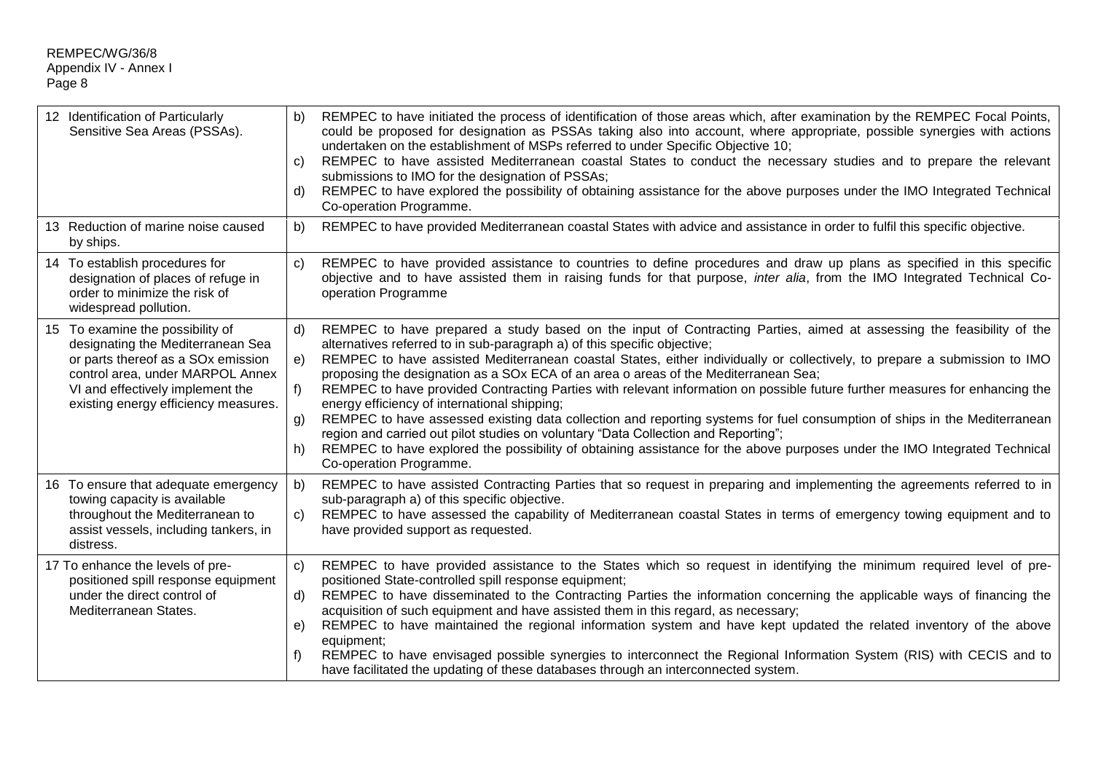|           | 12 Identification of Particularly<br>Sensitive Sea Areas (PSSAs).                                                                                                                                                                       | b)<br>C)<br>d)                          | REMPEC to have initiated the process of identification of those areas which, after examination by the REMPEC Focal Points,<br>could be proposed for designation as PSSAs taking also into account, where appropriate, possible synergies with actions<br>undertaken on the establishment of MSPs referred to under Specific Objective 10;<br>REMPEC to have assisted Mediterranean coastal States to conduct the necessary studies and to prepare the relevant<br>submissions to IMO for the designation of PSSAs;<br>REMPEC to have explored the possibility of obtaining assistance for the above purposes under the IMO Integrated Technical<br>Co-operation Programme.                                                                                                                                                                                                                                                                                                     |
|-----------|-----------------------------------------------------------------------------------------------------------------------------------------------------------------------------------------------------------------------------------------|-----------------------------------------|--------------------------------------------------------------------------------------------------------------------------------------------------------------------------------------------------------------------------------------------------------------------------------------------------------------------------------------------------------------------------------------------------------------------------------------------------------------------------------------------------------------------------------------------------------------------------------------------------------------------------------------------------------------------------------------------------------------------------------------------------------------------------------------------------------------------------------------------------------------------------------------------------------------------------------------------------------------------------------|
| by ships. | 13 Reduction of marine noise caused                                                                                                                                                                                                     | b)                                      | REMPEC to have provided Mediterranean coastal States with advice and assistance in order to fulfil this specific objective.                                                                                                                                                                                                                                                                                                                                                                                                                                                                                                                                                                                                                                                                                                                                                                                                                                                    |
|           | 14 To establish procedures for<br>designation of places of refuge in<br>order to minimize the risk of<br>widespread pollution.                                                                                                          | $\mathsf{C}$                            | REMPEC to have provided assistance to countries to define procedures and draw up plans as specified in this specific<br>objective and to have assisted them in raising funds for that purpose, inter alia, from the IMO Integrated Technical Co-<br>operation Programme                                                                                                                                                                                                                                                                                                                                                                                                                                                                                                                                                                                                                                                                                                        |
|           | 15 To examine the possibility of<br>designating the Mediterranean Sea<br>or parts thereof as a SO <sub>x</sub> emission<br>control area, under MARPOL Annex<br>VI and effectively implement the<br>existing energy efficiency measures. | $\mathsf{d}$<br>e)<br>$f$ )<br>g)<br>h) | REMPEC to have prepared a study based on the input of Contracting Parties, aimed at assessing the feasibility of the<br>alternatives referred to in sub-paragraph a) of this specific objective;<br>REMPEC to have assisted Mediterranean coastal States, either individually or collectively, to prepare a submission to IMO<br>proposing the designation as a SOx ECA of an area o areas of the Mediterranean Sea;<br>REMPEC to have provided Contracting Parties with relevant information on possible future further measures for enhancing the<br>energy efficiency of international shipping;<br>REMPEC to have assessed existing data collection and reporting systems for fuel consumption of ships in the Mediterranean<br>region and carried out pilot studies on voluntary "Data Collection and Reporting";<br>REMPEC to have explored the possibility of obtaining assistance for the above purposes under the IMO Integrated Technical<br>Co-operation Programme. |
| distress. | 16 To ensure that adequate emergency<br>towing capacity is available<br>throughout the Mediterranean to<br>assist vessels, including tankers, in                                                                                        | b)<br>C)                                | REMPEC to have assisted Contracting Parties that so request in preparing and implementing the agreements referred to in<br>sub-paragraph a) of this specific objective.<br>REMPEC to have assessed the capability of Mediterranean coastal States in terms of emergency towing equipment and to<br>have provided support as requested.                                                                                                                                                                                                                                                                                                                                                                                                                                                                                                                                                                                                                                         |
|           | 17 To enhance the levels of pre-<br>positioned spill response equipment<br>under the direct control of<br>Mediterranean States.                                                                                                         | $\mathsf{C}$<br>d)<br>e)<br>f)          | REMPEC to have provided assistance to the States which so request in identifying the minimum required level of pre-<br>positioned State-controlled spill response equipment;<br>REMPEC to have disseminated to the Contracting Parties the information concerning the applicable ways of financing the<br>acquisition of such equipment and have assisted them in this regard, as necessary;<br>REMPEC to have maintained the regional information system and have kept updated the related inventory of the above<br>equipment;<br>REMPEC to have envisaged possible synergies to interconnect the Regional Information System (RIS) with CECIS and to<br>have facilitated the updating of these databases through an interconnected system.                                                                                                                                                                                                                                  |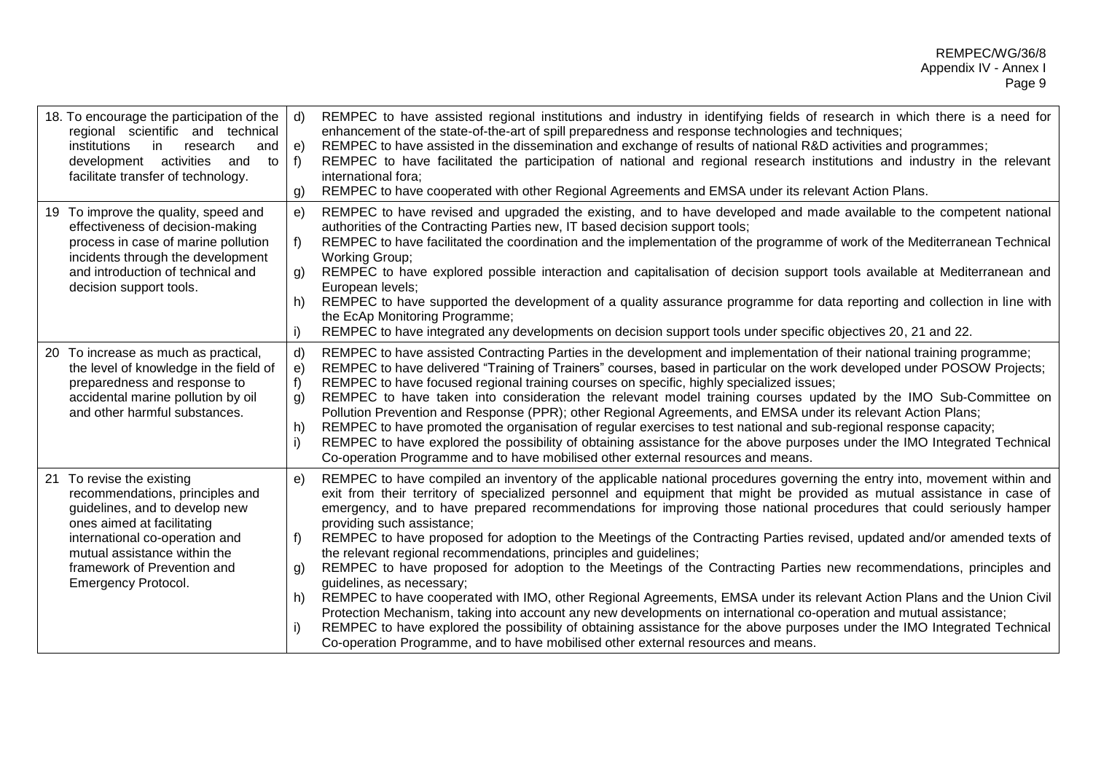| 18. To encourage the participation of the<br>regional scientific and technical<br>research<br>institutions<br>in<br>and<br>development activities<br>to<br>and<br>facilitate transfer of technology.                                                        | d)<br>e)<br>$f$ )<br>g)                    | REMPEC to have assisted regional institutions and industry in identifying fields of research in which there is a need for<br>enhancement of the state-of-the-art of spill preparedness and response technologies and techniques;<br>REMPEC to have assisted in the dissemination and exchange of results of national R&D activities and programmes;<br>REMPEC to have facilitated the participation of national and regional research institutions and industry in the relevant<br>international fora;<br>REMPEC to have cooperated with other Regional Agreements and EMSA under its relevant Action Plans.                                                                                                                                                                                                                                                                                                                                                                                                                                                                                                                                                                                                                      |
|-------------------------------------------------------------------------------------------------------------------------------------------------------------------------------------------------------------------------------------------------------------|--------------------------------------------|-----------------------------------------------------------------------------------------------------------------------------------------------------------------------------------------------------------------------------------------------------------------------------------------------------------------------------------------------------------------------------------------------------------------------------------------------------------------------------------------------------------------------------------------------------------------------------------------------------------------------------------------------------------------------------------------------------------------------------------------------------------------------------------------------------------------------------------------------------------------------------------------------------------------------------------------------------------------------------------------------------------------------------------------------------------------------------------------------------------------------------------------------------------------------------------------------------------------------------------|
| 19 To improve the quality, speed and<br>effectiveness of decision-making<br>process in case of marine pollution<br>incidents through the development<br>and introduction of technical and<br>decision support tools.                                        | e)<br>f)<br>g)<br>h)<br>i)                 | REMPEC to have revised and upgraded the existing, and to have developed and made available to the competent national<br>authorities of the Contracting Parties new, IT based decision support tools;<br>REMPEC to have facilitated the coordination and the implementation of the programme of work of the Mediterranean Technical<br><b>Working Group;</b><br>REMPEC to have explored possible interaction and capitalisation of decision support tools available at Mediterranean and<br>European levels;<br>REMPEC to have supported the development of a quality assurance programme for data reporting and collection in line with<br>the EcAp Monitoring Programme;<br>REMPEC to have integrated any developments on decision support tools under specific objectives 20, 21 and 22.                                                                                                                                                                                                                                                                                                                                                                                                                                        |
| 20 To increase as much as practical,<br>the level of knowledge in the field of<br>preparedness and response to<br>accidental marine pollution by oil<br>and other harmful substances.                                                                       | $\mathsf{d}$<br>e)<br>f)<br>g)<br>h)<br>i) | REMPEC to have assisted Contracting Parties in the development and implementation of their national training programme;<br>REMPEC to have delivered "Training of Trainers" courses, based in particular on the work developed under POSOW Projects;<br>REMPEC to have focused regional training courses on specific, highly specialized issues;<br>REMPEC to have taken into consideration the relevant model training courses updated by the IMO Sub-Committee on<br>Pollution Prevention and Response (PPR); other Regional Agreements, and EMSA under its relevant Action Plans;<br>REMPEC to have promoted the organisation of regular exercises to test national and sub-regional response capacity;<br>REMPEC to have explored the possibility of obtaining assistance for the above purposes under the IMO Integrated Technical<br>Co-operation Programme and to have mobilised other external resources and means.                                                                                                                                                                                                                                                                                                        |
| 21 To revise the existing<br>recommendations, principles and<br>guidelines, and to develop new<br>ones aimed at facilitating<br>international co-operation and<br>mutual assistance within the<br>framework of Prevention and<br><b>Emergency Protocol.</b> | e)<br>f)<br>g)<br>h)<br>i)                 | REMPEC to have compiled an inventory of the applicable national procedures governing the entry into, movement within and<br>exit from their territory of specialized personnel and equipment that might be provided as mutual assistance in case of<br>emergency, and to have prepared recommendations for improving those national procedures that could seriously hamper<br>providing such assistance;<br>REMPEC to have proposed for adoption to the Meetings of the Contracting Parties revised, updated and/or amended texts of<br>the relevant regional recommendations, principles and guidelines;<br>REMPEC to have proposed for adoption to the Meetings of the Contracting Parties new recommendations, principles and<br>guidelines, as necessary;<br>REMPEC to have cooperated with IMO, other Regional Agreements, EMSA under its relevant Action Plans and the Union Civil<br>Protection Mechanism, taking into account any new developments on international co-operation and mutual assistance;<br>REMPEC to have explored the possibility of obtaining assistance for the above purposes under the IMO Integrated Technical<br>Co-operation Programme, and to have mobilised other external resources and means. |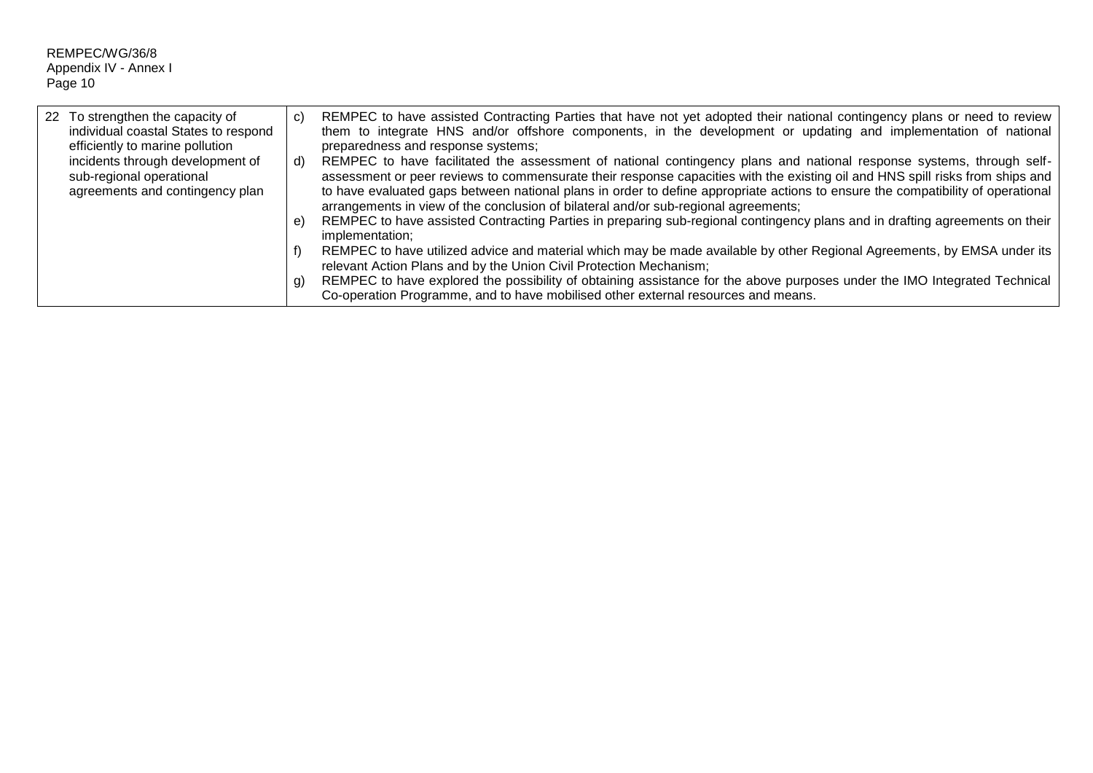| 22 To strengthen the capacity of<br>individual coastal States to respond<br>efficiently to marine pollution | C)            | REMPEC to have assisted Contracting Parties that have not yet adopted their national contingency plans or need to review<br>them to integrate HNS and/or offshore components, in the development or updating and implementation of national<br>preparedness and response systems;                                                                                                                                                                                                                                                                                                                                                                                                                                                                                                                                                                                                                                                                                                                                                                    |
|-------------------------------------------------------------------------------------------------------------|---------------|------------------------------------------------------------------------------------------------------------------------------------------------------------------------------------------------------------------------------------------------------------------------------------------------------------------------------------------------------------------------------------------------------------------------------------------------------------------------------------------------------------------------------------------------------------------------------------------------------------------------------------------------------------------------------------------------------------------------------------------------------------------------------------------------------------------------------------------------------------------------------------------------------------------------------------------------------------------------------------------------------------------------------------------------------|
| incidents through development of<br>sub-regional operational<br>agreements and contingency plan             | d)<br>e<br>g) | REMPEC to have facilitated the assessment of national contingency plans and national response systems, through self-<br>assessment or peer reviews to commensurate their response capacities with the existing oil and HNS spill risks from ships and<br>to have evaluated gaps between national plans in order to define appropriate actions to ensure the compatibility of operational<br>arrangements in view of the conclusion of bilateral and/or sub-regional agreements;<br>REMPEC to have assisted Contracting Parties in preparing sub-regional contingency plans and in drafting agreements on their<br>implementation;<br>REMPEC to have utilized advice and material which may be made available by other Regional Agreements, by EMSA under its<br>relevant Action Plans and by the Union Civil Protection Mechanism;<br>REMPEC to have explored the possibility of obtaining assistance for the above purposes under the IMO Integrated Technical<br>Co-operation Programme, and to have mobilised other external resources and means. |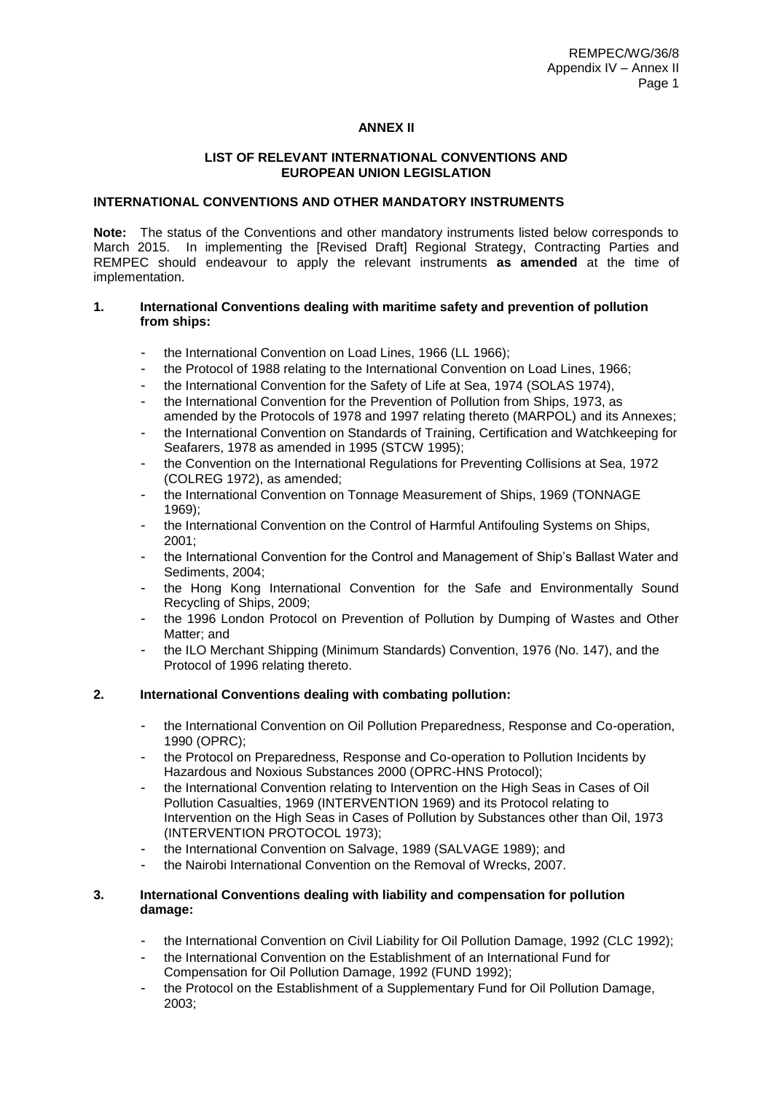## **ANNEX II**

### **LIST OF RELEVANT INTERNATIONAL CONVENTIONS AND EUROPEAN UNION LEGISLATION**

## **INTERNATIONAL CONVENTIONS AND OTHER MANDATORY INSTRUMENTS**

**Note:** The status of the Conventions and other mandatory instruments listed below corresponds to March 2015. In implementing the [Revised Draft] Regional Strategy, Contracting Parties and REMPEC should endeavour to apply the relevant instruments **as amended** at the time of implementation.

### **1. International Conventions dealing with maritime safety and prevention of pollution from ships:**

- the International Convention on Load Lines, 1966 (LL 1966);
- the Protocol of 1988 relating to the International Convention on Load Lines, 1966;
- the International Convention for the Safety of Life at Sea, 1974 (SOLAS 1974),
- the International Convention for the Prevention of Pollution from Ships, 1973, as amended by the Protocols of 1978 and 1997 relating thereto (MARPOL) and its Annexes;
- the International Convention on Standards of Training, Certification and Watchkeeping for Seafarers, 1978 as amended in 1995 (STCW 1995);
- the Convention on the International Regulations for Preventing Collisions at Sea, 1972 (COLREG 1972), as amended;
- the International Convention on Tonnage Measurement of Ships, 1969 (TONNAGE 1969);
- the International Convention on the Control of Harmful Antifouling Systems on Ships, 2001;
- the International Convention for the Control and Management of Ship's Ballast Water and Sediments, 2004;
- the Hong Kong International Convention for the Safe and Environmentally Sound Recycling of Ships, 2009;
- the 1996 London Protocol on Prevention of Pollution by Dumping of Wastes and Other Matter; and
- the ILO Merchant Shipping (Minimum Standards) Convention, 1976 (No. 147), and the Protocol of 1996 relating thereto.

## **2. International Conventions dealing with combating pollution:**

- the International Convention on Oil Pollution Preparedness, Response and Co-operation, 1990 (OPRC);
- the Protocol on Preparedness, Response and Co-operation to Pollution Incidents by Hazardous and Noxious Substances 2000 (OPRC-HNS Protocol);
- the International Convention relating to Intervention on the High Seas in Cases of Oil Pollution Casualties, 1969 (INTERVENTION 1969) and its Protocol relating to Intervention on the High Seas in Cases of Pollution by Substances other than Oil, 1973 (INTERVENTION PROTOCOL 1973);
- the International Convention on Salvage, 1989 (SALVAGE 1989); and
- the Nairobi International Convention on the Removal of Wrecks, 2007.

## **3. International Conventions dealing with liability and compensation for pollution damage:**

- the International Convention on Civil Liability for Oil Pollution Damage, 1992 (CLC 1992);
- the International Convention on the Establishment of an International Fund for Compensation for Oil Pollution Damage, 1992 (FUND 1992);
- the Protocol on the Establishment of a Supplementary Fund for Oil Pollution Damage, 2003;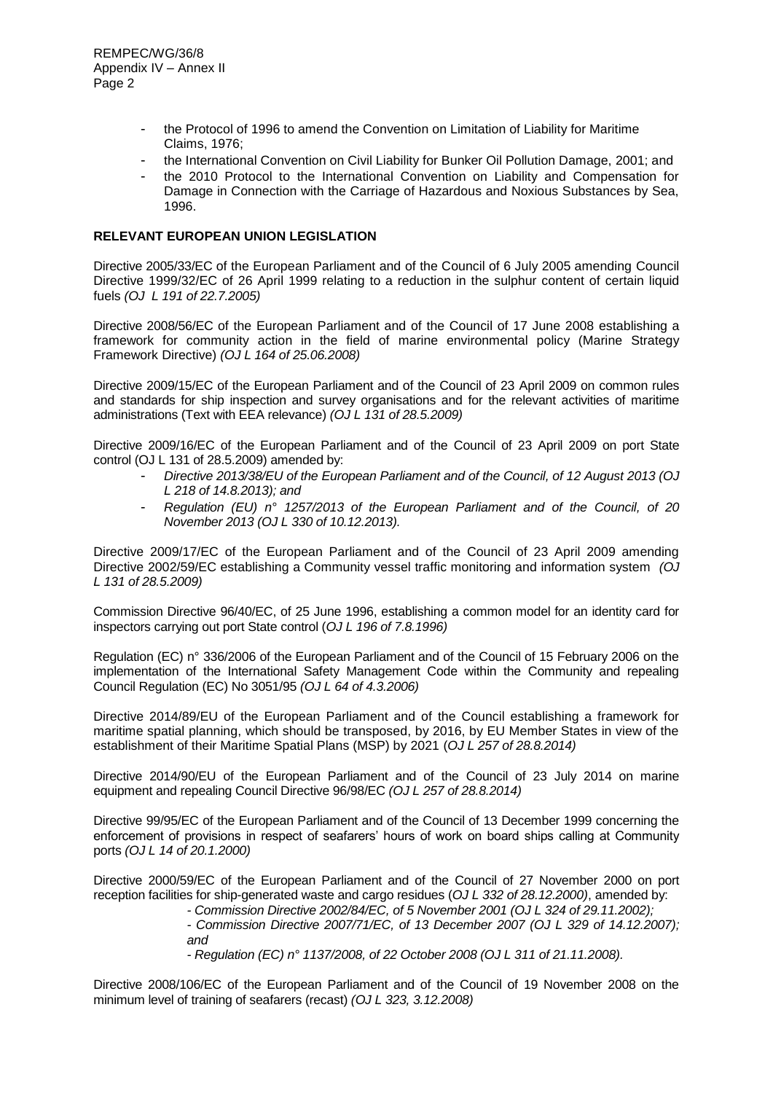- the Protocol of 1996 to amend the Convention on Limitation of Liability for Maritime Claims, 1976;
- the International Convention on Civil Liability for Bunker Oil Pollution Damage, 2001; and
- the 2010 Protocol to the International Convention on Liability and Compensation for Damage in Connection with the Carriage of Hazardous and Noxious Substances by Sea, 1996.

## **RELEVANT EUROPEAN UNION LEGISLATION**

Directive 2005/33/EC of the European Parliament and of the Council of 6 July 2005 amending Council Directive 1999/32/EC of 26 April 1999 relating to a reduction in the sulphur content of certain liquid fuels *(OJ L 191 of 22.7.2005)* 

Directive 2008/56/EC of the European Parliament and of the Council of 17 June 2008 establishing a framework for community action in the field of marine environmental policy (Marine Strategy Framework Directive) *(OJ L 164 of 25.06.2008)*

Directive 2009/15/EC of the European Parliament and of the Council of 23 April 2009 on common rules and standards for ship inspection and survey organisations and for the relevant activities of maritime administrations (Text with EEA relevance) *(OJ L 131 of 28.5.2009)*

Directive 2009/16/EC of the European Parliament and of the Council of 23 April 2009 on port State control (OJ L 131 of 28.5.2009) amended by:

- *Directive 2013/38/EU of the European Parliament and of the Council, of 12 August 2013 (OJ L 218 of 14.8.2013); and*
- *Regulation (EU) n° 1257/2013 of the European Parliament and of the Council, of 20 November 2013 (OJ L 330 of 10.12.2013).*

Directive 2009/17/EC of the European Parliament and of the Council of 23 April 2009 amending Directive 2002/59/EC establishing a Community vessel traffic monitoring and information system *(OJ L 131 of 28.5.2009)*

Commission Directive 96/40/EC, of 25 June 1996, establishing a common model for an identity card for inspectors carrying out port State control (*OJ L 196 of 7.8.1996)*

Regulation (EC) n° 336/2006 of the European Parliament and of the Council of 15 February 2006 on the implementation of the International Safety Management Code within the Community and repealing Council Regulation (EC) No 3051/95 *(OJ L 64 of 4.3.2006)*

Directive 2014/89/EU of the European Parliament and of the Council establishing a framework for maritime spatial planning, which should be transposed, by 2016, by EU Member States in view of the establishment of their Maritime Spatial Plans (MSP) by 2021 (*OJ L 257 of 28.8.2014)*

Directive 2014/90/EU of the European Parliament and of the Council of 23 July 2014 on marine equipment and repealing Council Directive 96/98/EC *(OJ L 257 of 28.8.2014)*

Directive 99/95/EC of the European Parliament and of the Council of 13 December 1999 concerning the enforcement of provisions in respect of seafarers' hours of work on board ships calling at Community ports *(OJ L 14 of 20.1.2000)*

Directive 2000/59/EC of the European Parliament and of the Council of 27 November 2000 on port reception facilities for ship-generated waste and cargo residues (*OJ L 332 of 28.12.2000)*, amended by:

*- Commission Directive 2002/84/EC, of 5 November 2001 (OJ L 324 of 29.11.2002);*

*- Commission Directive 2007/71/EC, of 13 December 2007 (OJ L 329 of 14.12.2007); and*

*- Regulation (EC) n° 1137/2008, of 22 October 2008 (OJ L 311 of 21.11.2008).*

Directive 2008/106/EC of the European Parliament and of the Council of 19 November 2008 on the minimum level of training of seafarers (recast) *(OJ L 323, 3.12.2008)*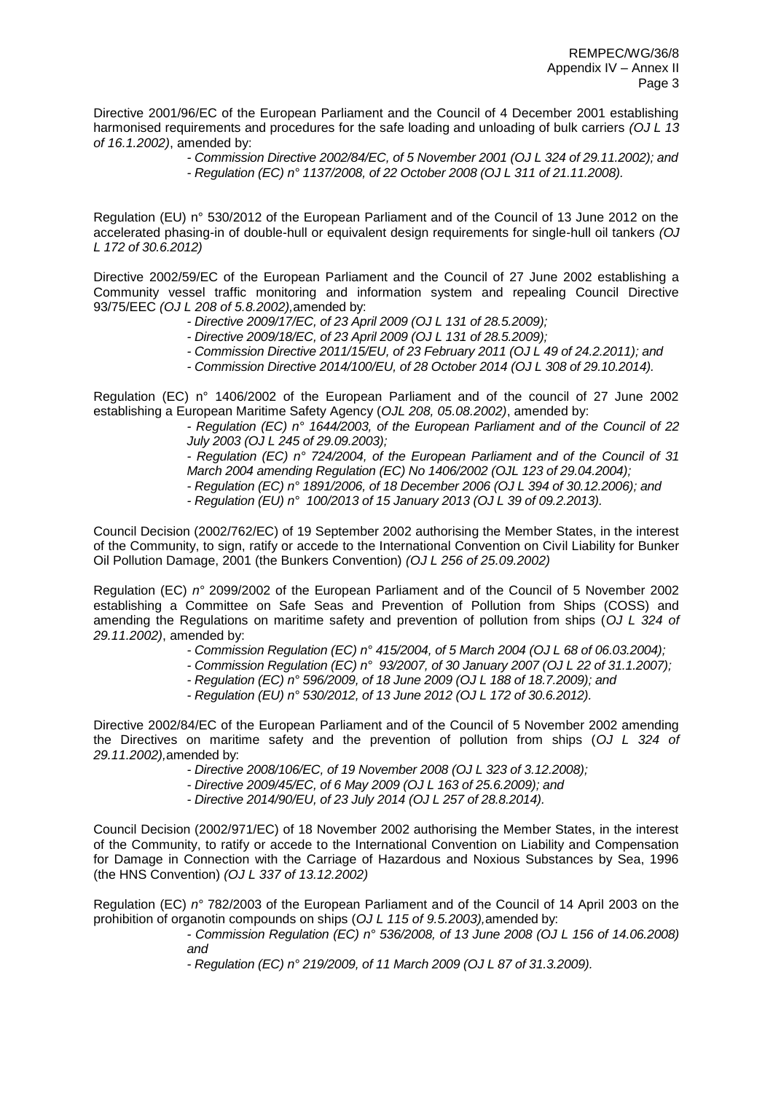Directive 2001/96/EC of the European Parliament and the Council of 4 December 2001 establishing harmonised requirements and procedures for the safe loading and unloading of bulk carriers *(OJ L 13 of 16.1.2002)*, amended by:

> *- Commission Directive 2002/84/EC, of 5 November 2001 (OJ L 324 of 29.11.2002); and - Regulation (EC) n° 1137/2008, of 22 October 2008 (OJ L 311 of 21.11.2008).*

Regulation (EU) n° 530/2012 of the European Parliament and of the Council of 13 June 2012 on the accelerated phasing-in of double-hull or equivalent design requirements for single-hull oil tankers *(OJ L 172 of 30.6.2012)*

Directive 2002/59/EC of the European Parliament and the Council of 27 June 2002 establishing a Community vessel traffic monitoring and information system and repealing Council Directive 93/75/EEC *(OJ L 208 of 5.8.2002),*amended by:

- *- Directive 2009/17/EC, of 23 April 2009 (OJ L 131 of 28.5.2009);*
- *- Directive 2009/18/EC, of 23 April 2009 (OJ L 131 of 28.5.2009);*
- *- Commission Directive 2011/15/EU, of 23 February 2011 (OJ L 49 of 24.2.2011); and*
- *- Commission Directive 2014/100/EU, of 28 October 2014 (OJ L 308 of 29.10.2014).*

Regulation (EC) n° 1406/2002 of the European Parliament and of the council of 27 June 2002 establishing a European Maritime Safety Agency (*OJL 208, 05.08.2002)*, amended by:

*- Regulation (EC) n° 1644/2003, of the European Parliament and of the Council of 22 July 2003 (OJ L 245 of 29.09.2003);*

*- Regulation (EC) n° 724/2004, of the European Parliament and of the Council of 31 March 2004 amending Regulation (EC) No 1406/2002 (OJL 123 of 29.04.2004);*

- *- Regulation (EC) n° 1891/2006, of 18 December 2006 (OJ L 394 of 30.12.2006); and*
- *- Regulation (EU) n° 100/2013 of 15 January 2013 (OJ L 39 of 09.2.2013).*

Council Decision (2002/762/EC) of 19 September 2002 authorising the Member States, in the interest of the Community, to sign, ratify or accede to the International Convention on Civil Liability for Bunker Oil Pollution Damage, 2001 (the Bunkers Convention) *(OJ L 256 of 25.09.2002)*

Regulation (EC) *n°* 2099/2002 of the European Parliament and of the Council of 5 November 2002 establishing a Committee on Safe Seas and Prevention of Pollution from Ships (COSS) and amending the Regulations on maritime safety and prevention of pollution from ships (*OJ L 324 of 29.11.2002)*, amended by:

- *- Commission Regulation (EC) n° 415/2004, of 5 March 2004 (OJ L 68 of 06.03.2004);*
- *- Commission Regulation (EC) n° 93/2007, of 30 January 2007 (OJ L 22 of 31.1.2007);*
	- *- Regulation (EC) n° 596/2009, of 18 June 2009 (OJ L 188 of 18.7.2009); and*
- *- Regulation (EU) n° 530/2012, of 13 June 2012 (OJ L 172 of 30.6.2012).*

Directive 2002/84/EC of the European Parliament and of the Council of 5 November 2002 amending the Directives on maritime safety and the prevention of pollution from ships (*OJ L 324 of 29.11.2002),*amended by:

- *- Directive 2008/106/EC, of 19 November 2008 (OJ L 323 of 3.12.2008);*
- *- Directive 2009/45/EC, of 6 May 2009 (OJ L 163 of 25.6.2009); and*
- *- Directive 2014/90/EU, of 23 July 2014 (OJ L 257 of 28.8.2014).*

Council Decision (2002/971/EC) of 18 November 2002 authorising the Member States, in the interest of the Community, to ratify or accede to the International Convention on Liability and Compensation for Damage in Connection with the Carriage of Hazardous and Noxious Substances by Sea, 1996 (the HNS Convention) *(OJ L 337 of 13.12.2002)*

Regulation (EC) *n°* 782/2003 of the European Parliament and of the Council of 14 April 2003 on the prohibition of organotin compounds on ships (*OJ L 115 of 9.5.2003),*amended by:

*- Commission Regulation (EC) n° 536/2008, of 13 June 2008 (OJ L 156 of 14.06.2008) and*

*- Regulation (EC) n° 219/2009, of 11 March 2009 (OJ L 87 of 31.3.2009).*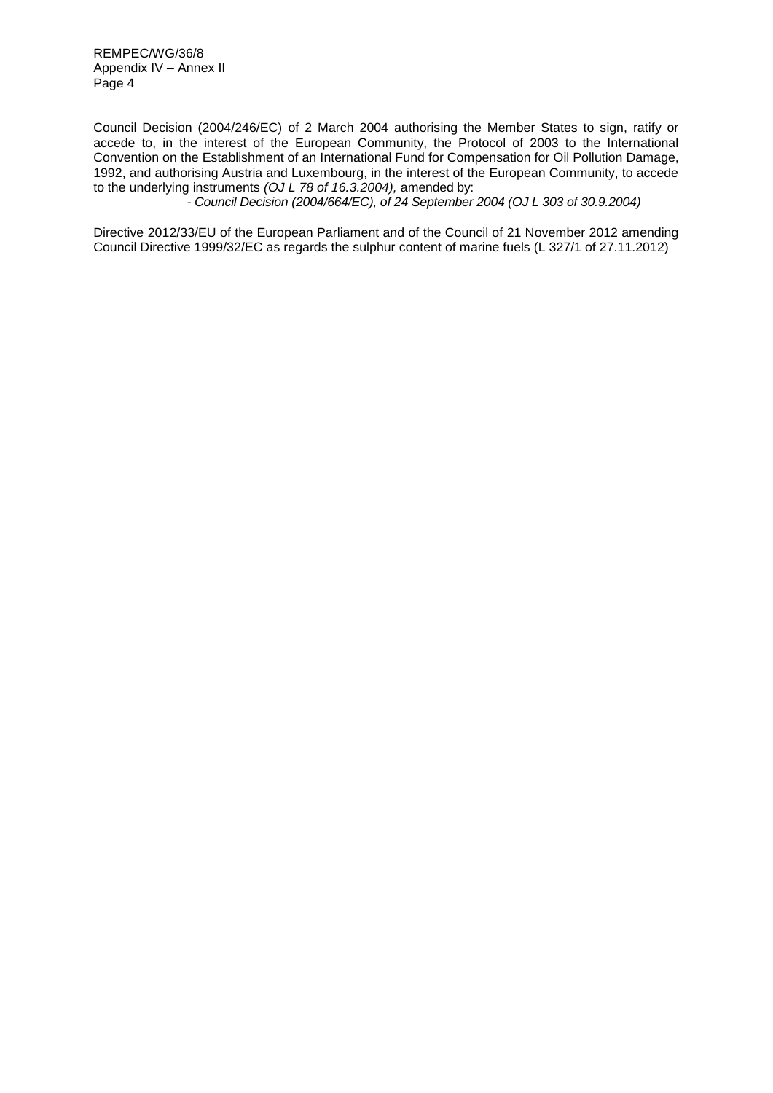Council Decision (2004/246/EC) of 2 March 2004 authorising the Member States to sign, ratify or accede to, in the interest of the European Community, the Protocol of 2003 to the International Convention on the Establishment of an International Fund for Compensation for Oil Pollution Damage, 1992, and authorising Austria and Luxembourg, in the interest of the European Community, to accede to the underlying instruments *(OJ L 78 of 16.3.2004),* amended by:

*- Council Decision (2004/664/EC), of 24 September 2004 (OJ L 303 of 30.9.2004)*

Directive 2012/33/EU of the European Parliament and of the Council of 21 November 2012 amending Council Directive 1999/32/EC as regards the sulphur content of marine fuels (L 327/1 of 27.11.2012)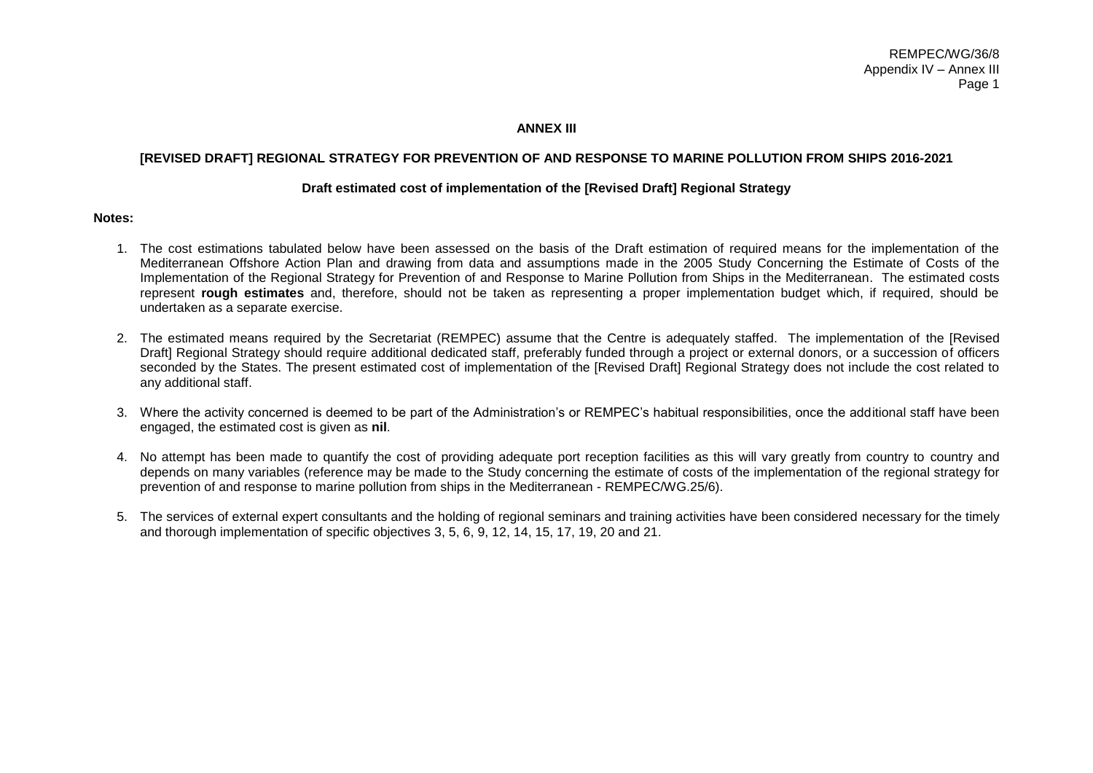### **ANNEX III**

### **[REVISED DRAFT] REGIONAL STRATEGY FOR PREVENTION OF AND RESPONSE TO MARINE POLLUTION FROM SHIPS 2016-2021**

#### **Draft estimated cost of implementation of the [Revised Draft] Regional Strategy**

#### **Notes:**

- 1. The cost estimations tabulated below have been assessed on the basis of the Draft estimation of required means for the implementation of the Mediterranean Offshore Action Plan and drawing from data and assumptions made in the 2005 Study Concerning the Estimate of Costs of the Implementation of the Regional Strategy for Prevention of and Response to Marine Pollution from Ships in the Mediterranean. The estimated costs represent **rough estimates** and, therefore, should not be taken as representing a proper implementation budget which, if required, should be undertaken as a separate exercise.
- 2. The estimated means required by the Secretariat (REMPEC) assume that the Centre is adequately staffed. The implementation of the [Revised Draft] Regional Strategy should require additional dedicated staff, preferably funded through a project or external donors, or a succession of officers seconded by the States. The present estimated cost of implementation of the [Revised Draft] Regional Strategy does not include the cost related to any additional staff.
- 3. Where the activity concerned is deemed to be part of the Administration's or REMPEC's habitual responsibilities, once the additional staff have been engaged, the estimated cost is given as **nil**.
- 4. No attempt has been made to quantify the cost of providing adequate port reception facilities as this will vary greatly from country to country and depends on many variables (reference may be made to the Study concerning the estimate of costs of the implementation of the regional strategy for prevention of and response to marine pollution from ships in the Mediterranean - REMPEC/WG.25/6).
- 5. The services of external expert consultants and the holding of regional seminars and training activities have been considered necessary for the timely and thorough implementation of specific objectives 3, 5, 6, 9, 12, 14, 15, 17, 19, 20 and 21.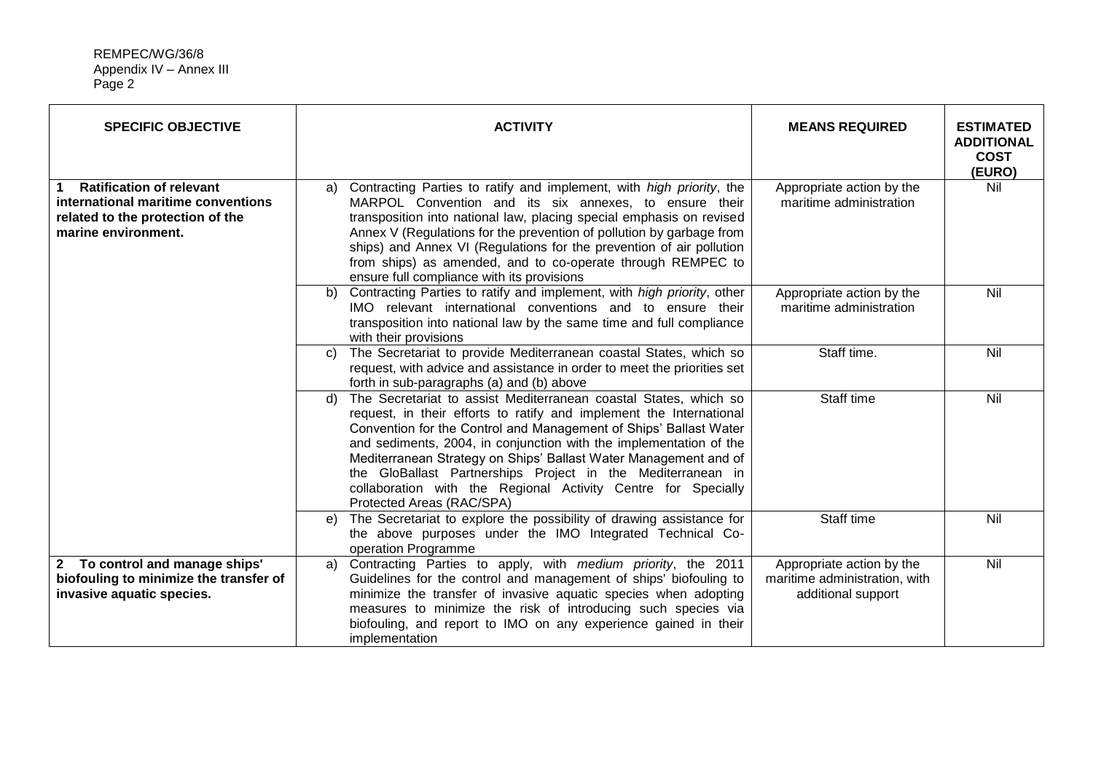| <b>SPECIFIC OBJECTIVE</b>                                                                                                        | <b>ACTIVITY</b>                                                                                                                                                                                                                                                                                                                                                                                                                                                                                                           | <b>MEANS REQUIRED</b>                                                            | <b>ESTIMATED</b><br><b>ADDITIONAL</b><br><b>COST</b><br>(EURO) |
|----------------------------------------------------------------------------------------------------------------------------------|---------------------------------------------------------------------------------------------------------------------------------------------------------------------------------------------------------------------------------------------------------------------------------------------------------------------------------------------------------------------------------------------------------------------------------------------------------------------------------------------------------------------------|----------------------------------------------------------------------------------|----------------------------------------------------------------|
| <b>Ratification of relevant</b><br>international maritime conventions<br>related to the protection of the<br>marine environment. | Contracting Parties to ratify and implement, with high priority, the<br>a)<br>MARPOL Convention and its six annexes, to ensure their<br>transposition into national law, placing special emphasis on revised<br>Annex V (Regulations for the prevention of pollution by garbage from<br>ships) and Annex VI (Regulations for the prevention of air pollution<br>from ships) as amended, and to co-operate through REMPEC to<br>ensure full compliance with its provisions                                                 | Appropriate action by the<br>maritime administration                             | Nil                                                            |
|                                                                                                                                  | Contracting Parties to ratify and implement, with high priority, other<br>b)<br>IMO relevant international conventions and to ensure their<br>transposition into national law by the same time and full compliance<br>with their provisions                                                                                                                                                                                                                                                                               | Appropriate action by the<br>maritime administration                             | Nil                                                            |
|                                                                                                                                  | The Secretariat to provide Mediterranean coastal States, which so<br>C)<br>request, with advice and assistance in order to meet the priorities set<br>forth in sub-paragraphs (a) and (b) above                                                                                                                                                                                                                                                                                                                           | Staff time.                                                                      | Nil                                                            |
|                                                                                                                                  | The Secretariat to assist Mediterranean coastal States, which so<br>d)<br>request, in their efforts to ratify and implement the International<br>Convention for the Control and Management of Ships' Ballast Water<br>and sediments, 2004, in conjunction with the implementation of the<br>Mediterranean Strategy on Ships' Ballast Water Management and of<br>the GloBallast Partnerships Project in the Mediterranean in<br>collaboration with the Regional Activity Centre for Specially<br>Protected Areas (RAC/SPA) | Staff time                                                                       | Nil                                                            |
|                                                                                                                                  | The Secretariat to explore the possibility of drawing assistance for<br>e)<br>the above purposes under the IMO Integrated Technical Co-<br>operation Programme                                                                                                                                                                                                                                                                                                                                                            | Staff time                                                                       | Nil                                                            |
| 2 To control and manage ships'<br>biofouling to minimize the transfer of<br>invasive aquatic species.                            | Contracting Parties to apply, with medium priority, the 2011<br>a)<br>Guidelines for the control and management of ships' biofouling to<br>minimize the transfer of invasive aquatic species when adopting<br>measures to minimize the risk of introducing such species via<br>biofouling, and report to IMO on any experience gained in their<br>implementation                                                                                                                                                          | Appropriate action by the<br>maritime administration, with<br>additional support | Nil                                                            |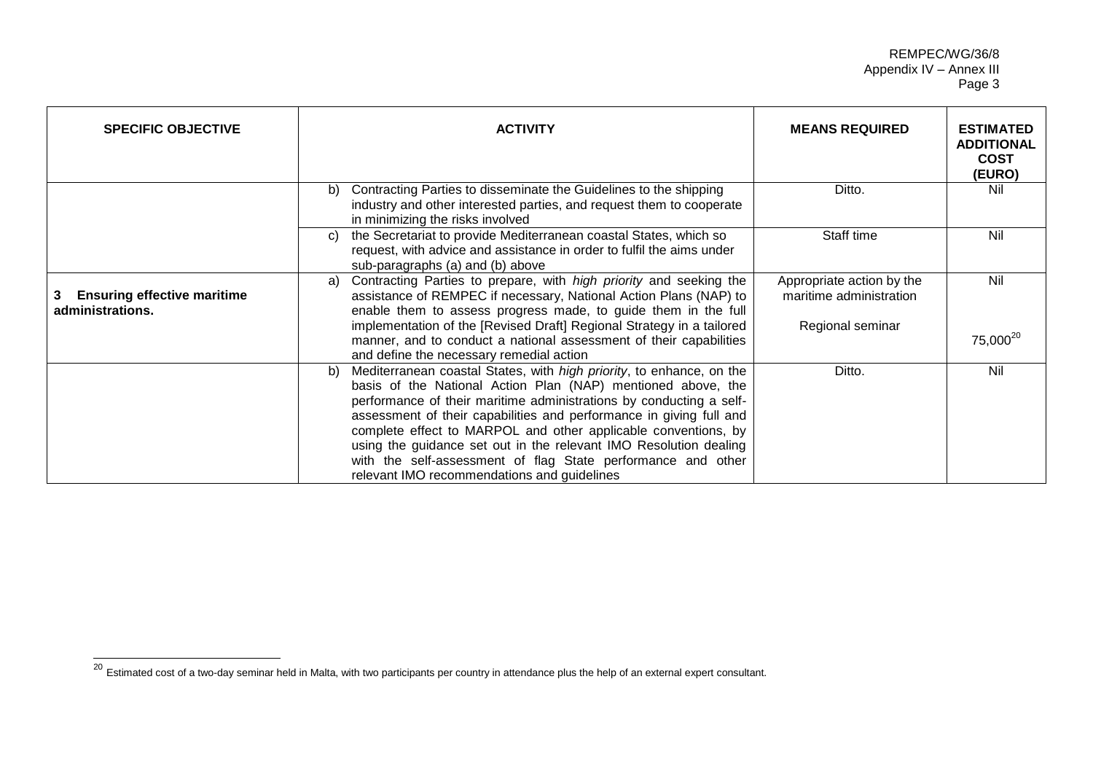| <b>SPECIFIC OBJECTIVE</b>                              | <b>ACTIVITY</b>                                                                                                                                                                                                                                                                                                                                                                                                                                                                                                                                        | <b>MEANS REQUIRED</b>                                | <b>ESTIMATED</b><br><b>ADDITIONAL</b><br><b>COST</b><br>(EURO) |
|--------------------------------------------------------|--------------------------------------------------------------------------------------------------------------------------------------------------------------------------------------------------------------------------------------------------------------------------------------------------------------------------------------------------------------------------------------------------------------------------------------------------------------------------------------------------------------------------------------------------------|------------------------------------------------------|----------------------------------------------------------------|
|                                                        | Contracting Parties to disseminate the Guidelines to the shipping<br>b)<br>industry and other interested parties, and request them to cooperate<br>in minimizing the risks involved                                                                                                                                                                                                                                                                                                                                                                    | Ditto.                                               | Nil                                                            |
|                                                        | the Secretariat to provide Mediterranean coastal States, which so<br>C)<br>request, with advice and assistance in order to fulfil the aims under<br>sub-paragraphs (a) and (b) above                                                                                                                                                                                                                                                                                                                                                                   | Staff time                                           | Nil                                                            |
| <b>Ensuring effective maritime</b><br>administrations. | Contracting Parties to prepare, with high priority and seeking the<br>a)<br>assistance of REMPEC if necessary, National Action Plans (NAP) to<br>enable them to assess progress made, to guide them in the full                                                                                                                                                                                                                                                                                                                                        | Appropriate action by the<br>maritime administration | Nil                                                            |
|                                                        | implementation of the [Revised Draft] Regional Strategy in a tailored<br>manner, and to conduct a national assessment of their capabilities<br>and define the necessary remedial action                                                                                                                                                                                                                                                                                                                                                                | Regional seminar                                     | 75,000 <sup>20</sup>                                           |
|                                                        | Mediterranean coastal States, with <i>high priority</i> , to enhance, on the<br>b)<br>basis of the National Action Plan (NAP) mentioned above, the<br>performance of their maritime administrations by conducting a self-<br>assessment of their capabilities and performance in giving full and<br>complete effect to MARPOL and other applicable conventions, by<br>using the guidance set out in the relevant IMO Resolution dealing<br>with the self-assessment of flag State performance and other<br>relevant IMO recommendations and guidelines | Ditto.                                               | Nil                                                            |

<sup>&</sup>lt;sup>20</sup> Estimated cost of a two-day seminar held in Malta, with two participants per country in attendance plus the help of an external expert consultant.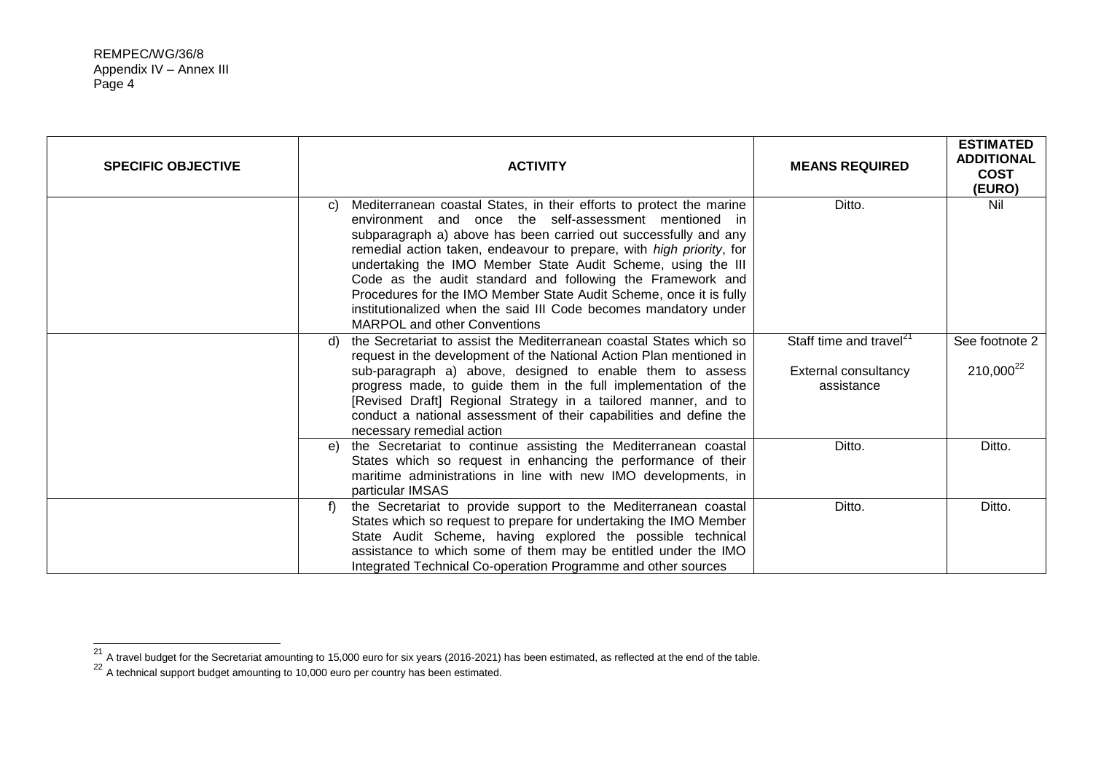| <b>SPECIFIC OBJECTIVE</b> | <b>ACTIVITY</b>                                                                                                                                                                                                                                                                                                                                                                                                                                                                                                                                                                                       | <b>MEANS REQUIRED</b>                                                            | <b>ESTIMATED</b><br><b>ADDITIONAL</b><br><b>COST</b><br>(EURO) |
|---------------------------|-------------------------------------------------------------------------------------------------------------------------------------------------------------------------------------------------------------------------------------------------------------------------------------------------------------------------------------------------------------------------------------------------------------------------------------------------------------------------------------------------------------------------------------------------------------------------------------------------------|----------------------------------------------------------------------------------|----------------------------------------------------------------|
|                           | Mediterranean coastal States, in their efforts to protect the marine<br>C)<br>environment and once the self-assessment mentioned in<br>subparagraph a) above has been carried out successfully and any<br>remedial action taken, endeavour to prepare, with <i>high priority</i> , for<br>undertaking the IMO Member State Audit Scheme, using the III<br>Code as the audit standard and following the Framework and<br>Procedures for the IMO Member State Audit Scheme, once it is fully<br>institutionalized when the said III Code becomes mandatory under<br><b>MARPOL and other Conventions</b> | Ditto.                                                                           | Nil                                                            |
|                           | the Secretariat to assist the Mediterranean coastal States which so<br>d)<br>request in the development of the National Action Plan mentioned in<br>sub-paragraph a) above, designed to enable them to assess<br>progress made, to guide them in the full implementation of the<br>[Revised Draft] Regional Strategy in a tailored manner, and to<br>conduct a national assessment of their capabilities and define the<br>necessary remedial action                                                                                                                                                  | Staff time and travel <sup>21</sup><br><b>External consultancy</b><br>assistance | See footnote 2<br>210,000 <sup>22</sup>                        |
|                           | the Secretariat to continue assisting the Mediterranean coastal<br>e)<br>States which so request in enhancing the performance of their<br>maritime administrations in line with new IMO developments, in<br>particular IMSAS                                                                                                                                                                                                                                                                                                                                                                          | Ditto.                                                                           | Ditto.                                                         |
|                           | the Secretariat to provide support to the Mediterranean coastal<br>f)<br>States which so request to prepare for undertaking the IMO Member<br>State Audit Scheme, having explored the possible technical<br>assistance to which some of them may be entitled under the IMO<br>Integrated Technical Co-operation Programme and other sources                                                                                                                                                                                                                                                           | Ditto.                                                                           | Ditto.                                                         |

 $^{21}$  A travel budget for the Secretariat amounting to 15,000 euro for six years (2016-2021) has been estimated, as reflected at the end of the table.

<sup>&</sup>lt;sup>22</sup> A technical support budget amounting to 10,000 euro per country has been estimated.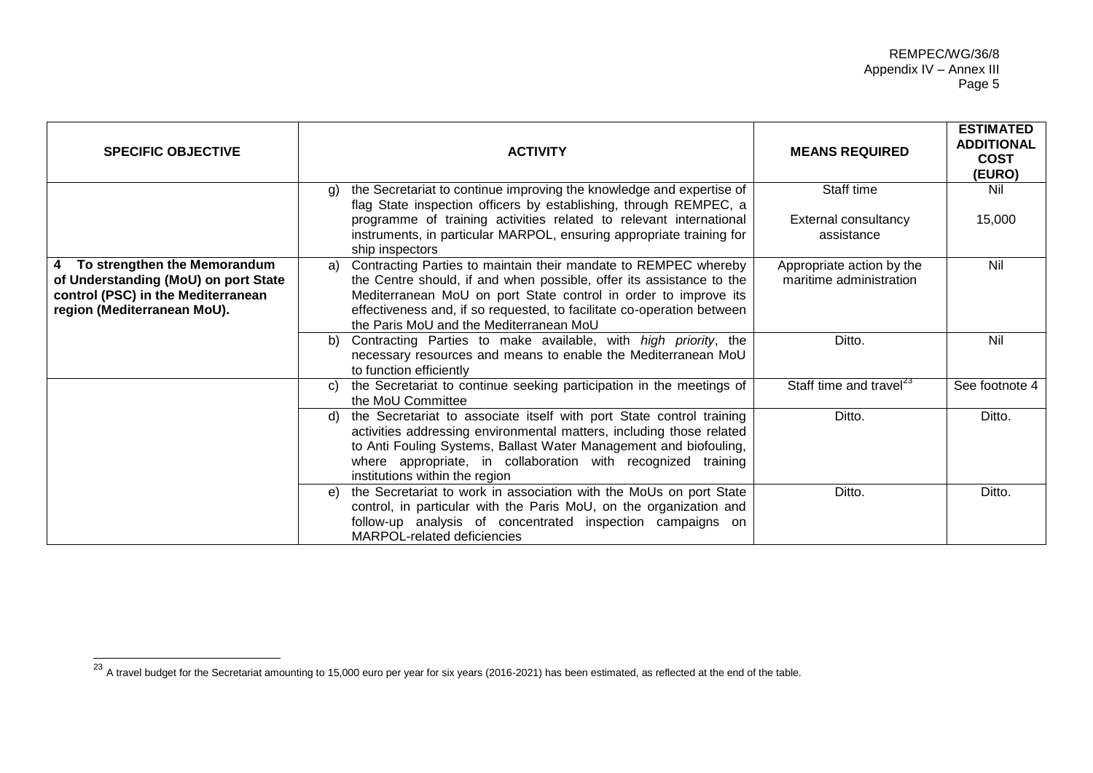| <b>SPECIFIC OBJECTIVE</b>                                                                                                                   | <b>ACTIVITY</b>                                                                                                                                                                                                                                                                                                                       | <b>MEANS REQUIRED</b>                                | <b>ESTIMATED</b><br><b>ADDITIONAL</b><br><b>COST</b><br>(EURO) |
|---------------------------------------------------------------------------------------------------------------------------------------------|---------------------------------------------------------------------------------------------------------------------------------------------------------------------------------------------------------------------------------------------------------------------------------------------------------------------------------------|------------------------------------------------------|----------------------------------------------------------------|
|                                                                                                                                             | the Secretariat to continue improving the knowledge and expertise of<br>a)<br>flag State inspection officers by establishing, through REMPEC, a                                                                                                                                                                                       | Staff time                                           | Nil                                                            |
|                                                                                                                                             | programme of training activities related to relevant international<br>instruments, in particular MARPOL, ensuring appropriate training for<br>ship inspectors                                                                                                                                                                         | External consultancy<br>assistance                   | 15,000                                                         |
| 4 To strengthen the Memorandum<br>of Understanding (MoU) on port State<br>control (PSC) in the Mediterranean<br>region (Mediterranean MoU). | Contracting Parties to maintain their mandate to REMPEC whereby<br>a)<br>the Centre should, if and when possible, offer its assistance to the<br>Mediterranean MoU on port State control in order to improve its<br>effectiveness and, if so requested, to facilitate co-operation between<br>the Paris MoU and the Mediterranean MoU | Appropriate action by the<br>maritime administration | Nil                                                            |
|                                                                                                                                             | Contracting Parties to make available, with high priority, the<br>b)<br>necessary resources and means to enable the Mediterranean MoU<br>to function efficiently                                                                                                                                                                      | Ditto.                                               | Nil                                                            |
|                                                                                                                                             | the Secretariat to continue seeking participation in the meetings of<br>C)<br>the MoU Committee                                                                                                                                                                                                                                       | Staff time and travel <sup>23</sup>                  | See footnote 4                                                 |
|                                                                                                                                             | the Secretariat to associate itself with port State control training<br>d)<br>activities addressing environmental matters, including those related<br>to Anti Fouling Systems, Ballast Water Management and biofouling,<br>where appropriate, in collaboration with recognized training<br>institutions within the region             | Ditto.                                               | Ditto.                                                         |
|                                                                                                                                             | the Secretariat to work in association with the MoUs on port State<br>e)<br>control, in particular with the Paris MoU, on the organization and<br>follow-up analysis of concentrated inspection campaigns on<br>MARPOL-related deficiencies                                                                                           | Ditto.                                               | Ditto.                                                         |

 $^{23}$  A travel budget for the Secretariat amounting to 15,000 euro per year for six years (2016-2021) has been estimated, as reflected at the end of the table.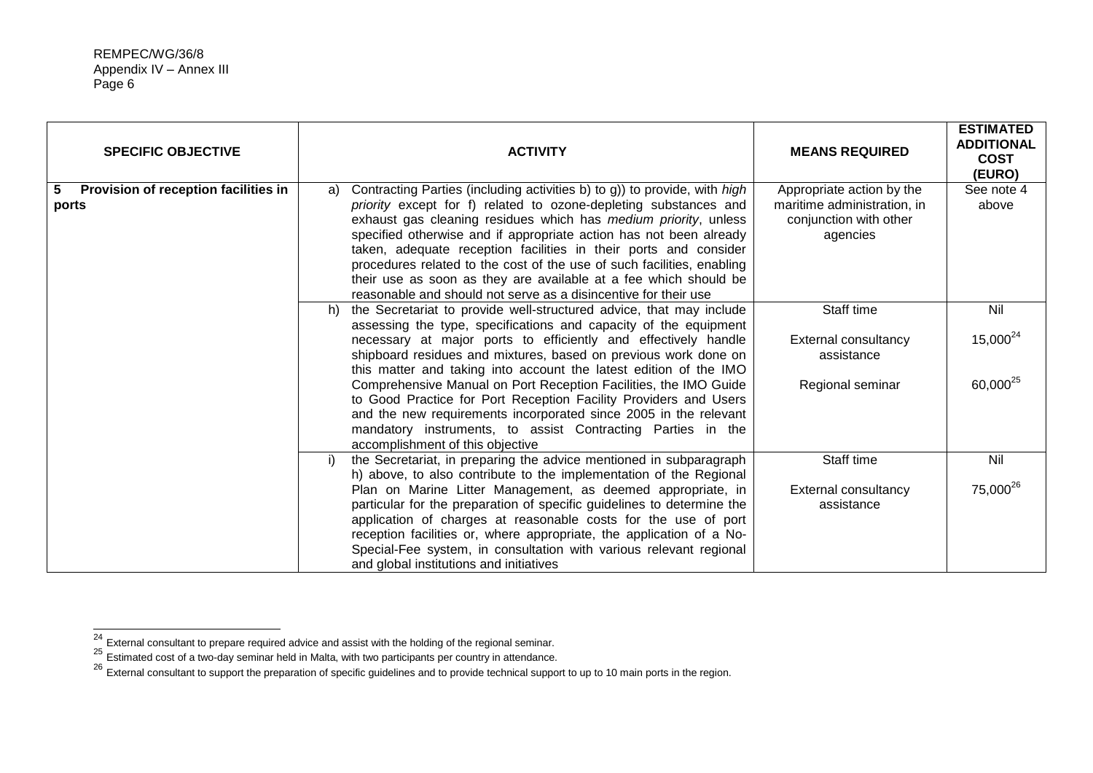j

| <b>SPECIFIC OBJECTIVE</b>                          | <b>ACTIVITY</b>                                                                                                                                                                                                                                                                                                                                                                                                                                                                                                                                                                                                                                                        | <b>MEANS REQUIRED</b>                                                                          | <b>ESTIMATED</b><br><b>ADDITIONAL</b><br><b>COST</b><br>(EURO) |
|----------------------------------------------------|------------------------------------------------------------------------------------------------------------------------------------------------------------------------------------------------------------------------------------------------------------------------------------------------------------------------------------------------------------------------------------------------------------------------------------------------------------------------------------------------------------------------------------------------------------------------------------------------------------------------------------------------------------------------|------------------------------------------------------------------------------------------------|----------------------------------------------------------------|
| Provision of reception facilities in<br>5<br>ports | Contracting Parties (including activities b) to g)) to provide, with high<br>a)<br>priority except for f) related to ozone-depleting substances and<br>exhaust gas cleaning residues which has medium priority, unless<br>specified otherwise and if appropriate action has not been already<br>taken, adequate reception facilities in their ports and consider<br>procedures related to the cost of the use of such facilities, enabling<br>their use as soon as they are available at a fee which should be<br>reasonable and should not serve as a disincentive for their use                                                                                      | Appropriate action by the<br>maritime administration, in<br>conjunction with other<br>agencies | See note 4<br>above                                            |
|                                                    | the Secretariat to provide well-structured advice, that may include<br>h)<br>assessing the type, specifications and capacity of the equipment<br>necessary at major ports to efficiently and effectively handle<br>shipboard residues and mixtures, based on previous work done on<br>this matter and taking into account the latest edition of the IMO<br>Comprehensive Manual on Port Reception Facilities, the IMO Guide<br>to Good Practice for Port Reception Facility Providers and Users<br>and the new requirements incorporated since 2005 in the relevant<br>mandatory instruments, to assist Contracting Parties in the<br>accomplishment of this objective | Staff time<br><b>External consultancy</b><br>assistance<br>Regional seminar                    | Nil<br>$15,000^{24}$<br>60,000 <sup>25</sup>                   |
|                                                    | the Secretariat, in preparing the advice mentioned in subparagraph<br>i)<br>h) above, to also contribute to the implementation of the Regional<br>Plan on Marine Litter Management, as deemed appropriate, in<br>particular for the preparation of specific guidelines to determine the<br>application of charges at reasonable costs for the use of port<br>reception facilities or, where appropriate, the application of a No-<br>Special-Fee system, in consultation with various relevant regional<br>and global institutions and initiatives                                                                                                                     | Staff time<br>External consultancy<br>assistance                                               | Nil<br>75,000 <sup>26</sup>                                    |

 $^{24}$  External consultant to prepare required advice and assist with the holding of the regional seminar.

 $25$  Estimated cost of a two-day seminar held in Malta, with two participants per country in attendance.

<sup>&</sup>lt;sup>26</sup> External consultant to support the preparation of specific guidelines and to provide technical support to up to 10 main ports in the region.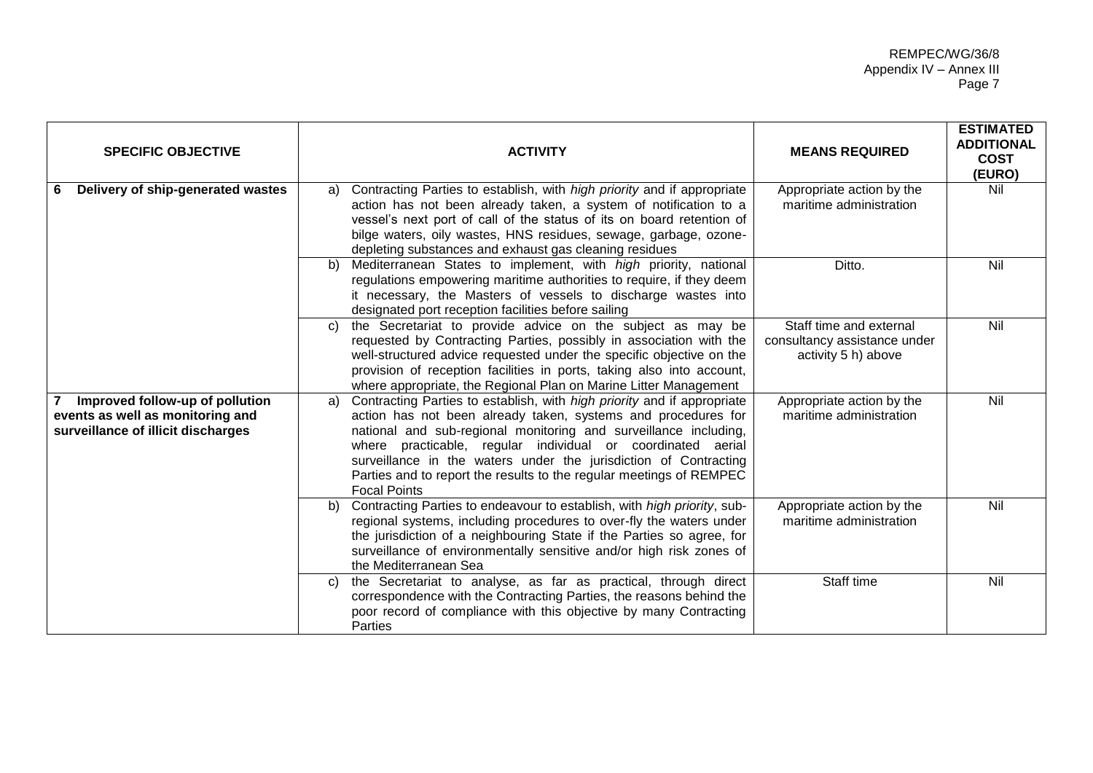| <b>SPECIFIC OBJECTIVE</b>                                                                                 | <b>ACTIVITY</b>                                                                                                                                                                                                                                                                                                                                                                                                                                     | <b>MEANS REQUIRED</b>                                                          | <b>ESTIMATED</b><br><b>ADDITIONAL</b><br><b>COST</b><br>(EURO) |
|-----------------------------------------------------------------------------------------------------------|-----------------------------------------------------------------------------------------------------------------------------------------------------------------------------------------------------------------------------------------------------------------------------------------------------------------------------------------------------------------------------------------------------------------------------------------------------|--------------------------------------------------------------------------------|----------------------------------------------------------------|
| Delivery of ship-generated wastes<br>-6                                                                   | Contracting Parties to establish, with high priority and if appropriate<br>a)<br>action has not been already taken, a system of notification to a<br>vessel's next port of call of the status of its on board retention of<br>bilge waters, oily wastes, HNS residues, sewage, garbage, ozone-<br>depleting substances and exhaust gas cleaning residues                                                                                            | Appropriate action by the<br>maritime administration                           | Nil                                                            |
|                                                                                                           | Mediterranean States to implement, with high priority, national<br>$\mathbf{b}$<br>regulations empowering maritime authorities to require, if they deem<br>it necessary, the Masters of vessels to discharge wastes into<br>designated port reception facilities before sailing                                                                                                                                                                     | Ditto.                                                                         | Nil                                                            |
|                                                                                                           | the Secretariat to provide advice on the subject as may be<br>C)<br>requested by Contracting Parties, possibly in association with the<br>well-structured advice requested under the specific objective on the<br>provision of reception facilities in ports, taking also into account,<br>where appropriate, the Regional Plan on Marine Litter Management                                                                                         | Staff time and external<br>consultancy assistance under<br>activity 5 h) above | Nil                                                            |
| Improved follow-up of pollution<br>events as well as monitoring and<br>surveillance of illicit discharges | Contracting Parties to establish, with high priority and if appropriate<br>a)<br>action has not been already taken, systems and procedures for<br>national and sub-regional monitoring and surveillance including,<br>where practicable, regular individual or coordinated aerial<br>surveillance in the waters under the jurisdiction of Contracting<br>Parties and to report the results to the regular meetings of REMPEC<br><b>Focal Points</b> | Appropriate action by the<br>maritime administration                           | Nil                                                            |
|                                                                                                           | Contracting Parties to endeavour to establish, with high priority, sub-<br>b)<br>regional systems, including procedures to over-fly the waters under<br>the jurisdiction of a neighbouring State if the Parties so agree, for<br>surveillance of environmentally sensitive and/or high risk zones of<br>the Mediterranean Sea                                                                                                                       | Appropriate action by the<br>maritime administration                           | Nil                                                            |
|                                                                                                           | the Secretariat to analyse, as far as practical, through direct<br>C)<br>correspondence with the Contracting Parties, the reasons behind the<br>poor record of compliance with this objective by many Contracting<br><b>Parties</b>                                                                                                                                                                                                                 | Staff time                                                                     | Nil                                                            |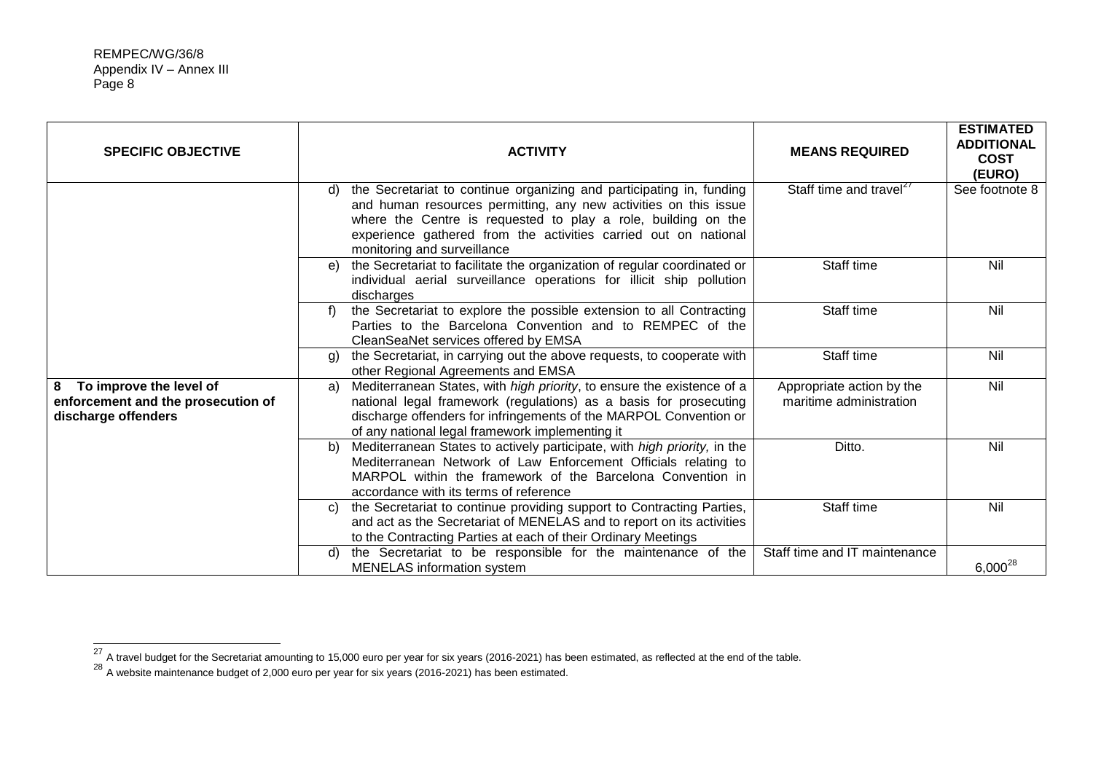| <b>SPECIFIC OBJECTIVE</b>                                                                 | <b>ACTIVITY</b>                                                                                                                                                                                                                                                                                                   | <b>MEANS REQUIRED</b>                                | <b>ESTIMATED</b><br><b>ADDITIONAL</b><br><b>COST</b><br>(EURO) |
|-------------------------------------------------------------------------------------------|-------------------------------------------------------------------------------------------------------------------------------------------------------------------------------------------------------------------------------------------------------------------------------------------------------------------|------------------------------------------------------|----------------------------------------------------------------|
|                                                                                           | the Secretariat to continue organizing and participating in, funding<br>d)<br>and human resources permitting, any new activities on this issue<br>where the Centre is requested to play a role, building on the<br>experience gathered from the activities carried out on national<br>monitoring and surveillance | Staff time and travel <sup>27</sup>                  | See footnote 8                                                 |
|                                                                                           | the Secretariat to facilitate the organization of regular coordinated or<br>e)<br>individual aerial surveillance operations for illicit ship pollution<br>discharges                                                                                                                                              | Staff time                                           | Nil                                                            |
|                                                                                           | the Secretariat to explore the possible extension to all Contracting<br>f)<br>Parties to the Barcelona Convention and to REMPEC of the<br>CleanSeaNet services offered by EMSA                                                                                                                                    | Staff time                                           | Nil                                                            |
|                                                                                           | the Secretariat, in carrying out the above requests, to cooperate with<br>g)<br>other Regional Agreements and EMSA                                                                                                                                                                                                | Staff time                                           | Nil                                                            |
| To improve the level of<br>8<br>enforcement and the prosecution of<br>discharge offenders | Mediterranean States, with high priority, to ensure the existence of a<br>a)<br>national legal framework (regulations) as a basis for prosecuting<br>discharge offenders for infringements of the MARPOL Convention or<br>of any national legal framework implementing it                                         | Appropriate action by the<br>maritime administration | Nil                                                            |
|                                                                                           | Mediterranean States to actively participate, with high priority, in the<br>b)<br>Mediterranean Network of Law Enforcement Officials relating to<br>MARPOL within the framework of the Barcelona Convention in<br>accordance with its terms of reference                                                          | Ditto.                                               | Nil                                                            |
|                                                                                           | the Secretariat to continue providing support to Contracting Parties,<br>C)<br>and act as the Secretariat of MENELAS and to report on its activities<br>to the Contracting Parties at each of their Ordinary Meetings                                                                                             | Staff time                                           | Nil                                                            |
|                                                                                           | the Secretariat to be responsible for the maintenance of the<br>d)<br><b>MENELAS</b> information system                                                                                                                                                                                                           | Staff time and IT maintenance                        | $6,000^{28}$                                                   |

 $^{27}$  A travel budget for the Secretariat amounting to 15,000 euro per year for six years (2016-2021) has been estimated, as reflected at the end of the table.

 $^{28}$  A website maintenance budget of 2,000 euro per year for six years (2016-2021) has been estimated.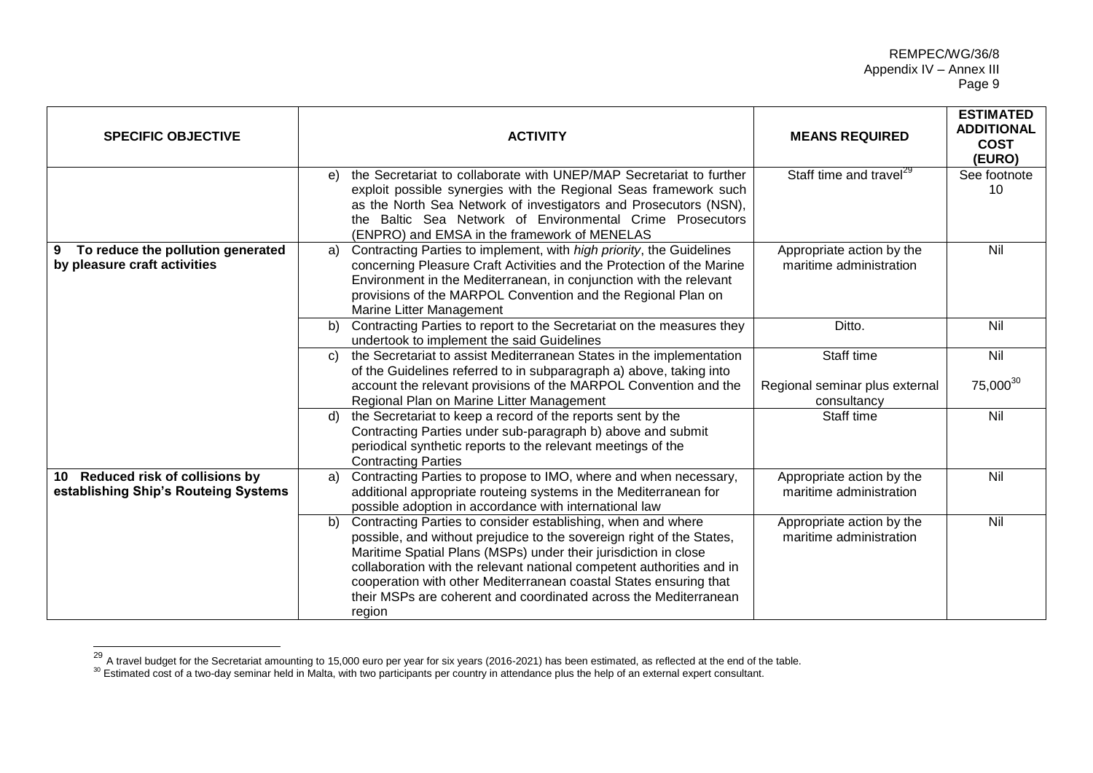| <b>SPECIFIC OBJECTIVE</b>                                                | <b>ACTIVITY</b>                                                                                                                                                                                                                                                                                                                                                                                                                            | <b>MEANS REQUIRED</b>                                       | <b>ESTIMATED</b><br><b>ADDITIONAL</b><br><b>COST</b><br>(EURO) |
|--------------------------------------------------------------------------|--------------------------------------------------------------------------------------------------------------------------------------------------------------------------------------------------------------------------------------------------------------------------------------------------------------------------------------------------------------------------------------------------------------------------------------------|-------------------------------------------------------------|----------------------------------------------------------------|
|                                                                          | the Secretariat to collaborate with UNEP/MAP Secretariat to further<br>e)<br>exploit possible synergies with the Regional Seas framework such<br>as the North Sea Network of investigators and Prosecutors (NSN),<br>the Baltic Sea Network of Environmental Crime Prosecutors<br>(ENPRO) and EMSA in the framework of MENELAS                                                                                                             | Staff time and travel <sup>29</sup>                         | See footnote<br>10                                             |
| To reduce the pollution generated<br>9<br>by pleasure craft activities   | Contracting Parties to implement, with high priority, the Guidelines<br>a)<br>concerning Pleasure Craft Activities and the Protection of the Marine<br>Environment in the Mediterranean, in conjunction with the relevant<br>provisions of the MARPOL Convention and the Regional Plan on<br>Marine Litter Management                                                                                                                      | Appropriate action by the<br>maritime administration        | Nil                                                            |
|                                                                          | Contracting Parties to report to the Secretariat on the measures they<br>b)<br>undertook to implement the said Guidelines                                                                                                                                                                                                                                                                                                                  | Ditto.                                                      | Nil                                                            |
|                                                                          | the Secretariat to assist Mediterranean States in the implementation<br>$\mathbf{C}$<br>of the Guidelines referred to in subparagraph a) above, taking into<br>account the relevant provisions of the MARPOL Convention and the<br>Regional Plan on Marine Litter Management                                                                                                                                                               | Staff time<br>Regional seminar plus external<br>consultancy | Nil<br>75,000 <sup>30</sup>                                    |
|                                                                          | the Secretariat to keep a record of the reports sent by the<br>d)<br>Contracting Parties under sub-paragraph b) above and submit<br>periodical synthetic reports to the relevant meetings of the<br><b>Contracting Parties</b>                                                                                                                                                                                                             | Staff time                                                  | Nil                                                            |
| 10 Reduced risk of collisions by<br>establishing Ship's Routeing Systems | Contracting Parties to propose to IMO, where and when necessary,<br>a)<br>additional appropriate routeing systems in the Mediterranean for<br>possible adoption in accordance with international law                                                                                                                                                                                                                                       | Appropriate action by the<br>maritime administration        | Nil                                                            |
|                                                                          | Contracting Parties to consider establishing, when and where<br>b)<br>possible, and without prejudice to the sovereign right of the States,<br>Maritime Spatial Plans (MSPs) under their jurisdiction in close<br>collaboration with the relevant national competent authorities and in<br>cooperation with other Mediterranean coastal States ensuring that<br>their MSPs are coherent and coordinated across the Mediterranean<br>region | Appropriate action by the<br>maritime administration        | Nil                                                            |

<sup>&</sup>lt;sup>29</sup> A travel budget for the Secretariat amounting to 15,000 euro per year for six years (2016-2021) has been estimated, as reflected at the end of the table.

 $\overline{a}$ 

 $30$  Estimated cost of a two-day seminar held in Malta, with two participants per country in attendance plus the help of an external expert consultant.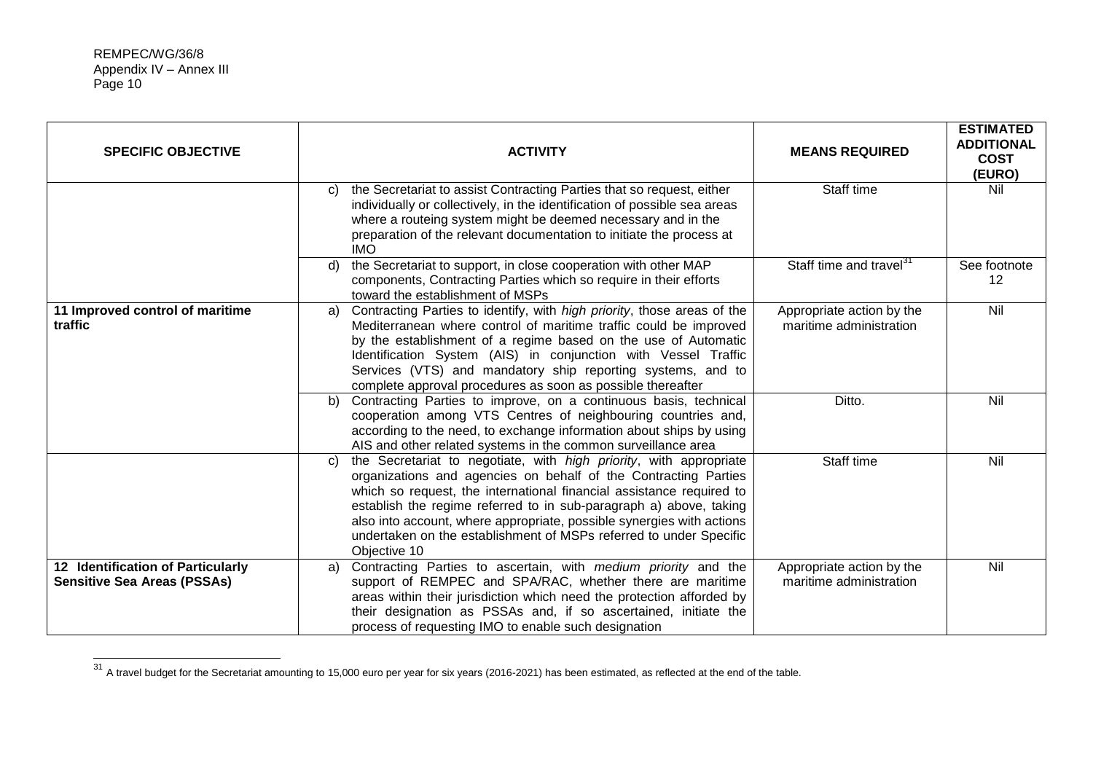| <b>SPECIFIC OBJECTIVE</b>                                               | <b>ACTIVITY</b>                                                                                                                                                                                                                                                                                                                                                                                                                                          | <b>MEANS REQUIRED</b>                                | <b>ESTIMATED</b><br><b>ADDITIONAL</b><br><b>COST</b><br>(EURO) |
|-------------------------------------------------------------------------|----------------------------------------------------------------------------------------------------------------------------------------------------------------------------------------------------------------------------------------------------------------------------------------------------------------------------------------------------------------------------------------------------------------------------------------------------------|------------------------------------------------------|----------------------------------------------------------------|
|                                                                         | the Secretariat to assist Contracting Parties that so request, either<br>C)<br>individually or collectively, in the identification of possible sea areas<br>where a routeing system might be deemed necessary and in the<br>preparation of the relevant documentation to initiate the process at<br><b>IMO</b>                                                                                                                                           | Staff time                                           | Nil                                                            |
|                                                                         | the Secretariat to support, in close cooperation with other MAP<br>d)<br>components, Contracting Parties which so require in their efforts<br>toward the establishment of MSPs                                                                                                                                                                                                                                                                           | Staff time and travel <sup>31</sup>                  | See footnote<br>12                                             |
| 11 Improved control of maritime<br>traffic                              | Contracting Parties to identify, with high priority, those areas of the<br>a)<br>Mediterranean where control of maritime traffic could be improved<br>by the establishment of a regime based on the use of Automatic<br>Identification System (AIS) in conjunction with Vessel Traffic<br>Services (VTS) and mandatory ship reporting systems, and to<br>complete approval procedures as soon as possible thereafter                                     | Appropriate action by the<br>maritime administration | <b>Nil</b>                                                     |
|                                                                         | Contracting Parties to improve, on a continuous basis, technical<br>b)<br>cooperation among VTS Centres of neighbouring countries and,<br>according to the need, to exchange information about ships by using<br>AIS and other related systems in the common surveillance area                                                                                                                                                                           | Ditto.                                               | Nil                                                            |
|                                                                         | the Secretariat to negotiate, with high priority, with appropriate<br>C)<br>organizations and agencies on behalf of the Contracting Parties<br>which so request, the international financial assistance required to<br>establish the regime referred to in sub-paragraph a) above, taking<br>also into account, where appropriate, possible synergies with actions<br>undertaken on the establishment of MSPs referred to under Specific<br>Objective 10 | Staff time                                           | Nil                                                            |
| 12 Identification of Particularly<br><b>Sensitive Sea Areas (PSSAs)</b> | Contracting Parties to ascertain, with medium priority and the<br>a)<br>support of REMPEC and SPA/RAC, whether there are maritime<br>areas within their jurisdiction which need the protection afforded by<br>their designation as PSSAs and, if so ascertained, initiate the<br>process of requesting IMO to enable such designation                                                                                                                    | Appropriate action by the<br>maritime administration | Nil                                                            |

 $^{31}$  A travel budget for the Secretariat amounting to 15,000 euro per year for six years (2016-2021) has been estimated, as reflected at the end of the table.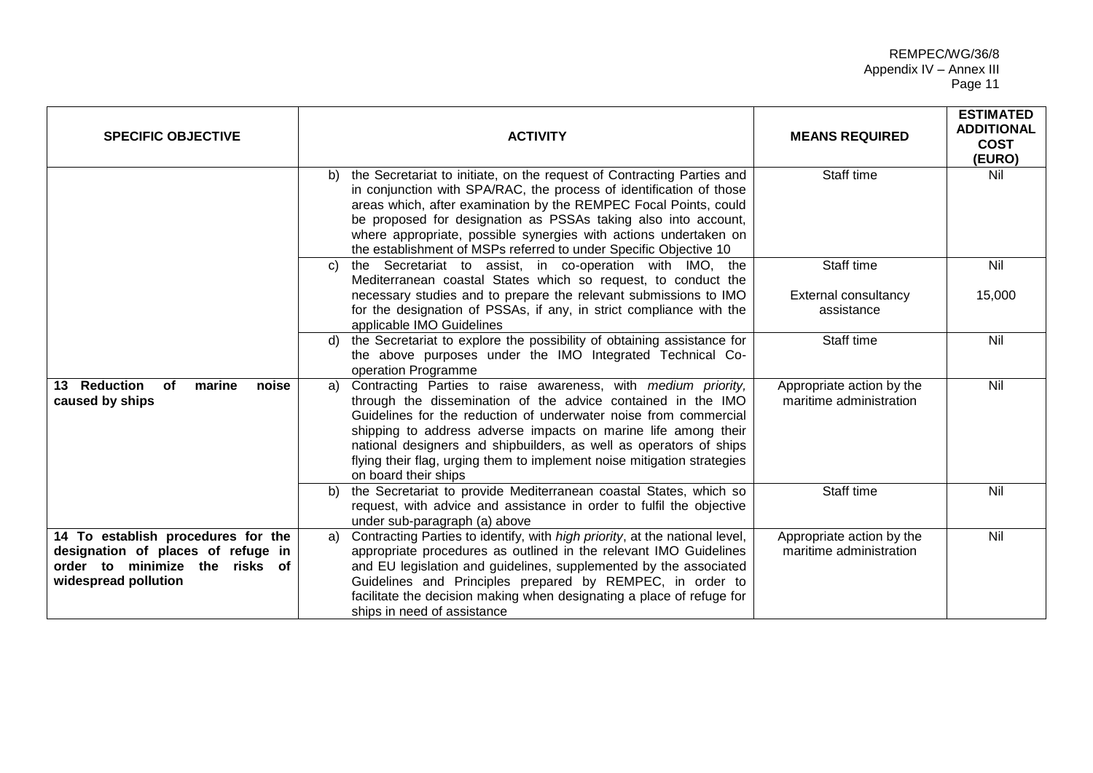| <b>SPECIFIC OBJECTIVE</b>                                                                                                          | <b>ACTIVITY</b>                                                                                                                                                                                                                                                                                                                                                                                                                                    | <b>MEANS REQUIRED</b>                                   | <b>ESTIMATED</b><br><b>ADDITIONAL</b><br><b>COST</b><br>(EURO) |
|------------------------------------------------------------------------------------------------------------------------------------|----------------------------------------------------------------------------------------------------------------------------------------------------------------------------------------------------------------------------------------------------------------------------------------------------------------------------------------------------------------------------------------------------------------------------------------------------|---------------------------------------------------------|----------------------------------------------------------------|
|                                                                                                                                    | the Secretariat to initiate, on the request of Contracting Parties and<br>b)<br>in conjunction with SPA/RAC, the process of identification of those<br>areas which, after examination by the REMPEC Focal Points, could<br>be proposed for designation as PSSAs taking also into account,<br>where appropriate, possible synergies with actions undertaken on<br>the establishment of MSPs referred to under Specific Objective 10                 | Staff time                                              | Nil                                                            |
|                                                                                                                                    | the Secretariat to assist, in co-operation with IMO, the<br>C)<br>Mediterranean coastal States which so request, to conduct the<br>necessary studies and to prepare the relevant submissions to IMO<br>for the designation of PSSAs, if any, in strict compliance with the                                                                                                                                                                         | Staff time<br><b>External consultancy</b><br>assistance | Nil<br>15,000                                                  |
|                                                                                                                                    | applicable IMO Guidelines<br>the Secretariat to explore the possibility of obtaining assistance for<br>d)<br>the above purposes under the IMO Integrated Technical Co-<br>operation Programme                                                                                                                                                                                                                                                      | Staff time                                              | Nil                                                            |
| 13 Reduction<br>marine<br>of<br>noise<br>caused by ships                                                                           | Contracting Parties to raise awareness, with medium priority,<br>a)<br>through the dissemination of the advice contained in the IMO<br>Guidelines for the reduction of underwater noise from commercial<br>shipping to address adverse impacts on marine life among their<br>national designers and shipbuilders, as well as operators of ships<br>flying their flag, urging them to implement noise mitigation strategies<br>on board their ships | Appropriate action by the<br>maritime administration    | Nil                                                            |
|                                                                                                                                    | the Secretariat to provide Mediterranean coastal States, which so<br>b)<br>request, with advice and assistance in order to fulfil the objective<br>under sub-paragraph (a) above                                                                                                                                                                                                                                                                   | Staff time                                              | Nil                                                            |
| 14 To establish procedures for the<br>designation of places of refuge in<br>order to minimize the risks of<br>widespread pollution | Contracting Parties to identify, with high priority, at the national level,<br>a)<br>appropriate procedures as outlined in the relevant IMO Guidelines<br>and EU legislation and guidelines, supplemented by the associated<br>Guidelines and Principles prepared by REMPEC, in order to<br>facilitate the decision making when designating a place of refuge for<br>ships in need of assistance                                                   | Appropriate action by the<br>maritime administration    | Nil                                                            |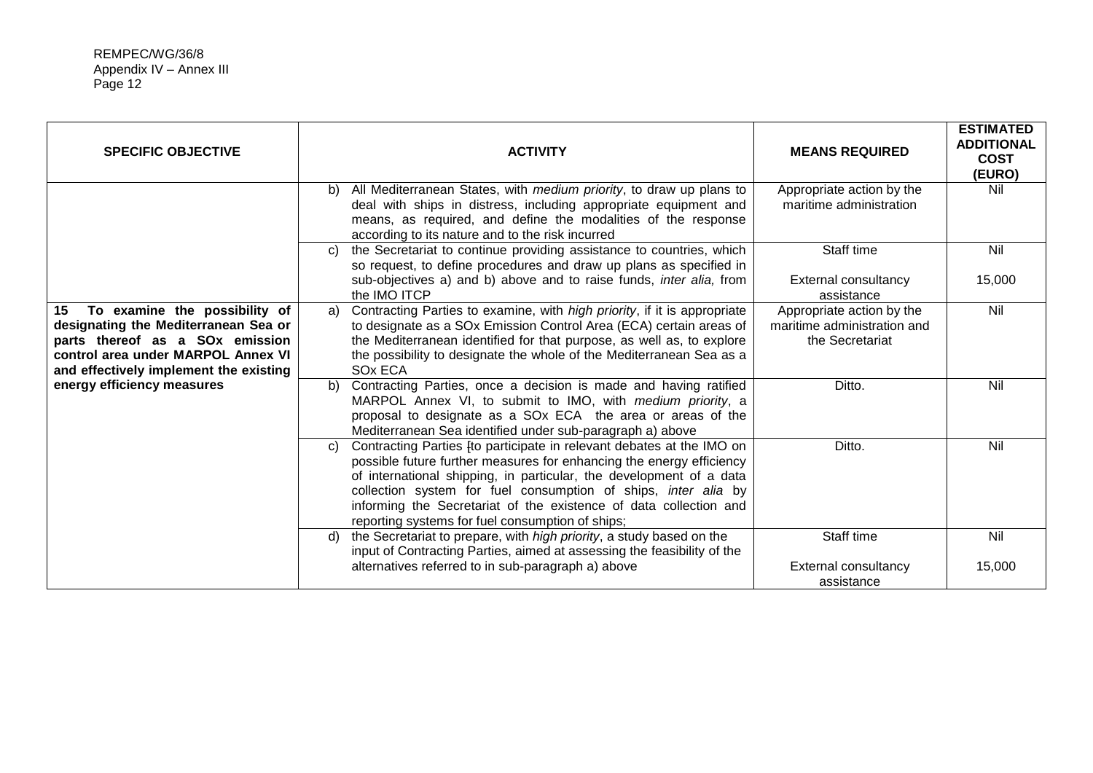| <b>SPECIFIC OBJECTIVE</b>                                                                                                                                                                      | <b>ACTIVITY</b>                                                                                                                                                                                                                                                                                                                                                                                                                  | <b>MEANS REQUIRED</b>                                                       | <b>ESTIMATED</b><br><b>ADDITIONAL</b><br><b>COST</b><br>(EURO) |
|------------------------------------------------------------------------------------------------------------------------------------------------------------------------------------------------|----------------------------------------------------------------------------------------------------------------------------------------------------------------------------------------------------------------------------------------------------------------------------------------------------------------------------------------------------------------------------------------------------------------------------------|-----------------------------------------------------------------------------|----------------------------------------------------------------|
|                                                                                                                                                                                                | All Mediterranean States, with medium priority, to draw up plans to<br>b)<br>deal with ships in distress, including appropriate equipment and<br>means, as required, and define the modalities of the response<br>according to its nature and to the risk incurred                                                                                                                                                               | Appropriate action by the<br>maritime administration                        | Nil                                                            |
|                                                                                                                                                                                                | the Secretariat to continue providing assistance to countries, which<br>C)<br>so request, to define procedures and draw up plans as specified in<br>sub-objectives a) and b) above and to raise funds, <i>inter alia</i> , from<br>the IMO ITCP                                                                                                                                                                                  | Staff time<br>External consultancy<br>assistance                            | Nil<br>15,000                                                  |
| To examine the possibility of<br>15<br>designating the Mediterranean Sea or<br>parts thereof as a SOx emission<br>control area under MARPOL Annex VI<br>and effectively implement the existing | Contracting Parties to examine, with high priority, if it is appropriate<br>a)<br>to designate as a SOx Emission Control Area (ECA) certain areas of<br>the Mediterranean identified for that purpose, as well as, to explore<br>the possibility to designate the whole of the Mediterranean Sea as a<br>SO <sub>x</sub> ECA                                                                                                     | Appropriate action by the<br>maritime administration and<br>the Secretariat | Nil                                                            |
| energy efficiency measures                                                                                                                                                                     | Contracting Parties, once a decision is made and having ratified<br>b)<br>MARPOL Annex VI, to submit to IMO, with medium priority, a<br>proposal to designate as a SOx ECA the area or areas of the<br>Mediterranean Sea identified under sub-paragraph a) above                                                                                                                                                                 | Ditto.                                                                      | Nil                                                            |
|                                                                                                                                                                                                | Contracting Parties [to participate in relevant debates at the IMO on<br>$\mathcal{C}$<br>possible future further measures for enhancing the energy efficiency<br>of international shipping, in particular, the development of a data<br>collection system for fuel consumption of ships, inter alia by<br>informing the Secretariat of the existence of data collection and<br>reporting systems for fuel consumption of ships; | Ditto.                                                                      | Nil                                                            |
|                                                                                                                                                                                                | the Secretariat to prepare, with high priority, a study based on the<br>d)<br>input of Contracting Parties, aimed at assessing the feasibility of the<br>alternatives referred to in sub-paragraph a) above                                                                                                                                                                                                                      | Staff time<br>External consultancy<br>assistance                            | Nil<br>15,000                                                  |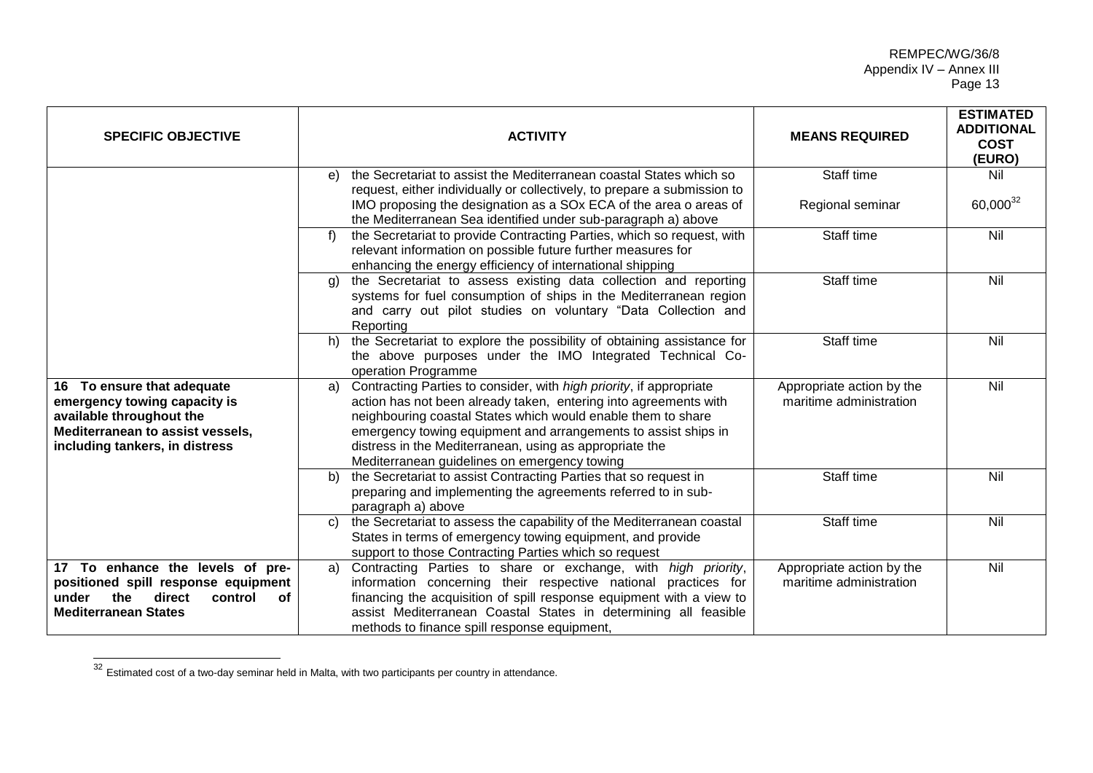| <b>SPECIFIC OBJECTIVE</b>                                                                                                                                    | <b>ACTIVITY</b>                                                                                                                                                                                                                                                                                                                                                                            | <b>MEANS REQUIRED</b>                                | <b>ESTIMATED</b><br><b>ADDITIONAL</b><br><b>COST</b><br>(EURO) |
|--------------------------------------------------------------------------------------------------------------------------------------------------------------|--------------------------------------------------------------------------------------------------------------------------------------------------------------------------------------------------------------------------------------------------------------------------------------------------------------------------------------------------------------------------------------------|------------------------------------------------------|----------------------------------------------------------------|
|                                                                                                                                                              | the Secretariat to assist the Mediterranean coastal States which so<br>e)<br>request, either individually or collectively, to prepare a submission to                                                                                                                                                                                                                                      | Staff time                                           | Nil                                                            |
|                                                                                                                                                              | IMO proposing the designation as a SOx ECA of the area o areas of<br>the Mediterranean Sea identified under sub-paragraph a) above                                                                                                                                                                                                                                                         | Regional seminar                                     | 60,000 <sup>32</sup>                                           |
|                                                                                                                                                              | the Secretariat to provide Contracting Parties, which so request, with<br>relevant information on possible future further measures for<br>enhancing the energy efficiency of international shipping                                                                                                                                                                                        | Staff time                                           | Nil                                                            |
|                                                                                                                                                              | the Secretariat to assess existing data collection and reporting<br>g)<br>systems for fuel consumption of ships in the Mediterranean region<br>and carry out pilot studies on voluntary "Data Collection and<br>Reporting                                                                                                                                                                  | Staff time                                           | Nil                                                            |
|                                                                                                                                                              | the Secretariat to explore the possibility of obtaining assistance for<br>h)<br>the above purposes under the IMO Integrated Technical Co-<br>operation Programme                                                                                                                                                                                                                           | Staff time                                           | Nil                                                            |
| 16 To ensure that adequate<br>emergency towing capacity is<br>available throughout the<br>Mediterranean to assist vessels,<br>including tankers, in distress | Contracting Parties to consider, with high priority, if appropriate<br>a)<br>action has not been already taken, entering into agreements with<br>neighbouring coastal States which would enable them to share<br>emergency towing equipment and arrangements to assist ships in<br>distress in the Mediterranean, using as appropriate the<br>Mediterranean guidelines on emergency towing | Appropriate action by the<br>maritime administration | Nil                                                            |
|                                                                                                                                                              | the Secretariat to assist Contracting Parties that so request in<br>b)<br>preparing and implementing the agreements referred to in sub-<br>paragraph a) above                                                                                                                                                                                                                              | Staff time                                           | Nil                                                            |
|                                                                                                                                                              | the Secretariat to assess the capability of the Mediterranean coastal<br>C)<br>States in terms of emergency towing equipment, and provide<br>support to those Contracting Parties which so request                                                                                                                                                                                         | Staff time                                           | Nil                                                            |
| 17 To enhance the levels of pre-<br>positioned spill response equipment<br>under<br>the<br>direct<br>control<br>οf<br><b>Mediterranean States</b>            | Contracting Parties to share or exchange, with high priority,<br>information concerning their respective national practices for<br>financing the acquisition of spill response equipment with a view to<br>assist Mediterranean Coastal States in determining all feasible<br>methods to finance spill response equipment,                                                                 | Appropriate action by the<br>maritime administration | Nil                                                            |

 $32$  Estimated cost of a two-day seminar held in Malta, with two participants per country in attendance.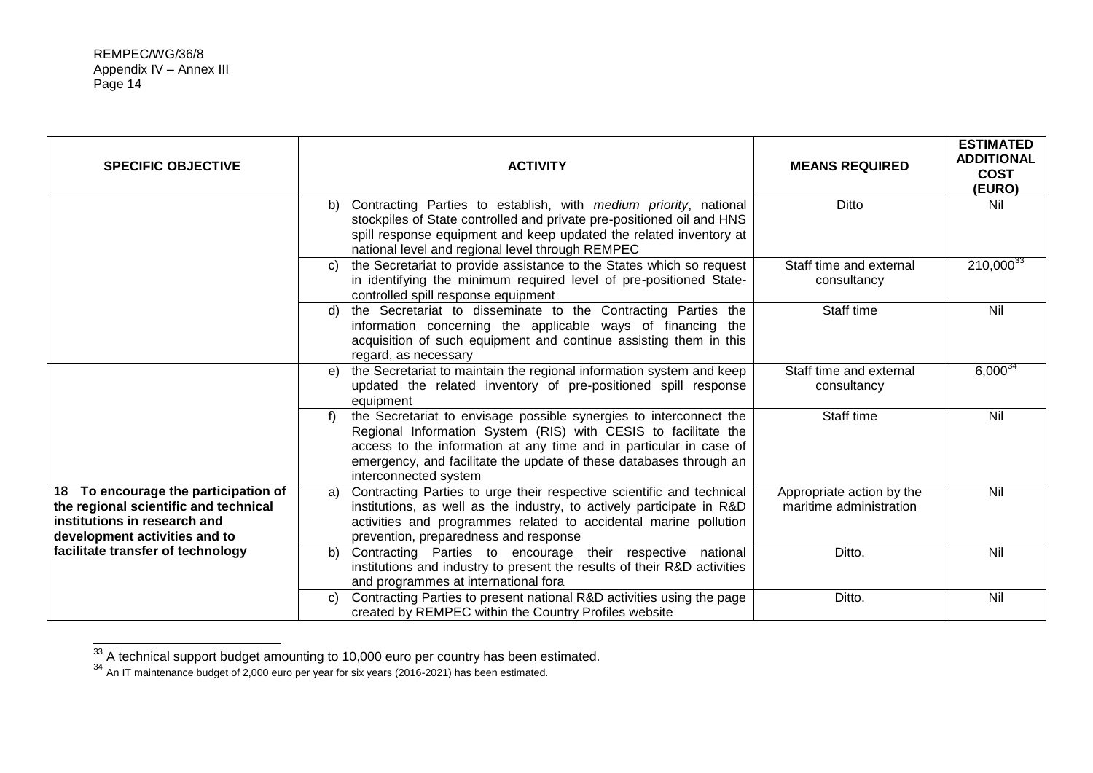| <b>SPECIFIC OBJECTIVE</b>                                                                                                                      | <b>ACTIVITY</b>                                                                                                                                                                                                                                                                                                 | <b>MEANS REQUIRED</b>                                | <b>ESTIMATED</b><br><b>ADDITIONAL</b><br><b>COST</b><br>(EURO) |
|------------------------------------------------------------------------------------------------------------------------------------------------|-----------------------------------------------------------------------------------------------------------------------------------------------------------------------------------------------------------------------------------------------------------------------------------------------------------------|------------------------------------------------------|----------------------------------------------------------------|
|                                                                                                                                                | Contracting Parties to establish, with medium priority, national<br>b)<br>stockpiles of State controlled and private pre-positioned oil and HNS<br>spill response equipment and keep updated the related inventory at<br>national level and regional level through REMPEC                                       | Ditto                                                | Nil                                                            |
|                                                                                                                                                | the Secretariat to provide assistance to the States which so request<br>C)<br>in identifying the minimum required level of pre-positioned State-<br>controlled spill response equipment                                                                                                                         | Staff time and external<br>consultancy               | $210,000^{33}$                                                 |
|                                                                                                                                                | the Secretariat to disseminate to the Contracting Parties the<br>d)<br>information concerning the applicable ways of financing the<br>acquisition of such equipment and continue assisting them in this<br>regard, as necessary                                                                                 | Staff time                                           | Nil                                                            |
|                                                                                                                                                | the Secretariat to maintain the regional information system and keep<br>e)<br>updated the related inventory of pre-positioned spill response<br>equipment                                                                                                                                                       | Staff time and external<br>consultancy               | $6,000^{34}$                                                   |
|                                                                                                                                                | the Secretariat to envisage possible synergies to interconnect the<br>f)<br>Regional Information System (RIS) with CESIS to facilitate the<br>access to the information at any time and in particular in case of<br>emergency, and facilitate the update of these databases through an<br>interconnected system | Staff time                                           | Nil                                                            |
| 18 To encourage the participation of<br>the regional scientific and technical<br>institutions in research and<br>development activities and to | Contracting Parties to urge their respective scientific and technical<br>a)<br>institutions, as well as the industry, to actively participate in R&D<br>activities and programmes related to accidental marine pollution<br>prevention, preparedness and response                                               | Appropriate action by the<br>maritime administration | Nil                                                            |
| facilitate transfer of technology                                                                                                              | Contracting Parties to encourage their respective national<br>b)<br>institutions and industry to present the results of their R&D activities<br>and programmes at international fora                                                                                                                            | Ditto.                                               | Nil                                                            |
|                                                                                                                                                | Contracting Parties to present national R&D activities using the page<br>C)<br>created by REMPEC within the Country Profiles website                                                                                                                                                                            | Ditto.                                               | Nil                                                            |

 $33$  A technical support budget amounting to 10,000 euro per country has been estimated.

<sup>34</sup> An IT maintenance budget of 2,000 euro per year for six years (2016-2021) has been estimated.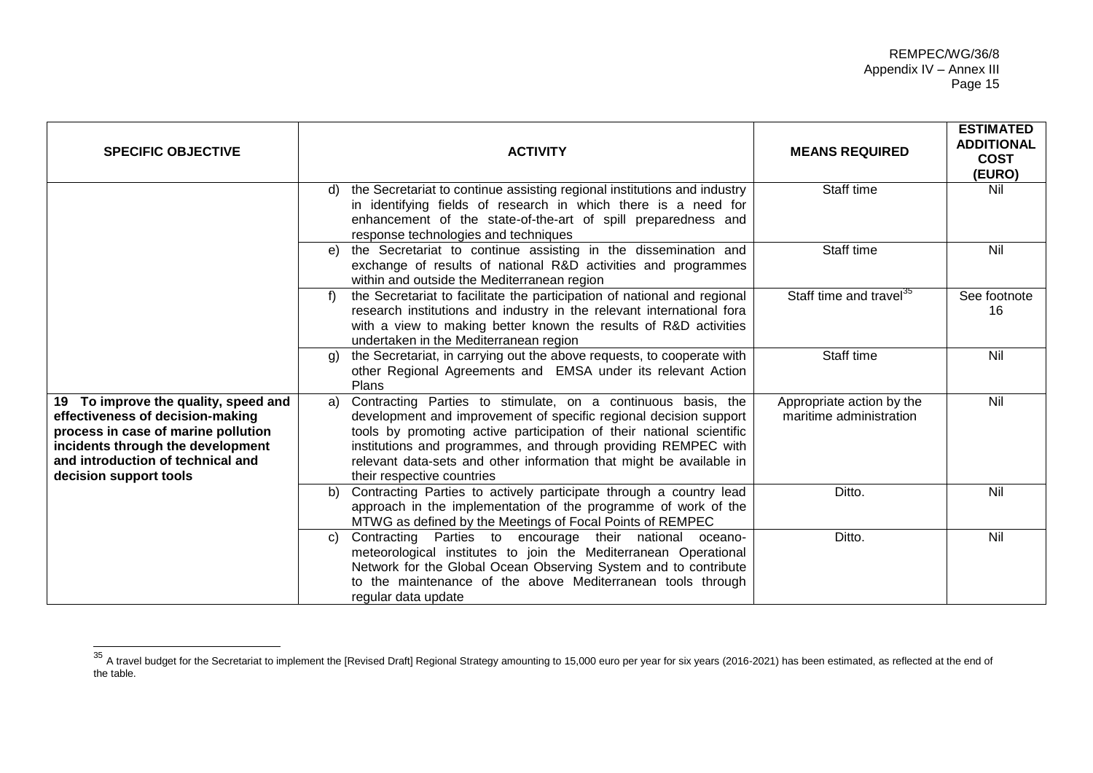| <b>SPECIFIC OBJECTIVE</b>                                                                                                                                                                                           | <b>ACTIVITY</b>                                                                                                                                                                                                                                                                                                                                                                        | <b>MEANS REQUIRED</b>                                | <b>ESTIMATED</b><br><b>ADDITIONAL</b><br><b>COST</b><br>(EURO) |
|---------------------------------------------------------------------------------------------------------------------------------------------------------------------------------------------------------------------|----------------------------------------------------------------------------------------------------------------------------------------------------------------------------------------------------------------------------------------------------------------------------------------------------------------------------------------------------------------------------------------|------------------------------------------------------|----------------------------------------------------------------|
|                                                                                                                                                                                                                     | the Secretariat to continue assisting regional institutions and industry<br>d)<br>in identifying fields of research in which there is a need for<br>enhancement of the state-of-the-art of spill preparedness and<br>response technologies and techniques                                                                                                                              | Staff time                                           | Nil                                                            |
|                                                                                                                                                                                                                     | the Secretariat to continue assisting in the dissemination and<br>e)<br>exchange of results of national R&D activities and programmes<br>within and outside the Mediterranean region                                                                                                                                                                                                   | Staff time                                           | Nil                                                            |
|                                                                                                                                                                                                                     | the Secretariat to facilitate the participation of national and regional<br>f)<br>research institutions and industry in the relevant international fora<br>with a view to making better known the results of R&D activities<br>undertaken in the Mediterranean region                                                                                                                  | Staff time and travel <sup>35</sup>                  | See footnote<br>16                                             |
|                                                                                                                                                                                                                     | the Secretariat, in carrying out the above requests, to cooperate with<br>g)<br>other Regional Agreements and EMSA under its relevant Action<br>Plans                                                                                                                                                                                                                                  | Staff time                                           | Nil                                                            |
| 19 To improve the quality, speed and<br>effectiveness of decision-making<br>process in case of marine pollution<br>incidents through the development<br>and introduction of technical and<br>decision support tools | Contracting Parties to stimulate, on a continuous basis, the<br>a)<br>development and improvement of specific regional decision support<br>tools by promoting active participation of their national scientific<br>institutions and programmes, and through providing REMPEC with<br>relevant data-sets and other information that might be available in<br>their respective countries | Appropriate action by the<br>maritime administration | Nil                                                            |
|                                                                                                                                                                                                                     | Contracting Parties to actively participate through a country lead<br>b)<br>approach in the implementation of the programme of work of the<br>MTWG as defined by the Meetings of Focal Points of REMPEC                                                                                                                                                                                | Ditto.                                               | Nil                                                            |
|                                                                                                                                                                                                                     | Contracting Parties to<br>encourage<br>their national<br>$\mathbf{C}$<br>oceano-<br>meteorological institutes to join the Mediterranean Operational<br>Network for the Global Ocean Observing System and to contribute<br>to the maintenance of the above Mediterranean tools through<br>regular data update                                                                           | Ditto.                                               | Nil                                                            |

 $\overline{\phantom{a}}$ 

<sup>&</sup>lt;sup>35</sup> A travel budget for the Secretariat to implement the [Revised Draft] Regional Strategy amounting to 15,000 euro per year for six years (2016-2021) has been estimated, as reflected at the end of the table.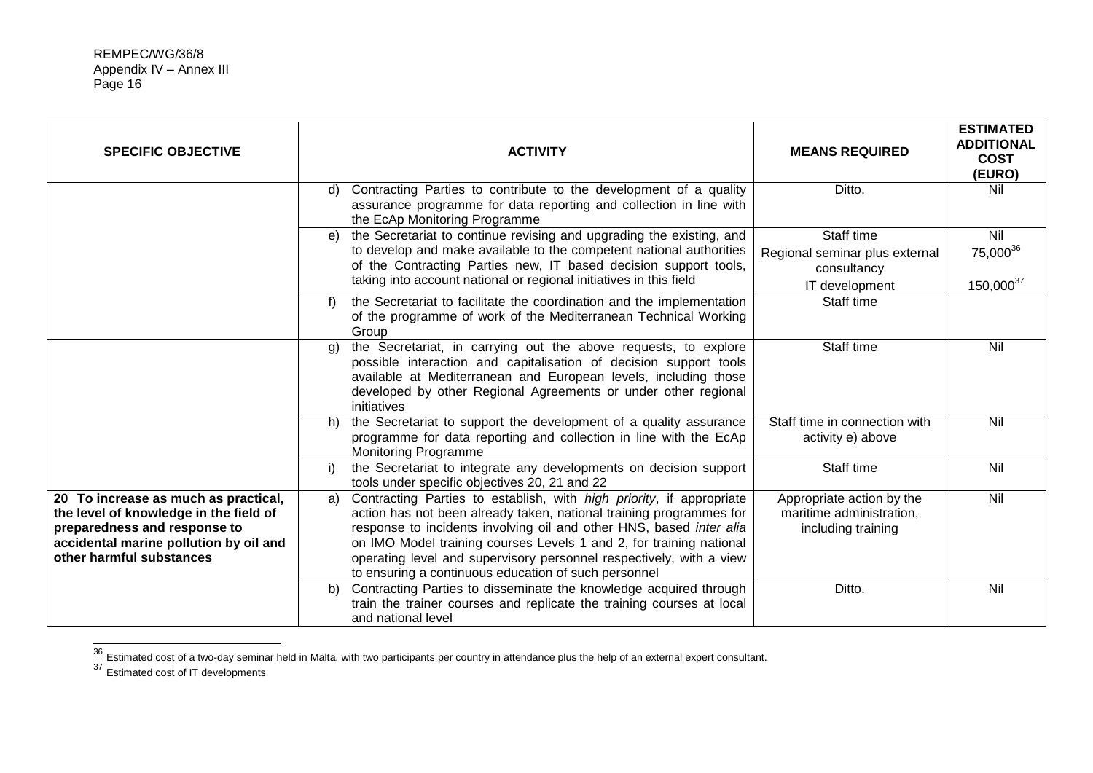| <b>SPECIFIC OBJECTIVE</b>                                                                                                                                                            | <b>ACTIVITY</b>                                                                                                                                                                                                                                                                                                                                                                                                                | <b>MEANS REQUIRED</b>                                                         | <b>ESTIMATED</b><br><b>ADDITIONAL</b><br><b>COST</b><br>(EURO) |
|--------------------------------------------------------------------------------------------------------------------------------------------------------------------------------------|--------------------------------------------------------------------------------------------------------------------------------------------------------------------------------------------------------------------------------------------------------------------------------------------------------------------------------------------------------------------------------------------------------------------------------|-------------------------------------------------------------------------------|----------------------------------------------------------------|
|                                                                                                                                                                                      | Contracting Parties to contribute to the development of a quality<br>d)<br>assurance programme for data reporting and collection in line with<br>the EcAp Monitoring Programme                                                                                                                                                                                                                                                 | Ditto.                                                                        | Nil                                                            |
|                                                                                                                                                                                      | the Secretariat to continue revising and upgrading the existing, and<br>e)<br>to develop and make available to the competent national authorities<br>of the Contracting Parties new, IT based decision support tools,<br>taking into account national or regional initiatives in this field                                                                                                                                    | Staff time<br>Regional seminar plus external<br>consultancy<br>IT development | Nil<br>75,000 <sup>36</sup><br>$150,000^{37}$                  |
|                                                                                                                                                                                      | the Secretariat to facilitate the coordination and the implementation<br>f)<br>of the programme of work of the Mediterranean Technical Working<br>Group                                                                                                                                                                                                                                                                        | Staff time                                                                    |                                                                |
|                                                                                                                                                                                      | the Secretariat, in carrying out the above requests, to explore<br>(g)<br>possible interaction and capitalisation of decision support tools<br>available at Mediterranean and European levels, including those<br>developed by other Regional Agreements or under other regional<br>initiatives                                                                                                                                | Staff time                                                                    | Nil                                                            |
|                                                                                                                                                                                      | the Secretariat to support the development of a quality assurance<br>h)<br>programme for data reporting and collection in line with the EcAp<br><b>Monitoring Programme</b>                                                                                                                                                                                                                                                    | Staff time in connection with<br>activity e) above                            | Nil                                                            |
|                                                                                                                                                                                      | the Secretariat to integrate any developments on decision support<br>I)<br>tools under specific objectives 20, 21 and 22                                                                                                                                                                                                                                                                                                       | Staff time                                                                    | Nil                                                            |
| 20 To increase as much as practical,<br>the level of knowledge in the field of<br>preparedness and response to<br>accidental marine pollution by oil and<br>other harmful substances | Contracting Parties to establish, with high priority, if appropriate<br>a)<br>action has not been already taken, national training programmes for<br>response to incidents involving oil and other HNS, based inter alia<br>on IMO Model training courses Levels 1 and 2, for training national<br>operating level and supervisory personnel respectively, with a view<br>to ensuring a continuous education of such personnel | Appropriate action by the<br>maritime administration,<br>including training   | Nil                                                            |
|                                                                                                                                                                                      | Contracting Parties to disseminate the knowledge acquired through<br>b)<br>train the trainer courses and replicate the training courses at local<br>and national level                                                                                                                                                                                                                                                         | Ditto.                                                                        | Nil                                                            |

 $^{36}$  Estimated cost of a two-day seminar held in Malta, with two participants per country in attendance plus the help of an external expert consultant.

<sup>37</sup> Estimated cost of IT developments

l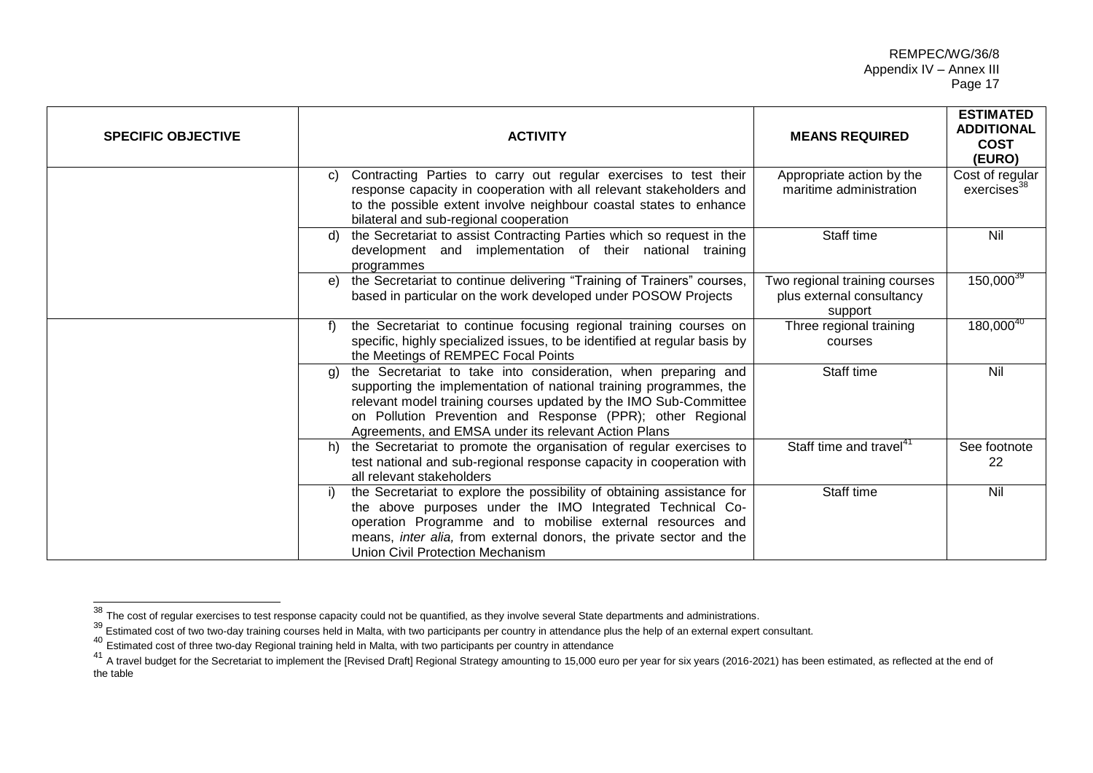## REMPEC/WG/36/8 Appendix IV – Annex III Page 17

| <b>SPECIFIC OBJECTIVE</b> | <b>ACTIVITY</b>                                                                                                                                                                                                                                                                                                                      | <b>MEANS REQUIRED</b>                                                 | <b>ESTIMATED</b><br><b>ADDITIONAL</b><br><b>COST</b><br>(EURO) |
|---------------------------|--------------------------------------------------------------------------------------------------------------------------------------------------------------------------------------------------------------------------------------------------------------------------------------------------------------------------------------|-----------------------------------------------------------------------|----------------------------------------------------------------|
|                           | Contracting Parties to carry out regular exercises to test their<br>C)<br>response capacity in cooperation with all relevant stakeholders and<br>to the possible extent involve neighbour coastal states to enhance<br>bilateral and sub-regional cooperation                                                                        | Appropriate action by the<br>maritime administration                  | Cost of regular<br>exercises <sup>38</sup>                     |
|                           | the Secretariat to assist Contracting Parties which so request in the<br>d)<br>development and implementation of their national training<br>programmes                                                                                                                                                                               | Staff time                                                            | Nil                                                            |
|                           | the Secretariat to continue delivering "Training of Trainers" courses,<br>e)<br>based in particular on the work developed under POSOW Projects                                                                                                                                                                                       | Two regional training courses<br>plus external consultancy<br>support | $150,000^{39}$                                                 |
|                           | the Secretariat to continue focusing regional training courses on<br>f)<br>specific, highly specialized issues, to be identified at regular basis by<br>the Meetings of REMPEC Focal Points                                                                                                                                          | Three regional training<br>courses                                    | $180,000^{40}$                                                 |
|                           | the Secretariat to take into consideration, when preparing and<br>g)<br>supporting the implementation of national training programmes, the<br>relevant model training courses updated by the IMO Sub-Committee<br>on Pollution Prevention and Response (PPR); other Regional<br>Agreements, and EMSA under its relevant Action Plans | Staff time                                                            | Nil                                                            |
|                           | the Secretariat to promote the organisation of regular exercises to<br>h)<br>test national and sub-regional response capacity in cooperation with<br>all relevant stakeholders                                                                                                                                                       | Staff time and travel <sup>41</sup>                                   | See footnote<br>22                                             |
|                           | the Secretariat to explore the possibility of obtaining assistance for<br>the above purposes under the IMO Integrated Technical Co-<br>operation Programme and to mobilise external resources and<br>means, inter alia, from external donors, the private sector and the<br><b>Union Civil Protection Mechanism</b>                  | Staff time                                                            | Nil                                                            |

 $\overline{\phantom{a}}$ 

 $^{38}$  The cost of regular exercises to test response capacity could not be quantified, as they involve several State departments and administrations.

The cost of regular exercises to tost response capacity codia not be gadmined, as they meen country in attendance plus the help of an external expert consultant.

<sup>40</sup> Estimated cost of three two-day Regional training held in Malta, with two participants per country in attendance

EStimated cost of the Secretariat to implement the [Revised Draft] Regional Strategy amounting to 15,000 euro per year for six years (2016-2021) has been estimated, as reflected at the end of<br>A travel budget for the Secret the table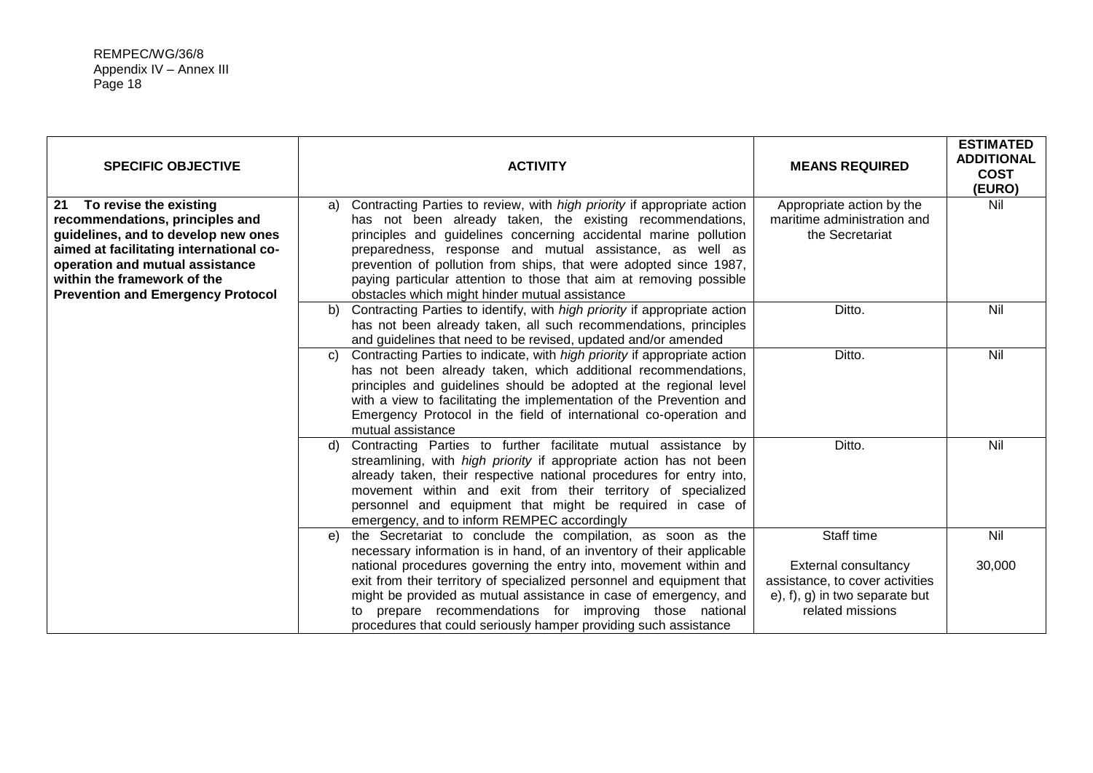| <b>SPECIFIC OBJECTIVE</b>                                                                                                                                                                                                                                       | <b>ACTIVITY</b>                                                                                                                                                                                                                                                                                                                                                                                                                                                         | <b>MEANS REQUIRED</b>                                                                                                  | <b>ESTIMATED</b><br><b>ADDITIONAL</b><br><b>COST</b><br>(EURO) |
|-----------------------------------------------------------------------------------------------------------------------------------------------------------------------------------------------------------------------------------------------------------------|-------------------------------------------------------------------------------------------------------------------------------------------------------------------------------------------------------------------------------------------------------------------------------------------------------------------------------------------------------------------------------------------------------------------------------------------------------------------------|------------------------------------------------------------------------------------------------------------------------|----------------------------------------------------------------|
| To revise the existing<br>21<br>recommendations, principles and<br>guidelines, and to develop new ones<br>aimed at facilitating international co-<br>operation and mutual assistance<br>within the framework of the<br><b>Prevention and Emergency Protocol</b> | Contracting Parties to review, with high priority if appropriate action<br>a)<br>has not been already taken, the existing recommendations,<br>principles and guidelines concerning accidental marine pollution<br>preparedness, response and mutual assistance, as well as<br>prevention of pollution from ships, that were adopted since 1987,<br>paying particular attention to those that aim at removing possible<br>obstacles which might hinder mutual assistance | Appropriate action by the<br>maritime administration and<br>the Secretariat                                            | Nil                                                            |
|                                                                                                                                                                                                                                                                 | Contracting Parties to identify, with high priority if appropriate action<br>b)<br>has not been already taken, all such recommendations, principles<br>and guidelines that need to be revised, updated and/or amended                                                                                                                                                                                                                                                   | Ditto.                                                                                                                 | Nil                                                            |
|                                                                                                                                                                                                                                                                 | Contracting Parties to indicate, with <i>high priority</i> if appropriate action<br>C)<br>has not been already taken, which additional recommendations,<br>principles and guidelines should be adopted at the regional level<br>with a view to facilitating the implementation of the Prevention and<br>Emergency Protocol in the field of international co-operation and<br>mutual assistance                                                                          | Ditto.                                                                                                                 | Nil                                                            |
|                                                                                                                                                                                                                                                                 | Contracting Parties to further facilitate mutual assistance by<br>d)<br>streamlining, with high priority if appropriate action has not been<br>already taken, their respective national procedures for entry into,<br>movement within and exit from their territory of specialized<br>personnel and equipment that might be required in case of<br>emergency, and to inform REMPEC accordingly                                                                          | Ditto.                                                                                                                 | Nil                                                            |
|                                                                                                                                                                                                                                                                 | the Secretariat to conclude the compilation, as soon as the<br>e)<br>necessary information is in hand, of an inventory of their applicable                                                                                                                                                                                                                                                                                                                              | Staff time                                                                                                             | Nil                                                            |
|                                                                                                                                                                                                                                                                 | national procedures governing the entry into, movement within and<br>exit from their territory of specialized personnel and equipment that<br>might be provided as mutual assistance in case of emergency, and<br>to prepare recommendations for improving those national<br>procedures that could seriously hamper providing such assistance                                                                                                                           | <b>External consultancy</b><br>assistance, to cover activities<br>$e$ , f), g) in two separate but<br>related missions | 30,000                                                         |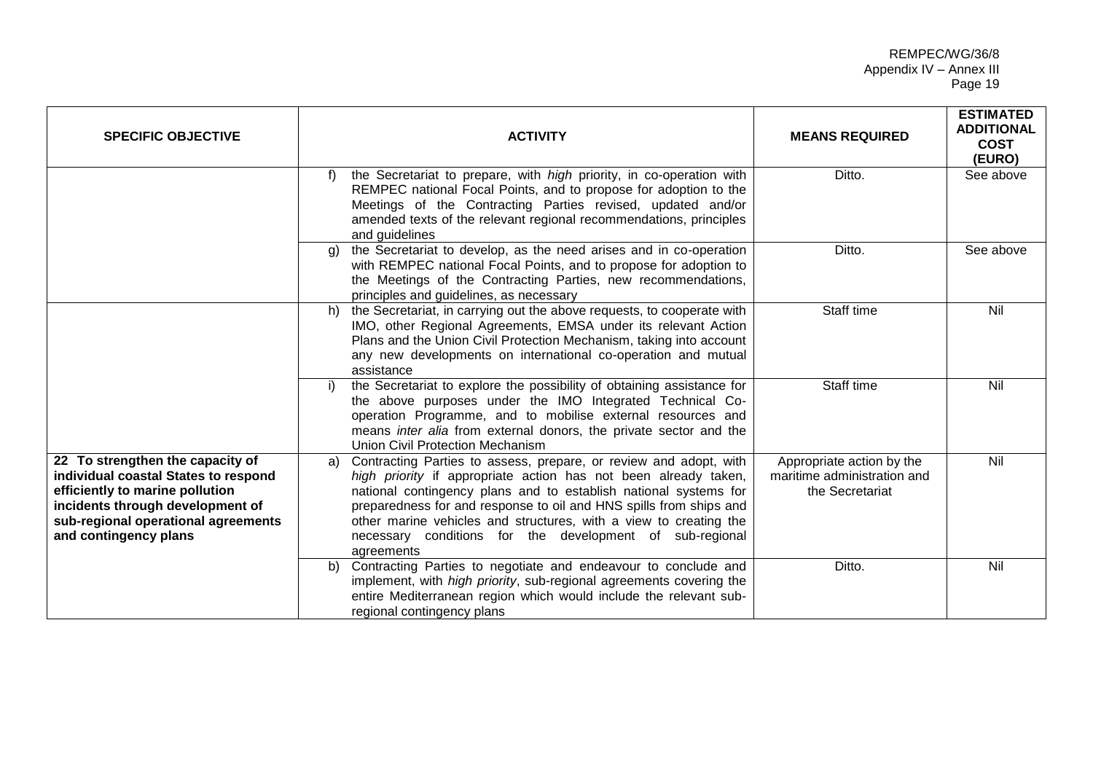## REMPEC/WG/36/8 Appendix IV – Annex III Page 19

| <b>SPECIFIC OBJECTIVE</b>                                                                                                                                                                                       | <b>ACTIVITY</b>                                                                                                                                                                                                                                                                                                                                                                                                                     | <b>MEANS REQUIRED</b>                                                       | <b>ESTIMATED</b><br><b>ADDITIONAL</b><br><b>COST</b><br>(EURO) |
|-----------------------------------------------------------------------------------------------------------------------------------------------------------------------------------------------------------------|-------------------------------------------------------------------------------------------------------------------------------------------------------------------------------------------------------------------------------------------------------------------------------------------------------------------------------------------------------------------------------------------------------------------------------------|-----------------------------------------------------------------------------|----------------------------------------------------------------|
|                                                                                                                                                                                                                 | the Secretariat to prepare, with high priority, in co-operation with<br>f)<br>REMPEC national Focal Points, and to propose for adoption to the<br>Meetings of the Contracting Parties revised, updated and/or<br>amended texts of the relevant regional recommendations, principles<br>and guidelines                                                                                                                               | Ditto.                                                                      | See above                                                      |
|                                                                                                                                                                                                                 | the Secretariat to develop, as the need arises and in co-operation<br>a)<br>with REMPEC national Focal Points, and to propose for adoption to<br>the Meetings of the Contracting Parties, new recommendations,<br>principles and guidelines, as necessary                                                                                                                                                                           | Ditto.                                                                      | See above                                                      |
|                                                                                                                                                                                                                 | the Secretariat, in carrying out the above requests, to cooperate with<br>h)<br>IMO, other Regional Agreements, EMSA under its relevant Action<br>Plans and the Union Civil Protection Mechanism, taking into account<br>any new developments on international co-operation and mutual<br>assistance                                                                                                                                | Staff time                                                                  | Nil                                                            |
|                                                                                                                                                                                                                 | the Secretariat to explore the possibility of obtaining assistance for<br>the above purposes under the IMO Integrated Technical Co-<br>operation Programme, and to mobilise external resources and<br>means inter alia from external donors, the private sector and the<br><b>Union Civil Protection Mechanism</b>                                                                                                                  | Staff time                                                                  | Nil                                                            |
| 22 To strengthen the capacity of<br>individual coastal States to respond<br>efficiently to marine pollution<br>incidents through development of<br>sub-regional operational agreements<br>and contingency plans | Contracting Parties to assess, prepare, or review and adopt, with<br>a)<br>high priority if appropriate action has not been already taken,<br>national contingency plans and to establish national systems for<br>preparedness for and response to oil and HNS spills from ships and<br>other marine vehicles and structures, with a view to creating the<br>necessary conditions for the development of sub-regional<br>agreements | Appropriate action by the<br>maritime administration and<br>the Secretariat | Nil                                                            |
|                                                                                                                                                                                                                 | Contracting Parties to negotiate and endeavour to conclude and<br>b)<br>implement, with high priority, sub-regional agreements covering the<br>entire Mediterranean region which would include the relevant sub-<br>regional contingency plans                                                                                                                                                                                      | Ditto.                                                                      | Nil                                                            |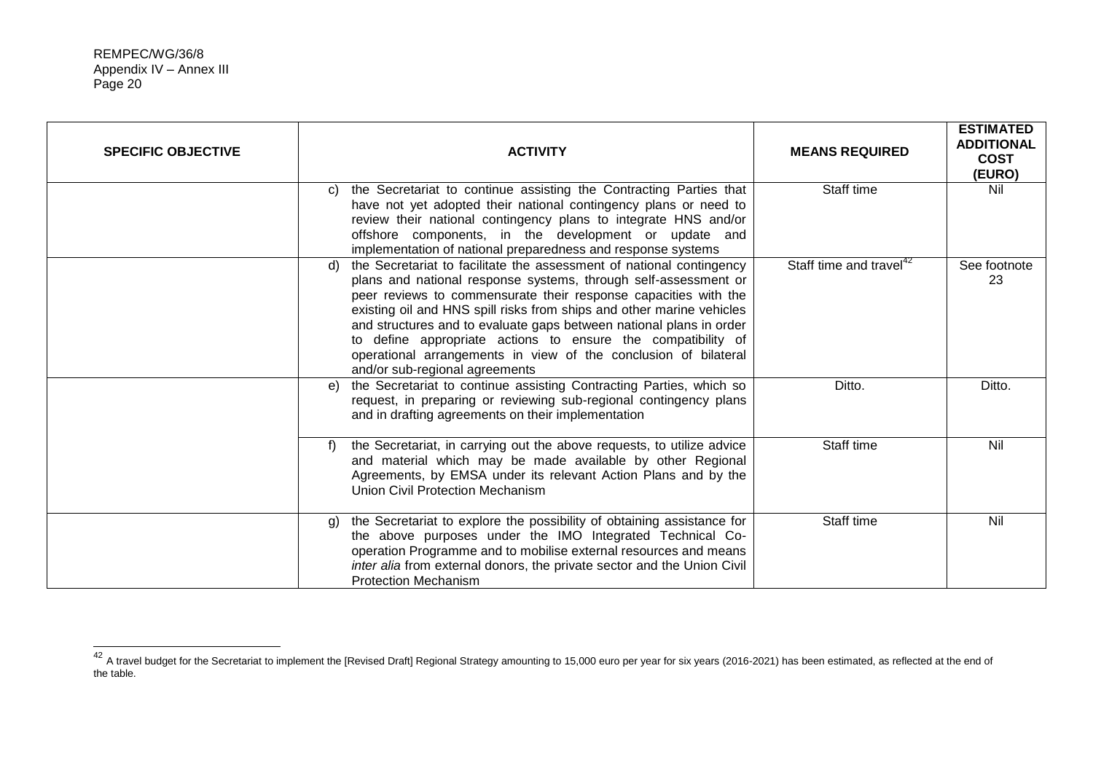$\overline{\phantom{a}}$ 

| <b>SPECIFIC OBJECTIVE</b> | <b>ACTIVITY</b>                                                                                                                                                                                                                                                                                                                                                                                                                                                                                                                       | <b>MEANS REQUIRED</b>               | <b>ESTIMATED</b><br><b>ADDITIONAL</b><br><b>COST</b><br>(EURO) |
|---------------------------|---------------------------------------------------------------------------------------------------------------------------------------------------------------------------------------------------------------------------------------------------------------------------------------------------------------------------------------------------------------------------------------------------------------------------------------------------------------------------------------------------------------------------------------|-------------------------------------|----------------------------------------------------------------|
|                           | the Secretariat to continue assisting the Contracting Parties that<br>C)<br>have not yet adopted their national contingency plans or need to<br>review their national contingency plans to integrate HNS and/or<br>offshore components, in the development or update and<br>implementation of national preparedness and response systems                                                                                                                                                                                              | Staff time                          | Nil                                                            |
|                           | the Secretariat to facilitate the assessment of national contingency<br>d)<br>plans and national response systems, through self-assessment or<br>peer reviews to commensurate their response capacities with the<br>existing oil and HNS spill risks from ships and other marine vehicles<br>and structures and to evaluate gaps between national plans in order<br>to define appropriate actions to ensure the compatibility of<br>operational arrangements in view of the conclusion of bilateral<br>and/or sub-regional agreements | Staff time and travel <sup>42</sup> | See footnote<br>23                                             |
|                           | the Secretariat to continue assisting Contracting Parties, which so<br>e)<br>request, in preparing or reviewing sub-regional contingency plans<br>and in drafting agreements on their implementation                                                                                                                                                                                                                                                                                                                                  | Ditto.                              | Ditto.                                                         |
|                           | the Secretariat, in carrying out the above requests, to utilize advice<br>f)<br>and material which may be made available by other Regional<br>Agreements, by EMSA under its relevant Action Plans and by the<br>Union Civil Protection Mechanism                                                                                                                                                                                                                                                                                      | Staff time                          | Nil                                                            |
|                           | the Secretariat to explore the possibility of obtaining assistance for<br>g)<br>the above purposes under the IMO Integrated Technical Co-<br>operation Programme and to mobilise external resources and means<br>inter alia from external donors, the private sector and the Union Civil<br><b>Protection Mechanism</b>                                                                                                                                                                                                               | Staff time                          | Nil                                                            |

 $^{42}$  A travel budget for the Secretariat to implement the [Revised Draft] Regional Strategy amounting to 15,000 euro per year for six years (2016-2021) has been estimated, as reflected at the end of the table.